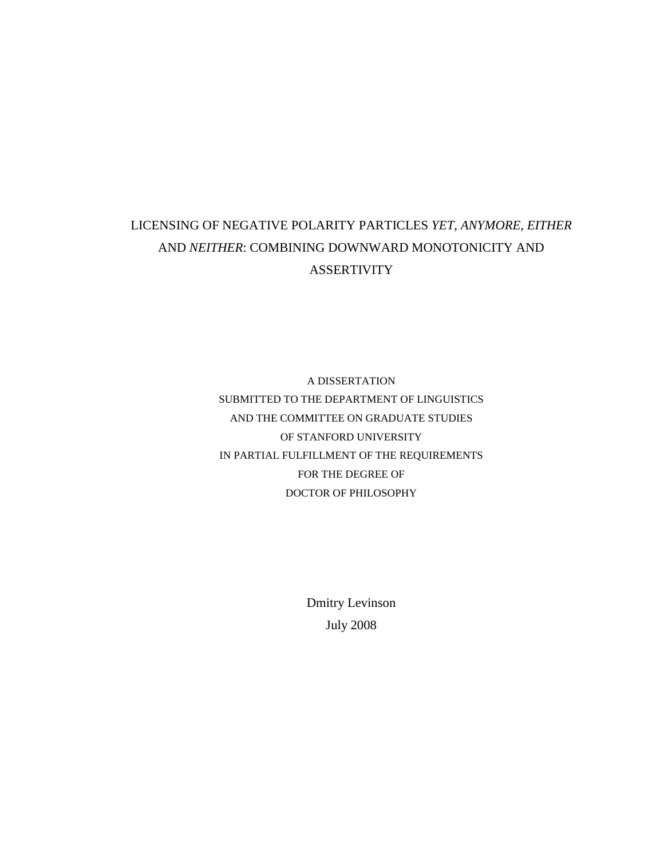# LICENSING OF NEGATIVE POLARITY PARTICLES *YET*, *ANYMORE*, *EITHER* AND *NEITHER*: COMBINING DOWNWARD MONOTONICITY AND **ASSERTIVITY**

A DISSERTATION SUBMITTED TO THE DEPARTMENT OF LINGUISTICS AND THE COMMITTEE ON GRADUATE STUDIES OF STANFORD UNIVERSITY IN PARTIAL FULFILLMENT OF THE REQUIREMENTS FOR THE DEGREE OF DOCTOR OF PHILOSOPHY

> Dmitry Levinson July 2008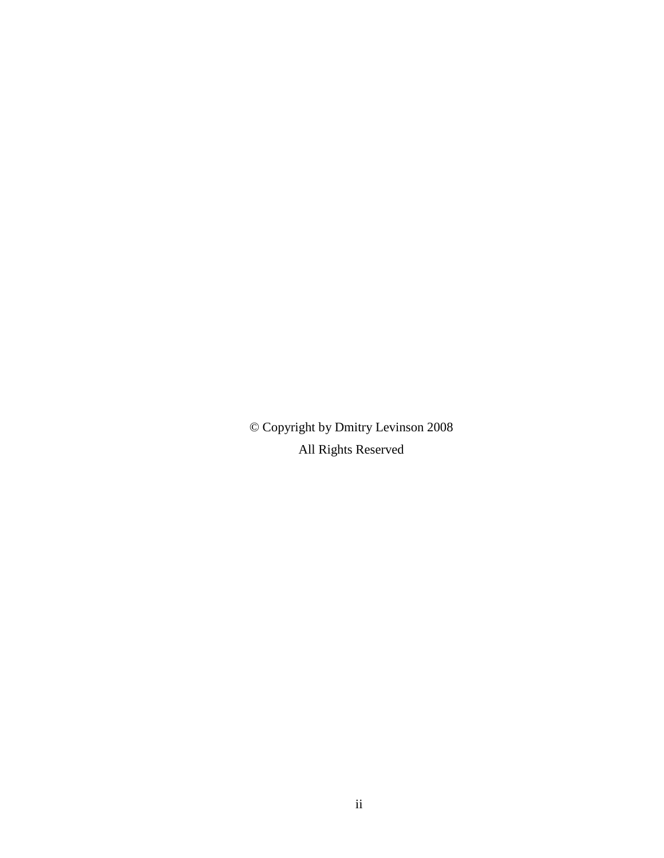© Copyright by Dmitry Levinson 2008 All Rights Reserved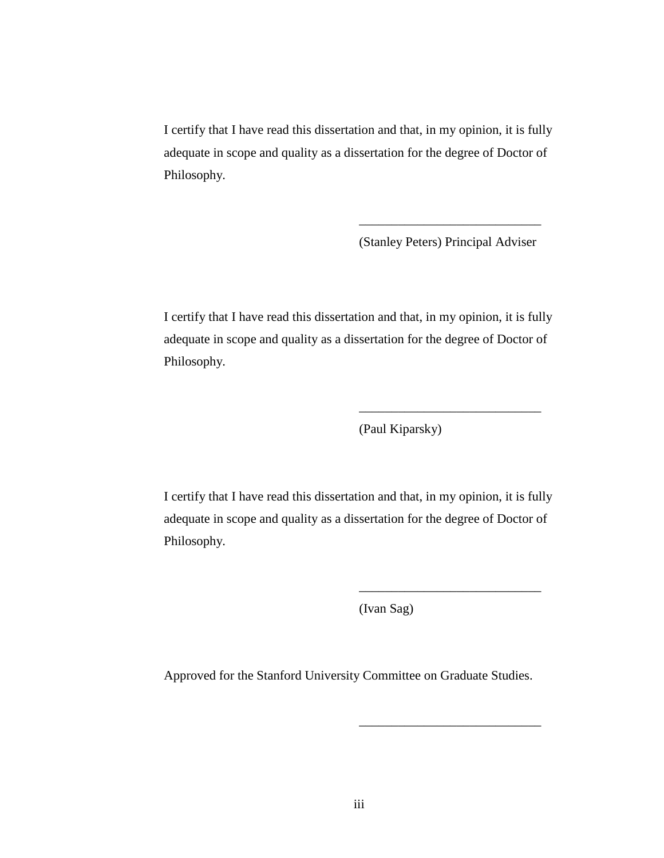I certify that I have read this dissertation and that, in my opinion, it is fully adequate in scope and quality as a dissertation for the degree of Doctor of Philosophy.

(Stanley Peters) Principal Adviser

\_\_\_\_\_\_\_\_\_\_\_\_\_\_\_\_\_\_\_\_\_\_\_\_\_\_\_\_

\_\_\_\_\_\_\_\_\_\_\_\_\_\_\_\_\_\_\_\_\_\_\_\_\_\_\_\_

\_\_\_\_\_\_\_\_\_\_\_\_\_\_\_\_\_\_\_\_\_\_\_\_\_\_\_\_

\_\_\_\_\_\_\_\_\_\_\_\_\_\_\_\_\_\_\_\_\_\_\_\_\_\_\_\_

I certify that I have read this dissertation and that, in my opinion, it is fully adequate in scope and quality as a dissertation for the degree of Doctor of Philosophy.

(Paul Kiparsky)

I certify that I have read this dissertation and that, in my opinion, it is fully adequate in scope and quality as a dissertation for the degree of Doctor of Philosophy.

(Ivan Sag)

Approved for the Stanford University Committee on Graduate Studies.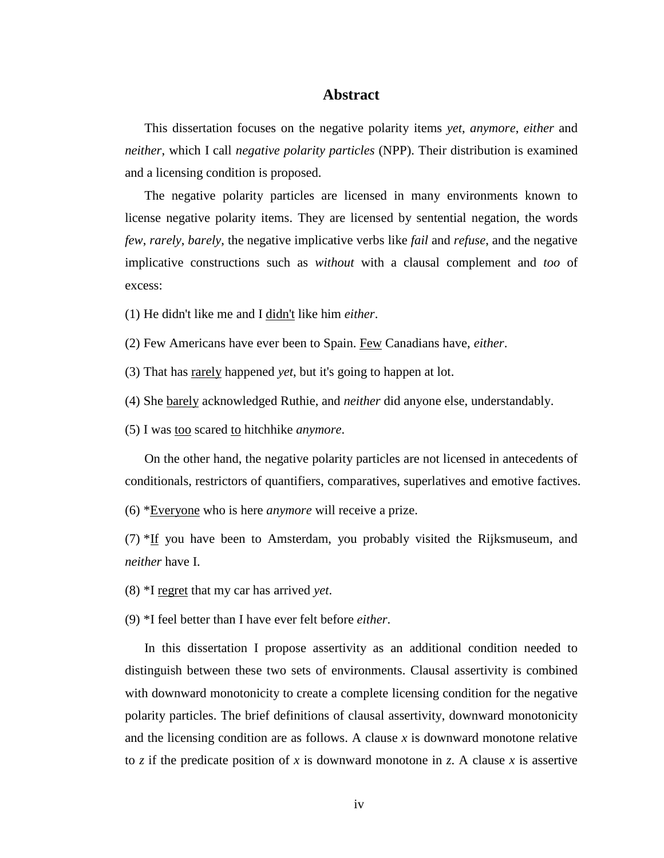## **Abstract**

This dissertation focuses on the negative polarity items *yet*, *anymore*, *either* and *neither*, which I call *negative polarity particles* (NPP). Their distribution is examined and a licensing condition is proposed.

The negative polarity particles are licensed in many environments known to license negative polarity items. They are licensed by sentential negation, the words *few*, *rarely*, *barely*, the negative implicative verbs like *fail* and *refuse*, and the negative implicative constructions such as *without* with a clausal complement and *too* of excess:

(1) He didn't like me and I didn't like him *either*.

(2) Few Americans have ever been to Spain. Few Canadians have, *either*.

(3) That has rarely happened *yet*, but it's going to happen at lot.

(4) She barely acknowledged Ruthie, and *neither* did anyone else, understandably.

(5) I was too scared to hitchhike *anymore*.

On the other hand, the negative polarity particles are not licensed in antecedents of conditionals, restrictors of quantifiers, comparatives, superlatives and emotive factives.

(6) \*Everyone who is here *anymore* will receive a prize.

(7)  $*$ If you have been to Amsterdam, you probably visited the Rijksmuseum, and *neither* have I.

(8) \*I regret that my car has arrived *yet*.

(9) \*I feel better than I have ever felt before *either*.

In this dissertation I propose assertivity as an additional condition needed to distinguish between these two sets of environments. Clausal assertivity is combined with downward monotonicity to create a complete licensing condition for the negative polarity particles. The brief definitions of clausal assertivity, downward monotonicity and the licensing condition are as follows. A clause *x* is downward monotone relative to *z* if the predicate position of *x* is downward monotone in *z*. A clause *x* is assertive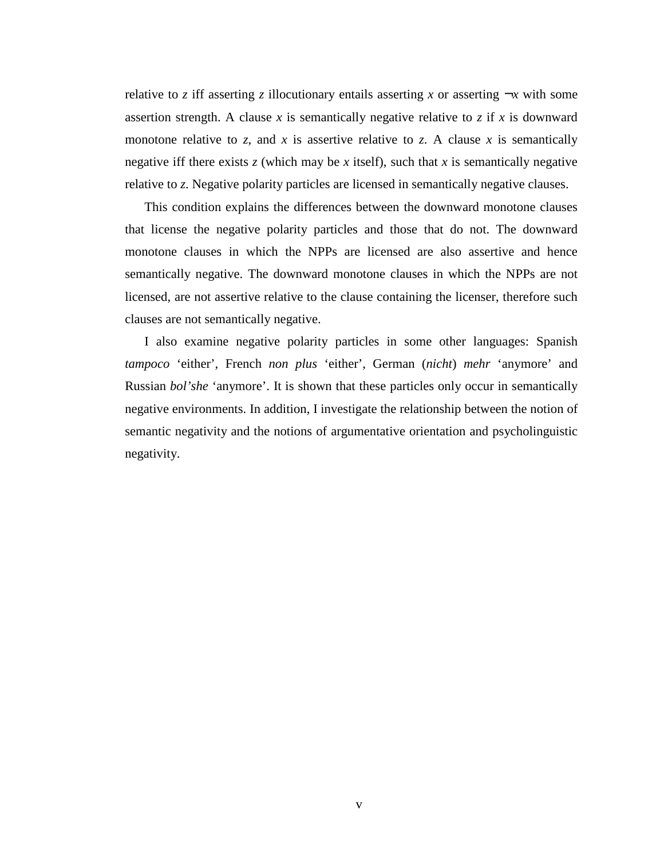relative to *z* iff asserting *z* illocutionary entails asserting *x* or asserting  $\neg x$  with some assertion strength. A clause  $x$  is semantically negative relative to  $z$  if  $x$  is downward monotone relative to  $z$ , and  $x$  is assertive relative to  $z$ . A clause  $x$  is semantically negative iff there exists  $z$  (which may be  $x$  itself), such that  $x$  is semantically negative relative to *z*. Negative polarity particles are licensed in semantically negative clauses.

This condition explains the differences between the downward monotone clauses that license the negative polarity particles and those that do not. The downward monotone clauses in which the NPPs are licensed are also assertive and hence semantically negative. The downward monotone clauses in which the NPPs are not licensed, are not assertive relative to the clause containing the licenser, therefore such clauses are not semantically negative.

I also examine negative polarity particles in some other languages: Spanish *tampoco* 'either', French *non plus* 'either', German (*nicht*) *mehr* 'anymore' and Russian *bol'she* 'anymore'. It is shown that these particles only occur in semantically negative environments. In addition, I investigate the relationship between the notion of semantic negativity and the notions of argumentative orientation and psycholinguistic negativity.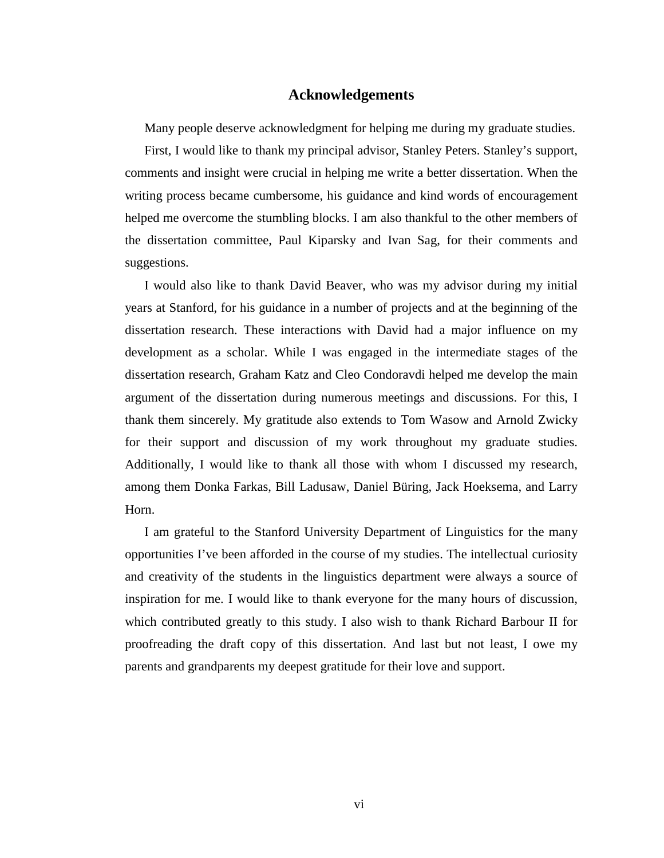## **Acknowledgements**

Many people deserve acknowledgment for helping me during my graduate studies.

First, I would like to thank my principal advisor, Stanley Peters. Stanley's support, comments and insight were crucial in helping me write a better dissertation. When the writing process became cumbersome, his guidance and kind words of encouragement helped me overcome the stumbling blocks. I am also thankful to the other members of the dissertation committee, Paul Kiparsky and Ivan Sag, for their comments and suggestions.

I would also like to thank David Beaver, who was my advisor during my initial years at Stanford, for his guidance in a number of projects and at the beginning of the dissertation research. These interactions with David had a major influence on my development as a scholar. While I was engaged in the intermediate stages of the dissertation research, Graham Katz and Cleo Condoravdi helped me develop the main argument of the dissertation during numerous meetings and discussions. For this, I thank them sincerely. My gratitude also extends to Tom Wasow and Arnold Zwicky for their support and discussion of my work throughout my graduate studies. Additionally, I would like to thank all those with whom I discussed my research, among them Donka Farkas, Bill Ladusaw, Daniel Büring, Jack Hoeksema, and Larry Horn.

I am grateful to the Stanford University Department of Linguistics for the many opportunities I've been afforded in the course of my studies. The intellectual curiosity and creativity of the students in the linguistics department were always a source of inspiration for me. I would like to thank everyone for the many hours of discussion, which contributed greatly to this study. I also wish to thank Richard Barbour II for proofreading the draft copy of this dissertation. And last but not least, I owe my parents and grandparents my deepest gratitude for their love and support.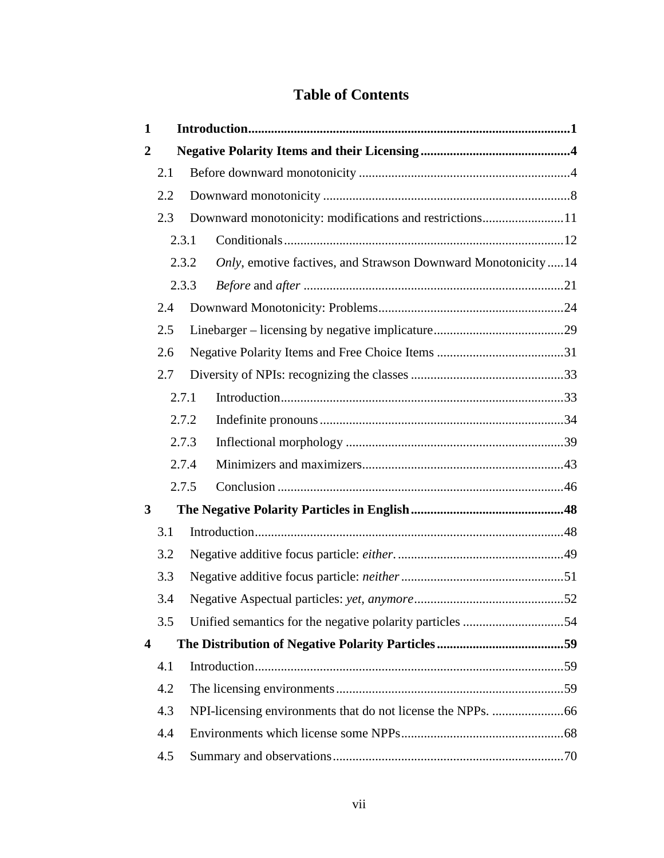## **Table of Contents**

| $\mathbf{1}$   |       |  |                                                                |  |  |
|----------------|-------|--|----------------------------------------------------------------|--|--|
| $\overline{2}$ |       |  |                                                                |  |  |
|                | 2.1   |  |                                                                |  |  |
|                | 2.2   |  |                                                                |  |  |
|                | 2.3   |  | Downward monotonicity: modifications and restrictions11        |  |  |
|                | 2.3.1 |  |                                                                |  |  |
|                | 2.3.2 |  | Only, emotive factives, and Strawson Downward Monotonicity  14 |  |  |
|                | 2.3.3 |  |                                                                |  |  |
|                | 2.4   |  |                                                                |  |  |
|                | 2.5   |  |                                                                |  |  |
|                | 2.6   |  |                                                                |  |  |
|                | 2.7   |  |                                                                |  |  |
|                | 2.7.1 |  |                                                                |  |  |
|                | 2.7.2 |  |                                                                |  |  |
|                | 2.7.3 |  |                                                                |  |  |
|                | 2.7.4 |  |                                                                |  |  |
|                | 2.7.5 |  |                                                                |  |  |
| 3              |       |  |                                                                |  |  |
|                | 3.1   |  |                                                                |  |  |
|                | 3.2   |  |                                                                |  |  |
|                | 3.3   |  |                                                                |  |  |
|                | 3.4   |  |                                                                |  |  |
|                | 3.5   |  |                                                                |  |  |
| 4              |       |  |                                                                |  |  |
|                | 4.1   |  |                                                                |  |  |
|                | 4.2   |  |                                                                |  |  |
|                | 4.3   |  |                                                                |  |  |
|                | 4.4   |  |                                                                |  |  |
|                | 4.5   |  |                                                                |  |  |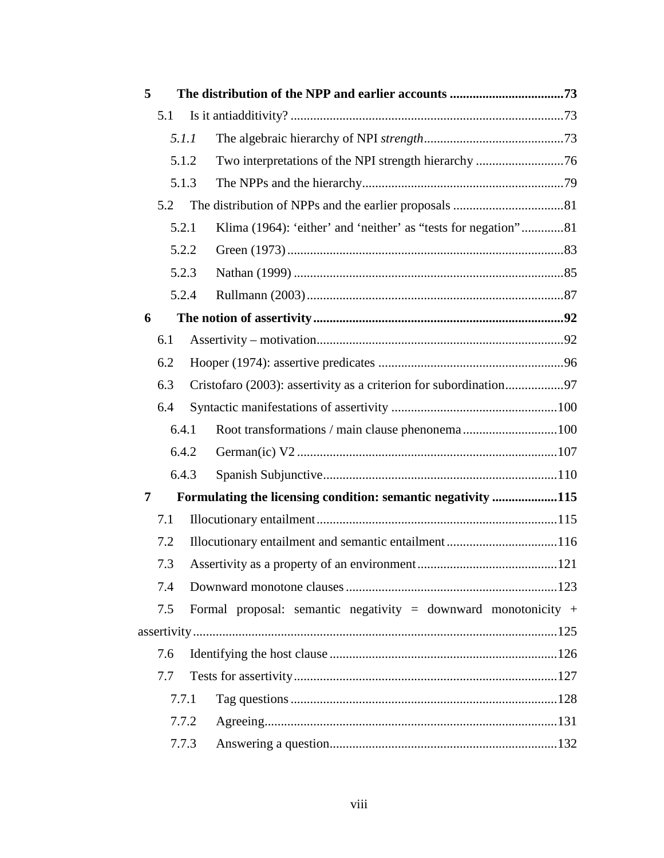| 5   |       |                                                              |                                                                   |  |  |
|-----|-------|--------------------------------------------------------------|-------------------------------------------------------------------|--|--|
|     | 5.1   |                                                              |                                                                   |  |  |
|     | 5.1.1 |                                                              |                                                                   |  |  |
|     |       | 5.1.2                                                        |                                                                   |  |  |
|     | 5.1.3 |                                                              |                                                                   |  |  |
|     | 5.2   |                                                              |                                                                   |  |  |
|     | 5.2.1 |                                                              | Klima (1964): 'either' and 'neither' as "tests for negation"81    |  |  |
|     |       | 5.2.2                                                        |                                                                   |  |  |
|     | 5.2.3 |                                                              |                                                                   |  |  |
|     | 5.2.4 |                                                              |                                                                   |  |  |
|     | 6     |                                                              |                                                                   |  |  |
|     | 6.1   |                                                              |                                                                   |  |  |
|     | 6.2   |                                                              |                                                                   |  |  |
|     | 6.3   |                                                              | Cristofaro (2003): assertivity as a criterion for subordination97 |  |  |
|     | 6.4   |                                                              |                                                                   |  |  |
|     | 6.4.1 |                                                              | Root transformations / main clause phenonema100                   |  |  |
|     |       | 6.4.2                                                        |                                                                   |  |  |
|     | 6.4.3 |                                                              |                                                                   |  |  |
| 7   |       | Formulating the licensing condition: semantic negativity 115 |                                                                   |  |  |
|     | 7.1   |                                                              |                                                                   |  |  |
|     | 7.2   |                                                              | Illocutionary entailment and semantic entailment 116              |  |  |
|     | 7.3   |                                                              |                                                                   |  |  |
|     | 7.4   |                                                              |                                                                   |  |  |
|     | 7.5   |                                                              | Formal proposal: semantic negativity = downward monotonicity +    |  |  |
|     |       |                                                              |                                                                   |  |  |
|     | 7.6   |                                                              |                                                                   |  |  |
| 7.7 |       |                                                              |                                                                   |  |  |
|     | 7.7.1 |                                                              |                                                                   |  |  |
|     | 7.7.2 |                                                              |                                                                   |  |  |
|     | 7.7.3 |                                                              |                                                                   |  |  |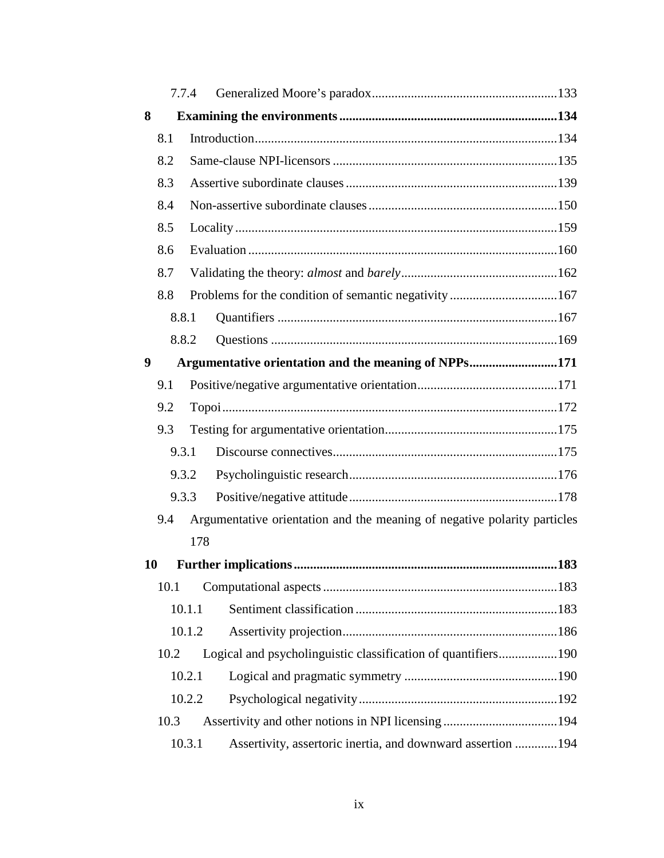|      |      | 7.7.4                                                                    |  |  |  |
|------|------|--------------------------------------------------------------------------|--|--|--|
| 8    |      |                                                                          |  |  |  |
|      | 8.1  |                                                                          |  |  |  |
|      | 8.2  |                                                                          |  |  |  |
|      | 8.3  |                                                                          |  |  |  |
|      | 8.4  |                                                                          |  |  |  |
|      | 8.5  |                                                                          |  |  |  |
|      | 8.6  |                                                                          |  |  |  |
|      | 8.7  |                                                                          |  |  |  |
|      | 8.8  |                                                                          |  |  |  |
|      |      | 8.8.1                                                                    |  |  |  |
|      |      | 8.8.2                                                                    |  |  |  |
| 9    |      | Argumentative orientation and the meaning of NPPs171                     |  |  |  |
|      | 9.1  |                                                                          |  |  |  |
|      | 9.2  |                                                                          |  |  |  |
|      | 9.3  |                                                                          |  |  |  |
|      |      | 9.3.1                                                                    |  |  |  |
|      |      | 9.3.2                                                                    |  |  |  |
|      |      | 9.3.3                                                                    |  |  |  |
|      | 9.4  | Argumentative orientation and the meaning of negative polarity particles |  |  |  |
|      |      | 178                                                                      |  |  |  |
| 10   |      |                                                                          |  |  |  |
|      | 10.1 |                                                                          |  |  |  |
|      |      | 10.1.1                                                                   |  |  |  |
|      |      | 10.1.2                                                                   |  |  |  |
|      | 10.2 | Logical and psycholinguistic classification of quantifiers190            |  |  |  |
|      |      | 10.2.1                                                                   |  |  |  |
|      |      | 10.2.2                                                                   |  |  |  |
| 10.3 |      |                                                                          |  |  |  |
|      |      | Assertivity, assertoric inertia, and downward assertion  194<br>10.3.1   |  |  |  |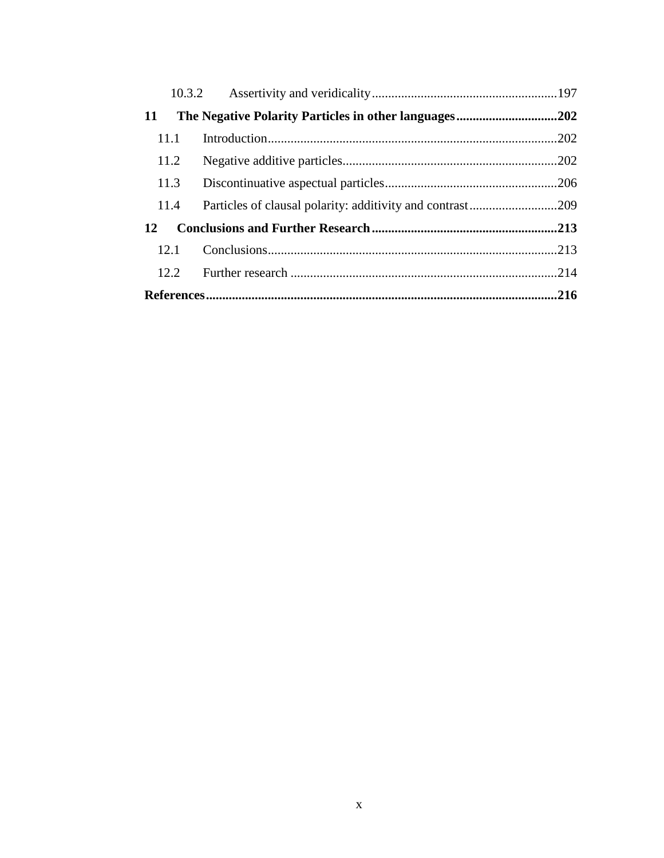| 11 |       | The Negative Polarity Particles in other languages202     |  |  |  |
|----|-------|-----------------------------------------------------------|--|--|--|
|    | 11.1  |                                                           |  |  |  |
|    | 11.2  |                                                           |  |  |  |
|    | 11.3  |                                                           |  |  |  |
|    | 11.4  | Particles of clausal polarity: additivity and contrast209 |  |  |  |
| 12 |       |                                                           |  |  |  |
|    | 12.1  |                                                           |  |  |  |
|    | 12.2. |                                                           |  |  |  |
|    |       |                                                           |  |  |  |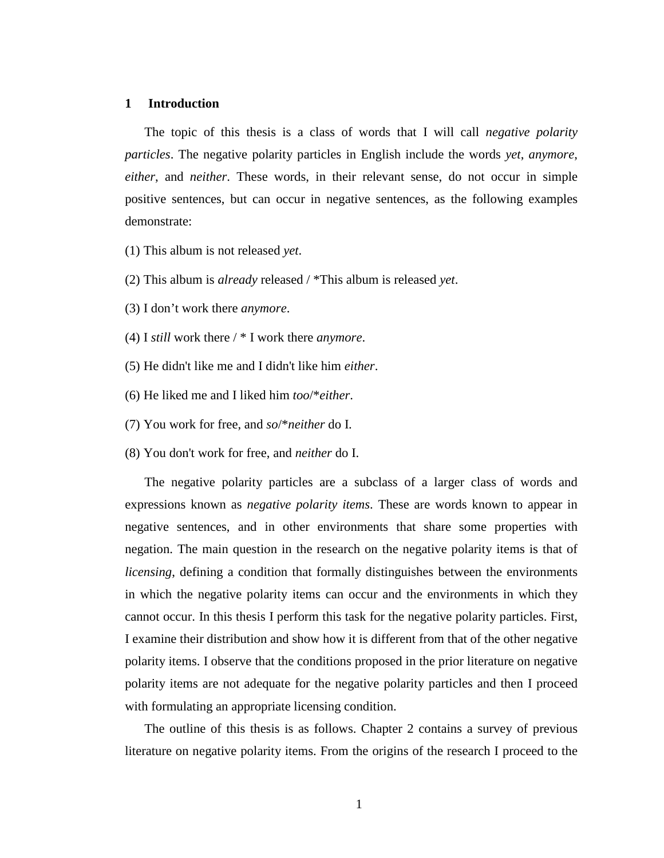#### **1 Introduction**

The topic of this thesis is a class of words that I will call *negative polarity particles*. The negative polarity particles in English include the words *yet*, *anymore*, *either*, and *neither*. These words, in their relevant sense, do not occur in simple positive sentences, but can occur in negative sentences, as the following examples demonstrate:

- (1) This album is not released *yet*.
- (2) This album is *already* released / \*This album is released *yet*.
- (3) I don't work there *anymore*.
- (4) I *still* work there / \* I work there *anymore*.
- (5) He didn't like me and I didn't like him *either*.
- (6) He liked me and I liked him *too*/\**either*.
- (7) You work for free, and *so*/\**neither* do I.
- (8) You don't work for free, and *neither* do I.

The negative polarity particles are a subclass of a larger class of words and expressions known as *negative polarity items*. These are words known to appear in negative sentences, and in other environments that share some properties with negation. The main question in the research on the negative polarity items is that of *licensing*, defining a condition that formally distinguishes between the environments in which the negative polarity items can occur and the environments in which they cannot occur. In this thesis I perform this task for the negative polarity particles. First, I examine their distribution and show how it is different from that of the other negative polarity items. I observe that the conditions proposed in the prior literature on negative polarity items are not adequate for the negative polarity particles and then I proceed with formulating an appropriate licensing condition.

The outline of this thesis is as follows. Chapter 2 contains a survey of previous literature on negative polarity items. From the origins of the research I proceed to the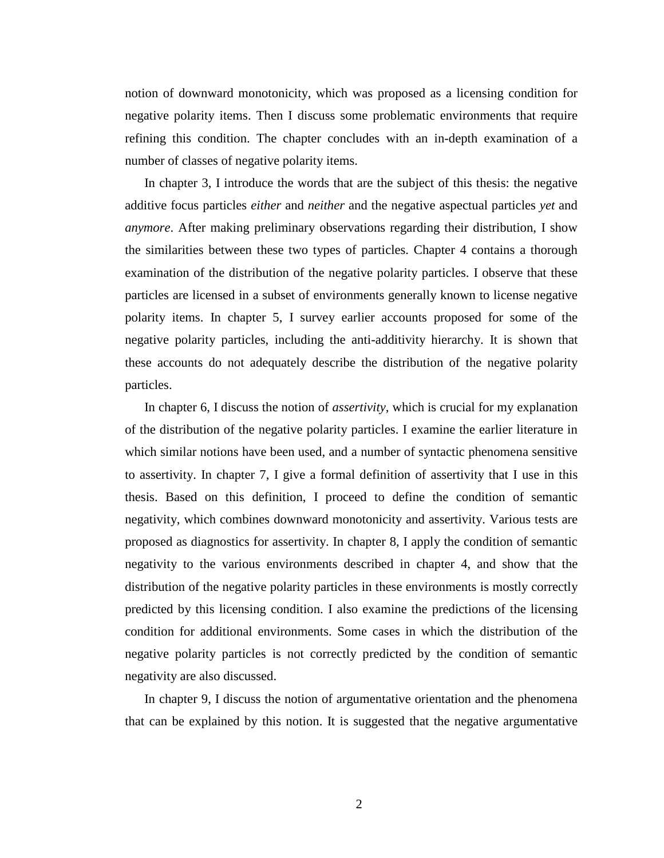notion of downward monotonicity, which was proposed as a licensing condition for negative polarity items. Then I discuss some problematic environments that require refining this condition. The chapter concludes with an in-depth examination of a number of classes of negative polarity items.

In chapter 3, I introduce the words that are the subject of this thesis: the negative additive focus particles *either* and *neither* and the negative aspectual particles *yet* and *anymore*. After making preliminary observations regarding their distribution, I show the similarities between these two types of particles. Chapter 4 contains a thorough examination of the distribution of the negative polarity particles. I observe that these particles are licensed in a subset of environments generally known to license negative polarity items. In chapter 5, I survey earlier accounts proposed for some of the negative polarity particles, including the anti-additivity hierarchy. It is shown that these accounts do not adequately describe the distribution of the negative polarity particles.

In chapter 6, I discuss the notion of *assertivity*, which is crucial for my explanation of the distribution of the negative polarity particles. I examine the earlier literature in which similar notions have been used, and a number of syntactic phenomena sensitive to assertivity. In chapter 7, I give a formal definition of assertivity that I use in this thesis. Based on this definition, I proceed to define the condition of semantic negativity, which combines downward monotonicity and assertivity. Various tests are proposed as diagnostics for assertivity. In chapter 8, I apply the condition of semantic negativity to the various environments described in chapter 4, and show that the distribution of the negative polarity particles in these environments is mostly correctly predicted by this licensing condition. I also examine the predictions of the licensing condition for additional environments. Some cases in which the distribution of the negative polarity particles is not correctly predicted by the condition of semantic negativity are also discussed.

In chapter 9, I discuss the notion of argumentative orientation and the phenomena that can be explained by this notion. It is suggested that the negative argumentative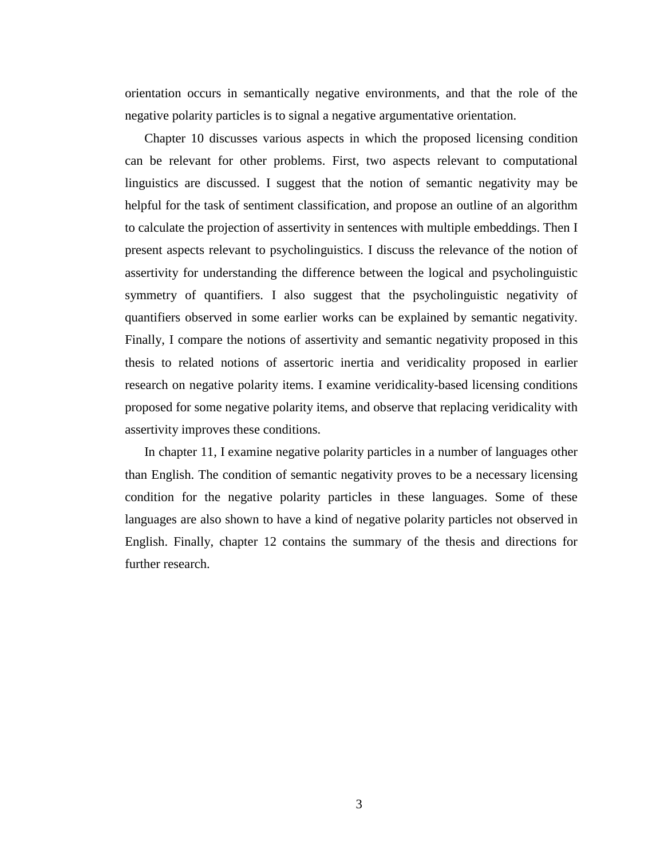orientation occurs in semantically negative environments, and that the role of the negative polarity particles is to signal a negative argumentative orientation.

Chapter 10 discusses various aspects in which the proposed licensing condition can be relevant for other problems. First, two aspects relevant to computational linguistics are discussed. I suggest that the notion of semantic negativity may be helpful for the task of sentiment classification, and propose an outline of an algorithm to calculate the projection of assertivity in sentences with multiple embeddings. Then I present aspects relevant to psycholinguistics. I discuss the relevance of the notion of assertivity for understanding the difference between the logical and psycholinguistic symmetry of quantifiers. I also suggest that the psycholinguistic negativity of quantifiers observed in some earlier works can be explained by semantic negativity. Finally, I compare the notions of assertivity and semantic negativity proposed in this thesis to related notions of assertoric inertia and veridicality proposed in earlier research on negative polarity items. I examine veridicality-based licensing conditions proposed for some negative polarity items, and observe that replacing veridicality with assertivity improves these conditions.

In chapter 11, I examine negative polarity particles in a number of languages other than English. The condition of semantic negativity proves to be a necessary licensing condition for the negative polarity particles in these languages. Some of these languages are also shown to have a kind of negative polarity particles not observed in English. Finally, chapter 12 contains the summary of the thesis and directions for further research.

3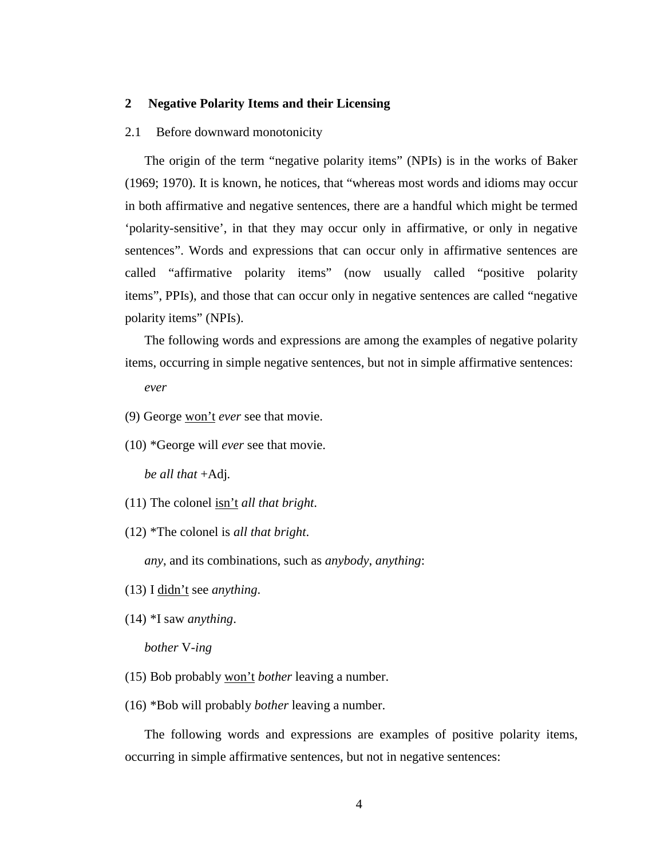## **2 Negative Polarity Items and their Licensing**

#### 2.1 Before downward monotonicity

The origin of the term "negative polarity items" (NPIs) is in the works of Baker (1969; 1970). It is known, he notices, that "whereas most words and idioms may occur in both affirmative and negative sentences, there are a handful which might be termed 'polarity-sensitive', in that they may occur only in affirmative, or only in negative sentences". Words and expressions that can occur only in affirmative sentences are called "affirmative polarity items" (now usually called "positive polarity items", PPIs), and those that can occur only in negative sentences are called "negative polarity items" (NPIs).

The following words and expressions are among the examples of negative polarity items, occurring in simple negative sentences, but not in simple affirmative sentences:

*ever*

- (9) George won't *ever* see that movie.
- (10) \*George will *ever* see that movie.

*be all that* +Adj*.* 

- (11) The colonel isn't *all that bright*.
- (12) \*The colonel is *all that bright*.

*any*, and its combinations, such as *anybody*, *anything*:

- (13) I didn't see *anything*.
- (14) \*I saw *anything*.

## *bother* V-*ing*

- (15) Bob probably won't *bother* leaving a number.
- (16) \*Bob will probably *bother* leaving a number.

The following words and expressions are examples of positive polarity items, occurring in simple affirmative sentences, but not in negative sentences: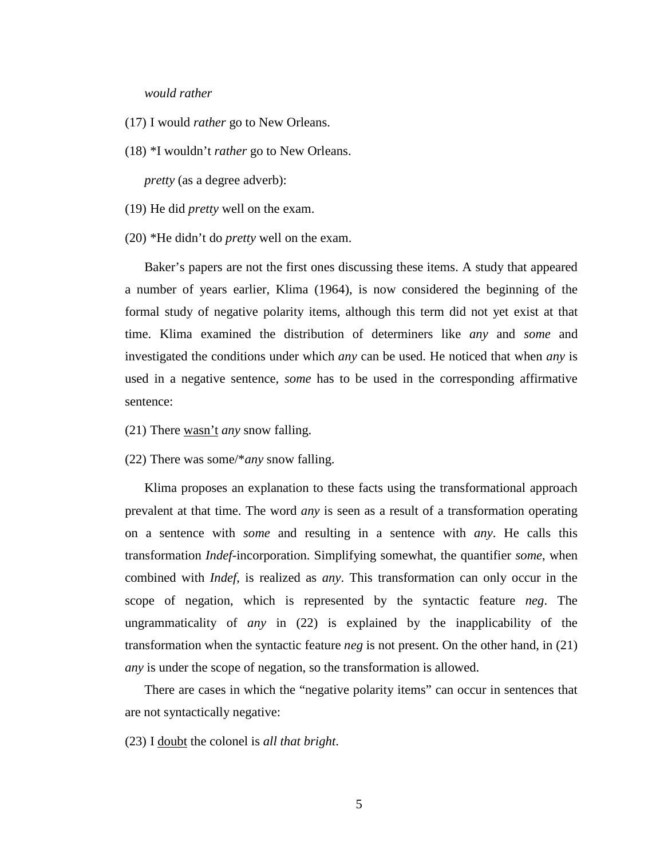#### *would rather*

- (17) I would *rather* go to New Orleans.
- (18) \*I wouldn't *rather* go to New Orleans.

*pretty* (as a degree adverb):

- (19) He did *pretty* well on the exam.
- (20) \*He didn't do *pretty* well on the exam.

Baker's papers are not the first ones discussing these items. A study that appeared a number of years earlier, Klima (1964), is now considered the beginning of the formal study of negative polarity items, although this term did not yet exist at that time. Klima examined the distribution of determiners like *any* and *some* and investigated the conditions under which *any* can be used. He noticed that when *any* is used in a negative sentence, *some* has to be used in the corresponding affirmative sentence:

- (21) There wasn't *any* snow falling.
- (22) There was some/\**any* snow falling.

Klima proposes an explanation to these facts using the transformational approach prevalent at that time. The word *any* is seen as a result of a transformation operating on a sentence with *some* and resulting in a sentence with *any*. He calls this transformation *Indef*-incorporation. Simplifying somewhat, the quantifier *some*, when combined with *Indef*, is realized as *any*. This transformation can only occur in the scope of negation, which is represented by the syntactic feature *neg*. The ungrammaticality of *any* in (22) is explained by the inapplicability of the transformation when the syntactic feature *neg* is not present. On the other hand, in (21) *any* is under the scope of negation, so the transformation is allowed.

There are cases in which the "negative polarity items" can occur in sentences that are not syntactically negative:

(23) I doubt the colonel is *all that bright*.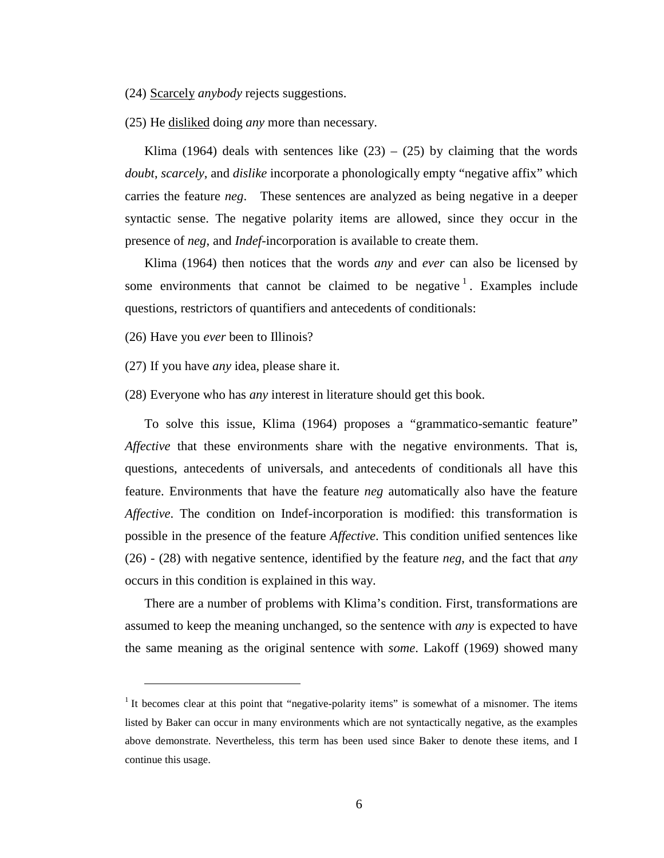(24) Scarcely *anybody* rejects suggestions.

(25) He disliked doing *any* more than necessary.

Klima (1964) deals with sentences like  $(23) - (25)$  by claiming that the words *doubt*, *scarcely*, and *dislike* incorporate a phonologically empty "negative affix" which carries the feature *neg*. These sentences are analyzed as being negative in a deeper syntactic sense. The negative polarity items are allowed, since they occur in the presence of *neg*, and *Indef*-incorporation is available to create them.

Klima (1964) then notices that the words *any* and *ever* can also be licensed by some environments that cannot be claimed to be negative  $\frac{1}{1}$ . Examples include questions, restrictors of quantifiers and antecedents of conditionals:

(26) Have you *ever* been to Illinois?

 $\overline{a}$ 

(27) If you have *any* idea, please share it.

(28) Everyone who has *any* interest in literature should get this book.

To solve this issue, Klima (1964) proposes a "grammatico-semantic feature" *Affective* that these environments share with the negative environments. That is, questions, antecedents of universals, and antecedents of conditionals all have this feature. Environments that have the feature *neg* automatically also have the feature *Affective*. The condition on Indef-incorporation is modified: this transformation is possible in the presence of the feature *Affective*. This condition unified sentences like (26) - (28) with negative sentence, identified by the feature *neg*, and the fact that *any* occurs in this condition is explained in this way.

There are a number of problems with Klima's condition. First, transformations are assumed to keep the meaning unchanged, so the sentence with *any* is expected to have the same meaning as the original sentence with *some*. Lakoff (1969) showed many

<sup>&</sup>lt;sup>1</sup> It becomes clear at this point that "negative-polarity items" is somewhat of a misnomer. The items listed by Baker can occur in many environments which are not syntactically negative, as the examples above demonstrate. Nevertheless, this term has been used since Baker to denote these items, and I continue this usage.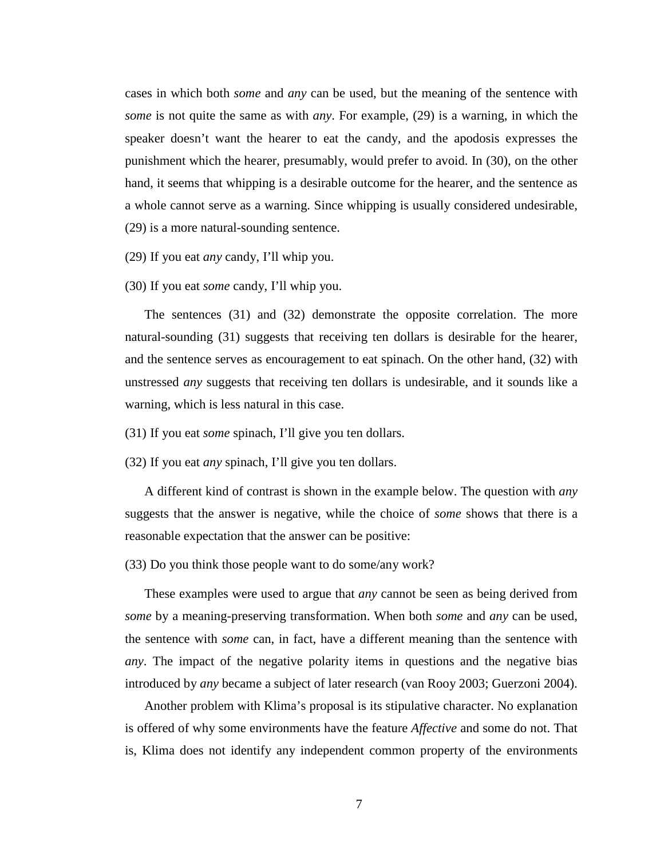cases in which both *some* and *any* can be used, but the meaning of the sentence with *some* is not quite the same as with *any*. For example, (29) is a warning, in which the speaker doesn't want the hearer to eat the candy, and the apodosis expresses the punishment which the hearer, presumably, would prefer to avoid. In (30), on the other hand, it seems that whipping is a desirable outcome for the hearer, and the sentence as a whole cannot serve as a warning. Since whipping is usually considered undesirable, (29) is a more natural-sounding sentence.

(29) If you eat *any* candy, I'll whip you.

(30) If you eat *some* candy, I'll whip you.

The sentences (31) and (32) demonstrate the opposite correlation. The more natural-sounding (31) suggests that receiving ten dollars is desirable for the hearer, and the sentence serves as encouragement to eat spinach. On the other hand, (32) with unstressed *any* suggests that receiving ten dollars is undesirable, and it sounds like a warning, which is less natural in this case.

(31) If you eat *some* spinach, I'll give you ten dollars.

(32) If you eat *any* spinach, I'll give you ten dollars.

A different kind of contrast is shown in the example below. The question with *any* suggests that the answer is negative, while the choice of *some* shows that there is a reasonable expectation that the answer can be positive:

(33) Do you think those people want to do some/any work?

These examples were used to argue that *any* cannot be seen as being derived from *some* by a meaning-preserving transformation. When both *some* and *any* can be used, the sentence with *some* can, in fact, have a different meaning than the sentence with *any*. The impact of the negative polarity items in questions and the negative bias introduced by *any* became a subject of later research (van Rooy 2003; Guerzoni 2004).

Another problem with Klima's proposal is its stipulative character. No explanation is offered of why some environments have the feature *Affective* and some do not. That is, Klima does not identify any independent common property of the environments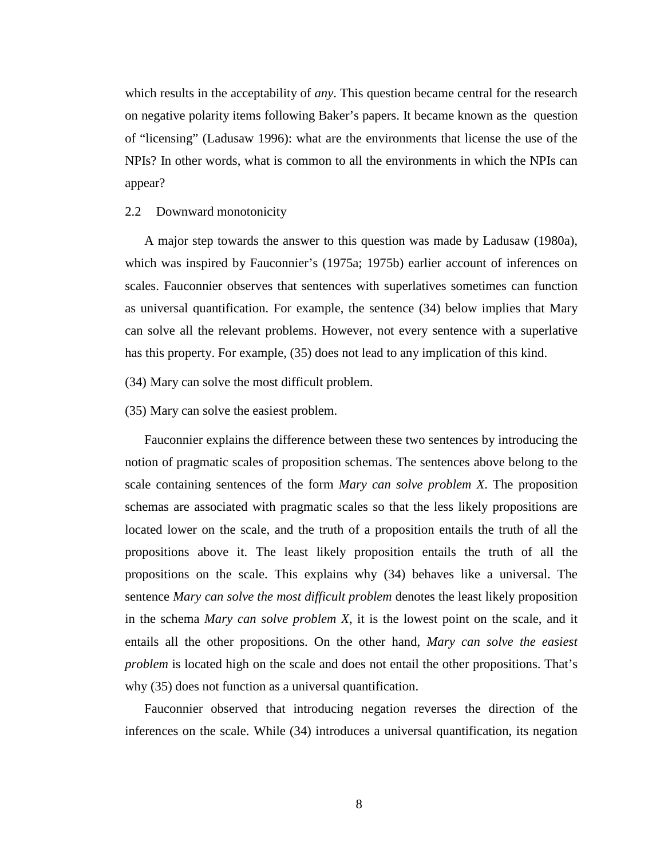which results in the acceptability of *any*. This question became central for the research on negative polarity items following Baker's papers. It became known as the question of "licensing" (Ladusaw 1996): what are the environments that license the use of the NPIs? In other words, what is common to all the environments in which the NPIs can appear?

#### 2.2 Downward monotonicity

A major step towards the answer to this question was made by Ladusaw (1980a), which was inspired by Fauconnier's (1975a; 1975b) earlier account of inferences on scales. Fauconnier observes that sentences with superlatives sometimes can function as universal quantification. For example, the sentence (34) below implies that Mary can solve all the relevant problems. However, not every sentence with a superlative has this property. For example, (35) does not lead to any implication of this kind.

(34) Mary can solve the most difficult problem.

#### (35) Mary can solve the easiest problem.

Fauconnier explains the difference between these two sentences by introducing the notion of pragmatic scales of proposition schemas. The sentences above belong to the scale containing sentences of the form *Mary can solve problem X*. The proposition schemas are associated with pragmatic scales so that the less likely propositions are located lower on the scale, and the truth of a proposition entails the truth of all the propositions above it. The least likely proposition entails the truth of all the propositions on the scale. This explains why (34) behaves like a universal. The sentence *Mary can solve the most difficult problem* denotes the least likely proposition in the schema *Mary can solve problem X*, it is the lowest point on the scale, and it entails all the other propositions. On the other hand, *Mary can solve the easiest problem* is located high on the scale and does not entail the other propositions. That's why (35) does not function as a universal quantification.

Fauconnier observed that introducing negation reverses the direction of the inferences on the scale. While (34) introduces a universal quantification, its negation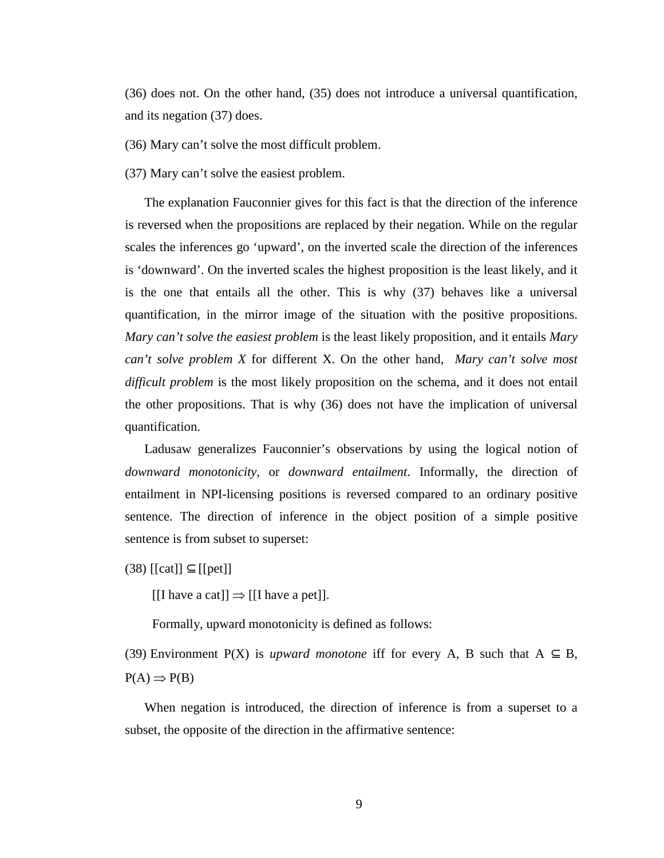(36) does not. On the other hand, (35) does not introduce a universal quantification, and its negation (37) does.

(36) Mary can't solve the most difficult problem.

(37) Mary can't solve the easiest problem.

The explanation Fauconnier gives for this fact is that the direction of the inference is reversed when the propositions are replaced by their negation. While on the regular scales the inferences go 'upward', on the inverted scale the direction of the inferences is 'downward'. On the inverted scales the highest proposition is the least likely, and it is the one that entails all the other. This is why (37) behaves like a universal quantification, in the mirror image of the situation with the positive propositions. *Mary can't solve the easiest problem* is the least likely proposition, and it entails *Mary can't solve problem X* for different X. On the other hand, *Mary can't solve most difficult problem* is the most likely proposition on the schema, and it does not entail the other propositions. That is why (36) does not have the implication of universal quantification.

Ladusaw generalizes Fauconnier's observations by using the logical notion of *downward monotonicity*, or *downward entailment*. Informally, the direction of entailment in NPI-licensing positions is reversed compared to an ordinary positive sentence. The direction of inference in the object position of a simple positive sentence is from subset to superset:

 $(38)$  [[cat]]  $\subseteq$  [[pet]]

 $[[I \t{have a cat}]] \Rightarrow [[I \t{have a pet}]].$ 

Formally, upward monotonicity is defined as follows:

(39) Environment P(X) is *upward monotone* iff for every A, B such that  $A \subseteq B$ ,  $P(A) \Rightarrow P(B)$ 

When negation is introduced, the direction of inference is from a superset to a subset, the opposite of the direction in the affirmative sentence: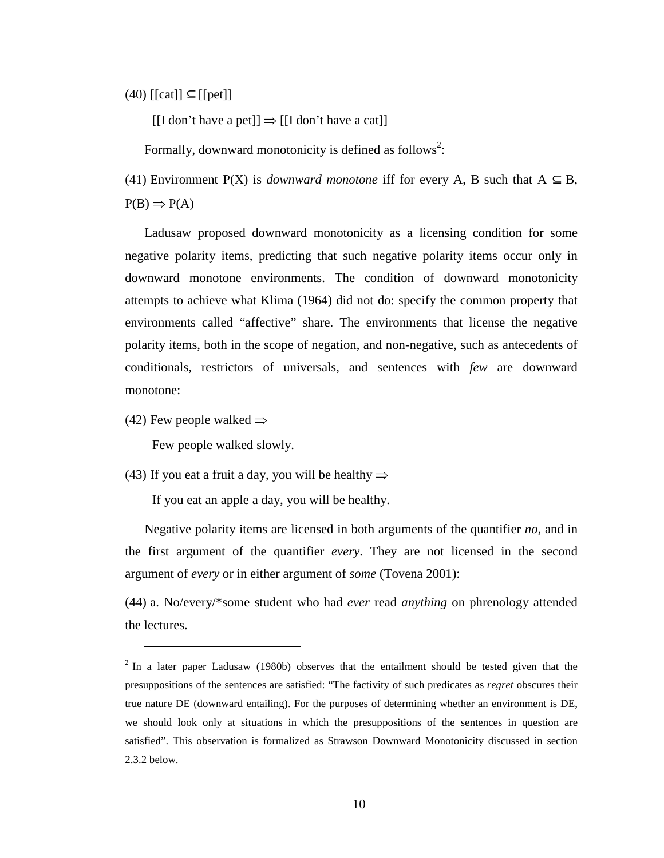$(40)$  [[cat]]  $\subseteq$  [[pet]]

 $[[I don't have a pet]] \Rightarrow [[I don't have a cat]]$ 

Formally, downward monotonicity is defined as follows<sup>2</sup>:

(41) Environment P(X) is *downward monotone* iff for every A, B such that  $A \subseteq B$ ,  $P(B) \Rightarrow P(A)$ 

Ladusaw proposed downward monotonicity as a licensing condition for some negative polarity items, predicting that such negative polarity items occur only in downward monotone environments. The condition of downward monotonicity attempts to achieve what Klima (1964) did not do: specify the common property that environments called "affective" share. The environments that license the negative polarity items, both in the scope of negation, and non-negative, such as antecedents of conditionals, restrictors of universals, and sentences with *few* are downward monotone:

(42) Few people walked  $\Rightarrow$ 

 $\overline{a}$ 

Few people walked slowly.

(43) If you eat a fruit a day, you will be healthy  $\Rightarrow$ 

If you eat an apple a day, you will be healthy.

Negative polarity items are licensed in both arguments of the quantifier *no*, and in the first argument of the quantifier *every*. They are not licensed in the second argument of *every* or in either argument of *some* (Tovena 2001):

(44) a. No/every/\*some student who had *ever* read *anything* on phrenology attended the lectures.

 $2$  In a later paper Ladusaw (1980b) observes that the entailment should be tested given that the presuppositions of the sentences are satisfied: "The factivity of such predicates as *regret* obscures their true nature DE (downward entailing). For the purposes of determining whether an environment is DE, we should look only at situations in which the presuppositions of the sentences in question are satisfied". This observation is formalized as Strawson Downward Monotonicity discussed in section 2.3.2 below.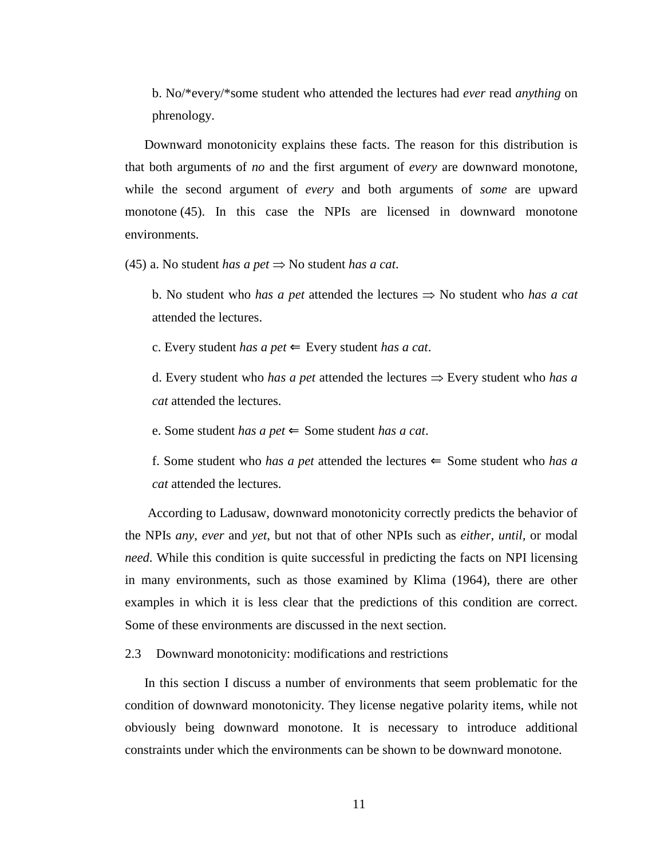b. No/\*every/\*some student who attended the lectures had *ever* read *anything* on phrenology.

Downward monotonicity explains these facts. The reason for this distribution is that both arguments of *no* and the first argument of *every* are downward monotone, while the second argument of *every* and both arguments of *some* are upward monotone (45). In this case the NPIs are licensed in downward monotone environments.

(45) a. No student *has a pet* ⇒ No student *has a cat*.

b. No student who *has a pet* attended the lectures ⇒ No student who *has a cat* attended the lectures.

c. Every student *has a pet*  $\Leftarrow$  Every student *has a cat*.

d. Every student who *has a pet* attended the lectures ⇒ Every student who *has a cat* attended the lectures.

e. Some student *has a pet* ⇐ Some student *has a cat*.

f. Some student who *has a pet* attended the lectures  $\Leftarrow$  Some student who *has a cat* attended the lectures.

 According to Ladusaw, downward monotonicity correctly predicts the behavior of the NPIs *any*, *ever* and *yet*, but not that of other NPIs such as *either*, *until,* or modal *need*. While this condition is quite successful in predicting the facts on NPI licensing in many environments, such as those examined by Klima (1964), there are other examples in which it is less clear that the predictions of this condition are correct. Some of these environments are discussed in the next section.

2.3 Downward monotonicity: modifications and restrictions

In this section I discuss a number of environments that seem problematic for the condition of downward monotonicity. They license negative polarity items, while not obviously being downward monotone. It is necessary to introduce additional constraints under which the environments can be shown to be downward monotone.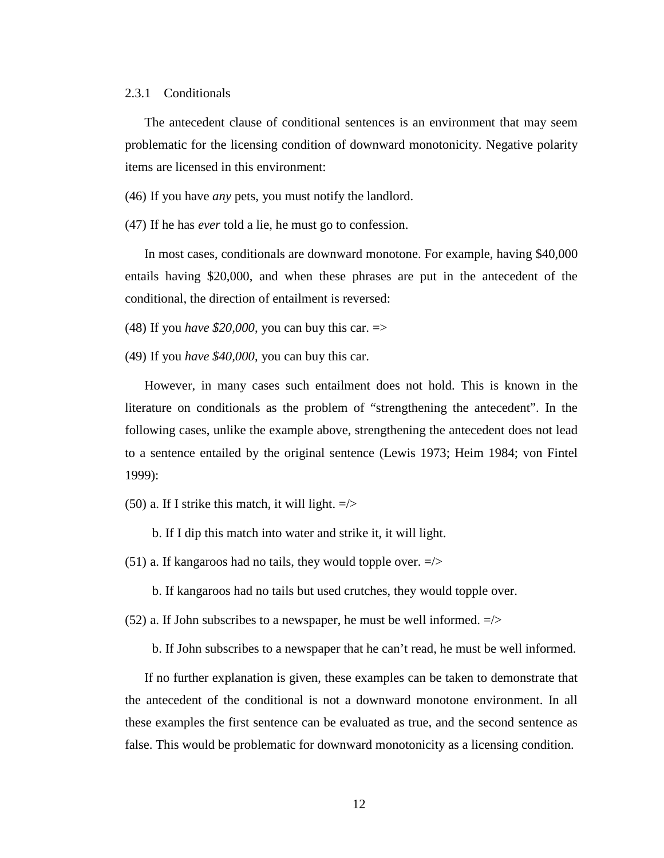#### 2.3.1 Conditionals

The antecedent clause of conditional sentences is an environment that may seem problematic for the licensing condition of downward monotonicity. Negative polarity items are licensed in this environment:

(46) If you have *any* pets, you must notify the landlord.

(47) If he has *ever* told a lie, he must go to confession.

In most cases, conditionals are downward monotone. For example, having \$40,000 entails having \$20,000, and when these phrases are put in the antecedent of the conditional, the direction of entailment is reversed:

(48) If you *have \$20,000*, you can buy this car.  $\Rightarrow$ 

(49) If you *have \$40,000*, you can buy this car.

However, in many cases such entailment does not hold. This is known in the literature on conditionals as the problem of "strengthening the antecedent". In the following cases, unlike the example above, strengthening the antecedent does not lead to a sentence entailed by the original sentence (Lewis 1973; Heim 1984; von Fintel 1999):

(50) a. If I strike this match, it will light.  $\Rightarrow$ 

b. If I dip this match into water and strike it, it will light.

(51) a. If kangaroos had no tails, they would topple over.  $\Rightarrow$ 

b. If kangaroos had no tails but used crutches, they would topple over.

(52) a. If John subscribes to a newspaper, he must be well informed.  $\Rightarrow$ 

b. If John subscribes to a newspaper that he can't read, he must be well informed.

If no further explanation is given, these examples can be taken to demonstrate that the antecedent of the conditional is not a downward monotone environment. In all these examples the first sentence can be evaluated as true, and the second sentence as false. This would be problematic for downward monotonicity as a licensing condition.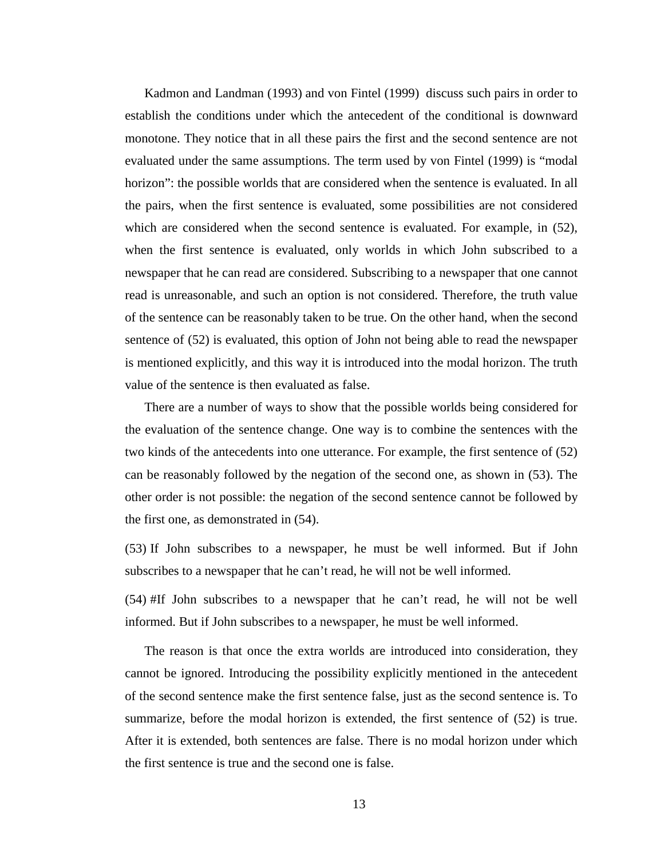Kadmon and Landman (1993) and von Fintel (1999) discuss such pairs in order to establish the conditions under which the antecedent of the conditional is downward monotone. They notice that in all these pairs the first and the second sentence are not evaluated under the same assumptions. The term used by von Fintel (1999) is "modal horizon": the possible worlds that are considered when the sentence is evaluated. In all the pairs, when the first sentence is evaluated, some possibilities are not considered which are considered when the second sentence is evaluated. For example, in (52), when the first sentence is evaluated, only worlds in which John subscribed to a newspaper that he can read are considered. Subscribing to a newspaper that one cannot read is unreasonable, and such an option is not considered. Therefore, the truth value of the sentence can be reasonably taken to be true. On the other hand, when the second sentence of (52) is evaluated, this option of John not being able to read the newspaper is mentioned explicitly, and this way it is introduced into the modal horizon. The truth value of the sentence is then evaluated as false.

There are a number of ways to show that the possible worlds being considered for the evaluation of the sentence change. One way is to combine the sentences with the two kinds of the antecedents into one utterance. For example, the first sentence of (52) can be reasonably followed by the negation of the second one, as shown in (53). The other order is not possible: the negation of the second sentence cannot be followed by the first one, as demonstrated in (54).

(53) If John subscribes to a newspaper, he must be well informed. But if John subscribes to a newspaper that he can't read, he will not be well informed.

(54) #If John subscribes to a newspaper that he can't read, he will not be well informed. But if John subscribes to a newspaper, he must be well informed.

The reason is that once the extra worlds are introduced into consideration, they cannot be ignored. Introducing the possibility explicitly mentioned in the antecedent of the second sentence make the first sentence false, just as the second sentence is. To summarize, before the modal horizon is extended, the first sentence of (52) is true. After it is extended, both sentences are false. There is no modal horizon under which the first sentence is true and the second one is false.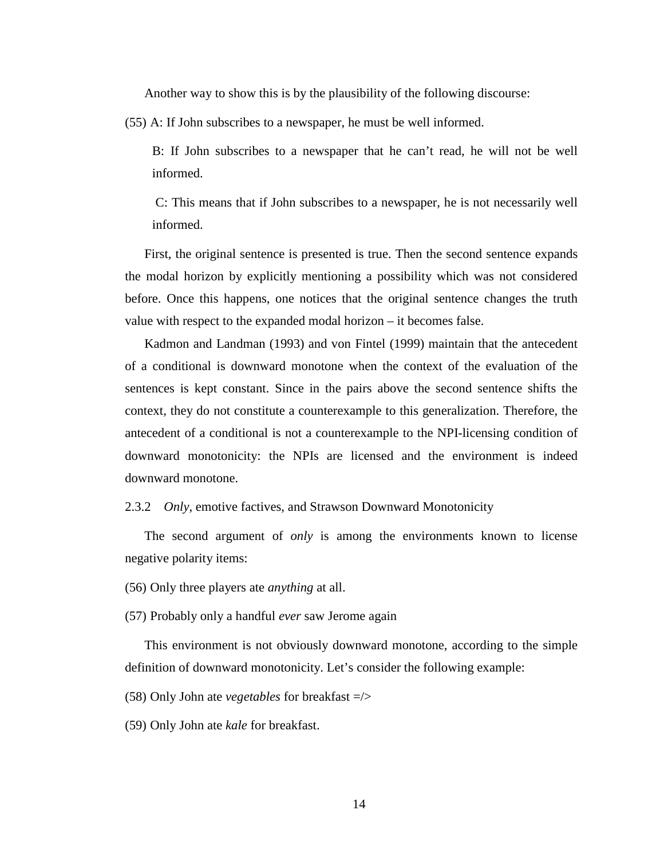Another way to show this is by the plausibility of the following discourse:

(55) A: If John subscribes to a newspaper, he must be well informed.

B: If John subscribes to a newspaper that he can't read, he will not be well informed.

 C: This means that if John subscribes to a newspaper, he is not necessarily well informed.

First, the original sentence is presented is true. Then the second sentence expands the modal horizon by explicitly mentioning a possibility which was not considered before. Once this happens, one notices that the original sentence changes the truth value with respect to the expanded modal horizon – it becomes false.

Kadmon and Landman (1993) and von Fintel (1999) maintain that the antecedent of a conditional is downward monotone when the context of the evaluation of the sentences is kept constant. Since in the pairs above the second sentence shifts the context, they do not constitute a counterexample to this generalization. Therefore, the antecedent of a conditional is not a counterexample to the NPI-licensing condition of downward monotonicity: the NPIs are licensed and the environment is indeed downward monotone.

#### 2.3.2 *Only*, emotive factives, and Strawson Downward Monotonicity

The second argument of *only* is among the environments known to license negative polarity items:

(56) Only three players ate *anything* at all.

(57) Probably only a handful *ever* saw Jerome again

This environment is not obviously downward monotone, according to the simple definition of downward monotonicity. Let's consider the following example:

(58) Only John ate *vegetables* for breakfast =/>

(59) Only John ate *kale* for breakfast.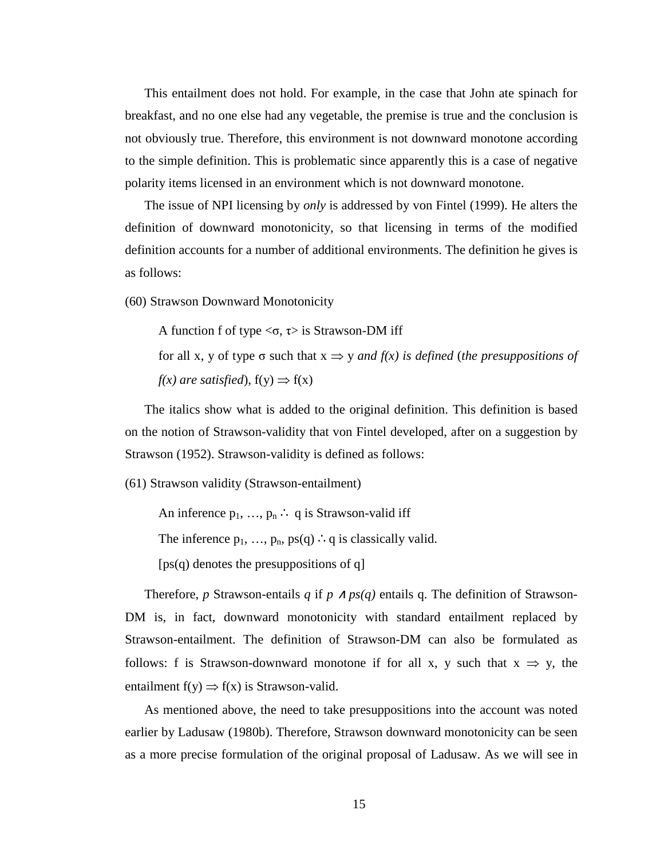This entailment does not hold. For example, in the case that John ate spinach for breakfast, and no one else had any vegetable, the premise is true and the conclusion is not obviously true. Therefore, this environment is not downward monotone according to the simple definition. This is problematic since apparently this is a case of negative polarity items licensed in an environment which is not downward monotone.

The issue of NPI licensing by *only* is addressed by von Fintel (1999). He alters the definition of downward monotonicity, so that licensing in terms of the modified definition accounts for a number of additional environments. The definition he gives is as follows:

(60) Strawson Downward Monotonicity

A function f of type  $\langle \sigma, \tau \rangle$  is Strawson-DM iff

for all x, y of type  $\sigma$  such that  $x \Rightarrow y$  *and f(x) is defined (the presuppositions of*  $f(x)$  are satisfied),  $f(y) \Rightarrow f(x)$ 

The italics show what is added to the original definition. This definition is based on the notion of Strawson-validity that von Fintel developed, after on a suggestion by Strawson (1952). Strawson-validity is defined as follows:

(61) Strawson validity (Strawson-entailment)

An inference  $p_1, ..., p_n$ : q is Strawson-valid iff

The inference  $p_1$ , ...,  $p_n$ ,  $ps(q)$  ∴q is classically valid.

[ps(q) denotes the presuppositions of q]

Therefore, *p* Strawson-entails *q* if  $p \wedge ps(q)$  entails q. The definition of Strawson-DM is, in fact, downward monotonicity with standard entailment replaced by Strawson-entailment. The definition of Strawson-DM can also be formulated as follows: f is Strawson-downward monotone if for all x, y such that  $x \Rightarrow y$ , the entailment  $f(y) \Rightarrow f(x)$  is Strawson-valid.

As mentioned above, the need to take presuppositions into the account was noted earlier by Ladusaw (1980b). Therefore, Strawson downward monotonicity can be seen as a more precise formulation of the original proposal of Ladusaw. As we will see in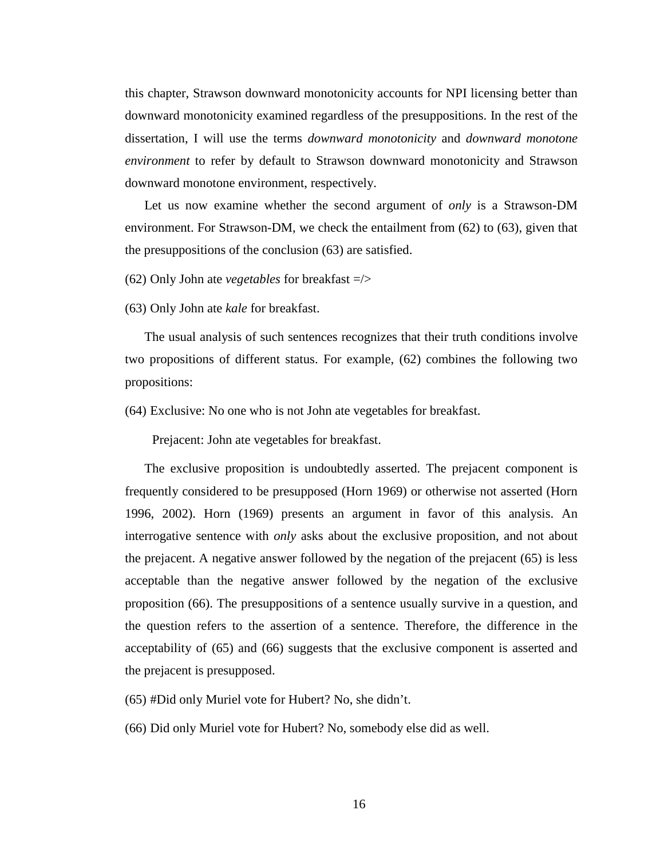this chapter, Strawson downward monotonicity accounts for NPI licensing better than downward monotonicity examined regardless of the presuppositions. In the rest of the dissertation, I will use the terms *downward monotonicity* and *downward monotone environment* to refer by default to Strawson downward monotonicity and Strawson downward monotone environment, respectively.

Let us now examine whether the second argument of *only* is a Strawson-DM environment. For Strawson-DM, we check the entailment from (62) to (63), given that the presuppositions of the conclusion (63) are satisfied.

(62) Only John ate *vegetables* for breakfast =/>

(63) Only John ate *kale* for breakfast.

The usual analysis of such sentences recognizes that their truth conditions involve two propositions of different status. For example, (62) combines the following two propositions:

(64) Exclusive: No one who is not John ate vegetables for breakfast.

Prejacent: John ate vegetables for breakfast.

The exclusive proposition is undoubtedly asserted. The prejacent component is frequently considered to be presupposed (Horn 1969) or otherwise not asserted (Horn 1996, 2002). Horn (1969) presents an argument in favor of this analysis. An interrogative sentence with *only* asks about the exclusive proposition, and not about the prejacent. A negative answer followed by the negation of the prejacent (65) is less acceptable than the negative answer followed by the negation of the exclusive proposition (66). The presuppositions of a sentence usually survive in a question, and the question refers to the assertion of a sentence. Therefore, the difference in the acceptability of (65) and (66) suggests that the exclusive component is asserted and the prejacent is presupposed.

(65) #Did only Muriel vote for Hubert? No, she didn't.

(66) Did only Muriel vote for Hubert? No, somebody else did as well.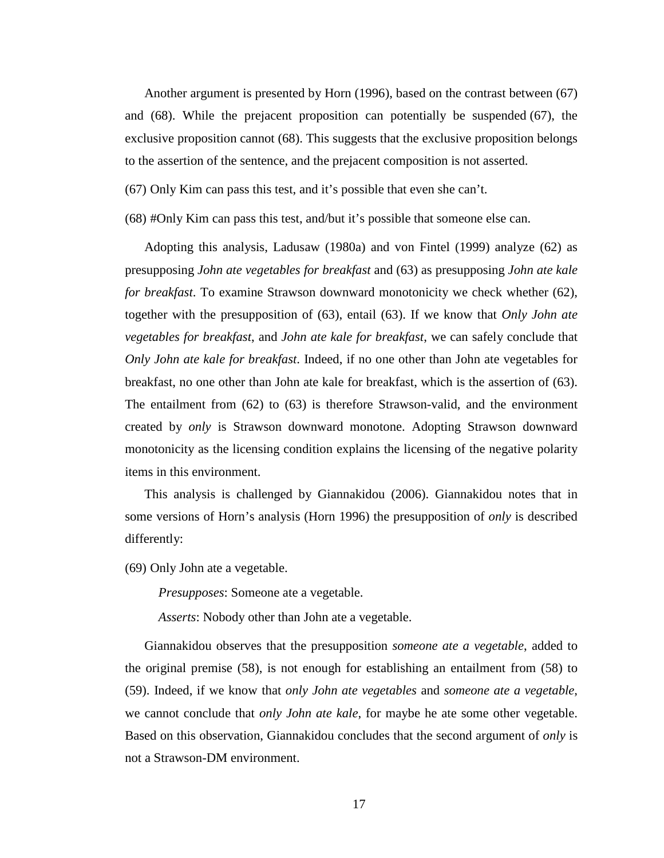Another argument is presented by Horn (1996), based on the contrast between (67) and (68). While the prejacent proposition can potentially be suspended (67), the exclusive proposition cannot (68). This suggests that the exclusive proposition belongs to the assertion of the sentence, and the prejacent composition is not asserted.

(67) Only Kim can pass this test, and it's possible that even she can't.

(68) #Only Kim can pass this test, and/but it's possible that someone else can.

Adopting this analysis, Ladusaw (1980a) and von Fintel (1999) analyze (62) as presupposing *John ate vegetables for breakfast* and (63) as presupposing *John ate kale for breakfast*. To examine Strawson downward monotonicity we check whether (62), together with the presupposition of (63), entail (63). If we know that *Only John ate vegetables for breakfast*, and *John ate kale for breakfast*, we can safely conclude that *Only John ate kale for breakfast*. Indeed, if no one other than John ate vegetables for breakfast, no one other than John ate kale for breakfast, which is the assertion of (63). The entailment from (62) to (63) is therefore Strawson-valid, and the environment created by *only* is Strawson downward monotone. Adopting Strawson downward monotonicity as the licensing condition explains the licensing of the negative polarity items in this environment.

This analysis is challenged by Giannakidou (2006). Giannakidou notes that in some versions of Horn's analysis (Horn 1996) the presupposition of *only* is described differently:

(69) Only John ate a vegetable.

*Presupposes*: Someone ate a vegetable.

*Asserts*: Nobody other than John ate a vegetable.

Giannakidou observes that the presupposition *someone ate a vegetable*, added to the original premise (58), is not enough for establishing an entailment from (58) to (59). Indeed, if we know that *only John ate vegetables* and *someone ate a vegetable*, we cannot conclude that *only John ate kale*, for maybe he ate some other vegetable. Based on this observation, Giannakidou concludes that the second argument of *only* is not a Strawson-DM environment.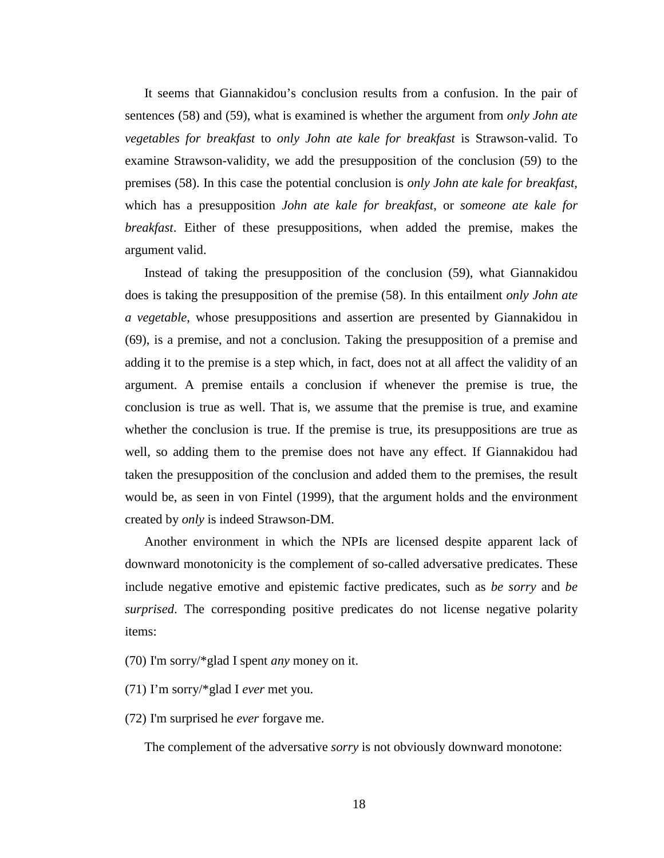It seems that Giannakidou's conclusion results from a confusion. In the pair of sentences (58) and (59), what is examined is whether the argument from *only John ate vegetables for breakfast* to *only John ate kale for breakfast* is Strawson-valid. To examine Strawson-validity, we add the presupposition of the conclusion (59) to the premises (58). In this case the potential conclusion is *only John ate kale for breakfast*, which has a presupposition *John ate kale for breakfast*, or *someone ate kale for breakfast*. Either of these presuppositions, when added the premise, makes the argument valid.

Instead of taking the presupposition of the conclusion (59), what Giannakidou does is taking the presupposition of the premise (58). In this entailment *only John ate a vegetable*, whose presuppositions and assertion are presented by Giannakidou in (69), is a premise, and not a conclusion. Taking the presupposition of a premise and adding it to the premise is a step which, in fact, does not at all affect the validity of an argument. A premise entails a conclusion if whenever the premise is true, the conclusion is true as well. That is, we assume that the premise is true, and examine whether the conclusion is true. If the premise is true, its presuppositions are true as well, so adding them to the premise does not have any effect. If Giannakidou had taken the presupposition of the conclusion and added them to the premises, the result would be, as seen in von Fintel (1999), that the argument holds and the environment created by *only* is indeed Strawson-DM.

Another environment in which the NPIs are licensed despite apparent lack of downward monotonicity is the complement of so-called adversative predicates. These include negative emotive and epistemic factive predicates, such as *be sorry* and *be surprised*. The corresponding positive predicates do not license negative polarity items:

- (70) I'm sorry/\*glad I spent *any* money on it.
- (71) I'm sorry/\*glad I *ever* met you.
- (72) I'm surprised he *ever* forgave me.

The complement of the adversative *sorry* is not obviously downward monotone: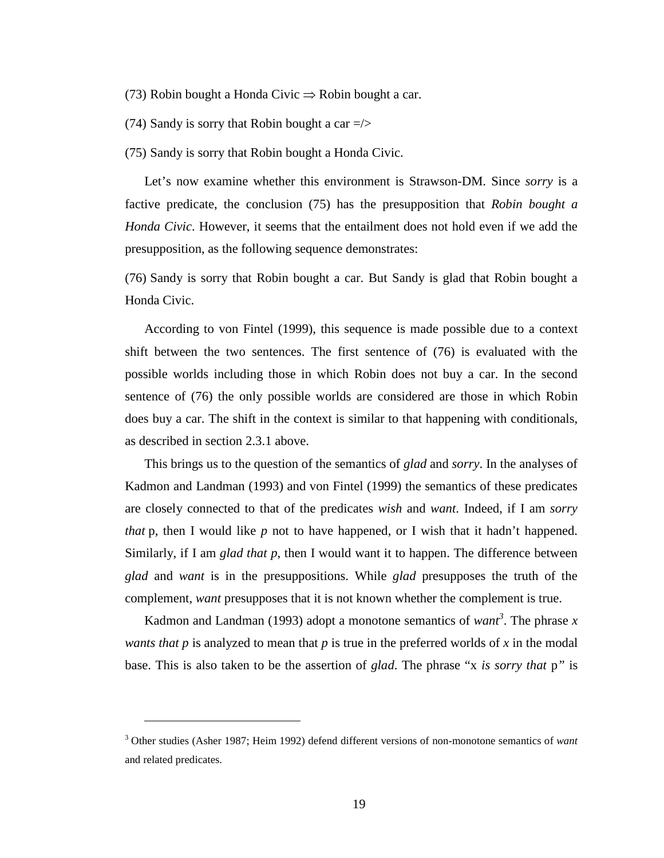- (73) Robin bought a Honda Civic  $\Rightarrow$  Robin bought a car.
- (74) Sandy is sorry that Robin bought a car  $\Rightarrow$

(75) Sandy is sorry that Robin bought a Honda Civic.

Let's now examine whether this environment is Strawson-DM. Since *sorry* is a factive predicate, the conclusion (75) has the presupposition that *Robin bought a Honda Civic*. However, it seems that the entailment does not hold even if we add the presupposition, as the following sequence demonstrates:

(76) Sandy is sorry that Robin bought a car. But Sandy is glad that Robin bought a Honda Civic.

According to von Fintel (1999), this sequence is made possible due to a context shift between the two sentences. The first sentence of (76) is evaluated with the possible worlds including those in which Robin does not buy a car. In the second sentence of (76) the only possible worlds are considered are those in which Robin does buy a car. The shift in the context is similar to that happening with conditionals, as described in section 2.3.1 above.

This brings us to the question of the semantics of *glad* and *sorry*. In the analyses of Kadmon and Landman (1993) and von Fintel (1999) the semantics of these predicates are closely connected to that of the predicates *wish* and *want*. Indeed, if I am *sorry that* p, then I would like *p* not to have happened, or I wish that it hadn't happened. Similarly, if I am *glad that p*, then I would want it to happen. The difference between *glad* and *want* is in the presuppositions. While *glad* presupposes the truth of the complement, *want* presupposes that it is not known whether the complement is true.

Kadmon and Landman (1993) adopt a monotone semantics of *want<sup>3</sup>* . The phrase *x wants that p* is analyzed to mean that *p* is true in the preferred worlds of *x* in the modal base. This is also taken to be the assertion of *glad*. The phrase "x *is sorry that* p*"* is

 $\overline{a}$ 

<sup>3</sup> Other studies (Asher 1987; Heim 1992) defend different versions of non-monotone semantics of *want* and related predicates.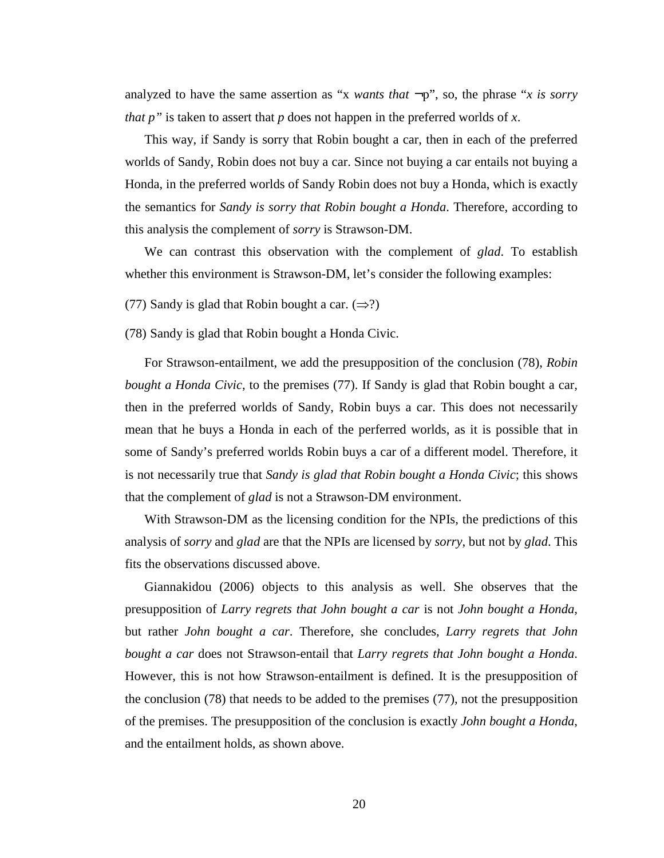analyzed to have the same assertion as "*x wants that*  $\neg p$ ", so, the phrase "*x is sorry that p"* is taken to assert that *p* does not happen in the preferred worlds of *x*.

This way, if Sandy is sorry that Robin bought a car, then in each of the preferred worlds of Sandy, Robin does not buy a car. Since not buying a car entails not buying a Honda, in the preferred worlds of Sandy Robin does not buy a Honda, which is exactly the semantics for *Sandy is sorry that Robin bought a Honda*. Therefore, according to this analysis the complement of *sorry* is Strawson-DM.

We can contrast this observation with the complement of *glad*. To establish whether this environment is Strawson-DM, let's consider the following examples:

(77) Sandy is glad that Robin bought a car.  $(\Rightarrow ?)$ 

(78) Sandy is glad that Robin bought a Honda Civic.

For Strawson-entailment, we add the presupposition of the conclusion (78), *Robin bought a Honda Civic*, to the premises (77). If Sandy is glad that Robin bought a car, then in the preferred worlds of Sandy, Robin buys a car. This does not necessarily mean that he buys a Honda in each of the perferred worlds, as it is possible that in some of Sandy's preferred worlds Robin buys a car of a different model. Therefore, it is not necessarily true that *Sandy is glad that Robin bought a Honda Civic*; this shows that the complement of *glad* is not a Strawson-DM environment.

With Strawson-DM as the licensing condition for the NPIs, the predictions of this analysis of *sorry* and *glad* are that the NPIs are licensed by *sorry*, but not by *glad*. This fits the observations discussed above.

Giannakidou (2006) objects to this analysis as well. She observes that the presupposition of *Larry regrets that John bought a car* is not *John bought a Honda*, but rather *John bought a car*. Therefore, she concludes, *Larry regrets that John bought a car* does not Strawson-entail that *Larry regrets that John bought a Honda*. However, this is not how Strawson-entailment is defined. It is the presupposition of the conclusion (78) that needs to be added to the premises (77), not the presupposition of the premises. The presupposition of the conclusion is exactly *John bought a Honda*, and the entailment holds, as shown above.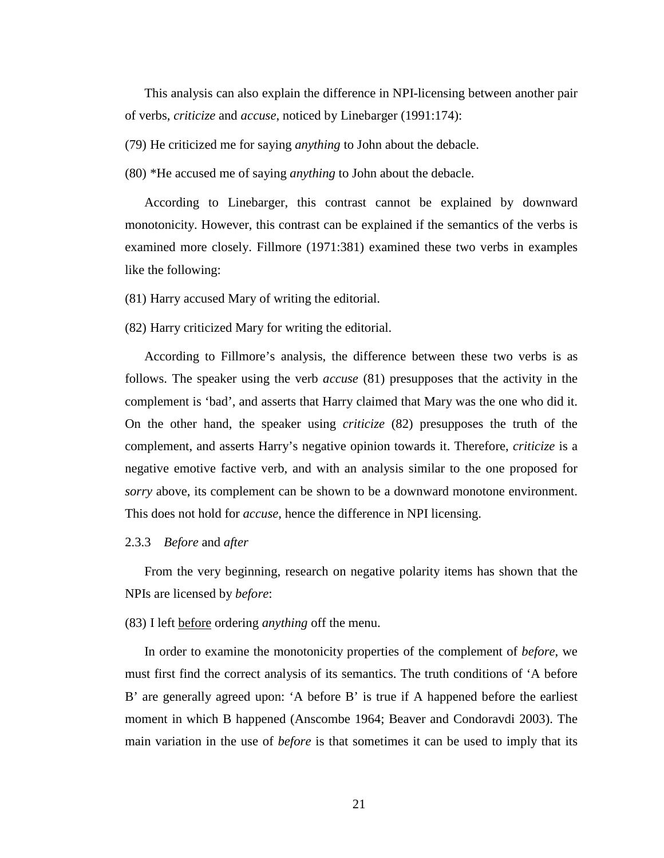This analysis can also explain the difference in NPI-licensing between another pair of verbs, *criticize* and *accuse*, noticed by Linebarger (1991:174):

(79) He criticized me for saying *anything* to John about the debacle.

(80) \*He accused me of saying *anything* to John about the debacle.

According to Linebarger, this contrast cannot be explained by downward monotonicity. However, this contrast can be explained if the semantics of the verbs is examined more closely. Fillmore (1971:381) examined these two verbs in examples like the following:

(81) Harry accused Mary of writing the editorial.

(82) Harry criticized Mary for writing the editorial.

According to Fillmore's analysis, the difference between these two verbs is as follows. The speaker using the verb *accuse* (81) presupposes that the activity in the complement is 'bad', and asserts that Harry claimed that Mary was the one who did it. On the other hand, the speaker using *criticize* (82) presupposes the truth of the complement, and asserts Harry's negative opinion towards it. Therefore, *criticize* is a negative emotive factive verb, and with an analysis similar to the one proposed for *sorry* above, its complement can be shown to be a downward monotone environment. This does not hold for *accuse*, hence the difference in NPI licensing.

### 2.3.3 *Before* and *after*

From the very beginning, research on negative polarity items has shown that the NPIs are licensed by *before*:

#### (83) I left before ordering *anything* off the menu.

In order to examine the monotonicity properties of the complement of *before*, we must first find the correct analysis of its semantics. The truth conditions of 'A before B' are generally agreed upon: 'A before B' is true if A happened before the earliest moment in which B happened (Anscombe 1964; Beaver and Condoravdi 2003). The main variation in the use of *before* is that sometimes it can be used to imply that its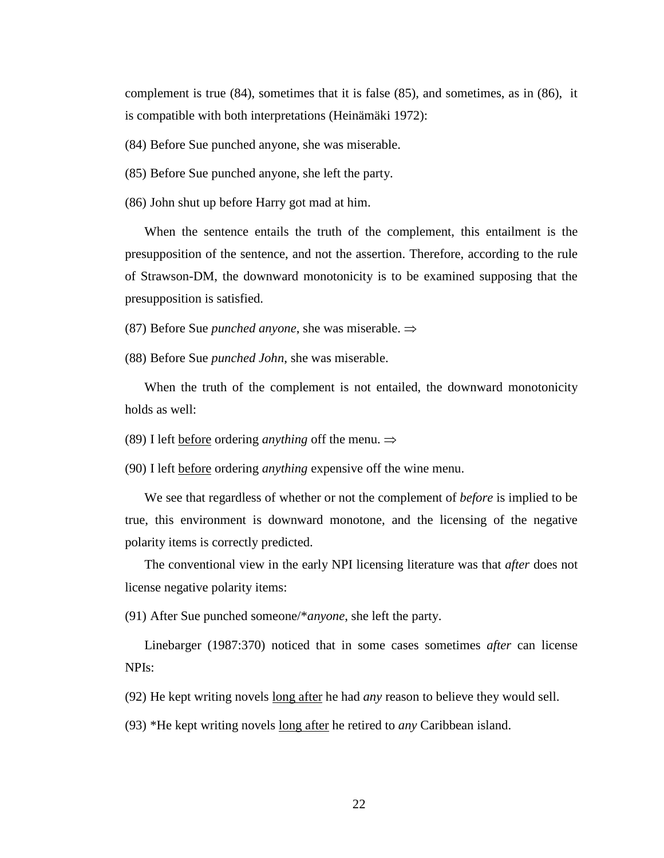complement is true (84), sometimes that it is false (85), and sometimes, as in (86), it is compatible with both interpretations (Heinämäki 1972):

(84) Before Sue punched anyone, she was miserable.

(85) Before Sue punched anyone, she left the party.

(86) John shut up before Harry got mad at him.

When the sentence entails the truth of the complement, this entailment is the presupposition of the sentence, and not the assertion. Therefore, according to the rule of Strawson-DM, the downward monotonicity is to be examined supposing that the presupposition is satisfied.

(87) Before Sue *punched anyone*, she was miserable. ⇒

(88) Before Sue *punched John*, she was miserable.

When the truth of the complement is not entailed, the downward monotonicity holds as well:

(89) I left before ordering *anything* off the menu. ⇒

(90) I left before ordering *anything* expensive off the wine menu.

We see that regardless of whether or not the complement of *before* is implied to be true, this environment is downward monotone, and the licensing of the negative polarity items is correctly predicted.

The conventional view in the early NPI licensing literature was that *after* does not license negative polarity items:

(91) After Sue punched someone/\**anyone*, she left the party.

Linebarger (1987:370) noticed that in some cases sometimes *after* can license NPIs:

(92) He kept writing novels long after he had *any* reason to believe they would sell.

(93) \*He kept writing novels long after he retired to *any* Caribbean island.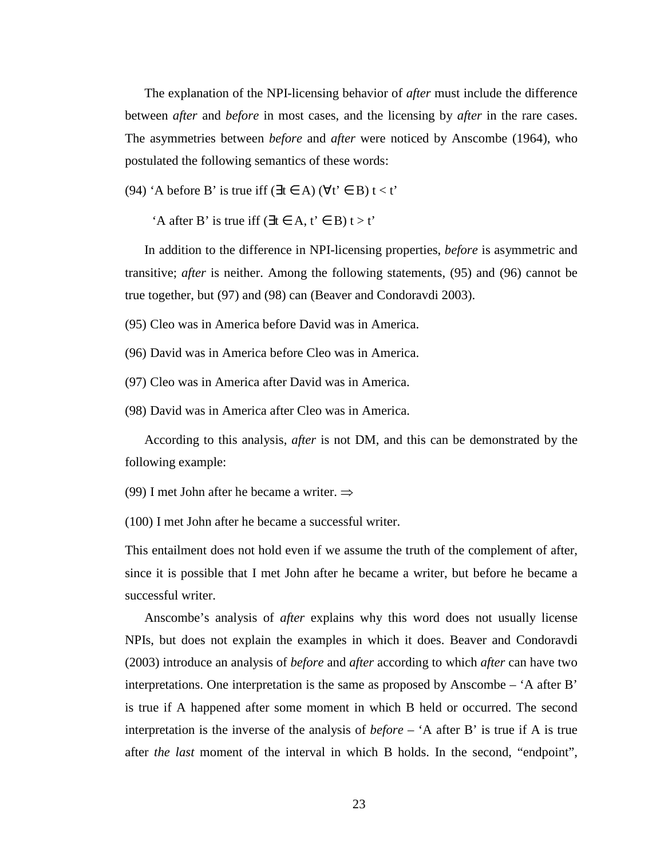The explanation of the NPI-licensing behavior of *after* must include the difference between *after* and *before* in most cases, and the licensing by *after* in the rare cases. The asymmetries between *before* and *after* were noticed by Anscombe (1964), who postulated the following semantics of these words:

(94) 'A before B' is true iff ( $\exists t \in A$ ) ( $\forall t' \in B$ )  $t < t'$ 

 $'A$  after B' is true iff ( $\exists t \in A, t' \in B$ )  $t > t'$ 

In addition to the difference in NPI-licensing properties, *before* is asymmetric and transitive; *after* is neither. Among the following statements, (95) and (96) cannot be true together, but (97) and (98) can (Beaver and Condoravdi 2003).

(95) Cleo was in America before David was in America.

(96) David was in America before Cleo was in America.

(97) Cleo was in America after David was in America.

(98) David was in America after Cleo was in America.

According to this analysis, *after* is not DM, and this can be demonstrated by the following example:

(99) I met John after he became a writer. ⇒

(100) I met John after he became a successful writer.

This entailment does not hold even if we assume the truth of the complement of after, since it is possible that I met John after he became a writer, but before he became a successful writer.

Anscombe's analysis of *after* explains why this word does not usually license NPIs, but does not explain the examples in which it does. Beaver and Condoravdi (2003) introduce an analysis of *before* and *after* according to which *after* can have two interpretations. One interpretation is the same as proposed by Anscombe – 'A after B' is true if A happened after some moment in which B held or occurred. The second interpretation is the inverse of the analysis of *before* – 'A after B' is true if A is true after *the last* moment of the interval in which B holds. In the second, "endpoint",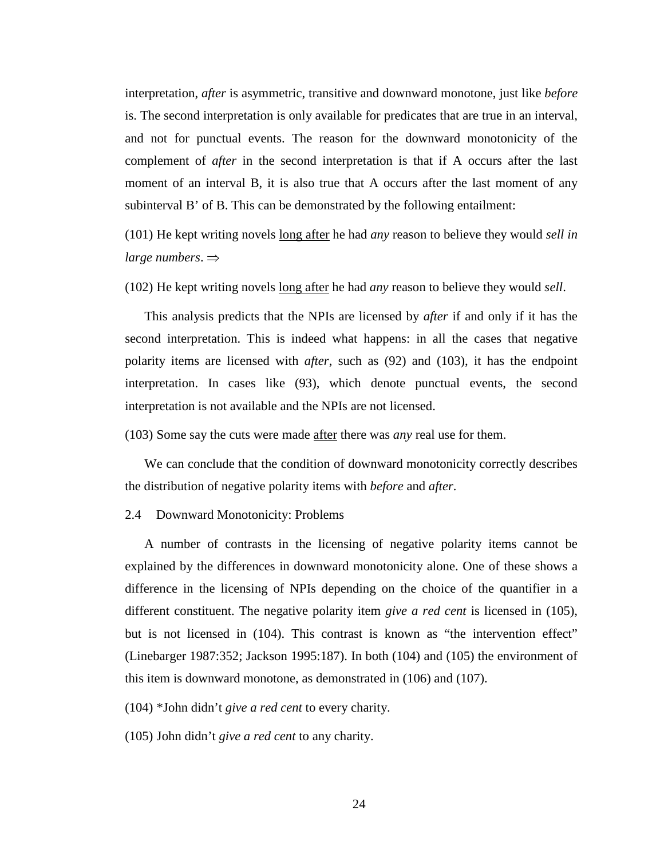interpretation, *after* is asymmetric, transitive and downward monotone, just like *before* is. The second interpretation is only available for predicates that are true in an interval, and not for punctual events. The reason for the downward monotonicity of the complement of *after* in the second interpretation is that if A occurs after the last moment of an interval B, it is also true that A occurs after the last moment of any subinterval B' of B. This can be demonstrated by the following entailment:

(101) He kept writing novels long after he had *any* reason to believe they would *sell in large numbers*. ⇒

(102) He kept writing novels long after he had *any* reason to believe they would *sell*.

This analysis predicts that the NPIs are licensed by *after* if and only if it has the second interpretation. This is indeed what happens: in all the cases that negative polarity items are licensed with *after*, such as (92) and (103), it has the endpoint interpretation. In cases like (93), which denote punctual events, the second interpretation is not available and the NPIs are not licensed.

(103) Some say the cuts were made after there was *any* real use for them.

We can conclude that the condition of downward monotonicity correctly describes the distribution of negative polarity items with *before* and *after*.

#### 2.4 Downward Monotonicity: Problems

A number of contrasts in the licensing of negative polarity items cannot be explained by the differences in downward monotonicity alone. One of these shows a difference in the licensing of NPIs depending on the choice of the quantifier in a different constituent. The negative polarity item *give a red cent* is licensed in (105), but is not licensed in (104). This contrast is known as "the intervention effect" (Linebarger 1987:352; Jackson 1995:187). In both (104) and (105) the environment of this item is downward monotone, as demonstrated in (106) and (107).

(104) \*John didn't *give a red cent* to every charity.

(105) John didn't *give a red cent* to any charity.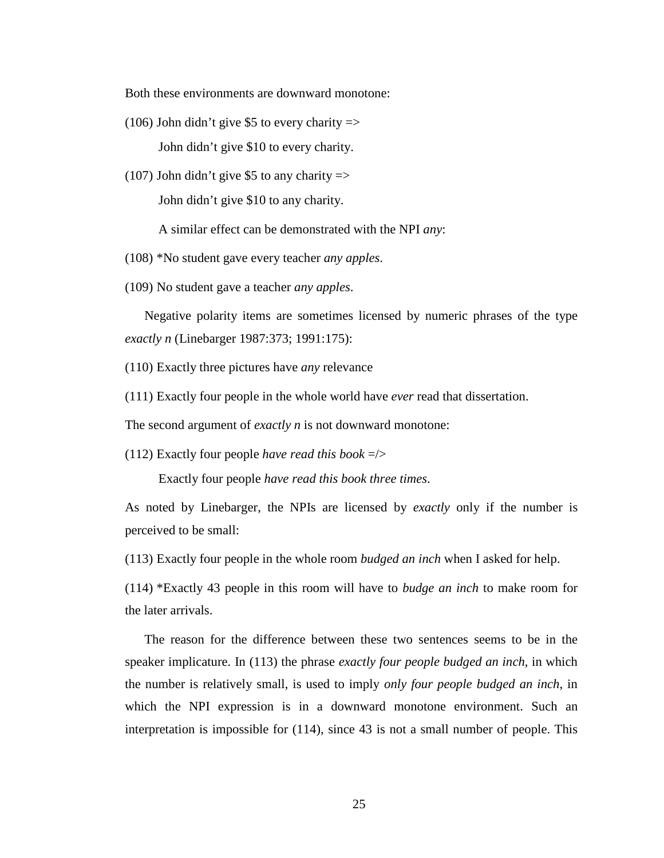Both these environments are downward monotone:

(106) John didn't give \$5 to every charity  $\Rightarrow$ 

John didn't give \$10 to every charity.

(107) John didn't give \$5 to any charity  $\Rightarrow$ John didn't give \$10 to any charity.

A similar effect can be demonstrated with the NPI *any*:

(108) \*No student gave every teacher *any apples*.

(109) No student gave a teacher *any apples*.

Negative polarity items are sometimes licensed by numeric phrases of the type *exactly n* (Linebarger 1987:373; 1991:175):

(110) Exactly three pictures have *any* relevance

(111) Exactly four people in the whole world have *ever* read that dissertation.

The second argument of *exactly n* is not downward monotone:

(112) Exactly four people *have read this book* =/>

Exactly four people *have read this book three times*.

As noted by Linebarger, the NPIs are licensed by *exactly* only if the number is perceived to be small:

(113) Exactly four people in the whole room *budged an inch* when I asked for help.

(114) \*Exactly 43 people in this room will have to *budge an inch* to make room for the later arrivals.

The reason for the difference between these two sentences seems to be in the speaker implicature. In (113) the phrase *exactly four people budged an inch*, in which the number is relatively small, is used to imply *only four people budged an inch*, in which the NPI expression is in a downward monotone environment. Such an interpretation is impossible for (114), since 43 is not a small number of people. This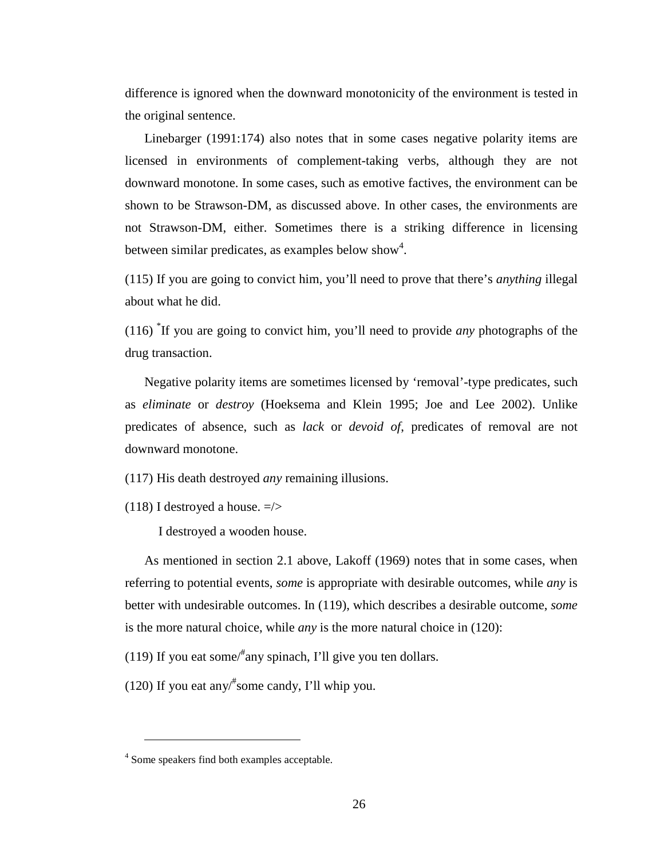difference is ignored when the downward monotonicity of the environment is tested in the original sentence.

Linebarger (1991:174) also notes that in some cases negative polarity items are licensed in environments of complement-taking verbs, although they are not downward monotone. In some cases, such as emotive factives, the environment can be shown to be Strawson-DM, as discussed above. In other cases, the environments are not Strawson-DM, either. Sometimes there is a striking difference in licensing between similar predicates, as examples below show<sup>4</sup>.

(115) If you are going to convict him, you'll need to prove that there's *anything* illegal about what he did.

(116) \* If you are going to convict him, you'll need to provide *any* photographs of the drug transaction.

Negative polarity items are sometimes licensed by 'removal'-type predicates, such as *eliminate* or *destroy* (Hoeksema and Klein 1995; Joe and Lee 2002). Unlike predicates of absence, such as *lack* or *devoid of*, predicates of removal are not downward monotone.

(117) His death destroyed *any* remaining illusions.

(118) I destroyed a house.  $=$   $\ge$ 

I destroyed a wooden house.

As mentioned in section 2.1 above, Lakoff (1969) notes that in some cases, when referring to potential events, *some* is appropriate with desirable outcomes, while *any* is better with undesirable outcomes. In (119), which describes a desirable outcome, *some* is the more natural choice, while *any* is the more natural choice in (120):

(119) If you eat some/ $*$ any spinach, I'll give you ten dollars.

(120) If you eat any/# some candy, I'll whip you.

 $\overline{a}$ 

<sup>&</sup>lt;sup>4</sup> Some speakers find both examples acceptable.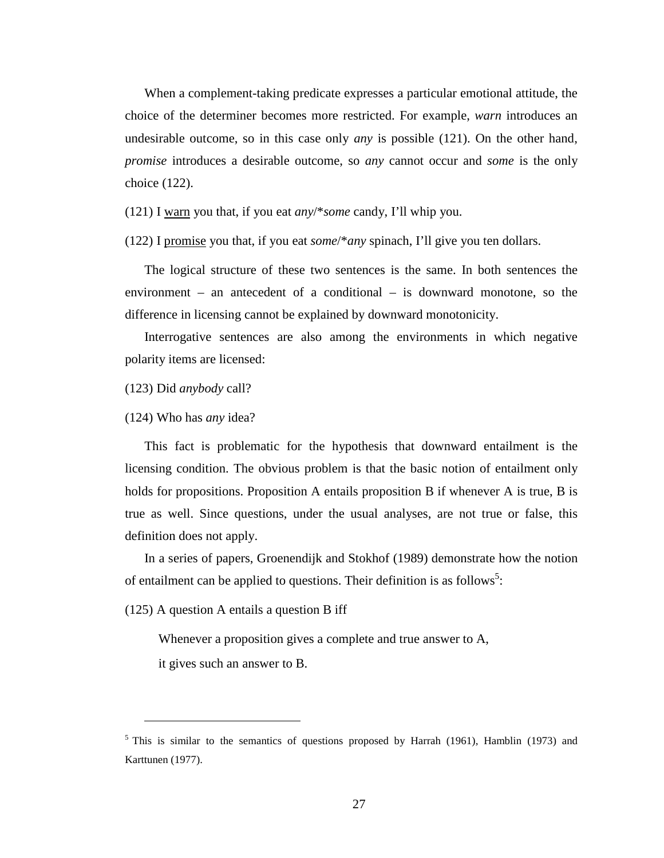When a complement-taking predicate expresses a particular emotional attitude, the choice of the determiner becomes more restricted. For example, *warn* introduces an undesirable outcome, so in this case only *any* is possible (121). On the other hand, *promise* introduces a desirable outcome, so *any* cannot occur and *some* is the only choice (122).

(121) I warn you that, if you eat *any*/\**some* candy, I'll whip you.

(122) I promise you that, if you eat *some*/\**any* spinach, I'll give you ten dollars.

The logical structure of these two sentences is the same. In both sentences the environment – an antecedent of a conditional – is downward monotone, so the difference in licensing cannot be explained by downward monotonicity.

Interrogative sentences are also among the environments in which negative polarity items are licensed:

(123) Did *anybody* call?

(124) Who has *any* idea?

This fact is problematic for the hypothesis that downward entailment is the licensing condition. The obvious problem is that the basic notion of entailment only holds for propositions. Proposition A entails proposition B if whenever A is true, B is true as well. Since questions, under the usual analyses, are not true or false, this definition does not apply.

In a series of papers, Groenendijk and Stokhof (1989) demonstrate how the notion of entailment can be applied to questions. Their definition is as follows<sup>5</sup>:

(125) A question A entails a question B iff

Whenever a proposition gives a complete and true answer to A,

it gives such an answer to B.

 $\overline{a}$ 

<sup>&</sup>lt;sup>5</sup> This is similar to the semantics of questions proposed by Harrah (1961), Hamblin (1973) and Karttunen (1977).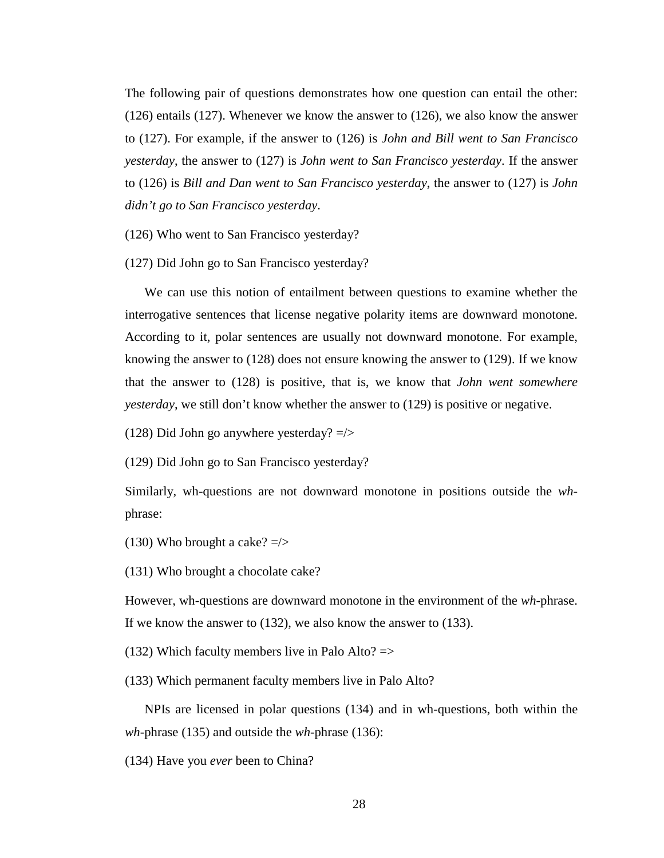The following pair of questions demonstrates how one question can entail the other: (126) entails (127). Whenever we know the answer to (126), we also know the answer to (127). For example, if the answer to (126) is *John and Bill went to San Francisco yesterday*, the answer to (127) is *John went to San Francisco yesterday*. If the answer to (126) is *Bill and Dan went to San Francisco yesterday*, the answer to (127) is *John didn't go to San Francisco yesterday*.

(126) Who went to San Francisco yesterday?

(127) Did John go to San Francisco yesterday?

We can use this notion of entailment between questions to examine whether the interrogative sentences that license negative polarity items are downward monotone. According to it, polar sentences are usually not downward monotone. For example, knowing the answer to (128) does not ensure knowing the answer to (129). If we know that the answer to (128) is positive, that is, we know that *John went somewhere yesterday*, we still don't know whether the answer to (129) is positive or negative.

(128) Did John go anywhere yesterday? =/>

(129) Did John go to San Francisco yesterday?

Similarly, wh-questions are not downward monotone in positions outside the *wh*phrase:

(130) Who brought a cake?  $\approx$   $\ge$   $\ge$ 

(131) Who brought a chocolate cake?

However, wh-questions are downward monotone in the environment of the *wh-*phrase. If we know the answer to (132), we also know the answer to (133).

(132) Which faculty members live in Palo Alto?  $\Rightarrow$ 

(133) Which permanent faculty members live in Palo Alto?

NPIs are licensed in polar questions (134) and in wh-questions, both within the *wh*-phrase (135) and outside the *wh*-phrase (136):

(134) Have you *ever* been to China?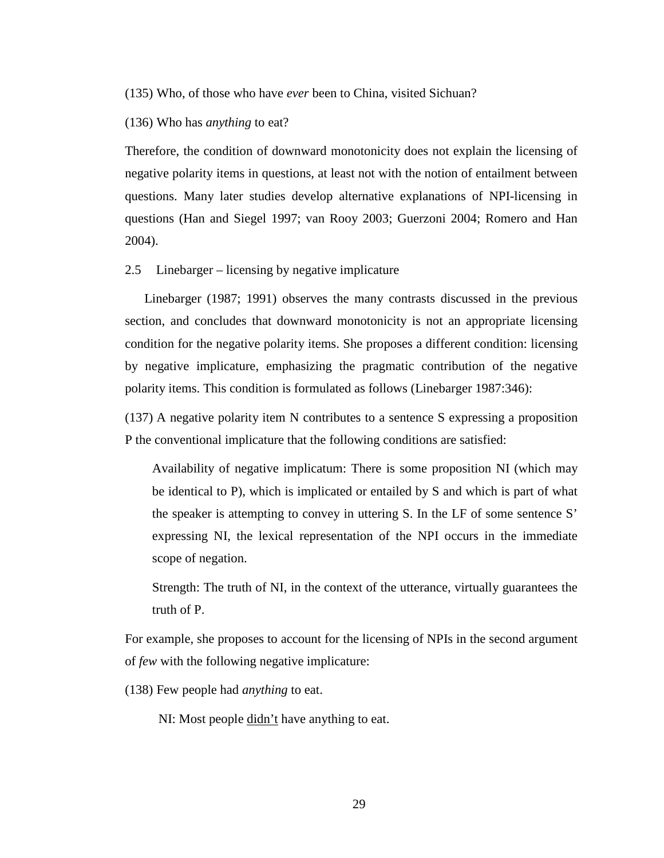(135) Who, of those who have *ever* been to China, visited Sichuan?

(136) Who has *anything* to eat?

Therefore, the condition of downward monotonicity does not explain the licensing of negative polarity items in questions, at least not with the notion of entailment between questions. Many later studies develop alternative explanations of NPI-licensing in questions (Han and Siegel 1997; van Rooy 2003; Guerzoni 2004; Romero and Han 2004).

2.5 Linebarger – licensing by negative implicature

Linebarger (1987; 1991) observes the many contrasts discussed in the previous section, and concludes that downward monotonicity is not an appropriate licensing condition for the negative polarity items. She proposes a different condition: licensing by negative implicature, emphasizing the pragmatic contribution of the negative polarity items. This condition is formulated as follows (Linebarger 1987:346):

(137) A negative polarity item N contributes to a sentence S expressing a proposition P the conventional implicature that the following conditions are satisfied:

Availability of negative implicatum: There is some proposition NI (which may be identical to P), which is implicated or entailed by S and which is part of what the speaker is attempting to convey in uttering S. In the LF of some sentence S' expressing NI, the lexical representation of the NPI occurs in the immediate scope of negation.

Strength: The truth of NI, in the context of the utterance, virtually guarantees the truth of P.

For example, she proposes to account for the licensing of NPIs in the second argument of *few* with the following negative implicature:

(138) Few people had *anything* to eat.

NI: Most people didn't have anything to eat.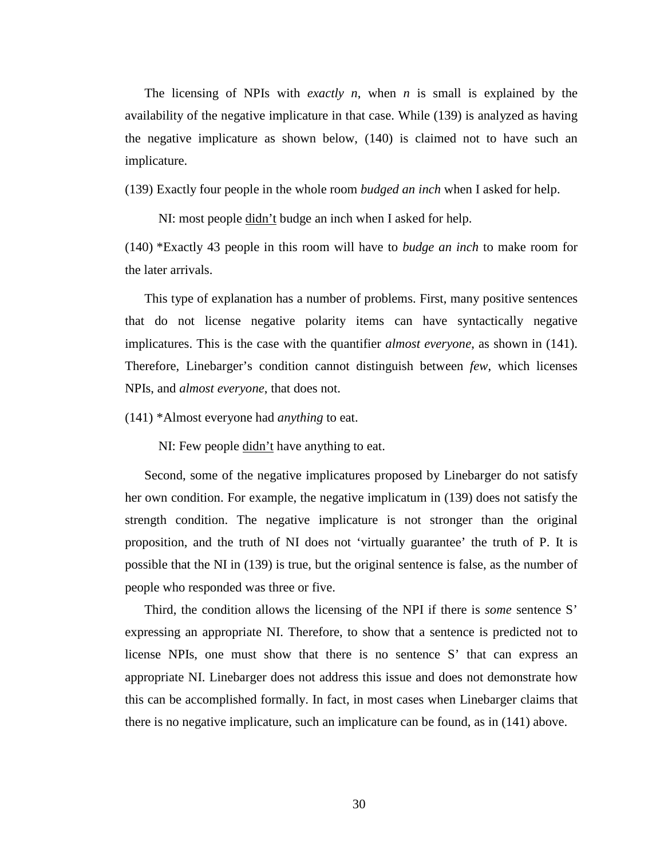The licensing of NPIs with *exactly n*, when *n* is small is explained by the availability of the negative implicature in that case. While (139) is analyzed as having the negative implicature as shown below, (140) is claimed not to have such an implicature.

(139) Exactly four people in the whole room *budged an inch* when I asked for help.

NI: most people  $\underline{\text{didn't}}$  budge an inch when I asked for help.

(140) \*Exactly 43 people in this room will have to *budge an inch* to make room for the later arrivals.

This type of explanation has a number of problems. First, many positive sentences that do not license negative polarity items can have syntactically negative implicatures. This is the case with the quantifier *almost everyone*, as shown in (141). Therefore, Linebarger's condition cannot distinguish between *few*, which licenses NPIs, and *almost everyone*, that does not.

(141) \*Almost everyone had *anything* to eat.

NI: Few people didn't have anything to eat.

Second, some of the negative implicatures proposed by Linebarger do not satisfy her own condition. For example, the negative implicatum in (139) does not satisfy the strength condition. The negative implicature is not stronger than the original proposition, and the truth of NI does not 'virtually guarantee' the truth of P. It is possible that the NI in (139) is true, but the original sentence is false, as the number of people who responded was three or five.

Third, the condition allows the licensing of the NPI if there is *some* sentence S' expressing an appropriate NI. Therefore, to show that a sentence is predicted not to license NPIs, one must show that there is no sentence S' that can express an appropriate NI. Linebarger does not address this issue and does not demonstrate how this can be accomplished formally. In fact, in most cases when Linebarger claims that there is no negative implicature, such an implicature can be found, as in (141) above.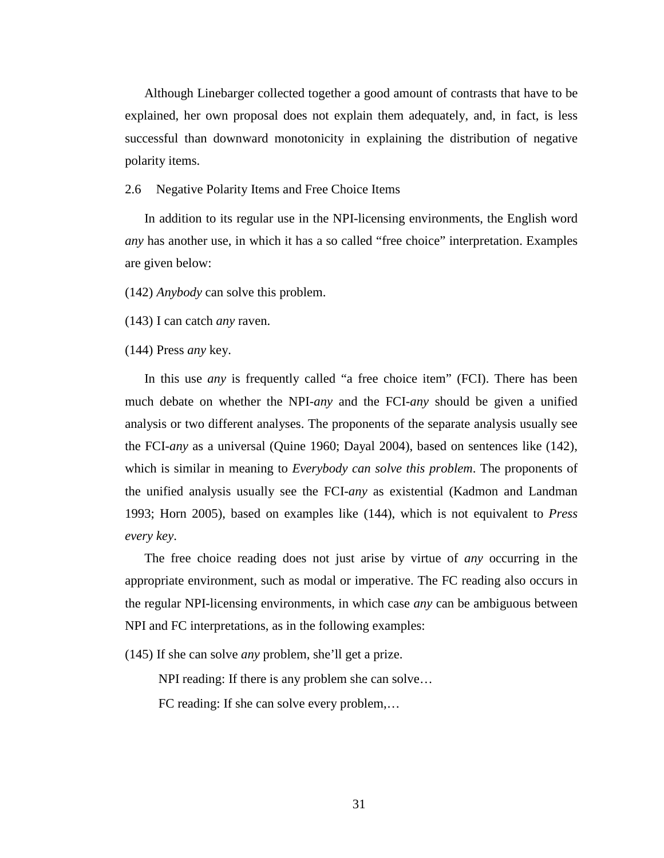Although Linebarger collected together a good amount of contrasts that have to be explained, her own proposal does not explain them adequately, and, in fact, is less successful than downward monotonicity in explaining the distribution of negative polarity items.

## 2.6 Negative Polarity Items and Free Choice Items

In addition to its regular use in the NPI-licensing environments, the English word *any* has another use, in which it has a so called "free choice" interpretation. Examples are given below:

(142) *Anybody* can solve this problem.

(143) I can catch *any* raven.

(144) Press *any* key.

In this use *any* is frequently called "a free choice item" (FCI). There has been much debate on whether the NPI-*any* and the FCI-*any* should be given a unified analysis or two different analyses. The proponents of the separate analysis usually see the FCI-*any* as a universal (Quine 1960; Dayal 2004), based on sentences like (142), which is similar in meaning to *Everybody can solve this problem*. The proponents of the unified analysis usually see the FCI-*any* as existential (Kadmon and Landman 1993; Horn 2005), based on examples like (144), which is not equivalent to *Press every key*.

The free choice reading does not just arise by virtue of *any* occurring in the appropriate environment, such as modal or imperative. The FC reading also occurs in the regular NPI-licensing environments, in which case *any* can be ambiguous between NPI and FC interpretations, as in the following examples:

(145) If she can solve *any* problem, she'll get a prize.

NPI reading: If there is any problem she can solve…

FC reading: If she can solve every problem,…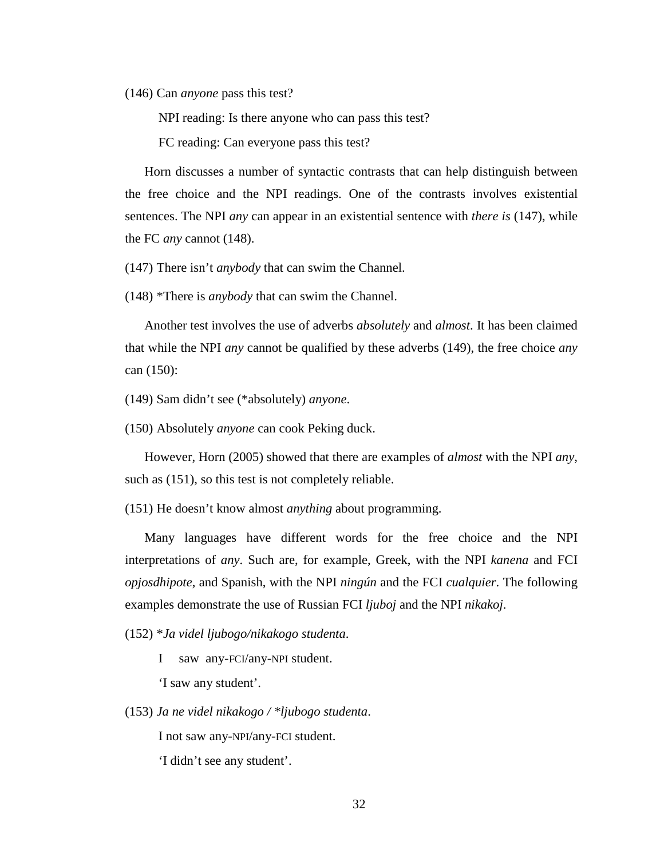(146) Can *anyone* pass this test?

NPI reading: Is there anyone who can pass this test?

FC reading: Can everyone pass this test?

Horn discusses a number of syntactic contrasts that can help distinguish between the free choice and the NPI readings. One of the contrasts involves existential sentences. The NPI *any* can appear in an existential sentence with *there is* (147), while the FC *any* cannot (148).

(147) There isn't *anybody* that can swim the Channel.

(148) \*There is *anybody* that can swim the Channel.

Another test involves the use of adverbs *absolutely* and *almost*. It has been claimed that while the NPI *any* cannot be qualified by these adverbs (149), the free choice *any* can (150):

(149) Sam didn't see (\*absolutely) *anyone*.

(150) Absolutely *anyone* can cook Peking duck.

However, Horn (2005) showed that there are examples of *almost* with the NPI *any*, such as  $(151)$ , so this test is not completely reliable.

(151) He doesn't know almost *anything* about programming.

Many languages have different words for the free choice and the NPI interpretations of *any*. Such are, for example, Greek, with the NPI *kanena* and FCI *opjosdhipote*, and Spanish, with the NPI *ningún* and the FCI *cualquier*. The following examples demonstrate the use of Russian FCI *ljuboj* and the NPI *nikakoj*.

(152) \**Ja videl ljubogo/nikakogo studenta*.

I saw any-FCI/any-NPI student.

'I saw any student'.

(153) *Ja ne videl nikakogo / \*ljubogo studenta*.

I not saw any-NPI/any-FCI student.

'I didn't see any student'.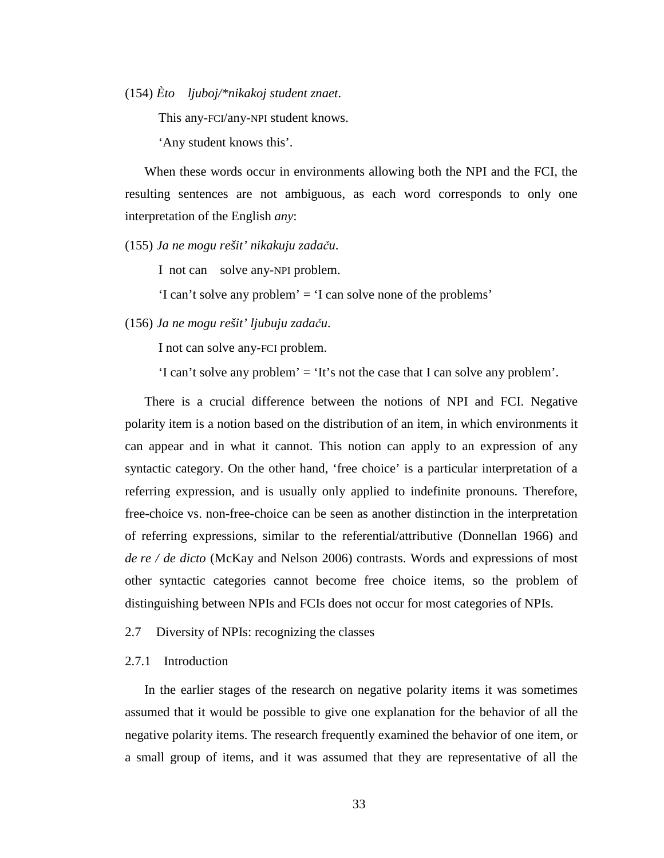(154) *Èto ljuboj/\*nikakoj student znaet*.

This any-FCI/any-NPI student knows.

'Any student knows this'.

When these words occur in environments allowing both the NPI and the FCI, the resulting sentences are not ambiguous, as each word corresponds to only one interpretation of the English *any*:

(155) *Ja ne mogu rešit' nikakuju zada*č*u*.

I not can solve any-NPI problem.

'I can't solve any problem' = 'I can solve none of the problems'

(156) *Ja ne mogu rešit' ljubuju zada*č*u*.

I not can solve any-FCI problem.

'I can't solve any problem' = 'It's not the case that I can solve any problem'.

There is a crucial difference between the notions of NPI and FCI. Negative polarity item is a notion based on the distribution of an item, in which environments it can appear and in what it cannot. This notion can apply to an expression of any syntactic category. On the other hand, 'free choice' is a particular interpretation of a referring expression, and is usually only applied to indefinite pronouns. Therefore, free-choice vs. non-free-choice can be seen as another distinction in the interpretation of referring expressions, similar to the referential/attributive (Donnellan 1966) and *de re / de dicto* (McKay and Nelson 2006) contrasts. Words and expressions of most other syntactic categories cannot become free choice items, so the problem of distinguishing between NPIs and FCIs does not occur for most categories of NPIs.

2.7 Diversity of NPIs: recognizing the classes

### 2.7.1 Introduction

In the earlier stages of the research on negative polarity items it was sometimes assumed that it would be possible to give one explanation for the behavior of all the negative polarity items. The research frequently examined the behavior of one item, or a small group of items, and it was assumed that they are representative of all the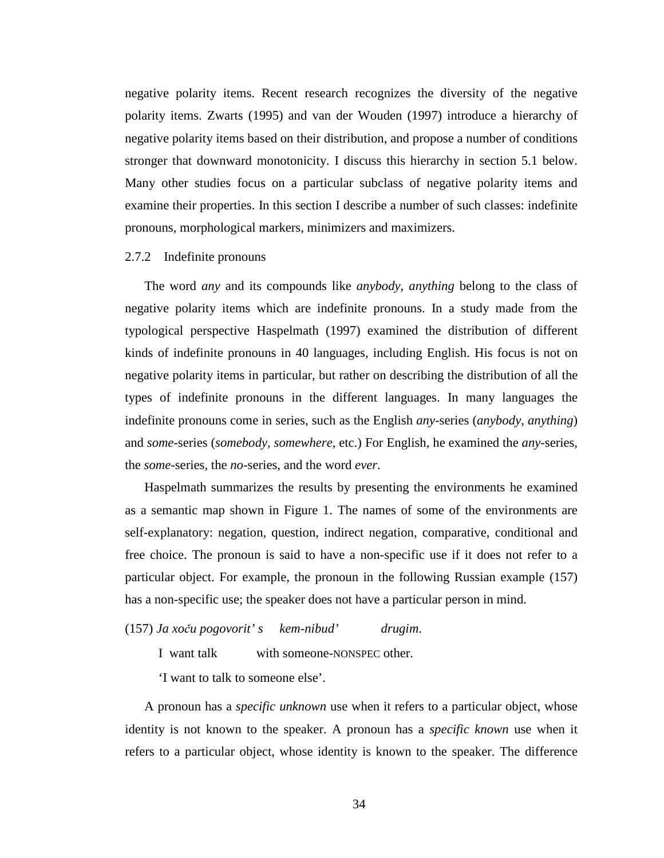negative polarity items. Recent research recognizes the diversity of the negative polarity items. Zwarts (1995) and van der Wouden (1997) introduce a hierarchy of negative polarity items based on their distribution, and propose a number of conditions stronger that downward monotonicity. I discuss this hierarchy in section 5.1 below. Many other studies focus on a particular subclass of negative polarity items and examine their properties. In this section I describe a number of such classes: indefinite pronouns, morphological markers, minimizers and maximizers.

## 2.7.2 Indefinite pronouns

The word *any* and its compounds like *anybody, anything* belong to the class of negative polarity items which are indefinite pronouns. In a study made from the typological perspective Haspelmath (1997) examined the distribution of different kinds of indefinite pronouns in 40 languages, including English. His focus is not on negative polarity items in particular, but rather on describing the distribution of all the types of indefinite pronouns in the different languages. In many languages the indefinite pronouns come in series, such as the English *any-*series (*anybody*, *anything*) and *some*-series (*somebody, somewhere*, etc.) For English, he examined the *any*-series, the *some*-series, the *no*-series, and the word *ever*.

Haspelmath summarizes the results by presenting the environments he examined as a semantic map shown in Figure 1. The names of some of the environments are self-explanatory: negation, question, indirect negation, comparative, conditional and free choice. The pronoun is said to have a non-specific use if it does not refer to a particular object. For example, the pronoun in the following Russian example (157) has a non-specific use; the speaker does not have a particular person in mind.

#### (157) *Ja xo*č*u pogovorit' s kem-nibud' drugim*.

I want talk with someone-NONSPEC other.

'I want to talk to someone else'.

A pronoun has a *specific unknown* use when it refers to a particular object, whose identity is not known to the speaker. A pronoun has a *specific known* use when it refers to a particular object, whose identity is known to the speaker. The difference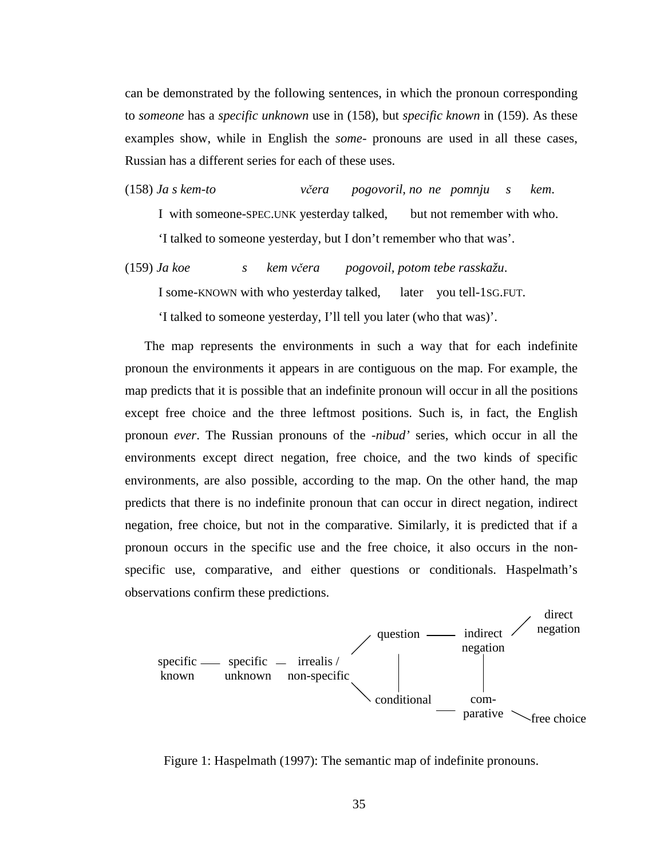can be demonstrated by the following sentences, in which the pronoun corresponding to *someone* has a *specific unknown* use in (158), but *specific known* in (159). As these examples show, while in English the *some*- pronouns are used in all these cases, Russian has a different series for each of these uses.

(158) *Ja s kem-to v*č*era pogovoril, no ne pomnju s kem*. I with someone-SPEC.UNK yesterday talked, but not remember with who. 'I talked to someone yesterday, but I don't remember who that was'.

(159) *Ja koe s kem v*č*era pogovoil, potom tebe rasskažu*. I some-KNOWN with who yesterday talked, later you tell-1SG.FUT.

'I talked to someone yesterday, I'll tell you later (who that was)'.

The map represents the environments in such a way that for each indefinite pronoun the environments it appears in are contiguous on the map. For example, the map predicts that it is possible that an indefinite pronoun will occur in all the positions except free choice and the three leftmost positions. Such is, in fact, the English pronoun *ever*. The Russian pronouns of the -*nibud'* series, which occur in all the environments except direct negation, free choice, and the two kinds of specific environments, are also possible, according to the map. On the other hand, the map predicts that there is no indefinite pronoun that can occur in direct negation, indirect negation, free choice, but not in the comparative. Similarly, it is predicted that if a pronoun occurs in the specific use and the free choice, it also occurs in the nonspecific use, comparative, and either questions or conditionals. Haspelmath's observations confirm these predictions.



Figure 1: Haspelmath (1997): The semantic map of indefinite pronouns.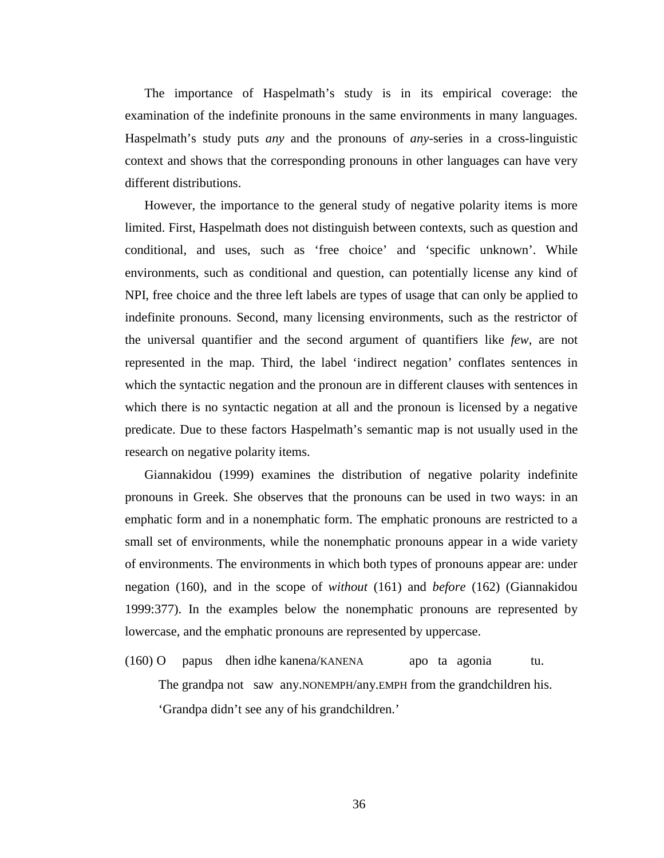The importance of Haspelmath's study is in its empirical coverage: the examination of the indefinite pronouns in the same environments in many languages. Haspelmath's study puts *any* and the pronouns of *any*-series in a cross-linguistic context and shows that the corresponding pronouns in other languages can have very different distributions.

However, the importance to the general study of negative polarity items is more limited. First, Haspelmath does not distinguish between contexts, such as question and conditional, and uses, such as 'free choice' and 'specific unknown'. While environments, such as conditional and question, can potentially license any kind of NPI, free choice and the three left labels are types of usage that can only be applied to indefinite pronouns. Second, many licensing environments, such as the restrictor of the universal quantifier and the second argument of quantifiers like *few*, are not represented in the map. Third, the label 'indirect negation' conflates sentences in which the syntactic negation and the pronoun are in different clauses with sentences in which there is no syntactic negation at all and the pronoun is licensed by a negative predicate. Due to these factors Haspelmath's semantic map is not usually used in the research on negative polarity items.

Giannakidou (1999) examines the distribution of negative polarity indefinite pronouns in Greek. She observes that the pronouns can be used in two ways: in an emphatic form and in a nonemphatic form. The emphatic pronouns are restricted to a small set of environments, while the nonemphatic pronouns appear in a wide variety of environments. The environments in which both types of pronouns appear are: under negation (160), and in the scope of *without* (161) and *before* (162) (Giannakidou 1999:377). In the examples below the nonemphatic pronouns are represented by lowercase, and the emphatic pronouns are represented by uppercase.

(160) O papus dhen idhe kanena/KANENA apo ta agonia tu. The grandpa not saw any.NONEMPH/any.EMPH from the grandchildren his. 'Grandpa didn't see any of his grandchildren.'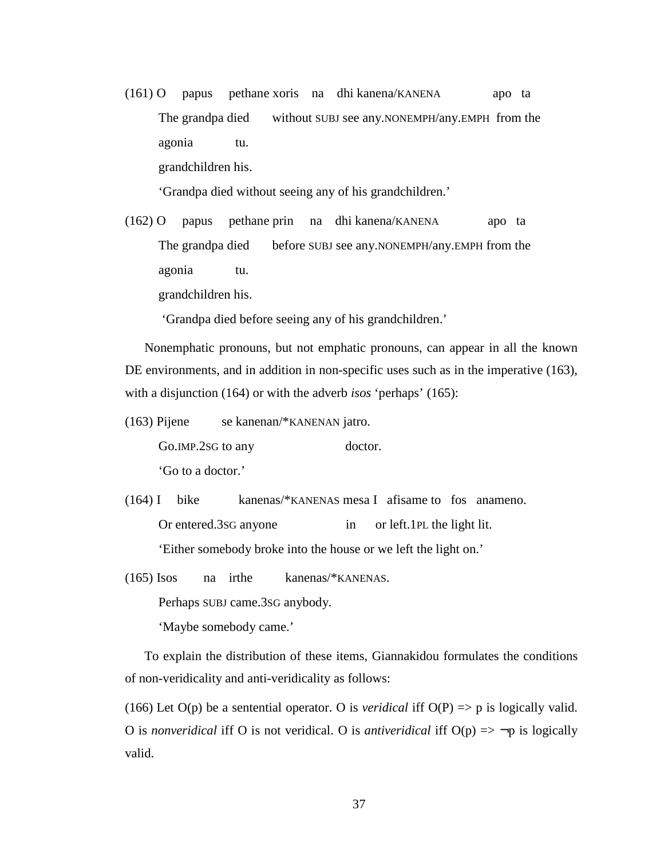(161) O papus pethane xoris na dhi kanena/KANENA apo ta The grandpa died without SUBJ see any.NONEMPH/any.EMPH from the agonia tu. grandchildren his.

'Grandpa died without seeing any of his grandchildren.'

(162) O papus pethane prin na dhi kanena/KANENA apo ta The grandpa died before SUBJ see any.NONEMPH/any.EMPH from the agonia tu.

grandchildren his.

'Grandpa died before seeing any of his grandchildren.'

Nonemphatic pronouns, but not emphatic pronouns, can appear in all the known DE environments, and in addition in non-specific uses such as in the imperative (163), with a disjunction (164) or with the adverb *isos* 'perhaps' (165):

(163) Pijene se kanenan/\*KANENAN jatro.

Go.IMP.2sG to any doctor.

'Go to a doctor.'

(164) I bike kanenas/\*KANENAS mesa I afisame to fos anameno. Or entered.3SG anyone in or left.1PL the light lit. 'Either somebody broke into the house or we left the light on.'

(165) Isos na irthe kanenas/\*KANENAS. Perhaps SUBJ came.3SG anybody. 'Maybe somebody came.'

To explain the distribution of these items, Giannakidou formulates the conditions of non-veridicality and anti-veridicality as follows:

(166) Let  $O(p)$  be a sentential operator. O is *veridical* iff  $O(P) \Rightarrow p$  is logically valid. O is *nonveridical* iff O is not veridical. O is *antiveridical* iff O(p) => ¬p is logically valid.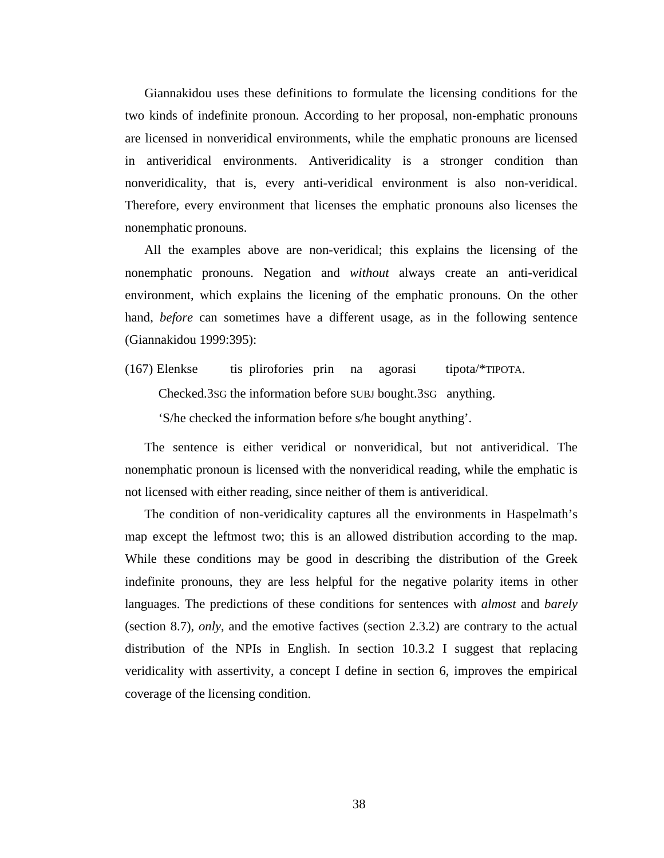Giannakidou uses these definitions to formulate the licensing conditions for the two kinds of indefinite pronoun. According to her proposal, non-emphatic pronouns are licensed in nonveridical environments, while the emphatic pronouns are licensed in antiveridical environments. Antiveridicality is a stronger condition than nonveridicality, that is, every anti-veridical environment is also non-veridical. Therefore, every environment that licenses the emphatic pronouns also licenses the nonemphatic pronouns.

All the examples above are non-veridical; this explains the licensing of the nonemphatic pronouns. Negation and *without* always create an anti-veridical environment, which explains the licening of the emphatic pronouns. On the other hand, *before* can sometimes have a different usage, as in the following sentence (Giannakidou 1999:395):

(167) Elenkse tis plirofories prin na agorasi tipota/\*TIPOTA. Checked.3SG the information before SUBJ bought.3SG anything. 'S/he checked the information before s/he bought anything'.

The sentence is either veridical or nonveridical, but not antiveridical. The nonemphatic pronoun is licensed with the nonveridical reading, while the emphatic is not licensed with either reading, since neither of them is antiveridical.

The condition of non-veridicality captures all the environments in Haspelmath's map except the leftmost two; this is an allowed distribution according to the map. While these conditions may be good in describing the distribution of the Greek indefinite pronouns, they are less helpful for the negative polarity items in other languages. The predictions of these conditions for sentences with *almost* and *barely*  (section 8.7), *only*, and the emotive factives (section 2.3.2) are contrary to the actual distribution of the NPIs in English. In section 10.3.2 I suggest that replacing veridicality with assertivity, a concept I define in section 6, improves the empirical coverage of the licensing condition.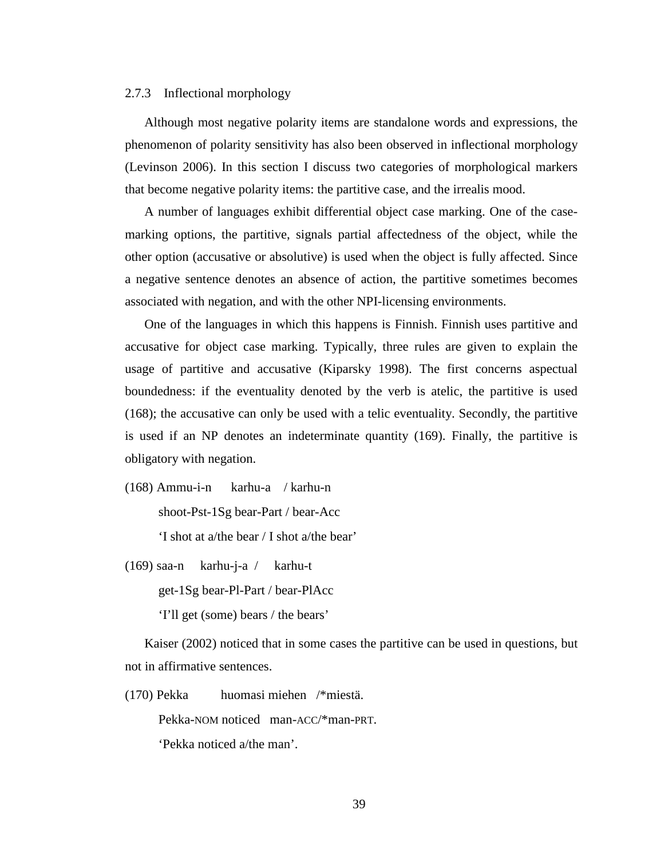#### 2.7.3 Inflectional morphology

Although most negative polarity items are standalone words and expressions, the phenomenon of polarity sensitivity has also been observed in inflectional morphology (Levinson 2006). In this section I discuss two categories of morphological markers that become negative polarity items: the partitive case, and the irrealis mood.

A number of languages exhibit differential object case marking. One of the casemarking options, the partitive, signals partial affectedness of the object, while the other option (accusative or absolutive) is used when the object is fully affected. Since a negative sentence denotes an absence of action, the partitive sometimes becomes associated with negation, and with the other NPI-licensing environments.

One of the languages in which this happens is Finnish. Finnish uses partitive and accusative for object case marking. Typically, three rules are given to explain the usage of partitive and accusative (Kiparsky 1998). The first concerns aspectual boundedness: if the eventuality denoted by the verb is atelic, the partitive is used (168); the accusative can only be used with a telic eventuality. Secondly, the partitive is used if an NP denotes an indeterminate quantity (169). Finally, the partitive is obligatory with negation.

(168) Ammu-i-n karhu-a / karhu-n shoot-Pst-1Sg bear-Part / bear-Acc 'I shot at a/the bear / I shot a/the bear'

(169) saa-n karhu-j-a / karhu-t

get-1Sg bear-Pl-Part / bear-PlAcc

'I'll get (some) bears / the bears'

Kaiser (2002) noticed that in some cases the partitive can be used in questions, but not in affirmative sentences.

(170) Pekka huomasi miehen /\*miestä.

Pekka-NOM noticed man-ACC/\*man-PRT.

'Pekka noticed a/the man'.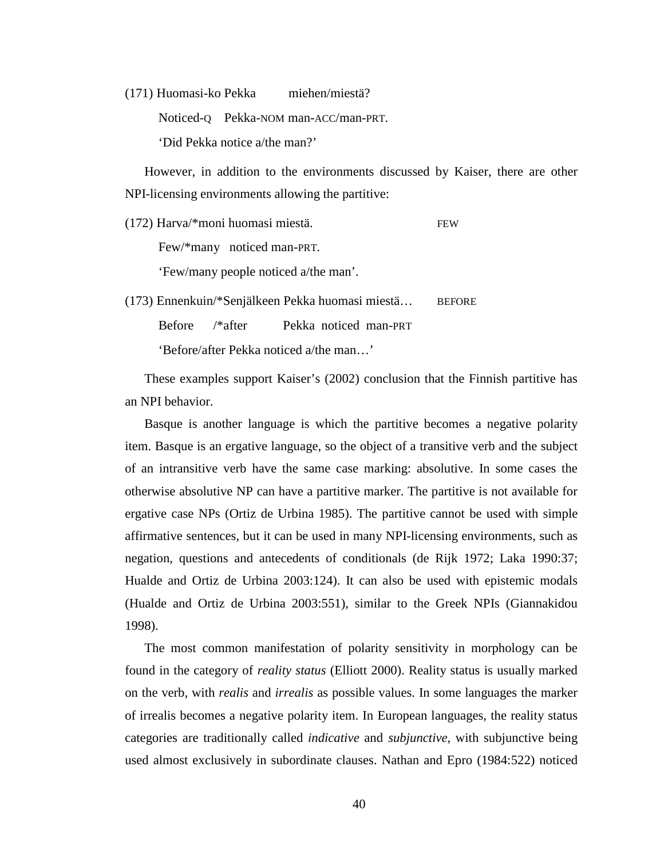(171) Huomasi-ko Pekka miehen/miestä?

Noticed-Q Pekka-NOM man-ACC/man-PRT.

'Did Pekka notice a/the man?'

However, in addition to the environments discussed by Kaiser, there are other NPI-licensing environments allowing the partitive:

(172) Harva/\*moni huomasi miestä. FEW Few/\*many noticed man-PRT. 'Few/many people noticed a/the man'.

(173) Ennenkuin/\*Senjälkeen Pekka huomasi miestä… BEFORE Before /\*after Pekka noticed man-PRT 'Before/after Pekka noticed a/the man…'

These examples support Kaiser's (2002) conclusion that the Finnish partitive has an NPI behavior.

Basque is another language is which the partitive becomes a negative polarity item. Basque is an ergative language, so the object of a transitive verb and the subject of an intransitive verb have the same case marking: absolutive. In some cases the otherwise absolutive NP can have a partitive marker. The partitive is not available for ergative case NPs (Ortiz de Urbina 1985). The partitive cannot be used with simple affirmative sentences, but it can be used in many NPI-licensing environments, such as negation, questions and antecedents of conditionals (de Rijk 1972; Laka 1990:37; Hualde and Ortiz de Urbina 2003:124). It can also be used with epistemic modals (Hualde and Ortiz de Urbina 2003:551), similar to the Greek NPIs (Giannakidou 1998).

The most common manifestation of polarity sensitivity in morphology can be found in the category of *reality status* (Elliott 2000). Reality status is usually marked on the verb, with *realis* and *irrealis* as possible values. In some languages the marker of irrealis becomes a negative polarity item. In European languages, the reality status categories are traditionally called *indicative* and *subjunctive*, with subjunctive being used almost exclusively in subordinate clauses. Nathan and Epro (1984:522) noticed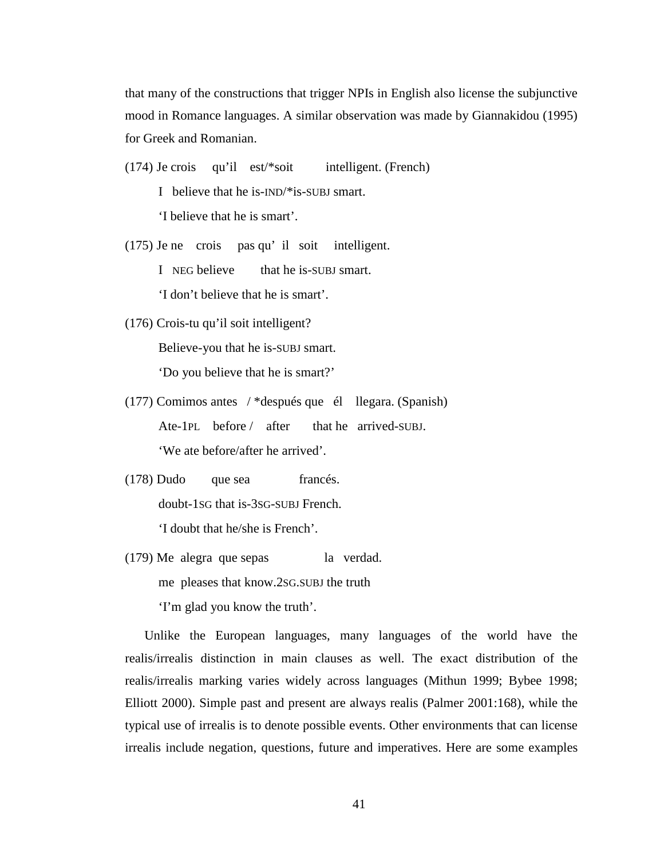that many of the constructions that trigger NPIs in English also license the subjunctive mood in Romance languages. A similar observation was made by Giannakidou (1995) for Greek and Romanian.

(174) Je crois qu'il est/\*soit intelligent. (French) I believe that he is-IND/\*is-SUBJ smart.

'I believe that he is smart'.

- (175) Je ne crois pas qu' il soit intelligent. I NEG believe that he is-SUBJ smart. 'I don't believe that he is smart'.
- (176) Crois-tu qu'il soit intelligent? Believe-you that he is-SUBJ smart. 'Do you believe that he is smart?'
- (177) Comimos antes / \*después que él llegara. (Spanish) Ate-1PL before / after that he arrived-SUBJ. 'We ate before/after he arrived'.
- (178) Dudo que sea francés. doubt-1SG that is-3SG-SUBJ French. 'I doubt that he/she is French'.
- (179) Me alegra que sepas la verdad. me pleases that know.2SG.SUBJ the truth 'I'm glad you know the truth'.

Unlike the European languages, many languages of the world have the realis/irrealis distinction in main clauses as well. The exact distribution of the realis/irrealis marking varies widely across languages (Mithun 1999; Bybee 1998; Elliott 2000). Simple past and present are always realis (Palmer 2001:168), while the typical use of irrealis is to denote possible events. Other environments that can license irrealis include negation, questions, future and imperatives. Here are some examples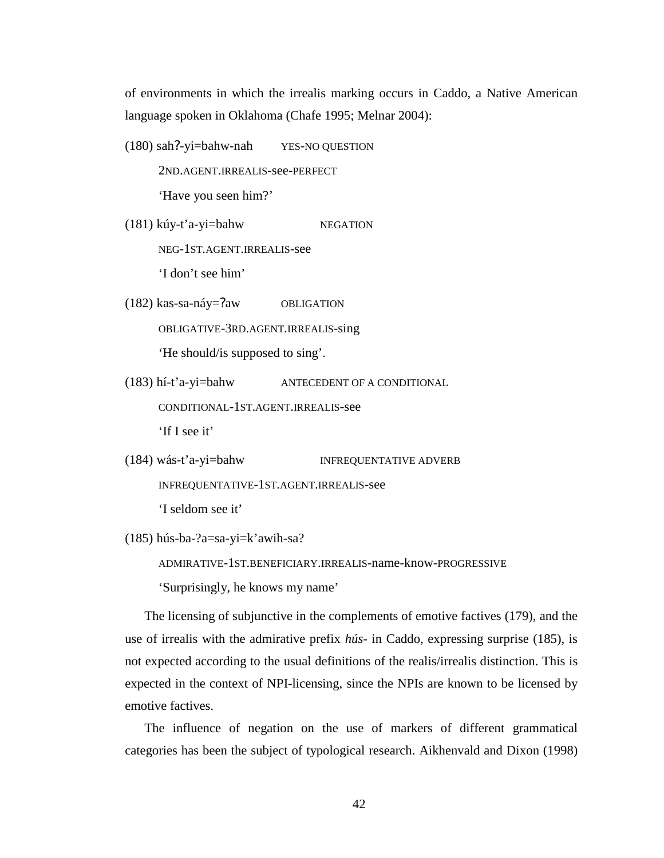of environments in which the irrealis marking occurs in Caddo, a Native American language spoken in Oklahoma (Chafe 1995; Melnar 2004):

- (180) sah?-yi=bahw-nah YES-NO QUESTION 2ND.AGENT.IRREALIS-see-PERFECT 'Have you seen him?'
- (181) kúy-t'a-yi=bahw NEGATION

NEG-1ST.AGENT.IRREALIS-see

'I don't see him'

- (182) kas-sa-náy=?aw OBLIGATION OBLIGATIVE-3RD.AGENT.IRREALIS-sing 'He should/is supposed to sing'.
- (183) hí-t'a-yi=bahw ANTECEDENT OF A CONDITIONAL

CONDITIONAL-1ST.AGENT.IRREALIS-see

'If I see it'

```
(184) wás-t'a-yi=bahw INFREQUENTATIVE ADVERB
```
INFREQUENTATIVE-1ST.AGENT.IRREALIS-see

'I seldom see it'

```
(185) hús-ba-?a=sa-yi=k'awih-sa?
```
ADMIRATIVE-1ST.BENEFICIARY.IRREALIS-name-know-PROGRESSIVE 'Surprisingly, he knows my name'

The licensing of subjunctive in the complements of emotive factives (179), and the use of irrealis with the admirative prefix *hús*- in Caddo, expressing surprise (185), is not expected according to the usual definitions of the realis/irrealis distinction. This is expected in the context of NPI-licensing, since the NPIs are known to be licensed by emotive factives.

The influence of negation on the use of markers of different grammatical categories has been the subject of typological research. Aikhenvald and Dixon (1998)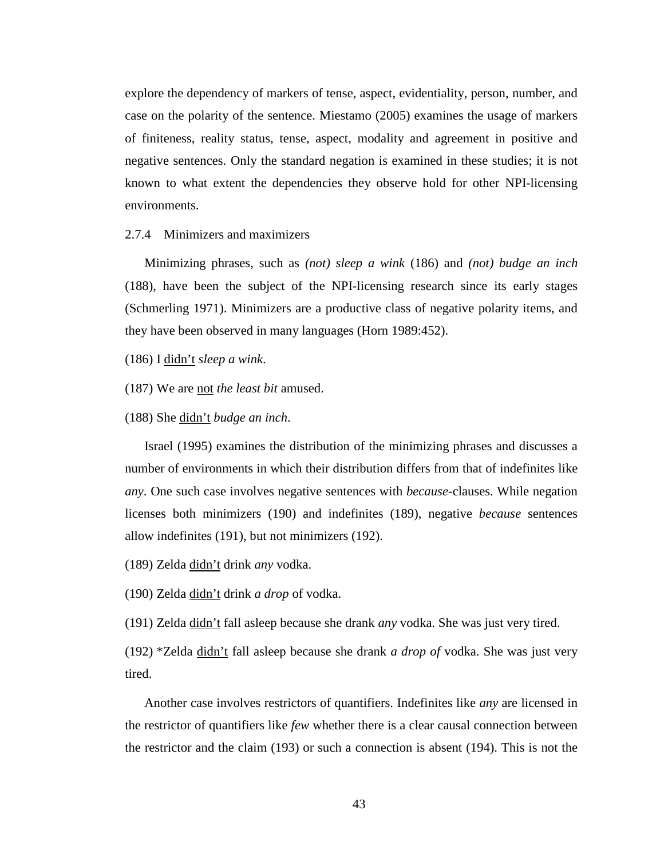explore the dependency of markers of tense, aspect, evidentiality, person, number, and case on the polarity of the sentence. Miestamo (2005) examines the usage of markers of finiteness, reality status, tense, aspect, modality and agreement in positive and negative sentences. Only the standard negation is examined in these studies; it is not known to what extent the dependencies they observe hold for other NPI-licensing environments.

## 2.7.4 Minimizers and maximizers

Minimizing phrases, such as *(not) sleep a wink* (186) and *(not) budge an inch*  (188), have been the subject of the NPI-licensing research since its early stages (Schmerling 1971). Minimizers are a productive class of negative polarity items, and they have been observed in many languages (Horn 1989:452).

(186) I didn't *sleep a wink*.

(187) We are not *the least bit* amused.

(188) She didn't *budge an inch*.

Israel (1995) examines the distribution of the minimizing phrases and discusses a number of environments in which their distribution differs from that of indefinites like *any*. One such case involves negative sentences with *because*-clauses. While negation licenses both minimizers (190) and indefinites (189), negative *because* sentences allow indefinites (191), but not minimizers (192).

(189) Zelda didn't drink *any* vodka.

(190) Zelda didn't drink *a drop* of vodka.

(191) Zelda didn't fall asleep because she drank *any* vodka. She was just very tired.

(192) \*Zelda didn't fall asleep because she drank *a drop of* vodka. She was just very tired.

Another case involves restrictors of quantifiers. Indefinites like *any* are licensed in the restrictor of quantifiers like *few* whether there is a clear causal connection between the restrictor and the claim (193) or such a connection is absent (194). This is not the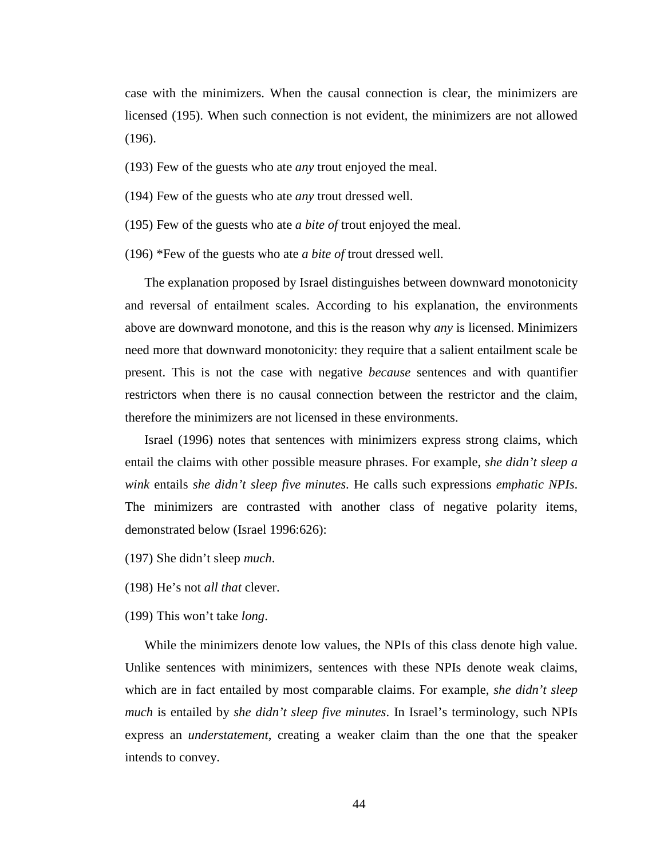case with the minimizers. When the causal connection is clear, the minimizers are licensed (195). When such connection is not evident, the minimizers are not allowed (196).

- (193) Few of the guests who ate *any* trout enjoyed the meal.
- (194) Few of the guests who ate *any* trout dressed well.
- (195) Few of the guests who ate *a bite of* trout enjoyed the meal.
- (196) \*Few of the guests who ate *a bite of* trout dressed well.

The explanation proposed by Israel distinguishes between downward monotonicity and reversal of entailment scales. According to his explanation, the environments above are downward monotone, and this is the reason why *any* is licensed. Minimizers need more that downward monotonicity: they require that a salient entailment scale be present. This is not the case with negative *because* sentences and with quantifier restrictors when there is no causal connection between the restrictor and the claim, therefore the minimizers are not licensed in these environments.

Israel (1996) notes that sentences with minimizers express strong claims, which entail the claims with other possible measure phrases. For example, *she didn't sleep a wink* entails *she didn't sleep five minutes*. He calls such expressions *emphatic NPIs*. The minimizers are contrasted with another class of negative polarity items, demonstrated below (Israel 1996:626):

- (197) She didn't sleep *much*.
- (198) He's not *all that* clever.
- (199) This won't take *long*.

While the minimizers denote low values, the NPIs of this class denote high value. Unlike sentences with minimizers, sentences with these NPIs denote weak claims, which are in fact entailed by most comparable claims. For example, *she didn't sleep much* is entailed by *she didn't sleep five minutes*. In Israel's terminology, such NPIs express an *understatement*, creating a weaker claim than the one that the speaker intends to convey.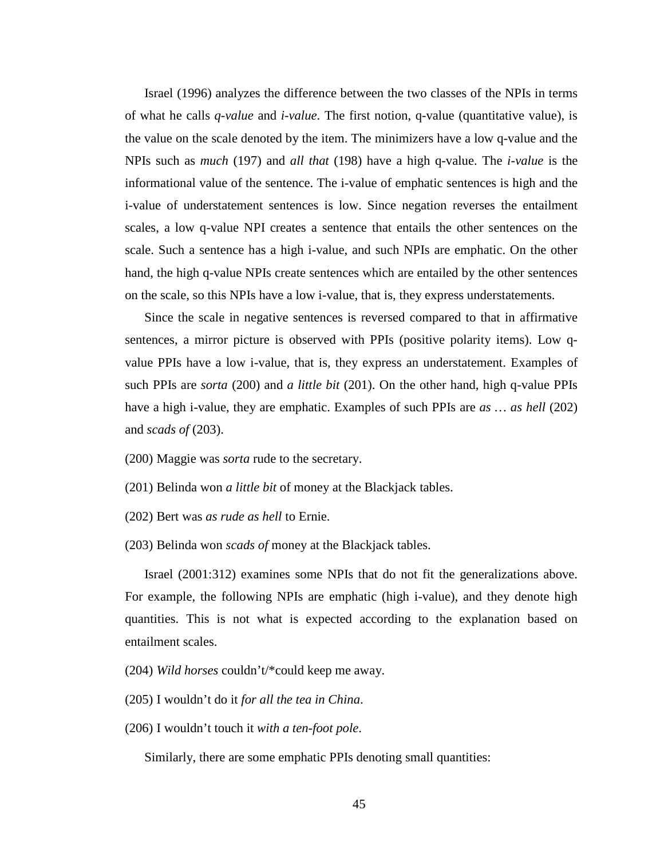Israel (1996) analyzes the difference between the two classes of the NPIs in terms of what he calls *q-value* and *i-value*. The first notion, q-value (quantitative value), is the value on the scale denoted by the item. The minimizers have a low q-value and the NPIs such as *much* (197) and *all that* (198) have a high q-value. The *i-value* is the informational value of the sentence. The i-value of emphatic sentences is high and the i-value of understatement sentences is low. Since negation reverses the entailment scales, a low q-value NPI creates a sentence that entails the other sentences on the scale. Such a sentence has a high i-value, and such NPIs are emphatic. On the other hand, the high q-value NPIs create sentences which are entailed by the other sentences on the scale, so this NPIs have a low i-value, that is, they express understatements.

Since the scale in negative sentences is reversed compared to that in affirmative sentences, a mirror picture is observed with PPIs (positive polarity items). Low qvalue PPIs have a low i-value, that is, they express an understatement. Examples of such PPIs are *sorta* (200) and *a little bit* (201). On the other hand, high q-value PPIs have a high i-value, they are emphatic. Examples of such PPIs are *as … as hell* (202) and *scads of* (203).

- (200) Maggie was *sorta* rude to the secretary.
- (201) Belinda won *a little bit* of money at the Blackjack tables.
- (202) Bert was *as rude as hell* to Ernie.
- (203) Belinda won *scads of* money at the Blackjack tables.

Israel (2001:312) examines some NPIs that do not fit the generalizations above. For example, the following NPIs are emphatic (high i-value), and they denote high quantities. This is not what is expected according to the explanation based on entailment scales.

- (204) *Wild horses* couldn't/\*could keep me away.
- (205) I wouldn't do it *for all the tea in China*.
- (206) I wouldn't touch it *with a ten-foot pole*.

Similarly, there are some emphatic PPIs denoting small quantities: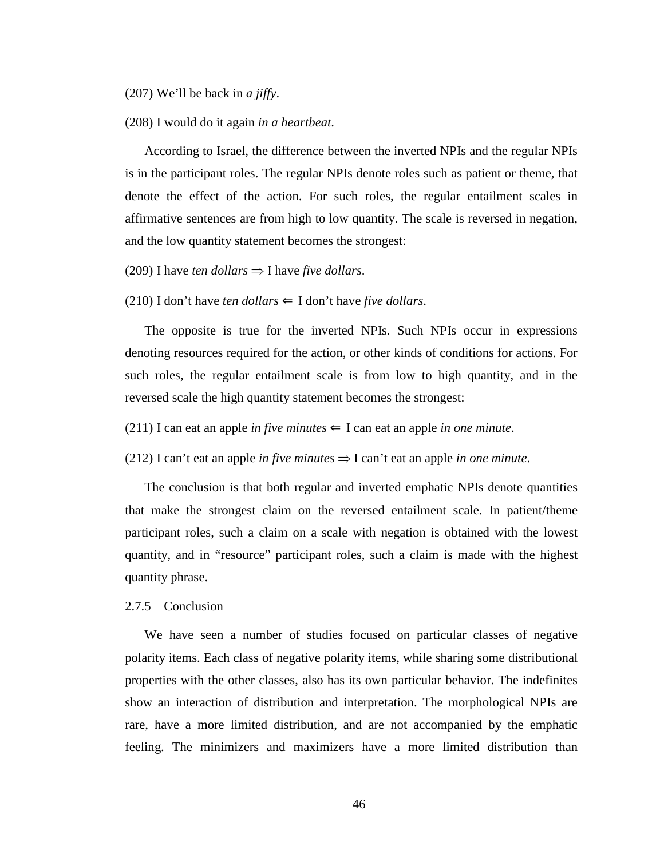#### (207) We'll be back in *a jiffy*.

#### (208) I would do it again *in a heartbeat*.

According to Israel, the difference between the inverted NPIs and the regular NPIs is in the participant roles. The regular NPIs denote roles such as patient or theme, that denote the effect of the action. For such roles, the regular entailment scales in affirmative sentences are from high to low quantity. The scale is reversed in negation, and the low quantity statement becomes the strongest:

## (209) I have *ten dollars*  $\Rightarrow$  I have *five dollars*.

#### (210) I don't have *ten dollars*  $\Leftarrow$  I don't have *five dollars*.

The opposite is true for the inverted NPIs. Such NPIs occur in expressions denoting resources required for the action, or other kinds of conditions for actions. For such roles, the regular entailment scale is from low to high quantity, and in the reversed scale the high quantity statement becomes the strongest:

(211) I can eat an apple *in five minutes*  $\Leftarrow$  I can eat an apple *in one minute*.

(212) I can't eat an apple *in five minutes*  $\Rightarrow$  I can't eat an apple *in one minute*.

The conclusion is that both regular and inverted emphatic NPIs denote quantities that make the strongest claim on the reversed entailment scale. In patient/theme participant roles, such a claim on a scale with negation is obtained with the lowest quantity, and in "resource" participant roles, such a claim is made with the highest quantity phrase.

#### 2.7.5 Conclusion

We have seen a number of studies focused on particular classes of negative polarity items. Each class of negative polarity items, while sharing some distributional properties with the other classes, also has its own particular behavior. The indefinites show an interaction of distribution and interpretation. The morphological NPIs are rare, have a more limited distribution, and are not accompanied by the emphatic feeling. The minimizers and maximizers have a more limited distribution than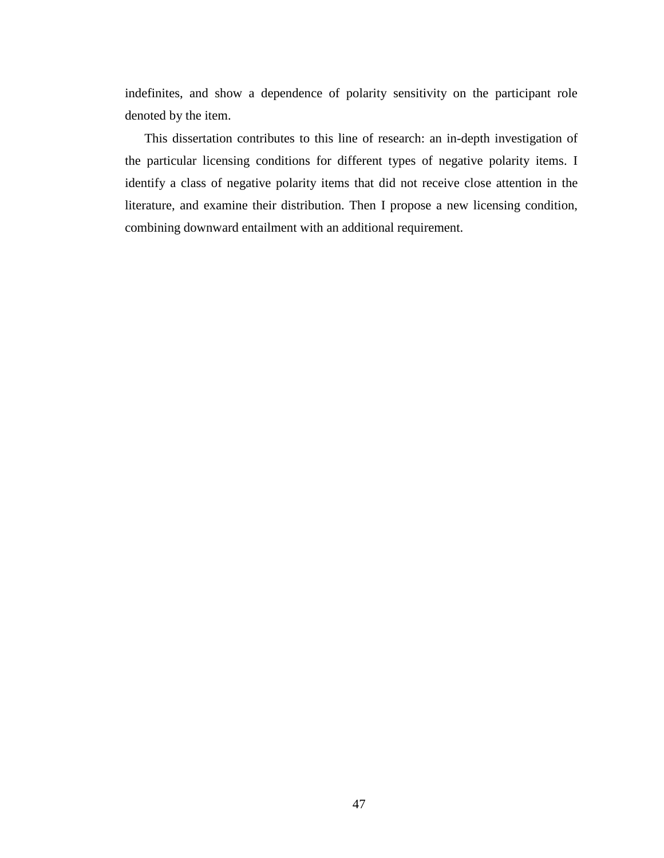indefinites, and show a dependence of polarity sensitivity on the participant role denoted by the item.

This dissertation contributes to this line of research: an in-depth investigation of the particular licensing conditions for different types of negative polarity items. I identify a class of negative polarity items that did not receive close attention in the literature, and examine their distribution. Then I propose a new licensing condition, combining downward entailment with an additional requirement.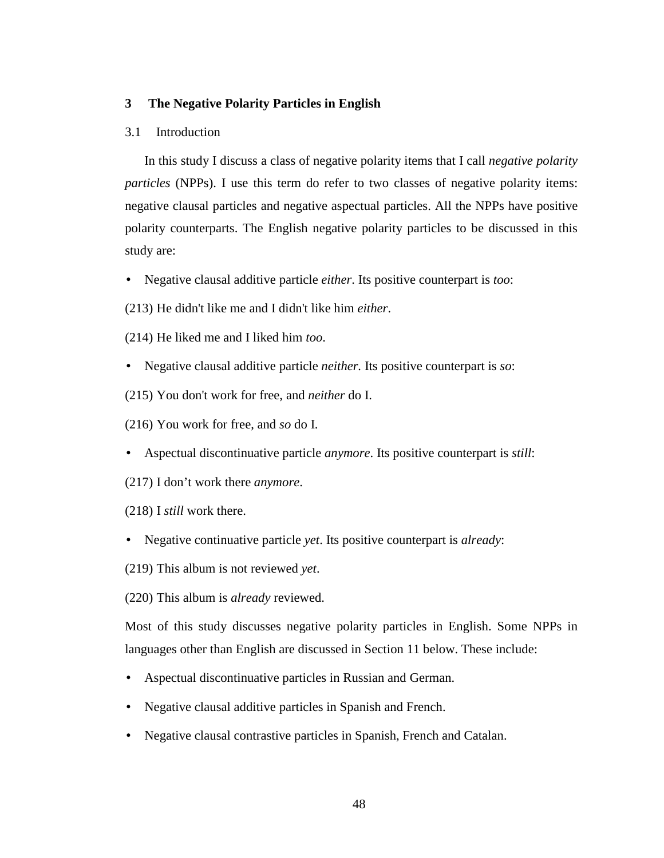# **3 The Negative Polarity Particles in English**

## 3.1 Introduction

In this study I discuss a class of negative polarity items that I call *negative polarity particles* (NPPs). I use this term do refer to two classes of negative polarity items: negative clausal particles and negative aspectual particles. All the NPPs have positive polarity counterparts. The English negative polarity particles to be discussed in this study are:

- Negative clausal additive particle *either*. Its positive counterpart is *too*:
- (213) He didn't like me and I didn't like him *either*.
- (214) He liked me and I liked him *too*.
- Negative clausal additive particle *neither.* Its positive counterpart is *so*:
- (215) You don't work for free, and *neither* do I.
- (216) You work for free, and *so* do I.
- Aspectual discontinuative particle *anymore*. Its positive counterpart is *still*:
- (217) I don't work there *anymore*.
- (218) I *still* work there.
- Negative continuative particle *yet*. Its positive counterpart is *already*:
- (219) This album is not reviewed *yet*.

(220) This album is *already* reviewed.

Most of this study discusses negative polarity particles in English. Some NPPs in languages other than English are discussed in Section 11 below. These include:

- Aspectual discontinuative particles in Russian and German.
- Negative clausal additive particles in Spanish and French.
- Negative clausal contrastive particles in Spanish, French and Catalan.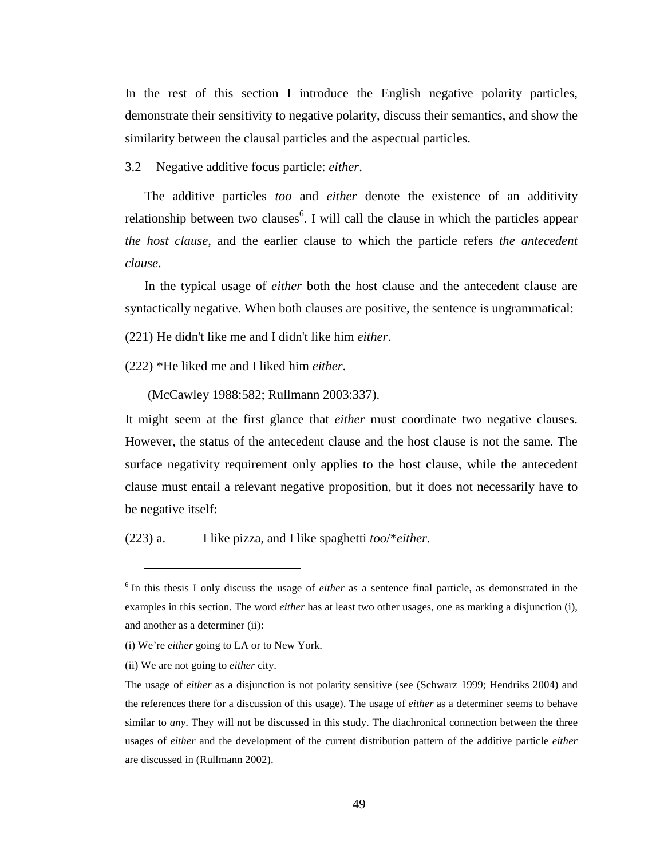In the rest of this section I introduce the English negative polarity particles, demonstrate their sensitivity to negative polarity, discuss their semantics, and show the similarity between the clausal particles and the aspectual particles.

3.2 Negative additive focus particle: *either*.

The additive particles *too* and *either* denote the existence of an additivity relationship between two clauses<sup>6</sup>. I will call the clause in which the particles appear *the host clause*, and the earlier clause to which the particle refers *the antecedent clause*.

In the typical usage of *either* both the host clause and the antecedent clause are syntactically negative. When both clauses are positive, the sentence is ungrammatical:

(221) He didn't like me and I didn't like him *either*.

(222) \*He liked me and I liked him *either*.

(McCawley 1988:582; Rullmann 2003:337).

It might seem at the first glance that *either* must coordinate two negative clauses. However, the status of the antecedent clause and the host clause is not the same. The surface negativity requirement only applies to the host clause, while the antecedent clause must entail a relevant negative proposition, but it does not necessarily have to be negative itself:

(223) a. I like pizza, and I like spaghetti *too*/\**either*.

 $\overline{a}$ 

<sup>&</sup>lt;sup>6</sup> In this thesis I only discuss the usage of *either* as a sentence final particle, as demonstrated in the examples in this section. The word *either* has at least two other usages, one as marking a disjunction (i), and another as a determiner (ii):

<sup>(</sup>i) We're *either* going to LA or to New York.

<sup>(</sup>ii) We are not going to *either* city.

The usage of *either* as a disjunction is not polarity sensitive (see (Schwarz 1999; Hendriks 2004) and the references there for a discussion of this usage). The usage of *either* as a determiner seems to behave similar to *any*. They will not be discussed in this study. The diachronical connection between the three usages of *either* and the development of the current distribution pattern of the additive particle *either* are discussed in (Rullmann 2002).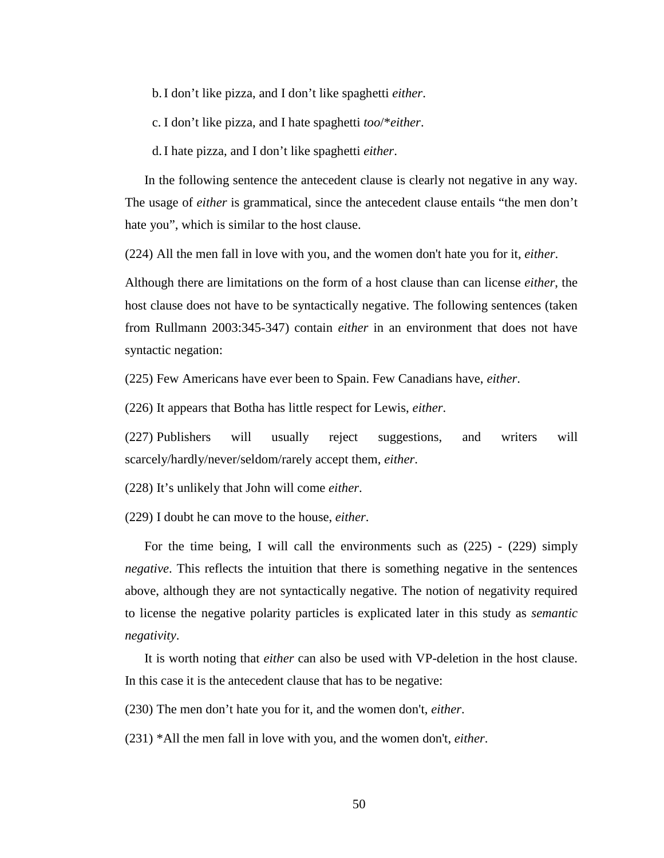b. I don't like pizza, and I don't like spaghetti *either*.

c. I don't like pizza, and I hate spaghetti *too*/\**either*.

d. I hate pizza, and I don't like spaghetti *either*.

In the following sentence the antecedent clause is clearly not negative in any way. The usage of *either* is grammatical, since the antecedent clause entails "the men don't hate you", which is similar to the host clause.

(224) All the men fall in love with you, and the women don't hate you for it, *either*.

Although there are limitations on the form of a host clause than can license *either*, the host clause does not have to be syntactically negative. The following sentences (taken from Rullmann 2003:345-347) contain *either* in an environment that does not have syntactic negation:

(225) Few Americans have ever been to Spain. Few Canadians have, *either*.

(226) It appears that Botha has little respect for Lewis, *either*.

(227) Publishers will usually reject suggestions, and writers will scarcely/hardly/never/seldom/rarely accept them, *either*.

(228) It's unlikely that John will come *either*.

(229) I doubt he can move to the house, *either*.

For the time being, I will call the environments such as (225) - (229) simply *negative*. This reflects the intuition that there is something negative in the sentences above, although they are not syntactically negative. The notion of negativity required to license the negative polarity particles is explicated later in this study as *semantic negativity*.

It is worth noting that *either* can also be used with VP-deletion in the host clause. In this case it is the antecedent clause that has to be negative:

(230) The men don't hate you for it, and the women don't, *either*.

(231) \*All the men fall in love with you, and the women don't, *either*.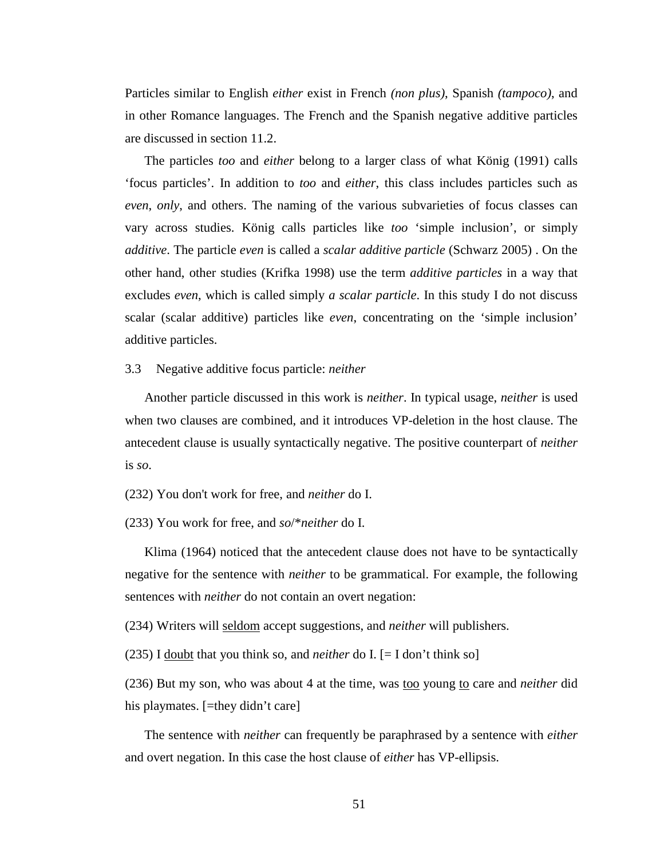Particles similar to English *either* exist in French *(non plus)*, Spanish *(tampoco)*, and in other Romance languages. The French and the Spanish negative additive particles are discussed in section 11.2.

The particles *too* and *either* belong to a larger class of what König (1991) calls 'focus particles'. In addition to *too* and *either*, this class includes particles such as *even*, *only*, and others. The naming of the various subvarieties of focus classes can vary across studies. König calls particles like *too* 'simple inclusion', or simply *additive*. The particle *even* is called a *scalar additive particle* (Schwarz 2005) . On the other hand, other studies (Krifka 1998) use the term *additive particles* in a way that excludes *even*, which is called simply *a scalar particle*. In this study I do not discuss scalar (scalar additive) particles like *even*, concentrating on the 'simple inclusion' additive particles.

3.3 Negative additive focus particle: *neither*

Another particle discussed in this work is *neither*. In typical usage, *neither* is used when two clauses are combined, and it introduces VP-deletion in the host clause. The antecedent clause is usually syntactically negative. The positive counterpart of *neither* is *so*.

(232) You don't work for free, and *neither* do I.

(233) You work for free, and *so*/\**neither* do I.

Klima (1964) noticed that the antecedent clause does not have to be syntactically negative for the sentence with *neither* to be grammatical. For example, the following sentences with *neither* do not contain an overt negation:

(234) Writers will seldom accept suggestions, and *neither* will publishers.

(235) I doubt that you think so, and *neither* do I. [= I don't think so]

(236) But my son, who was about 4 at the time, was <u>too</u> young to care and *neither* did his playmates. [=they didn't care]

The sentence with *neither* can frequently be paraphrased by a sentence with *either* and overt negation. In this case the host clause of *either* has VP-ellipsis.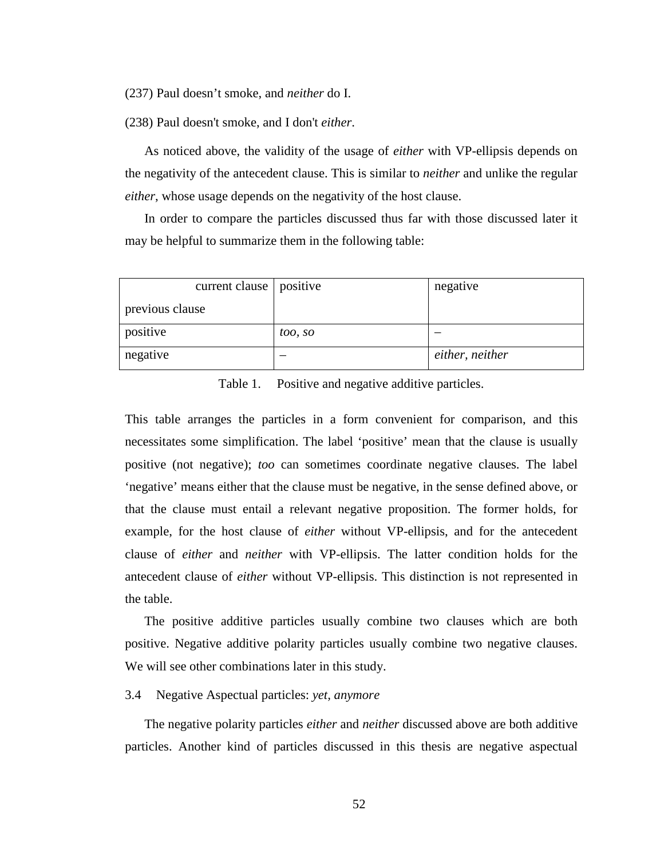(237) Paul doesn't smoke, and *neither* do I.

(238) Paul doesn't smoke, and I don't *either*.

As noticed above, the validity of the usage of *either* with VP-ellipsis depends on the negativity of the antecedent clause. This is similar to *neither* and unlike the regular *either*, whose usage depends on the negativity of the host clause.

In order to compare the particles discussed thus far with those discussed later it may be helpful to summarize them in the following table:

| current clause   positive |         | negative        |
|---------------------------|---------|-----------------|
| previous clause           |         |                 |
| positive                  | too, so |                 |
| negative                  |         | either, neither |

Table 1. Positive and negative additive particles.

This table arranges the particles in a form convenient for comparison, and this necessitates some simplification. The label 'positive' mean that the clause is usually positive (not negative); *too* can sometimes coordinate negative clauses. The label 'negative' means either that the clause must be negative, in the sense defined above, or that the clause must entail a relevant negative proposition. The former holds, for example, for the host clause of *either* without VP-ellipsis, and for the antecedent clause of *either* and *neither* with VP-ellipsis. The latter condition holds for the antecedent clause of *either* without VP-ellipsis. This distinction is not represented in the table.

The positive additive particles usually combine two clauses which are both positive. Negative additive polarity particles usually combine two negative clauses. We will see other combinations later in this study.

#### 3.4 Negative Aspectual particles: *yet, anymore*

The negative polarity particles *either* and *neither* discussed above are both additive particles. Another kind of particles discussed in this thesis are negative aspectual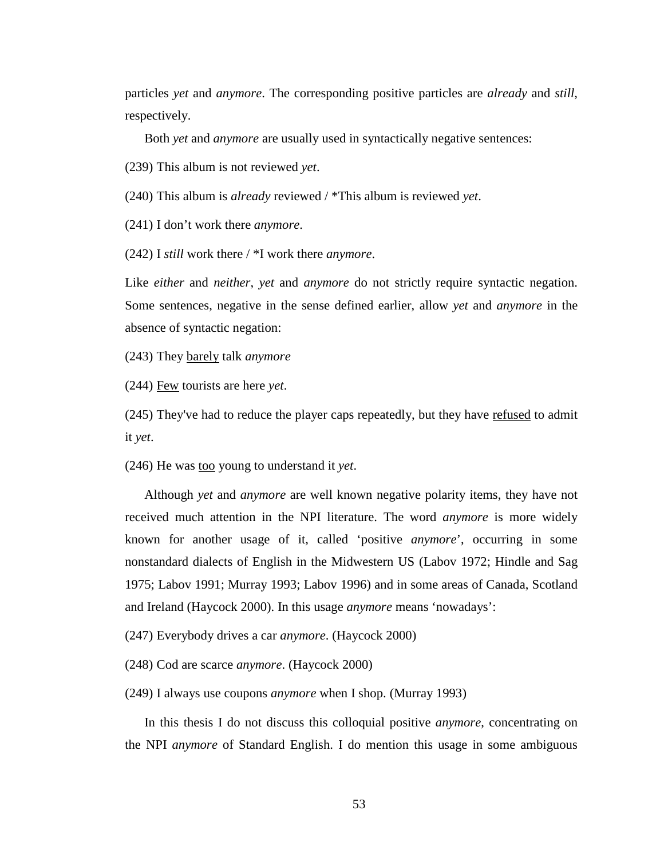particles *yet* and *anymore*. The corresponding positive particles are *already* and *still*, respectively.

Both *yet* and *anymore* are usually used in syntactically negative sentences:

(239) This album is not reviewed *yet*.

(240) This album is *already* reviewed / \*This album is reviewed *yet*.

(241) I don't work there *anymore*.

(242) I *still* work there / \*I work there *anymore*.

Like *either* and *neither*, *yet* and *anymore* do not strictly require syntactic negation. Some sentences, negative in the sense defined earlier, allow *yet* and *anymore* in the absence of syntactic negation:

(243) They barely talk *anymore*

(244) Few tourists are here *yet*.

(245) They've had to reduce the player caps repeatedly, but they have refused to admit it *yet*.

(246) He was too young to understand it *yet*.

Although *yet* and *anymore* are well known negative polarity items, they have not received much attention in the NPI literature. The word *anymore* is more widely known for another usage of it, called 'positive *anymore*', occurring in some nonstandard dialects of English in the Midwestern US (Labov 1972; Hindle and Sag 1975; Labov 1991; Murray 1993; Labov 1996) and in some areas of Canada, Scotland and Ireland (Haycock 2000). In this usage *anymore* means 'nowadays':

(247) Everybody drives a car *anymore*. (Haycock 2000)

(248) Cod are scarce *anymore*. (Haycock 2000)

(249) I always use coupons *anymore* when I shop. (Murray 1993)

In this thesis I do not discuss this colloquial positive *anymore*, concentrating on the NPI *anymore* of Standard English. I do mention this usage in some ambiguous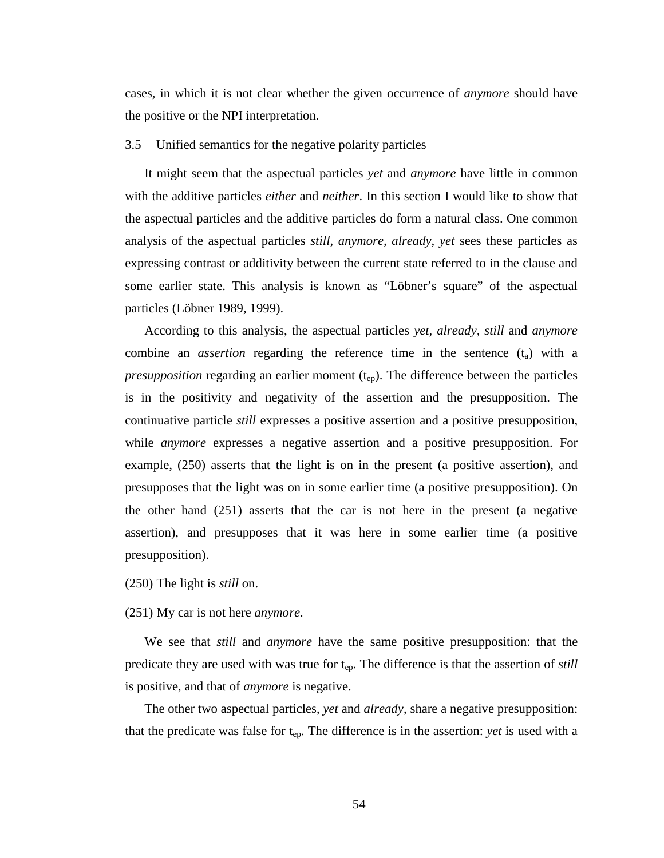cases, in which it is not clear whether the given occurrence of *anymore* should have the positive or the NPI interpretation.

## 3.5 Unified semantics for the negative polarity particles

It might seem that the aspectual particles *yet* and *anymore* have little in common with the additive particles *either* and *neither*. In this section I would like to show that the aspectual particles and the additive particles do form a natural class. One common analysis of the aspectual particles *still, anymore, already, yet* sees these particles as expressing contrast or additivity between the current state referred to in the clause and some earlier state. This analysis is known as "Löbner's square" of the aspectual particles (Löbner 1989, 1999).

According to this analysis, the aspectual particles *yet, already, still* and *anymore* combine an *assertion* regarding the reference time in the sentence  $(t<sub>a</sub>)$  with a *presupposition* regarding an earlier moment  $(t_{en})$ . The difference between the particles is in the positivity and negativity of the assertion and the presupposition. The continuative particle *still* expresses a positive assertion and a positive presupposition, while *anymore* expresses a negative assertion and a positive presupposition. For example, (250) asserts that the light is on in the present (a positive assertion), and presupposes that the light was on in some earlier time (a positive presupposition). On the other hand (251) asserts that the car is not here in the present (a negative assertion), and presupposes that it was here in some earlier time (a positive presupposition).

(250) The light is *still* on.

#### (251) My car is not here *anymore*.

We see that *still* and *anymore* have the same positive presupposition: that the predicate they are used with was true for t<sub>ep</sub>. The difference is that the assertion of *still* is positive, and that of *anymore* is negative.

The other two aspectual particles, *yet* and *already*, share a negative presupposition: that the predicate was false for  $t_{ep}$ . The difference is in the assertion: *yet* is used with a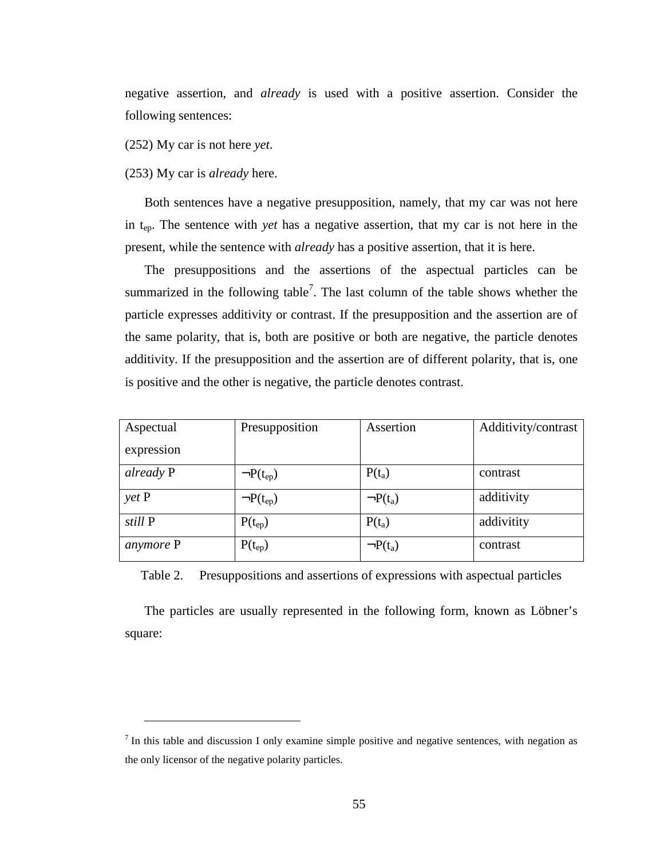negative assertion, and *already* is used with a positive assertion. Consider the following sentences:

(252) My car is not here *yet*.

(253) My car is *already* here.

 $\overline{a}$ 

Both sentences have a negative presupposition, namely, that my car was not here in tep. The sentence with *yet* has a negative assertion, that my car is not here in the present, while the sentence with *already* has a positive assertion, that it is here.

The presuppositions and the assertions of the aspectual particles can be summarized in the following table<sup>7</sup>. The last column of the table shows whether the particle expresses additivity or contrast. If the presupposition and the assertion are of the same polarity, that is, both are positive or both are negative, the particle denotes additivity. If the presupposition and the assertion are of different polarity, that is, one is positive and the other is negative, the particle denotes contrast.

| Aspectual  | Presupposition   | Assertion     | Additivity/contrast |
|------------|------------------|---------------|---------------------|
| expression |                  |               |                     |
| already P  | $\neg P(t_{ep})$ | $P(t_a)$      | contrast            |
| yet P      | $\neg P(t_{ep})$ | $\neg P(t_a)$ | additivity          |
| still P    | $P(t_{ep})$      | $P(t_a)$      | addivitity          |
| anymore P  | $P(t_{ep})$      | $\neg P(t_a)$ | contrast            |

Table 2. Presuppositions and assertions of expressions with aspectual particles

The particles are usually represented in the following form, known as Löbner's square:

 $<sup>7</sup>$  In this table and discussion I only examine simple positive and negative sentences, with negation as</sup> the only licensor of the negative polarity particles.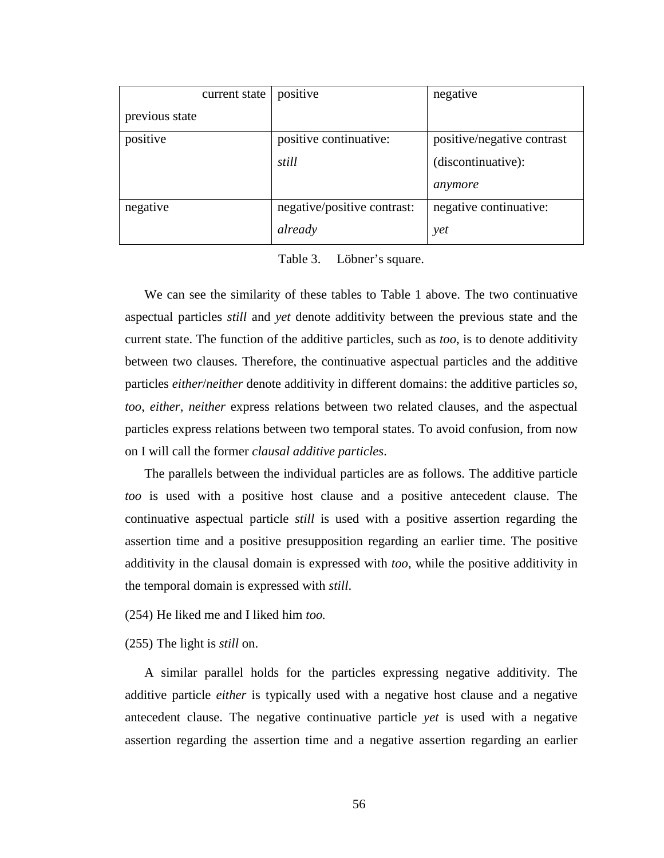|                | current state | positive                    | negative                   |
|----------------|---------------|-----------------------------|----------------------------|
| previous state |               |                             |                            |
| positive       |               | positive continuative:      | positive/negative contrast |
|                |               | still                       | (discontinuative):         |
|                |               |                             | anymore                    |
| negative       |               | negative/positive contrast: | negative continuative:     |
|                |               | already                     | yet                        |

Table 3. Löbner's square.

We can see the similarity of these tables to Table 1 above. The two continuative aspectual particles *still* and *yet* denote additivity between the previous state and the current state. The function of the additive particles, such as *too*, is to denote additivity between two clauses. Therefore, the continuative aspectual particles and the additive particles *either*/*neither* denote additivity in different domains: the additive particles *so*, *too*, *either*, *neither* express relations between two related clauses, and the aspectual particles express relations between two temporal states. To avoid confusion, from now on I will call the former *clausal additive particles*.

The parallels between the individual particles are as follows. The additive particle *too* is used with a positive host clause and a positive antecedent clause. The continuative aspectual particle *still* is used with a positive assertion regarding the assertion time and a positive presupposition regarding an earlier time. The positive additivity in the clausal domain is expressed with *too*, while the positive additivity in the temporal domain is expressed with *still*.

(254) He liked me and I liked him *too.*

(255) The light is *still* on.

A similar parallel holds for the particles expressing negative additivity. The additive particle *either* is typically used with a negative host clause and a negative antecedent clause. The negative continuative particle *yet* is used with a negative assertion regarding the assertion time and a negative assertion regarding an earlier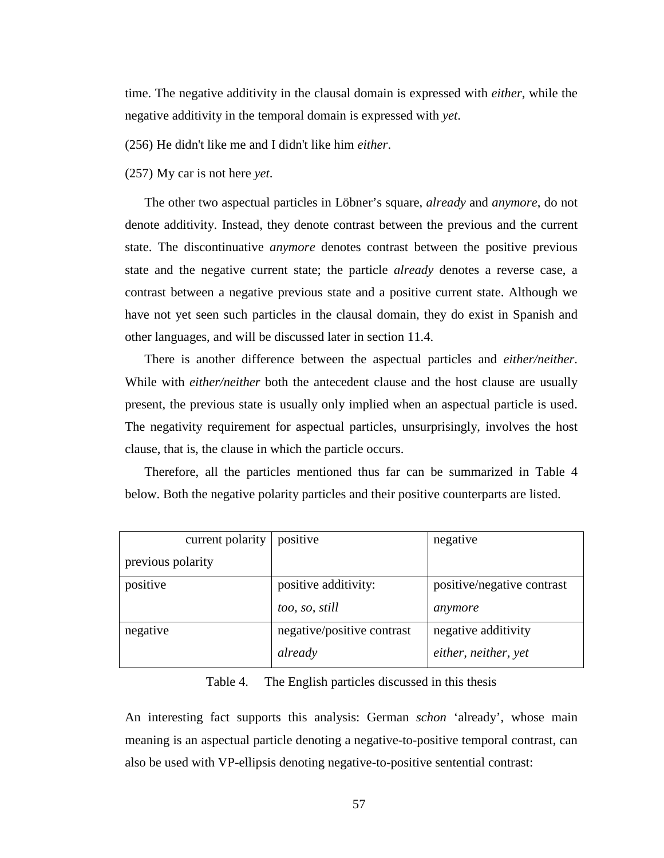time. The negative additivity in the clausal domain is expressed with *either*, while the negative additivity in the temporal domain is expressed with *yet*.

(256) He didn't like me and I didn't like him *either*.

(257) My car is not here *yet*.

The other two aspectual particles in Löbner's square, *already* and *anymore*, do not denote additivity. Instead, they denote contrast between the previous and the current state. The discontinuative *anymore* denotes contrast between the positive previous state and the negative current state; the particle *already* denotes a reverse case, a contrast between a negative previous state and a positive current state. Although we have not yet seen such particles in the clausal domain, they do exist in Spanish and other languages, and will be discussed later in section 11.4.

There is another difference between the aspectual particles and *either/neither*. While with *either/neither* both the antecedent clause and the host clause are usually present, the previous state is usually only implied when an aspectual particle is used. The negativity requirement for aspectual particles, unsurprisingly, involves the host clause, that is, the clause in which the particle occurs.

Therefore, all the particles mentioned thus far can be summarized in Table 4 below. Both the negative polarity particles and their positive counterparts are listed.

| current polarity  | positive                   | negative                   |
|-------------------|----------------------------|----------------------------|
| previous polarity |                            |                            |
| positive          | positive additivity:       | positive/negative contrast |
|                   | too, so, still             | anymore                    |
| negative          | negative/positive contrast | negative additivity        |
|                   | already                    | either, neither, yet       |

## Table 4. The English particles discussed in this thesis

An interesting fact supports this analysis: German *schon* 'already', whose main meaning is an aspectual particle denoting a negative-to-positive temporal contrast, can also be used with VP-ellipsis denoting negative-to-positive sentential contrast: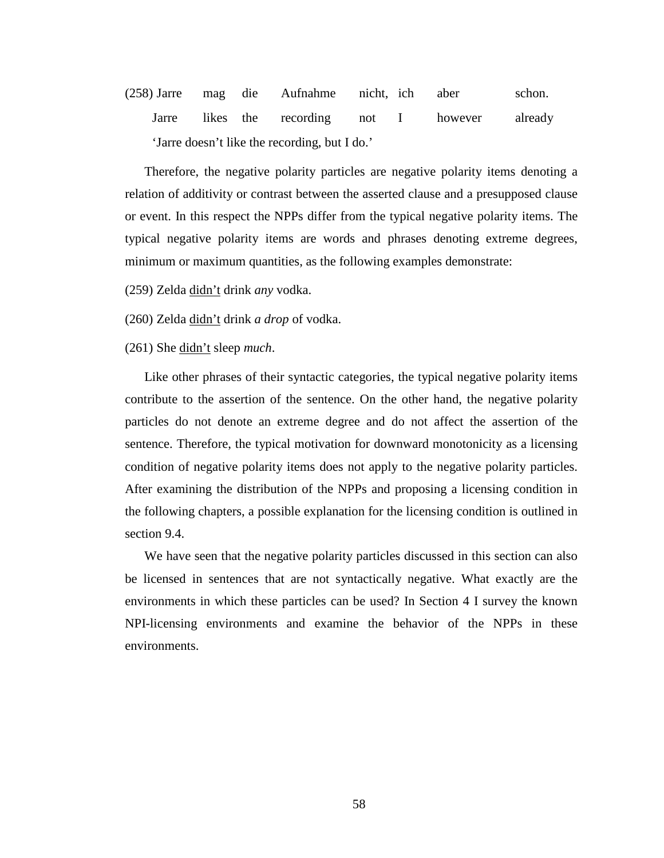(258) Jarre mag die Aufnahme nicht, ich aber schon. Jarre likes the recording not I however already 'Jarre doesn't like the recording, but I do.'

Therefore, the negative polarity particles are negative polarity items denoting a relation of additivity or contrast between the asserted clause and a presupposed clause or event. In this respect the NPPs differ from the typical negative polarity items. The typical negative polarity items are words and phrases denoting extreme degrees, minimum or maximum quantities, as the following examples demonstrate:

(259) Zelda didn't drink *any* vodka.

(260) Zelda didn't drink *a drop* of vodka.

(261) She didn't sleep *much*.

Like other phrases of their syntactic categories, the typical negative polarity items contribute to the assertion of the sentence. On the other hand, the negative polarity particles do not denote an extreme degree and do not affect the assertion of the sentence. Therefore, the typical motivation for downward monotonicity as a licensing condition of negative polarity items does not apply to the negative polarity particles. After examining the distribution of the NPPs and proposing a licensing condition in the following chapters, a possible explanation for the licensing condition is outlined in section 9.4.

We have seen that the negative polarity particles discussed in this section can also be licensed in sentences that are not syntactically negative. What exactly are the environments in which these particles can be used? In Section 4 I survey the known NPI-licensing environments and examine the behavior of the NPPs in these environments.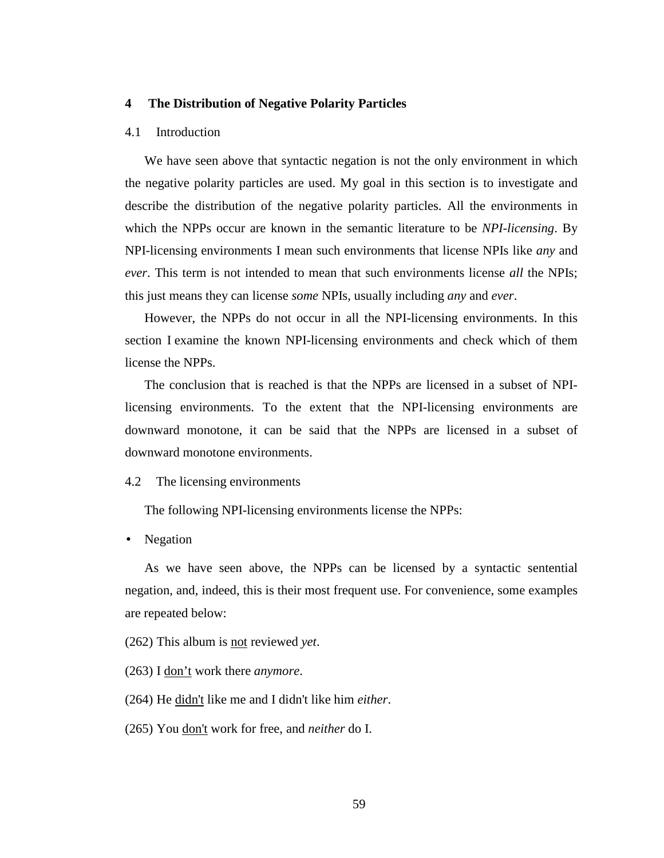## **4 The Distribution of Negative Polarity Particles**

#### 4.1 Introduction

We have seen above that syntactic negation is not the only environment in which the negative polarity particles are used. My goal in this section is to investigate and describe the distribution of the negative polarity particles. All the environments in which the NPPs occur are known in the semantic literature to be *NPI-licensing*. By NPI-licensing environments I mean such environments that license NPIs like *any* and *ever*. This term is not intended to mean that such environments license *all* the NPIs; this just means they can license *some* NPIs, usually including *any* and *ever*.

However, the NPPs do not occur in all the NPI-licensing environments. In this section I examine the known NPI-licensing environments and check which of them license the NPPs.

The conclusion that is reached is that the NPPs are licensed in a subset of NPIlicensing environments. To the extent that the NPI-licensing environments are downward monotone, it can be said that the NPPs are licensed in a subset of downward monotone environments.

## 4.2 The licensing environments

The following NPI-licensing environments license the NPPs:

• Negation

As we have seen above, the NPPs can be licensed by a syntactic sentential negation, and, indeed, this is their most frequent use. For convenience, some examples are repeated below:

(262) This album is not reviewed *yet*.

(263) I don't work there *anymore*.

(264) He didn't like me and I didn't like him *either*.

(265) You don't work for free, and *neither* do I.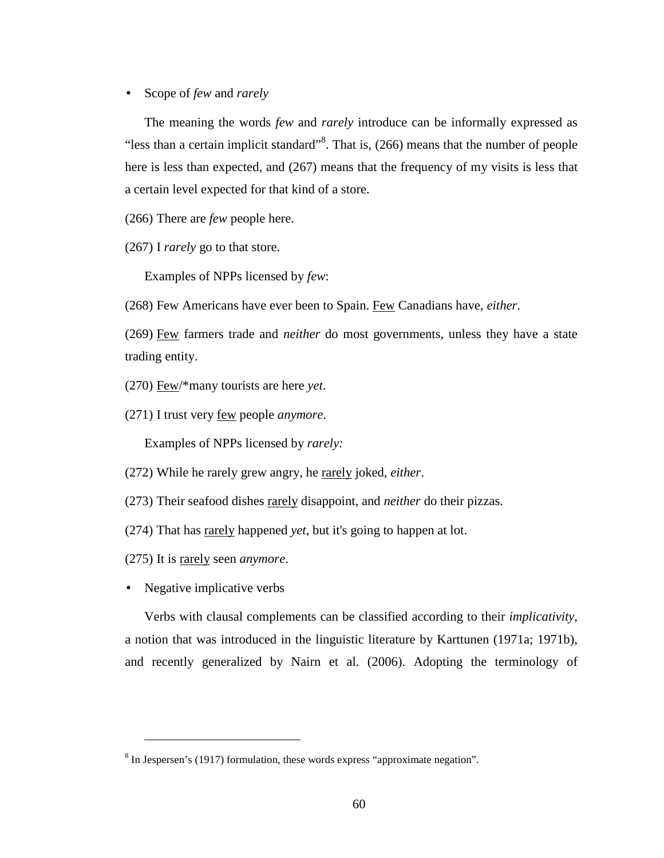• Scope of *few* and *rarely*

The meaning the words *few* and *rarely* introduce can be informally expressed as "less than a certain implicit standard" $8$ . That is, (266) means that the number of people here is less than expected, and (267) means that the frequency of my visits is less that a certain level expected for that kind of a store.

(266) There are *few* people here.

(267) I *rarely* go to that store.

Examples of NPPs licensed by *few*:

(268) Few Americans have ever been to Spain. Few Canadians have, *either*.

(269) Few farmers trade and *neither* do most governments, unless they have a state trading entity.

(270) Few/\*many tourists are here *yet*.

(271) I trust very few people *anymore*.

Examples of NPPs licensed by *rarely:* 

(272) While he rarely grew angry, he rarely joked, *either*.

(273) Their seafood dishes rarely disappoint, and *neither* do their pizzas.

(274) That has rarely happened *yet*, but it's going to happen at lot.

- (275) It is rarely seen *anymore*.
- Negative implicative verbs

 $\overline{a}$ 

Verbs with clausal complements can be classified according to their *implicativity*, a notion that was introduced in the linguistic literature by Karttunen (1971a; 1971b), and recently generalized by Nairn et al. (2006). Adopting the terminology of

 $8$  In Jespersen's (1917) formulation, these words express "approximate negation".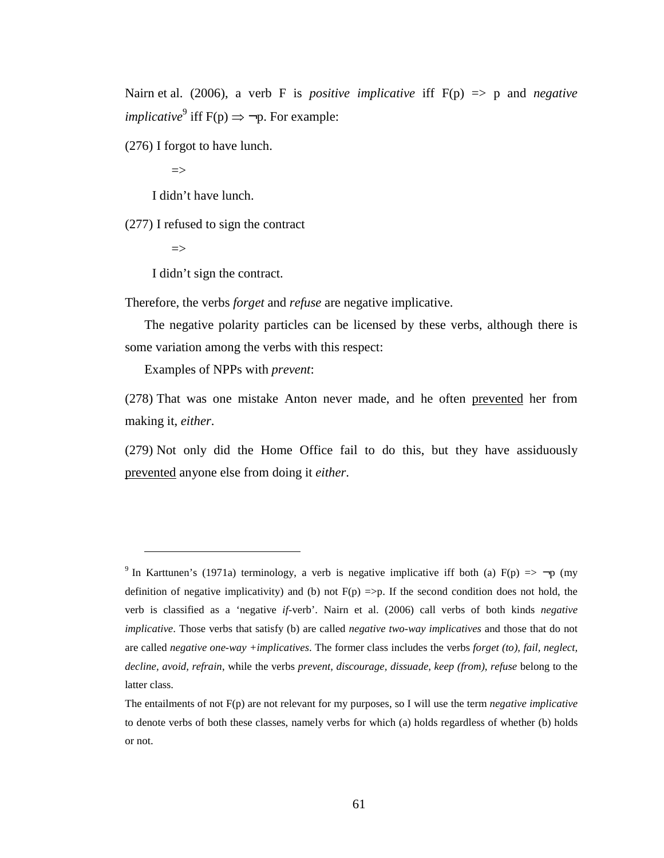Nairn et al. (2006), a verb F is *positive implicative* iff F(p) => p and *negative implicative*<sup>9</sup> iff  $F(p) \Rightarrow \neg p$ . For example:

(276) I forgot to have lunch.

 $\Rightarrow$ 

I didn't have lunch.

(277) I refused to sign the contract

 $\Rightarrow$ 

 $\overline{a}$ 

I didn't sign the contract.

Therefore, the verbs *forget* and *refuse* are negative implicative.

The negative polarity particles can be licensed by these verbs, although there is some variation among the verbs with this respect:

Examples of NPPs with *prevent*:

(278) That was one mistake Anton never made, and he often prevented her from making it, *either*.

(279) Not only did the Home Office fail to do this, but they have assiduously prevented anyone else from doing it *either*.

<sup>&</sup>lt;sup>9</sup> In Karttunen's (1971a) terminology, a verb is negative implicative iff both (a)  $F(p) \implies \neg p$  (my definition of negative implicativity) and (b) not  $F(p) \implies p$ . If the second condition does not hold, the verb is classified as a 'negative *if*-verb'. Nairn et al. (2006) call verbs of both kinds *negative implicative*. Those verbs that satisfy (b) are called *negative two-way implicatives* and those that do not are called *negative one-way +implicatives*. The former class includes the verbs *forget (to), fail, neglect, decline, avoid, refrain*, while the verbs *prevent, discourage, dissuade, keep (from)*, *refuse* belong to the latter class.

The entailments of not F(p) are not relevant for my purposes, so I will use the term *negative implicative* to denote verbs of both these classes, namely verbs for which (a) holds regardless of whether (b) holds or not.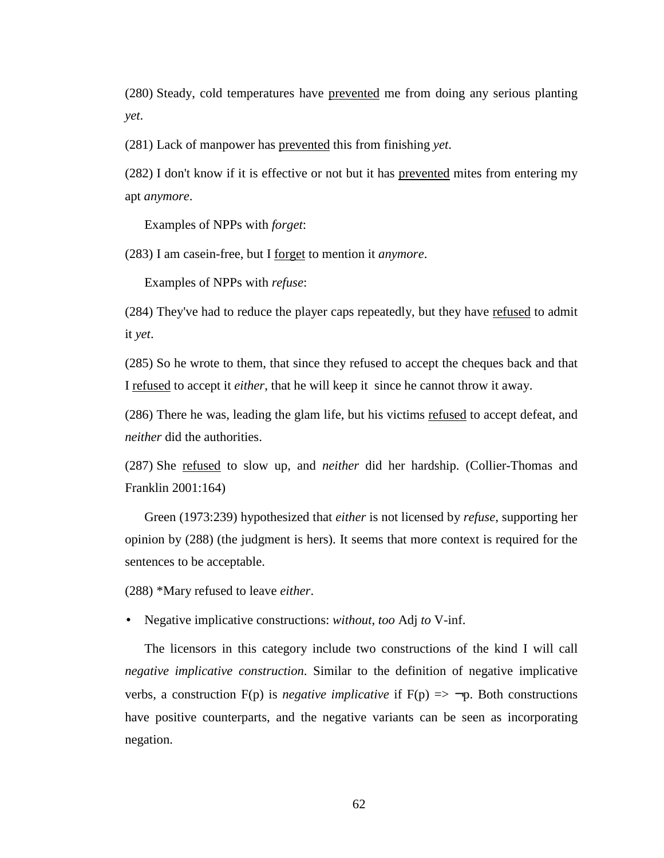(280) Steady, cold temperatures have prevented me from doing any serious planting *yet*.

(281) Lack of manpower has prevented this from finishing *yet*.

(282) I don't know if it is effective or not but it has prevented mites from entering my apt *anymore*.

Examples of NPPs with *forget*:

(283) I am casein-free, but I forget to mention it *anymore*.

Examples of NPPs with *refuse*:

(284) They've had to reduce the player caps repeatedly, but they have refused to admit it *yet*.

(285) So he wrote to them, that since they refused to accept the cheques back and that I refused to accept it *either*, that he will keep it since he cannot throw it away.

(286) There he was, leading the glam life, but his victims refused to accept defeat, and *neither* did the authorities.

(287) She refused to slow up, and *neither* did her hardship. (Collier-Thomas and Franklin 2001:164)

Green (1973:239) hypothesized that *either* is not licensed by *refuse*, supporting her opinion by (288) (the judgment is hers). It seems that more context is required for the sentences to be acceptable.

(288) \*Mary refused to leave *either*.

• Negative implicative constructions: *without*, *too* Adj *to* V-inf.

The licensors in this category include two constructions of the kind I will call *negative implicative construction*. Similar to the definition of negative implicative verbs, a construction  $F(p)$  is *negative implicative* if  $F(p) \implies \neg p$ . Both constructions have positive counterparts, and the negative variants can be seen as incorporating negation.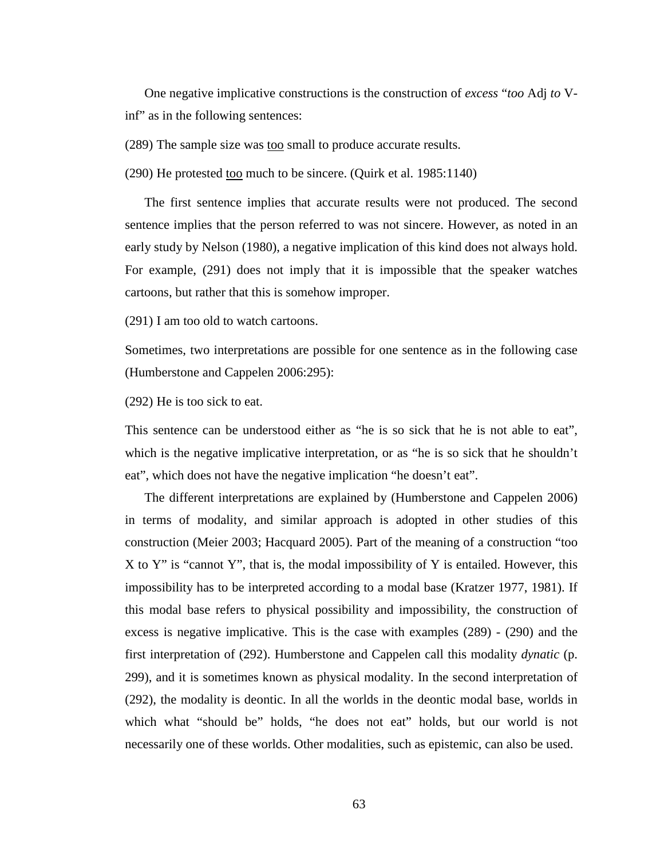One negative implicative constructions is the construction of *excess* "*too* Adj *to* Vinf" as in the following sentences:

(289) The sample size was too small to produce accurate results.

(290) He protested too much to be sincere. (Quirk et al. 1985:1140)

The first sentence implies that accurate results were not produced. The second sentence implies that the person referred to was not sincere. However, as noted in an early study by Nelson (1980), a negative implication of this kind does not always hold. For example, (291) does not imply that it is impossible that the speaker watches cartoons, but rather that this is somehow improper.

(291) I am too old to watch cartoons.

Sometimes, two interpretations are possible for one sentence as in the following case (Humberstone and Cappelen 2006:295):

(292) He is too sick to eat.

This sentence can be understood either as "he is so sick that he is not able to eat", which is the negative implicative interpretation, or as "he is so sick that he shouldn't eat", which does not have the negative implication "he doesn't eat".

The different interpretations are explained by (Humberstone and Cappelen 2006) in terms of modality, and similar approach is adopted in other studies of this construction (Meier 2003; Hacquard 2005). Part of the meaning of a construction "too X to Y" is "cannot Y", that is, the modal impossibility of Y is entailed. However, this impossibility has to be interpreted according to a modal base (Kratzer 1977, 1981). If this modal base refers to physical possibility and impossibility, the construction of excess is negative implicative. This is the case with examples (289) - (290) and the first interpretation of (292). Humberstone and Cappelen call this modality *dynatic* (p. 299), and it is sometimes known as physical modality. In the second interpretation of (292), the modality is deontic. In all the worlds in the deontic modal base, worlds in which what "should be" holds, "he does not eat" holds, but our world is not necessarily one of these worlds. Other modalities, such as epistemic, can also be used.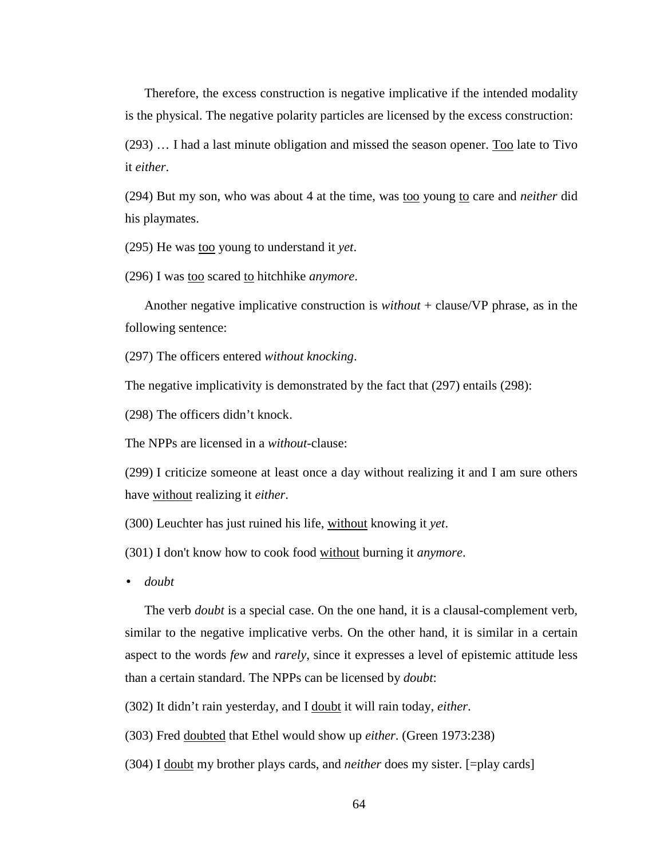Therefore, the excess construction is negative implicative if the intended modality is the physical. The negative polarity particles are licensed by the excess construction:

(293) … I had a last minute obligation and missed the season opener. Too late to Tivo it *either*.

(294) But my son, who was about 4 at the time, was <u>too</u> young to care and *neither* did his playmates.

(295) He was too young to understand it *yet*.

(296) I was too scared to hitchhike *anymore*.

Another negative implicative construction is *without* + clause/VP phrase, as in the following sentence:

(297) The officers entered *without knocking*.

The negative implicativity is demonstrated by the fact that (297) entails (298):

(298) The officers didn't knock.

The NPPs are licensed in a *without*-clause:

(299) I criticize someone at least once a day without realizing it and I am sure others have without realizing it *either*.

(300) Leuchter has just ruined his life, without knowing it *yet*.

(301) I don't know how to cook food without burning it *anymore*.

• *doubt* 

The verb *doubt* is a special case. On the one hand, it is a clausal-complement verb, similar to the negative implicative verbs. On the other hand, it is similar in a certain aspect to the words *few* and *rarely*, since it expresses a level of epistemic attitude less than a certain standard. The NPPs can be licensed by *doubt*:

(302) It didn't rain yesterday, and I doubt it will rain today, *either*.

(303) Fred doubted that Ethel would show up *either*. (Green 1973:238)

(304) I doubt my brother plays cards, and *neither* does my sister. [=play cards]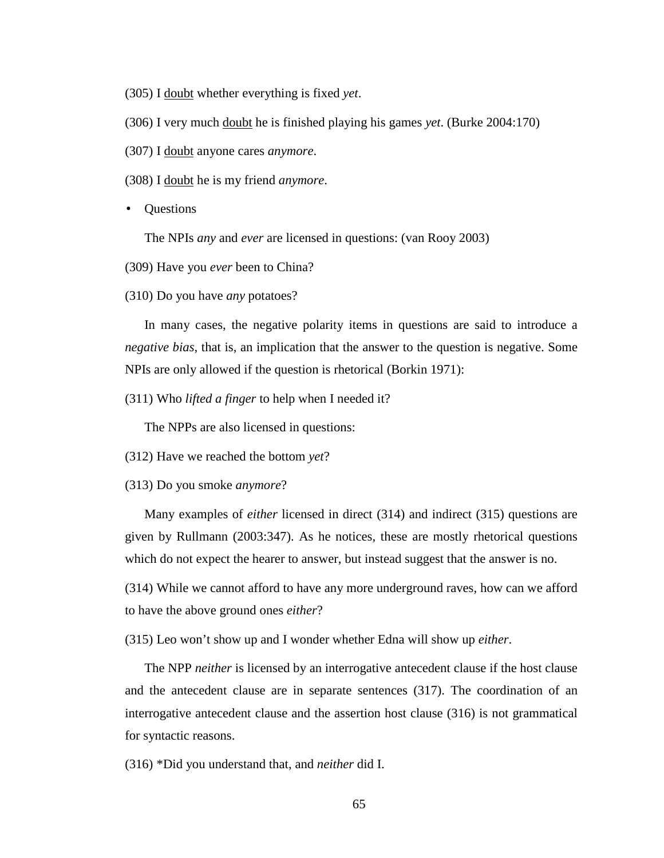(305) I doubt whether everything is fixed *yet*.

(306) I very much doubt he is finished playing his games *yet*. (Burke 2004:170)

(307) I doubt anyone cares *anymore*.

(308) I doubt he is my friend *anymore*.

• Questions

The NPIs *any* and *ever* are licensed in questions: (van Rooy 2003)

(309) Have you *ever* been to China?

(310) Do you have *any* potatoes?

In many cases, the negative polarity items in questions are said to introduce a *negative bias*, that is, an implication that the answer to the question is negative. Some NPIs are only allowed if the question is rhetorical (Borkin 1971):

(311) Who *lifted a finger* to help when I needed it?

The NPPs are also licensed in questions:

(312) Have we reached the bottom *yet*?

(313) Do you smoke *anymore*?

Many examples of *either* licensed in direct (314) and indirect (315) questions are given by Rullmann (2003:347). As he notices, these are mostly rhetorical questions which do not expect the hearer to answer, but instead suggest that the answer is no.

(314) While we cannot afford to have any more underground raves, how can we afford to have the above ground ones *either*?

(315) Leo won't show up and I wonder whether Edna will show up *either*.

The NPP *neither* is licensed by an interrogative antecedent clause if the host clause and the antecedent clause are in separate sentences (317). The coordination of an interrogative antecedent clause and the assertion host clause (316) is not grammatical for syntactic reasons.

(316) \*Did you understand that, and *neither* did I.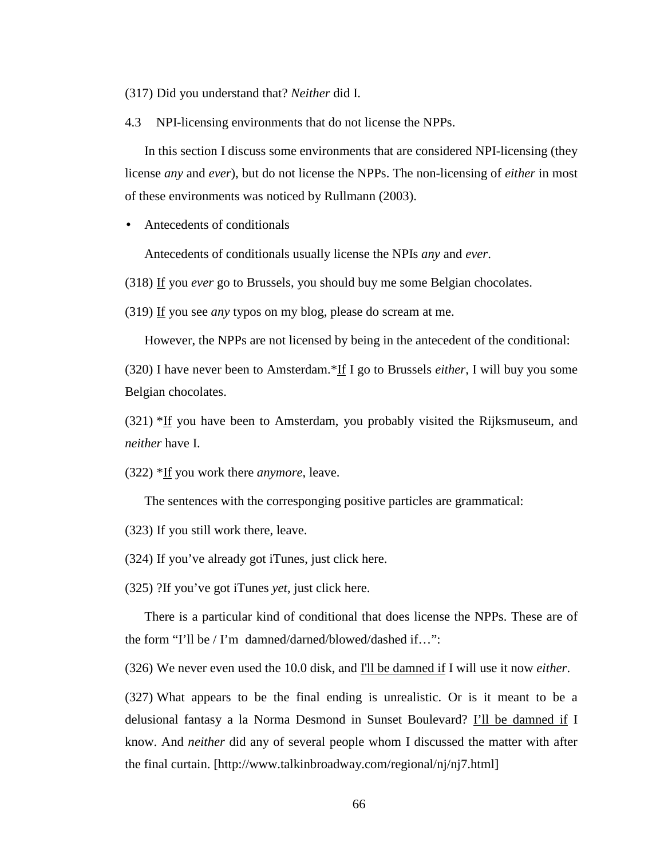(317) Did you understand that? *Neither* did I.

4.3 NPI-licensing environments that do not license the NPPs.

In this section I discuss some environments that are considered NPI-licensing (they license *any* and *ever*), but do not license the NPPs. The non-licensing of *either* in most of these environments was noticed by Rullmann (2003).

• Antecedents of conditionals

Antecedents of conditionals usually license the NPIs *any* and *ever*.

(318) If you *ever* go to Brussels, you should buy me some Belgian chocolates.

(319) If you see *any* typos on my blog, please do scream at me.

However, the NPPs are not licensed by being in the antecedent of the conditional:

(320) I have never been to Amsterdam.\*If I go to Brussels *either*, I will buy you some Belgian chocolates.

(321) \*If you have been to Amsterdam, you probably visited the Rijksmuseum, and *neither* have I.

(322) \*If you work there *anymore*, leave.

The sentences with the corresponging positive particles are grammatical:

(323) If you still work there, leave.

(324) If you've already got iTunes, just click here.

(325) ?If you've got iTunes *yet*, just click here.

There is a particular kind of conditional that does license the NPPs. These are of the form "I'll be / I'm damned/darned/blowed/dashed if…":

(326) We never even used the 10.0 disk, and I'll be damned if I will use it now *either*.

(327) What appears to be the final ending is unrealistic. Or is it meant to be a delusional fantasy a la Norma Desmond in Sunset Boulevard? I'll be damned if I know. And *neither* did any of several people whom I discussed the matter with after the final curtain. [http://www.talkinbroadway.com/regional/nj/nj7.html]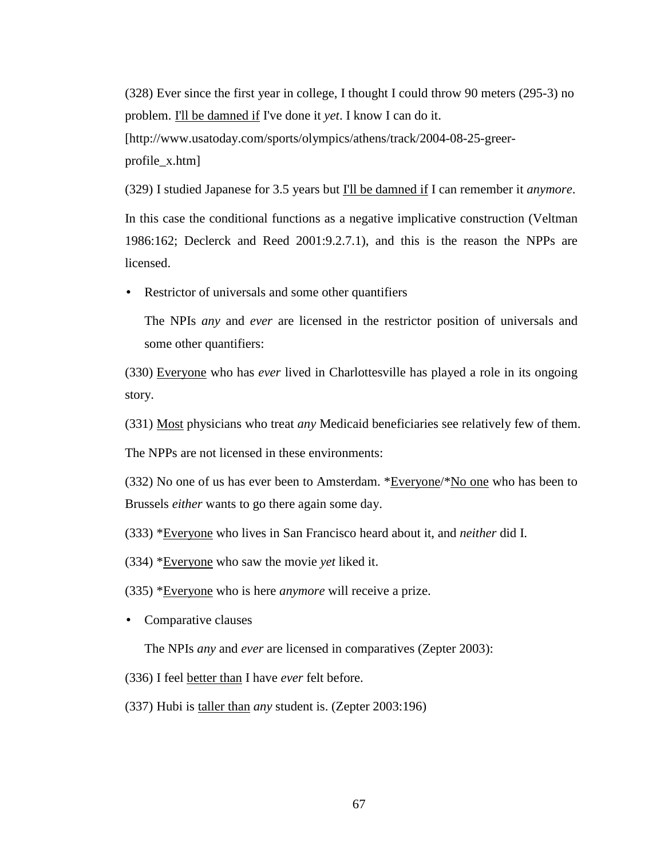(328) Ever since the first year in college, I thought I could throw 90 meters (295-3) no problem. I'll be damned if I've done it *yet*. I know I can do it. [http://www.usatoday.com/sports/olympics/athens/track/2004-08-25-greerprofile\_x.htm]

(329) I studied Japanese for 3.5 years but I'll be damned if I can remember it *anymore*. In this case the conditional functions as a negative implicative construction (Veltman 1986:162; Declerck and Reed 2001:9.2.7.1), and this is the reason the NPPs are licensed.

• Restrictor of universals and some other quantifiers

The NPIs *any* and *ever* are licensed in the restrictor position of universals and some other quantifiers:

(330) Everyone who has *ever* lived in Charlottesville has played a role in its ongoing story.

(331) Most physicians who treat *any* Medicaid beneficiaries see relatively few of them.

The NPPs are not licensed in these environments:

(332) No one of us has ever been to Amsterdam. \*Everyone/\*No one who has been to Brussels *either* wants to go there again some day.

(333) \*Everyone who lives in San Francisco heard about it, and *neither* did I.

(334) \*Everyone who saw the movie *yet* liked it.

(335) \*Everyone who is here *anymore* will receive a prize.

• Comparative clauses

The NPIs *any* and *ever* are licensed in comparatives (Zepter 2003):

(336) I feel better than I have *ever* felt before.

(337) Hubi is taller than *any* student is. (Zepter 2003:196)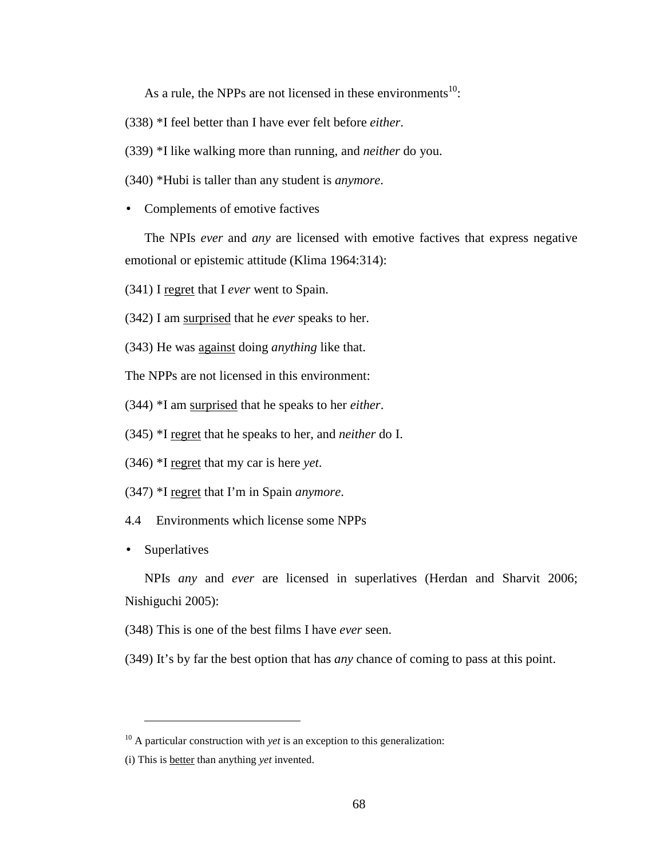As a rule, the NPPs are not licensed in these environments<sup>10</sup>:

(338) \*I feel better than I have ever felt before *either*.

(339) \*I like walking more than running, and *neither* do you.

(340) \*Hubi is taller than any student is *anymore*.

• Complements of emotive factives

The NPIs *ever* and *any* are licensed with emotive factives that express negative emotional or epistemic attitude (Klima 1964:314):

(341) I regret that I *ever* went to Spain.

(342) I am surprised that he *ever* speaks to her.

(343) He was against doing *anything* like that.

The NPPs are not licensed in this environment:

- (344) \*I am surprised that he speaks to her *either*.
- (345) \*I regret that he speaks to her, and *neither* do I.
- (346) \*I regret that my car is here *yet*.
- (347) \*I regret that I'm in Spain *anymore*.

4.4 Environments which license some NPPs

• Superlatives

 $\overline{a}$ 

NPIs *any* and *ever* are licensed in superlatives (Herdan and Sharvit 2006; Nishiguchi 2005):

(348) This is one of the best films I have *ever* seen.

(349) It's by far the best option that has *any* chance of coming to pass at this point.

<sup>&</sup>lt;sup>10</sup> A particular construction with *yet* is an exception to this generalization:

<sup>(</sup>i) This is better than anything *yet* invented.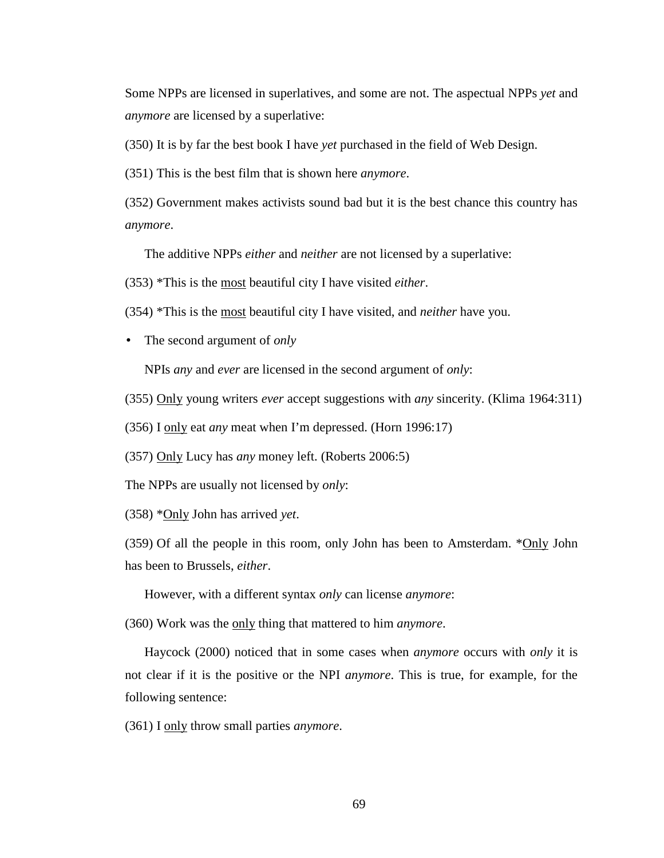Some NPPs are licensed in superlatives, and some are not. The aspectual NPPs *yet* and *anymore* are licensed by a superlative:

(350) It is by far the best book I have *yet* purchased in the field of Web Design.

(351) This is the best film that is shown here *anymore*.

(352) Government makes activists sound bad but it is the best chance this country has *anymore*.

The additive NPPs *either* and *neither* are not licensed by a superlative:

(353) \*This is the most beautiful city I have visited *either*.

(354) \*This is the most beautiful city I have visited, and *neither* have you.

• The second argument of *only*

NPIs *any* and *ever* are licensed in the second argument of *only*:

(355) Only young writers *ever* accept suggestions with *any* sincerity. (Klima 1964:311)

(356) I only eat *any* meat when I'm depressed. (Horn 1996:17)

(357) Only Lucy has *any* money left. (Roberts 2006:5)

The NPPs are usually not licensed by *only*:

(358) \*Only John has arrived *yet*.

(359) Of all the people in this room, only John has been to Amsterdam.  $\sqrt[8]{\text{Only John}}$ has been to Brussels, *either*.

However, with a different syntax *only* can license *anymore*:

(360) Work was the only thing that mattered to him *anymore*.

Haycock (2000) noticed that in some cases when *anymore* occurs with *only* it is not clear if it is the positive or the NPI *anymore*. This is true, for example, for the following sentence:

(361) I only throw small parties *anymore*.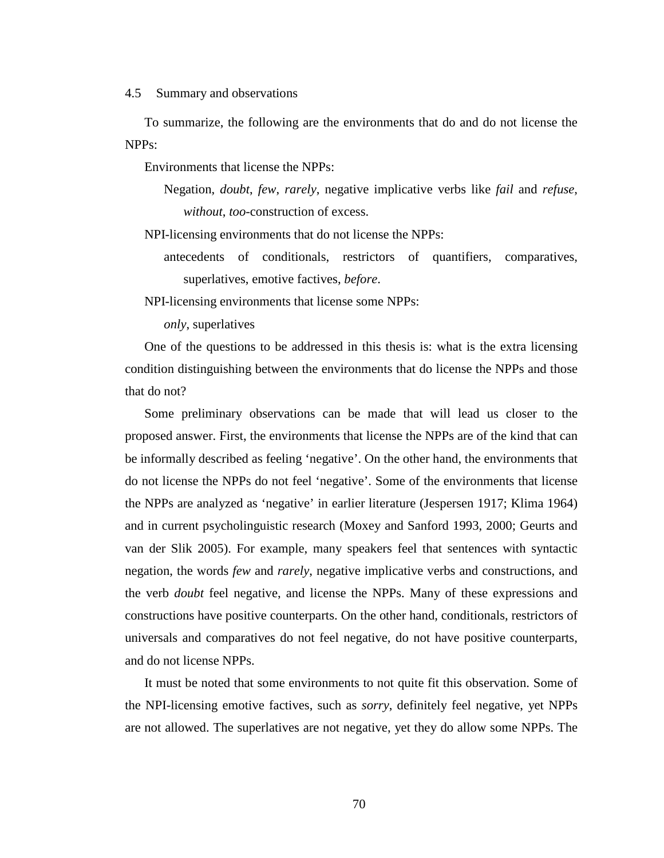#### 4.5 Summary and observations

To summarize, the following are the environments that do and do not license the NPPs:

Environments that license the NPPs:

Negation, *doubt*, *few*, *rarely*, negative implicative verbs like *fail* and *refuse*, *without*, *too*-construction of excess.

NPI-licensing environments that do not license the NPPs:

antecedents of conditionals, restrictors of quantifiers, comparatives, superlatives, emotive factives, *before*.

NPI-licensing environments that license some NPPs:

*only*, superlatives

One of the questions to be addressed in this thesis is: what is the extra licensing condition distinguishing between the environments that do license the NPPs and those that do not?

Some preliminary observations can be made that will lead us closer to the proposed answer. First, the environments that license the NPPs are of the kind that can be informally described as feeling 'negative'. On the other hand, the environments that do not license the NPPs do not feel 'negative'. Some of the environments that license the NPPs are analyzed as 'negative' in earlier literature (Jespersen 1917; Klima 1964) and in current psycholinguistic research (Moxey and Sanford 1993, 2000; Geurts and van der Slik 2005). For example, many speakers feel that sentences with syntactic negation, the words *few* and *rarely*, negative implicative verbs and constructions, and the verb *doubt* feel negative, and license the NPPs. Many of these expressions and constructions have positive counterparts. On the other hand, conditionals, restrictors of universals and comparatives do not feel negative, do not have positive counterparts, and do not license NPPs.

It must be noted that some environments to not quite fit this observation. Some of the NPI-licensing emotive factives, such as *sorry*, definitely feel negative, yet NPPs are not allowed. The superlatives are not negative, yet they do allow some NPPs. The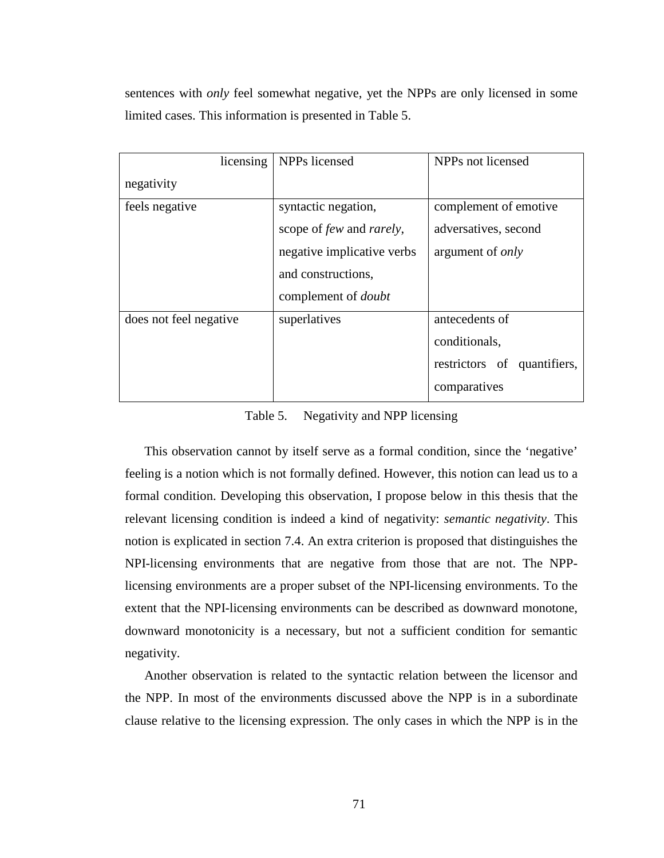sentences with *only* feel somewhat negative, yet the NPPs are only licensed in some limited cases. This information is presented in Table 5.

| licensing              | NPP <sub>s</sub> licensed               | NPP <sub>s</sub> not licensed |  |  |
|------------------------|-----------------------------------------|-------------------------------|--|--|
| negativity             |                                         |                               |  |  |
| feels negative         | syntactic negation,                     | complement of emotive         |  |  |
|                        | scope of <i>few</i> and <i>rarely</i> , | adversatives, second          |  |  |
|                        | negative implicative verbs              | argument of <i>only</i>       |  |  |
|                        | and constructions,                      |                               |  |  |
|                        | complement of <i>doubt</i>              |                               |  |  |
| does not feel negative | superlatives                            | antecedents of                |  |  |
|                        |                                         | conditionals,                 |  |  |
|                        |                                         | restrictors of quantifiers,   |  |  |
|                        |                                         | comparatives                  |  |  |

Table 5. Negativity and NPP licensing

This observation cannot by itself serve as a formal condition, since the 'negative' feeling is a notion which is not formally defined. However, this notion can lead us to a formal condition. Developing this observation, I propose below in this thesis that the relevant licensing condition is indeed a kind of negativity: *semantic negativity*. This notion is explicated in section 7.4. An extra criterion is proposed that distinguishes the NPI-licensing environments that are negative from those that are not. The NPPlicensing environments are a proper subset of the NPI-licensing environments. To the extent that the NPI-licensing environments can be described as downward monotone, downward monotonicity is a necessary, but not a sufficient condition for semantic negativity.

Another observation is related to the syntactic relation between the licensor and the NPP. In most of the environments discussed above the NPP is in a subordinate clause relative to the licensing expression. The only cases in which the NPP is in the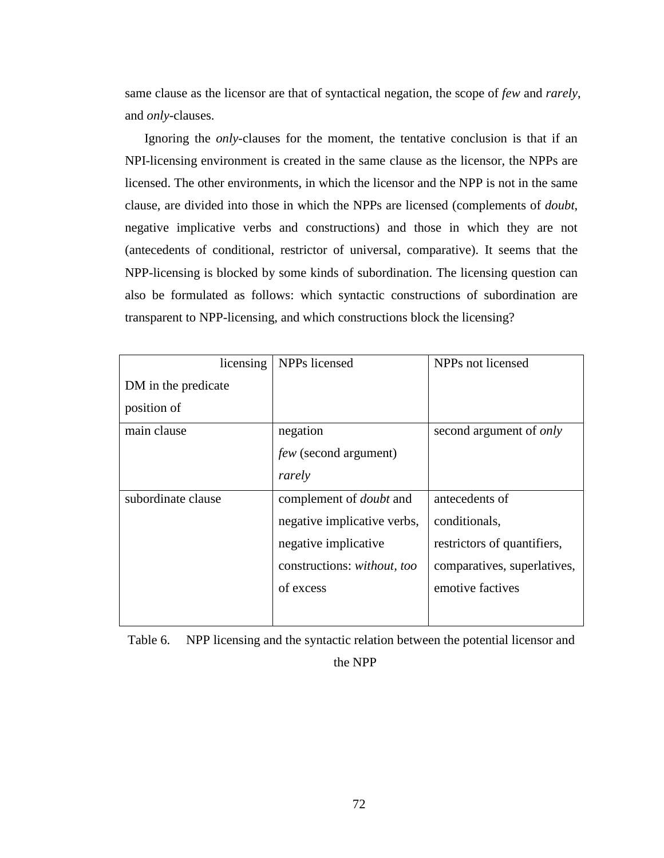same clause as the licensor are that of syntactical negation, the scope of *few* and *rarely*, and *only*-clauses.

Ignoring the *only*-clauses for the moment, the tentative conclusion is that if an NPI-licensing environment is created in the same clause as the licensor, the NPPs are licensed. The other environments, in which the licensor and the NPP is not in the same clause, are divided into those in which the NPPs are licensed (complements of *doubt*, negative implicative verbs and constructions) and those in which they are not (antecedents of conditional, restrictor of universal, comparative). It seems that the NPP-licensing is blocked by some kinds of subordination. The licensing question can also be formulated as follows: which syntactic constructions of subordination are transparent to NPP-licensing, and which constructions block the licensing?

| licensing           | NPPs licensed                  | NPPs not licensed              |  |
|---------------------|--------------------------------|--------------------------------|--|
| DM in the predicate |                                |                                |  |
| position of         |                                |                                |  |
| main clause         | negation                       | second argument of <i>only</i> |  |
|                     | <i>few</i> (second argument)   |                                |  |
|                     | rarely                         |                                |  |
| subordinate clause  | complement of <i>doubt</i> and | antecedents of                 |  |
|                     | negative implicative verbs,    | conditionals,                  |  |
|                     | negative implicative           | restrictors of quantifiers,    |  |
|                     | constructions: without, too    | comparatives, superlatives,    |  |
|                     | of excess                      | emotive factives               |  |
|                     |                                |                                |  |

Table 6. NPP licensing and the syntactic relation between the potential licensor and the NPP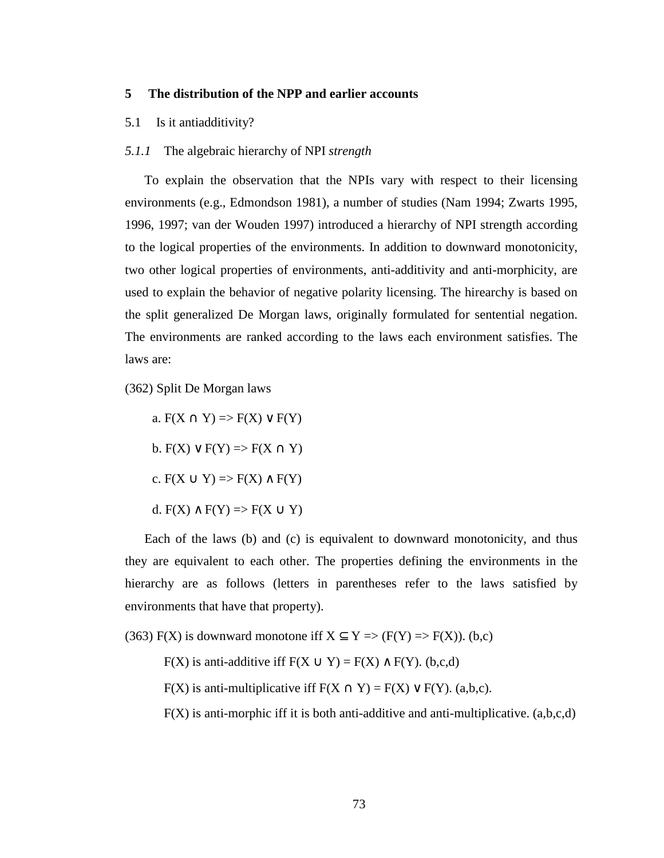### **5 The distribution of the NPP and earlier accounts**

### 5.1 Is it antiadditivity?

## *5.1.1* The algebraic hierarchy of NPI *strength*

To explain the observation that the NPIs vary with respect to their licensing environments (e.g., Edmondson 1981), a number of studies (Nam 1994; Zwarts 1995, 1996, 1997; van der Wouden 1997) introduced a hierarchy of NPI strength according to the logical properties of the environments. In addition to downward monotonicity, two other logical properties of environments, anti-additivity and anti-morphicity, are used to explain the behavior of negative polarity licensing. The hirearchy is based on the split generalized De Morgan laws, originally formulated for sentential negation. The environments are ranked according to the laws each environment satisfies. The laws are:

(362) Split De Morgan laws

a.  $F(X \cap Y) \Rightarrow F(X) \vee F(Y)$ b.  $F(X) \vee F(Y) \Rightarrow F(X \cap Y)$ c.  $F(X \cup Y) \Rightarrow F(X) \wedge F(Y)$ d.  $F(X) \wedge F(Y) \Rightarrow F(X \cup Y)$ 

Each of the laws (b) and (c) is equivalent to downward monotonicity, and thus they are equivalent to each other. The properties defining the environments in the hierarchy are as follows (letters in parentheses refer to the laws satisfied by environments that have that property).

(363) F(X) is downward monotone iff  $X \subseteq Y \implies (F(Y) \implies F(X))$ . (b,c)

F(X) is anti-additive iff  $F(X \cup Y) = F(X) \wedge F(Y)$ . (b,c,d)

F(X) is anti-multiplicative iff  $F(X \cap Y) = F(X) \vee F(Y)$ . (a,b,c).

 $F(X)$  is anti-morphic iff it is both anti-additive and anti-multiplicative.  $(a,b,c,d)$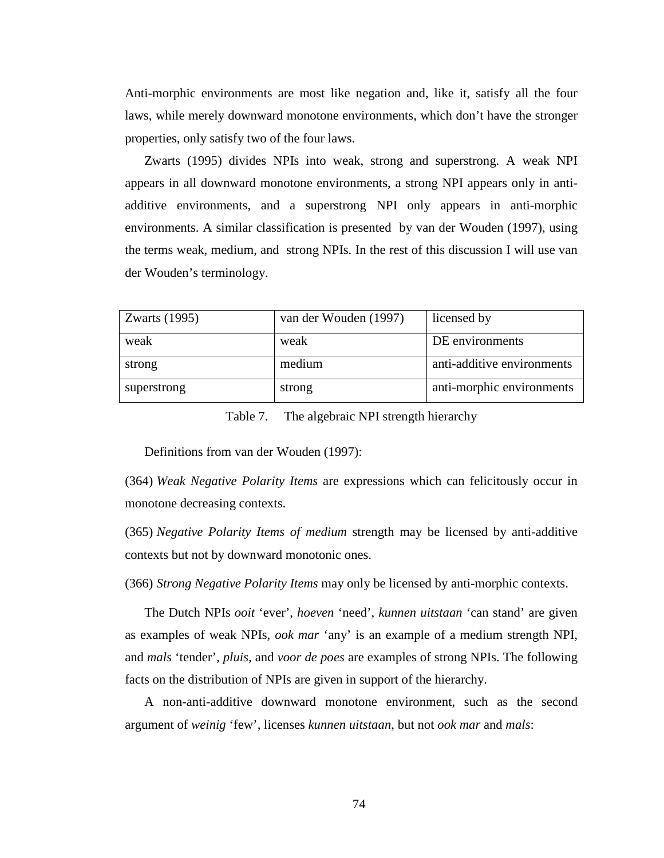Anti-morphic environments are most like negation and, like it, satisfy all the four laws, while merely downward monotone environments, which don't have the stronger properties, only satisfy two of the four laws.

Zwarts (1995) divides NPIs into weak, strong and superstrong. A weak NPI appears in all downward monotone environments, a strong NPI appears only in antiadditive environments, and a superstrong NPI only appears in anti-morphic environments. A similar classification is presented by van der Wouden (1997), using the terms weak, medium, and strong NPIs. In the rest of this discussion I will use van der Wouden's terminology.

| Zwarts $(1995)$ | van der Wouden (1997) | licensed by                |
|-----------------|-----------------------|----------------------------|
| weak            | weak                  | DE environments            |
| strong          | medium                | anti-additive environments |
| superstrong     | strong                | anti-morphic environments  |

Table 7. The algebraic NPI strength hierarchy

Definitions from van der Wouden (1997):

(364) *Weak Negative Polarity Items* are expressions which can felicitously occur in monotone decreasing contexts.

(365) *Negative Polarity Items of medium* strength may be licensed by anti-additive contexts but not by downward monotonic ones.

(366) *Strong Negative Polarity Items* may only be licensed by anti-morphic contexts.

The Dutch NPIs *ooit* 'ever', *hoeven* 'need', *kunnen uitstaan* 'can stand' are given as examples of weak NPIs, *ook mar* 'any' is an example of a medium strength NPI, and *mals* 'tender', *pluis*, and *voor de poes* are examples of strong NPIs. The following facts on the distribution of NPIs are given in support of the hierarchy.

A non-anti-additive downward monotone environment, such as the second argument of *weinig* 'few', licenses *kunnen uitstaan*, but not *ook mar* and *mals*: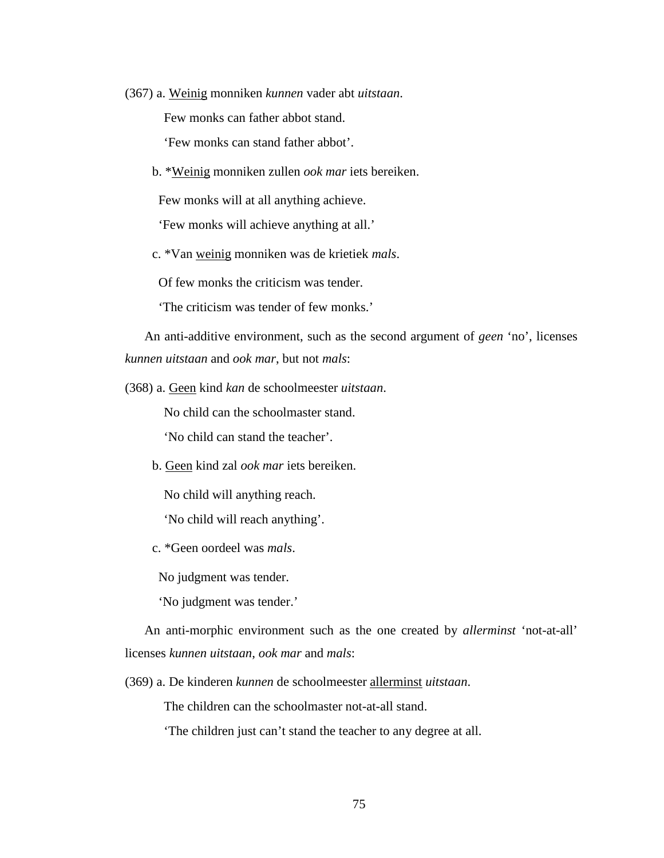(367) a. Weinig monniken *kunnen* vader abt *uitstaan*.

Few monks can father abbot stand.

'Few monks can stand father abbot'.

b. \*Weinig monniken zullen *ook mar* iets bereiken.

Few monks will at all anything achieve.

'Few monks will achieve anything at all.'

c. \*Van weinig monniken was de krietiek *mals*.

Of few monks the criticism was tender.

'The criticism was tender of few monks.'

An anti-additive environment, such as the second argument of *geen* 'no', licenses *kunnen uitstaan* and *ook mar*, but not *mals*:

(368) a. Geen kind *kan* de schoolmeester *uitstaan*.

No child can the schoolmaster stand.

'No child can stand the teacher'.

b. Geen kind zal *ook mar* iets bereiken.

No child will anything reach.

'No child will reach anything'.

c. \*Geen oordeel was *mals*.

No judgment was tender.

'No judgment was tender.'

An anti-morphic environment such as the one created by *allerminst* 'not-at-all' licenses *kunnen uitstaan*, *ook mar* and *mals*:

(369) a. De kinderen *kunnen* de schoolmeester allerminst *uitstaan*.

The children can the schoolmaster not-at-all stand.

'The children just can't stand the teacher to any degree at all.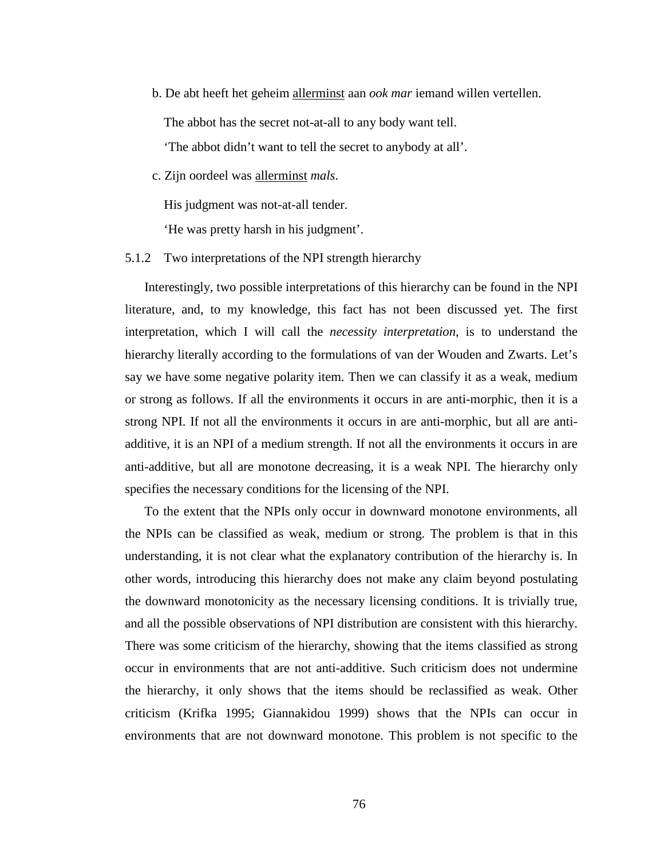b. De abt heeft het geheim allerminst aan *ook mar* iemand willen vertellen.

The abbot has the secret not-at-all to any body want tell.

'The abbot didn't want to tell the secret to anybody at all'.

c. Zijn oordeel was allerminst *mals*.

His judgment was not-at-all tender.

'He was pretty harsh in his judgment'.

5.1.2 Two interpretations of the NPI strength hierarchy

Interestingly, two possible interpretations of this hierarchy can be found in the NPI literature, and, to my knowledge, this fact has not been discussed yet. The first interpretation, which I will call the *necessity interpretation*, is to understand the hierarchy literally according to the formulations of van der Wouden and Zwarts. Let's say we have some negative polarity item. Then we can classify it as a weak, medium or strong as follows. If all the environments it occurs in are anti-morphic, then it is a strong NPI. If not all the environments it occurs in are anti-morphic, but all are antiadditive, it is an NPI of a medium strength. If not all the environments it occurs in are anti-additive, but all are monotone decreasing, it is a weak NPI. The hierarchy only specifies the necessary conditions for the licensing of the NPI.

To the extent that the NPIs only occur in downward monotone environments, all the NPIs can be classified as weak, medium or strong. The problem is that in this understanding, it is not clear what the explanatory contribution of the hierarchy is. In other words, introducing this hierarchy does not make any claim beyond postulating the downward monotonicity as the necessary licensing conditions. It is trivially true, and all the possible observations of NPI distribution are consistent with this hierarchy. There was some criticism of the hierarchy, showing that the items classified as strong occur in environments that are not anti-additive. Such criticism does not undermine the hierarchy, it only shows that the items should be reclassified as weak. Other criticism (Krifka 1995; Giannakidou 1999) shows that the NPIs can occur in environments that are not downward monotone. This problem is not specific to the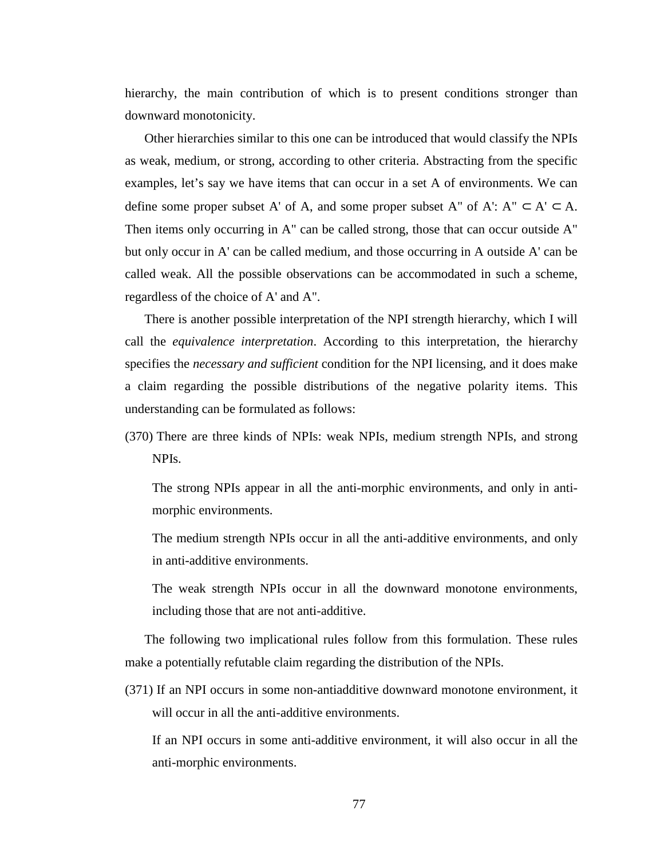hierarchy, the main contribution of which is to present conditions stronger than downward monotonicity.

Other hierarchies similar to this one can be introduced that would classify the NPIs as weak, medium, or strong, according to other criteria. Abstracting from the specific examples, let's say we have items that can occur in a set A of environments. We can define some proper subset A' of A, and some proper subset A" of A':  $A'' \subset A' \subset A$ . Then items only occurring in A" can be called strong, those that can occur outside A" but only occur in A' can be called medium, and those occurring in A outside A' can be called weak. All the possible observations can be accommodated in such a scheme, regardless of the choice of A' and A".

There is another possible interpretation of the NPI strength hierarchy, which I will call the *equivalence interpretation*. According to this interpretation, the hierarchy specifies the *necessary and sufficient* condition for the NPI licensing, and it does make a claim regarding the possible distributions of the negative polarity items. This understanding can be formulated as follows:

(370) There are three kinds of NPIs: weak NPIs, medium strength NPIs, and strong NPIs.

The strong NPIs appear in all the anti-morphic environments, and only in antimorphic environments.

The medium strength NPIs occur in all the anti-additive environments, and only in anti-additive environments.

The weak strength NPIs occur in all the downward monotone environments, including those that are not anti-additive.

The following two implicational rules follow from this formulation. These rules make a potentially refutable claim regarding the distribution of the NPIs.

(371) If an NPI occurs in some non-antiadditive downward monotone environment, it will occur in all the anti-additive environments.

If an NPI occurs in some anti-additive environment, it will also occur in all the anti-morphic environments.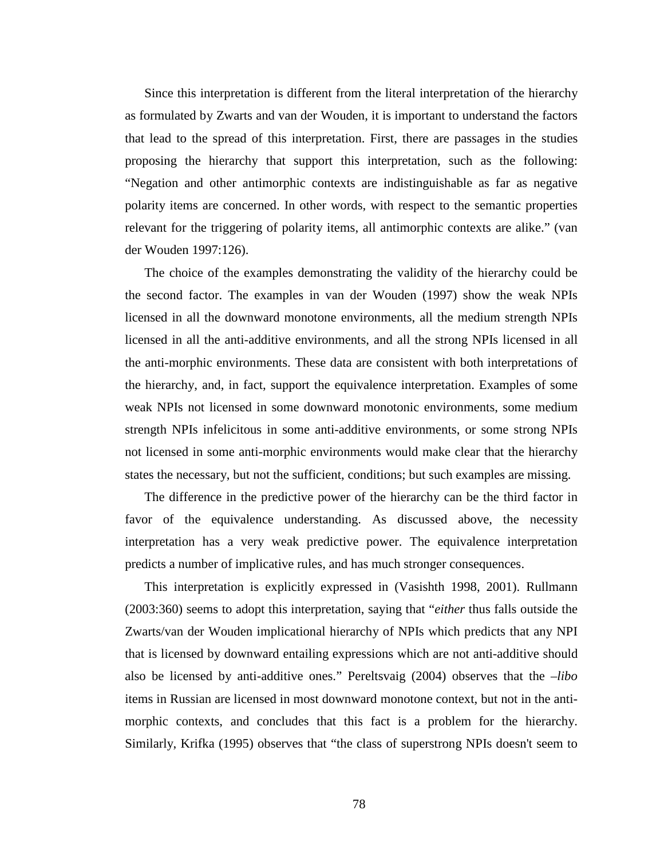Since this interpretation is different from the literal interpretation of the hierarchy as formulated by Zwarts and van der Wouden, it is important to understand the factors that lead to the spread of this interpretation. First, there are passages in the studies proposing the hierarchy that support this interpretation, such as the following: "Negation and other antimorphic contexts are indistinguishable as far as negative polarity items are concerned. In other words, with respect to the semantic properties relevant for the triggering of polarity items, all antimorphic contexts are alike." (van der Wouden 1997:126).

The choice of the examples demonstrating the validity of the hierarchy could be the second factor. The examples in van der Wouden (1997) show the weak NPIs licensed in all the downward monotone environments, all the medium strength NPIs licensed in all the anti-additive environments, and all the strong NPIs licensed in all the anti-morphic environments. These data are consistent with both interpretations of the hierarchy, and, in fact, support the equivalence interpretation. Examples of some weak NPIs not licensed in some downward monotonic environments, some medium strength NPIs infelicitous in some anti-additive environments, or some strong NPIs not licensed in some anti-morphic environments would make clear that the hierarchy states the necessary, but not the sufficient, conditions; but such examples are missing.

The difference in the predictive power of the hierarchy can be the third factor in favor of the equivalence understanding. As discussed above, the necessity interpretation has a very weak predictive power. The equivalence interpretation predicts a number of implicative rules, and has much stronger consequences.

This interpretation is explicitly expressed in (Vasishth 1998, 2001). Rullmann (2003:360) seems to adopt this interpretation, saying that "*either* thus falls outside the Zwarts/van der Wouden implicational hierarchy of NPIs which predicts that any NPI that is licensed by downward entailing expressions which are not anti-additive should also be licensed by anti-additive ones." Pereltsvaig (2004) observes that the *–libo*  items in Russian are licensed in most downward monotone context, but not in the antimorphic contexts, and concludes that this fact is a problem for the hierarchy. Similarly, Krifka (1995) observes that "the class of superstrong NPIs doesn't seem to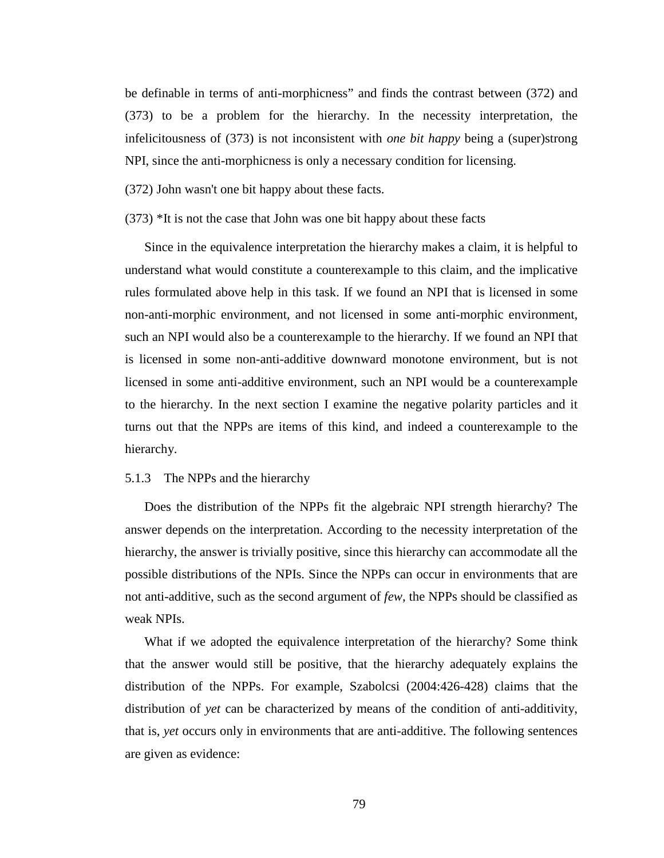be definable in terms of anti-morphicness" and finds the contrast between (372) and (373) to be a problem for the hierarchy. In the necessity interpretation, the infelicitousness of (373) is not inconsistent with *one bit happy* being a (super)strong NPI, since the anti-morphicness is only a necessary condition for licensing.

(372) John wasn't one bit happy about these facts.

(373) \*It is not the case that John was one bit happy about these facts

Since in the equivalence interpretation the hierarchy makes a claim, it is helpful to understand what would constitute a counterexample to this claim, and the implicative rules formulated above help in this task. If we found an NPI that is licensed in some non-anti-morphic environment, and not licensed in some anti-morphic environment, such an NPI would also be a counterexample to the hierarchy. If we found an NPI that is licensed in some non-anti-additive downward monotone environment, but is not licensed in some anti-additive environment, such an NPI would be a counterexample to the hierarchy. In the next section I examine the negative polarity particles and it turns out that the NPPs are items of this kind, and indeed a counterexample to the hierarchy.

## 5.1.3 The NPPs and the hierarchy

Does the distribution of the NPPs fit the algebraic NPI strength hierarchy? The answer depends on the interpretation. According to the necessity interpretation of the hierarchy, the answer is trivially positive, since this hierarchy can accommodate all the possible distributions of the NPIs. Since the NPPs can occur in environments that are not anti-additive, such as the second argument of *few*, the NPPs should be classified as weak NPIs.

What if we adopted the equivalence interpretation of the hierarchy? Some think that the answer would still be positive, that the hierarchy adequately explains the distribution of the NPPs. For example, Szabolcsi (2004:426-428) claims that the distribution of *yet* can be characterized by means of the condition of anti-additivity, that is, *yet* occurs only in environments that are anti-additive. The following sentences are given as evidence: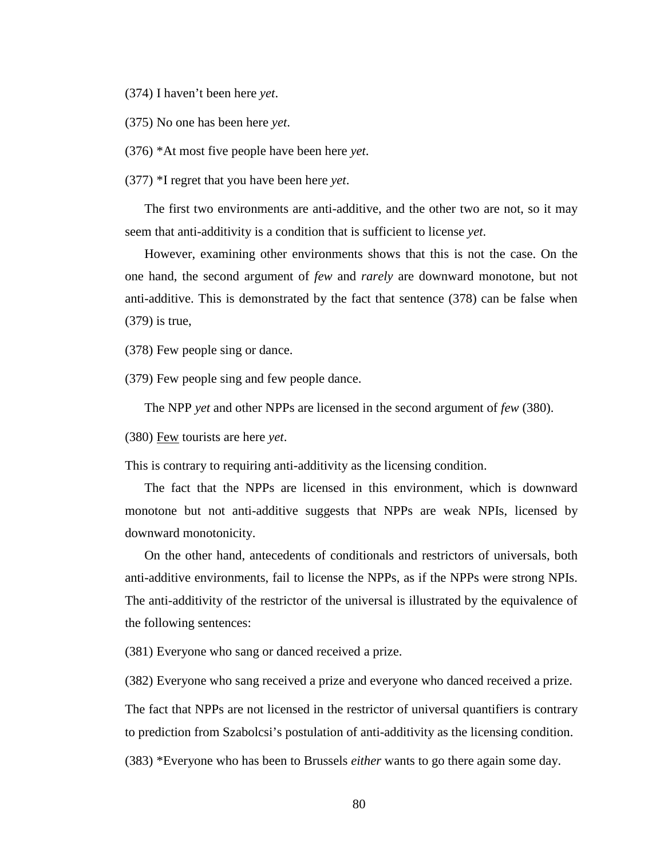(374) I haven't been here *yet*.

(375) No one has been here *yet*.

(376) \*At most five people have been here *yet*.

(377) \*I regret that you have been here *yet*.

The first two environments are anti-additive, and the other two are not, so it may seem that anti-additivity is a condition that is sufficient to license *yet*.

However, examining other environments shows that this is not the case. On the one hand, the second argument of *few* and *rarely* are downward monotone, but not anti-additive. This is demonstrated by the fact that sentence (378) can be false when (379) is true,

(378) Few people sing or dance.

(379) Few people sing and few people dance.

The NPP *yet* and other NPPs are licensed in the second argument of *few* (380).

(380) Few tourists are here *yet*.

This is contrary to requiring anti-additivity as the licensing condition.

The fact that the NPPs are licensed in this environment, which is downward monotone but not anti-additive suggests that NPPs are weak NPIs, licensed by downward monotonicity.

On the other hand, antecedents of conditionals and restrictors of universals, both anti-additive environments, fail to license the NPPs, as if the NPPs were strong NPIs. The anti-additivity of the restrictor of the universal is illustrated by the equivalence of the following sentences:

(381) Everyone who sang or danced received a prize.

(382) Everyone who sang received a prize and everyone who danced received a prize.

The fact that NPPs are not licensed in the restrictor of universal quantifiers is contrary to prediction from Szabolcsi's postulation of anti-additivity as the licensing condition.

(383) \*Everyone who has been to Brussels *either* wants to go there again some day.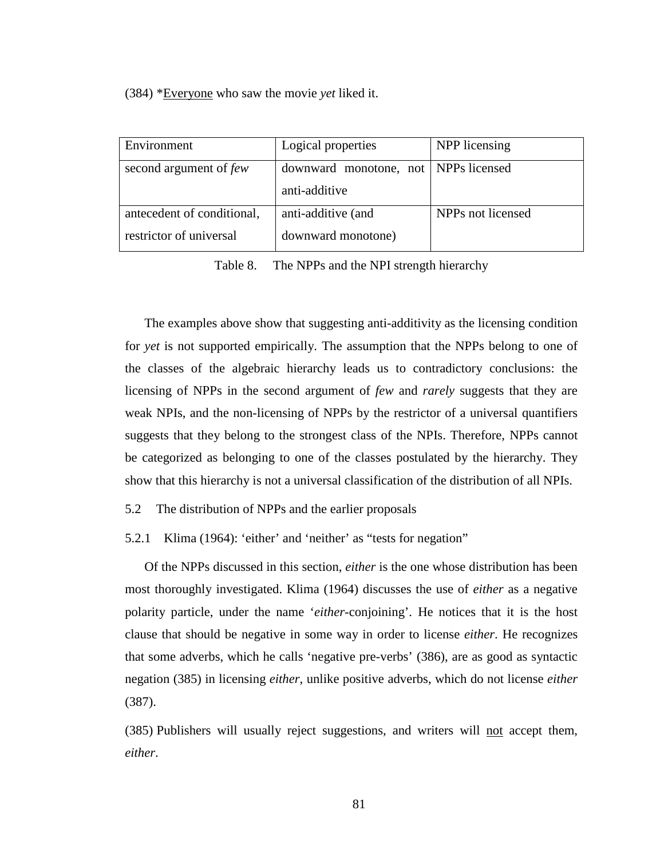(384) \*Everyone who saw the movie *yet* liked it.

| Environment                                           | Logical properties                                      | NPP licensing     |  |
|-------------------------------------------------------|---------------------------------------------------------|-------------------|--|
| second argument of few                                | downward monotone, not   NPPs licensed<br>anti-additive |                   |  |
| antecedent of conditional,<br>restrictor of universal | anti-additive (and<br>downward monotone)                | NPPs not licensed |  |

Table 8. The NPPs and the NPI strength hierarchy

The examples above show that suggesting anti-additivity as the licensing condition for *yet* is not supported empirically. The assumption that the NPPs belong to one of the classes of the algebraic hierarchy leads us to contradictory conclusions: the licensing of NPPs in the second argument of *few* and *rarely* suggests that they are weak NPIs, and the non-licensing of NPPs by the restrictor of a universal quantifiers suggests that they belong to the strongest class of the NPIs. Therefore, NPPs cannot be categorized as belonging to one of the classes postulated by the hierarchy. They show that this hierarchy is not a universal classification of the distribution of all NPIs.

5.2 The distribution of NPPs and the earlier proposals

5.2.1 Klima (1964): 'either' and 'neither' as "tests for negation"

Of the NPPs discussed in this section, *either* is the one whose distribution has been most thoroughly investigated. Klima (1964) discusses the use of *either* as a negative polarity particle, under the name '*either*-conjoining'. He notices that it is the host clause that should be negative in some way in order to license *either*. He recognizes that some adverbs, which he calls 'negative pre-verbs' (386), are as good as syntactic negation (385) in licensing *either*, unlike positive adverbs, which do not license *either*  (387).

(385) Publishers will usually reject suggestions, and writers will not accept them, *either*.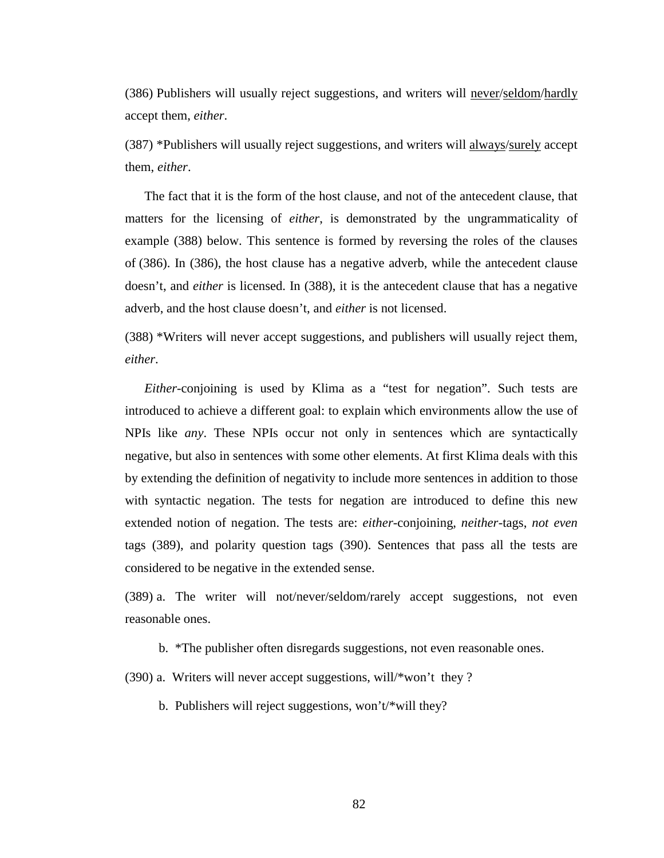(386) Publishers will usually reject suggestions, and writers will never/seldom/hardly accept them, *either*.

(387) \*Publishers will usually reject suggestions, and writers will always/surely accept them, *either*.

The fact that it is the form of the host clause, and not of the antecedent clause, that matters for the licensing of *either*, is demonstrated by the ungrammaticality of example (388) below. This sentence is formed by reversing the roles of the clauses of (386). In (386), the host clause has a negative adverb, while the antecedent clause doesn't, and *either* is licensed. In (388), it is the antecedent clause that has a negative adverb, and the host clause doesn't, and *either* is not licensed.

(388) \*Writers will never accept suggestions, and publishers will usually reject them, *either*.

*Either*-conjoining is used by Klima as a "test for negation". Such tests are introduced to achieve a different goal: to explain which environments allow the use of NPIs like *any*. These NPIs occur not only in sentences which are syntactically negative, but also in sentences with some other elements. At first Klima deals with this by extending the definition of negativity to include more sentences in addition to those with syntactic negation. The tests for negation are introduced to define this new extended notion of negation. The tests are: *either*-conjoining, *neither*-tags, *not even* tags (389), and polarity question tags (390). Sentences that pass all the tests are considered to be negative in the extended sense.

(389) a. The writer will not/never/seldom/rarely accept suggestions, not even reasonable ones.

b. \*The publisher often disregards suggestions, not even reasonable ones.

(390) a. Writers will never accept suggestions, will/\*won't they ?

b. Publishers will reject suggestions, won't/\*will they?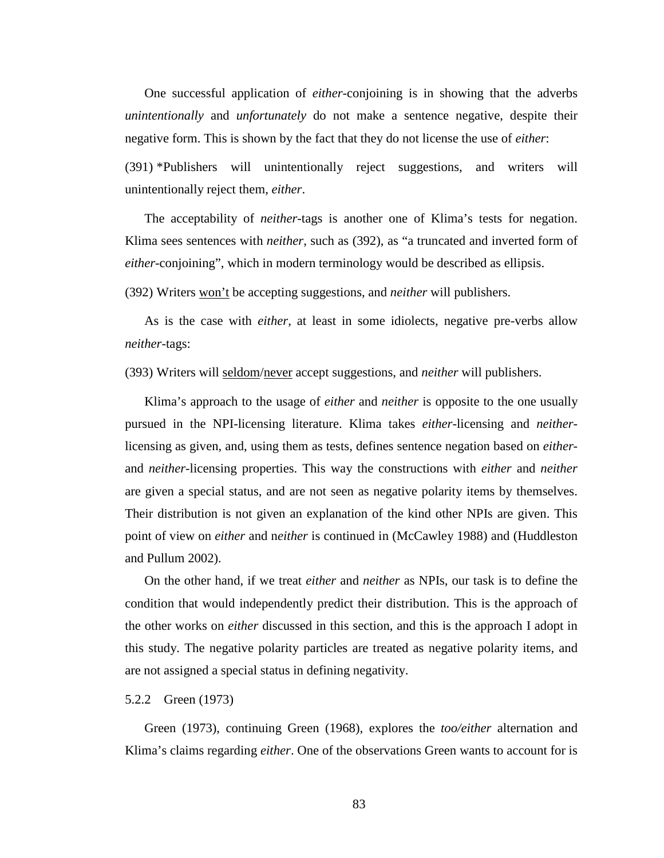One successful application of *either*-conjoining is in showing that the adverbs *unintentionally* and *unfortunately* do not make a sentence negative, despite their negative form. This is shown by the fact that they do not license the use of *either*:

(391) \*Publishers will unintentionally reject suggestions, and writers will unintentionally reject them, *either*.

The acceptability of *neither-*tags is another one of Klima's tests for negation. Klima sees sentences with *neither*, such as (392), as "a truncated and inverted form of *either*-conjoining", which in modern terminology would be described as ellipsis.

(392) Writers won't be accepting suggestions, and *neither* will publishers.

As is the case with *either*, at least in some idiolects, negative pre-verbs allow *neither*-tags:

(393) Writers will seldom/never accept suggestions, and *neither* will publishers.

Klima's approach to the usage of *either* and *neither* is opposite to the one usually pursued in the NPI-licensing literature. Klima takes *either*-licensing and *neither*licensing as given, and, using them as tests, defines sentence negation based on *either*and *neither*-licensing properties. This way the constructions with *either* and *neither* are given a special status, and are not seen as negative polarity items by themselves. Their distribution is not given an explanation of the kind other NPIs are given. This point of view on *either* and n*either* is continued in (McCawley 1988) and (Huddleston and Pullum 2002).

On the other hand, if we treat *either* and *neither* as NPIs, our task is to define the condition that would independently predict their distribution. This is the approach of the other works on *either* discussed in this section, and this is the approach I adopt in this study. The negative polarity particles are treated as negative polarity items, and are not assigned a special status in defining negativity.

### 5.2.2 Green (1973)

Green (1973), continuing Green (1968), explores the *too/either* alternation and Klima's claims regarding *either*. One of the observations Green wants to account for is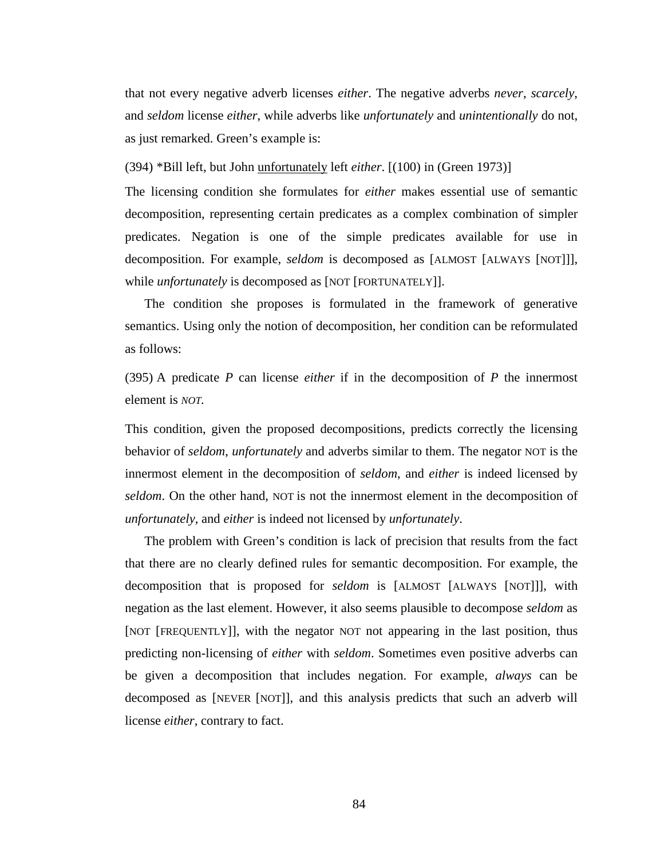that not every negative adverb licenses *either*. The negative adverbs *never*, *scarcely*, and *seldom* license *either*, while adverbs like *unfortunately* and *unintentionally* do not, as just remarked. Green's example is:

(394) \*Bill left, but John unfortunately left *either*. [(100) in (Green 1973)]

The licensing condition she formulates for *either* makes essential use of semantic decomposition, representing certain predicates as a complex combination of simpler predicates. Negation is one of the simple predicates available for use in decomposition. For example, *seldom* is decomposed as [ALMOST [ALWAYS [NOT]]], while *unfortunately* is decomposed as [NOT [FORTUNATELY]].

The condition she proposes is formulated in the framework of generative semantics. Using only the notion of decomposition, her condition can be reformulated as follows:

(395) A predicate *P* can license *either* if in the decomposition of *P* the innermost element is *NOT.*

This condition, given the proposed decompositions, predicts correctly the licensing behavior of *seldom*, *unfortunately* and adverbs similar to them. The negator NOT is the innermost element in the decomposition of *seldom*, and *either* is indeed licensed by *seldom*. On the other hand, NOT is not the innermost element in the decomposition of *unfortunately*, and *either* is indeed not licensed by *unfortunately*.

The problem with Green's condition is lack of precision that results from the fact that there are no clearly defined rules for semantic decomposition. For example, the decomposition that is proposed for *seldom* is [ALMOST [ALWAYS [NOT]]], with negation as the last element. However, it also seems plausible to decompose *seldom* as [NOT [FREQUENTLY]], with the negator NOT not appearing in the last position, thus predicting non-licensing of *either* with *seldom*. Sometimes even positive adverbs can be given a decomposition that includes negation. For example, *always* can be decomposed as [NEVER [NOT]], and this analysis predicts that such an adverb will license *either*, contrary to fact.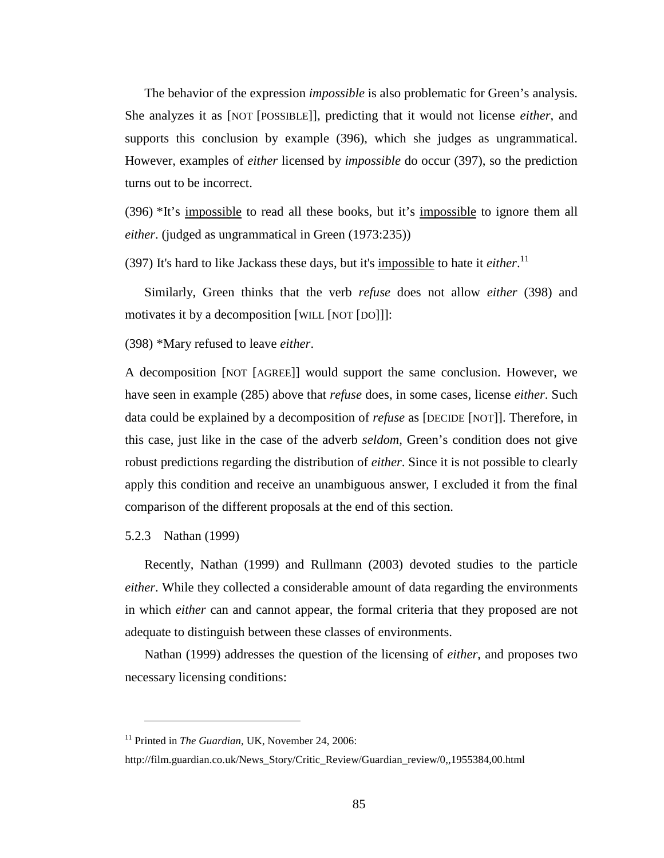The behavior of the expression *impossible* is also problematic for Green's analysis. She analyzes it as [NOT [POSSIBLE]], predicting that it would not license *either*, and supports this conclusion by example (396), which she judges as ungrammatical. However, examples of *either* licensed by *impossible* do occur (397), so the prediction turns out to be incorrect.

(396) \*It's impossible to read all these books, but it's impossible to ignore them all *either*. (judged as ungrammatical in Green (1973:235))

(397) It's hard to like Jackass these days, but it's *impossible* to hate it *either*.<sup>11</sup>

Similarly, Green thinks that the verb *refuse* does not allow *either* (398) and motivates it by a decomposition [WILL [NOT [DO]]]:

(398) \*Mary refused to leave *either*.

A decomposition [NOT [AGREE]] would support the same conclusion. However, we have seen in example (285) above that *refuse* does, in some cases, license *either*. Such data could be explained by a decomposition of *refuse* as [DECIDE [NOT]]. Therefore, in this case, just like in the case of the adverb *seldom*, Green's condition does not give robust predictions regarding the distribution of *either*. Since it is not possible to clearly apply this condition and receive an unambiguous answer, I excluded it from the final comparison of the different proposals at the end of this section.

5.2.3 Nathan (1999)

 $\overline{a}$ 

Recently, Nathan (1999) and Rullmann (2003) devoted studies to the particle *either*. While they collected a considerable amount of data regarding the environments in which *either* can and cannot appear, the formal criteria that they proposed are not adequate to distinguish between these classes of environments.

Nathan (1999) addresses the question of the licensing of *either*, and proposes two necessary licensing conditions:

<sup>&</sup>lt;sup>11</sup> Printed in *The Guardian*, UK, November 24, 2006:

http://film.guardian.co.uk/News\_Story/Critic\_Review/Guardian\_review/0,,1955384,00.html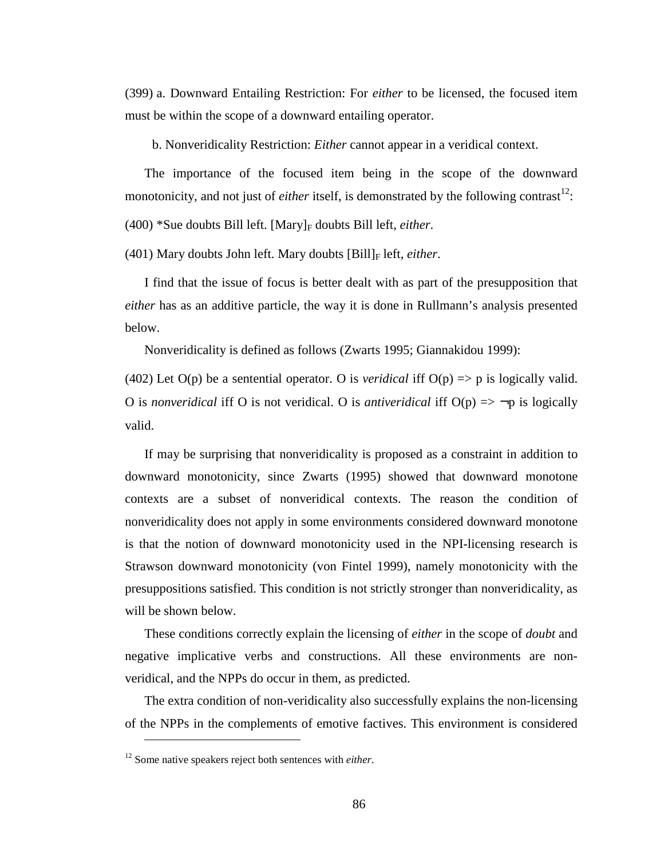(399) a. Downward Entailing Restriction: For *either* to be licensed, the focused item must be within the scope of a downward entailing operator.

b. Nonveridicality Restriction: *Either* cannot appear in a veridical context.

The importance of the focused item being in the scope of the downward monotonicity, and not just of *either* itself, is demonstrated by the following contrast<sup>12</sup>:

(400) \*Sue doubts Bill left. [Mary]<sub>F</sub> doubts Bill left, *either*.

(401) Mary doubts John left. Mary doubts [Bill]<sub>F</sub> left, *either*.

I find that the issue of focus is better dealt with as part of the presupposition that *either* has as an additive particle, the way it is done in Rullmann's analysis presented below.

Nonveridicality is defined as follows (Zwarts 1995; Giannakidou 1999):

(402) Let  $O(p)$  be a sentential operator. O is *veridical* iff  $O(p) \Rightarrow p$  is logically valid. O is *nonveridical* iff O is not veridical. O is *antiveridical* iff  $O(p) \implies \neg p$  is logically valid.

If may be surprising that nonveridicality is proposed as a constraint in addition to downward monotonicity, since Zwarts (1995) showed that downward monotone contexts are a subset of nonveridical contexts. The reason the condition of nonveridicality does not apply in some environments considered downward monotone is that the notion of downward monotonicity used in the NPI-licensing research is Strawson downward monotonicity (von Fintel 1999), namely monotonicity with the presuppositions satisfied. This condition is not strictly stronger than nonveridicality, as will be shown below.

These conditions correctly explain the licensing of *either* in the scope of *doubt* and negative implicative verbs and constructions. All these environments are nonveridical, and the NPPs do occur in them, as predicted.

The extra condition of non-veridicality also successfully explains the non-licensing of the NPPs in the complements of emotive factives. This environment is considered

 $\overline{a}$ 

<sup>12</sup> Some native speakers reject both sentences with *either*.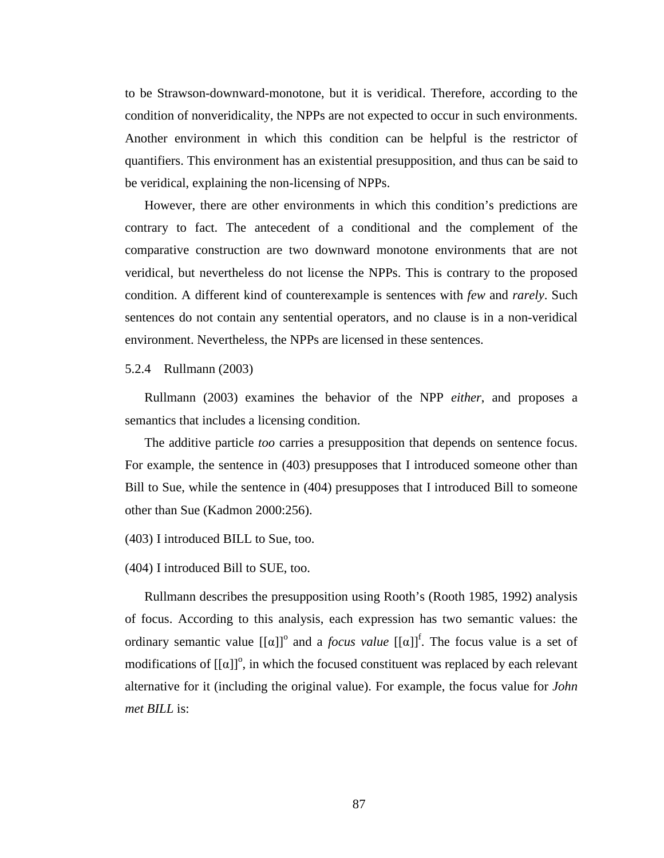to be Strawson-downward-monotone, but it is veridical. Therefore, according to the condition of nonveridicality, the NPPs are not expected to occur in such environments. Another environment in which this condition can be helpful is the restrictor of quantifiers. This environment has an existential presupposition, and thus can be said to be veridical, explaining the non-licensing of NPPs.

However, there are other environments in which this condition's predictions are contrary to fact. The antecedent of a conditional and the complement of the comparative construction are two downward monotone environments that are not veridical, but nevertheless do not license the NPPs. This is contrary to the proposed condition. A different kind of counterexample is sentences with *few* and *rarely*. Such sentences do not contain any sentential operators, and no clause is in a non-veridical environment. Nevertheless, the NPPs are licensed in these sentences.

5.2.4 Rullmann (2003)

Rullmann (2003) examines the behavior of the NPP *either*, and proposes a semantics that includes a licensing condition.

The additive particle *too* carries a presupposition that depends on sentence focus. For example, the sentence in (403) presupposes that I introduced someone other than Bill to Sue, while the sentence in (404) presupposes that I introduced Bill to someone other than Sue (Kadmon 2000:256).

(403) I introduced BILL to Sue, too.

(404) I introduced Bill to SUE, too.

Rullmann describes the presupposition using Rooth's (Rooth 1985, 1992) analysis of focus. According to this analysis, each expression has two semantic values: the ordinary semantic value  $[[\alpha]]^{\circ}$  and a *focus value*  $[[\alpha]]^{\circ}$ . The focus value is a set of modifications of  $[[\alpha]]^{\circ}$ , in which the focused constituent was replaced by each relevant alternative for it (including the original value). For example, the focus value for *John met BILL* is: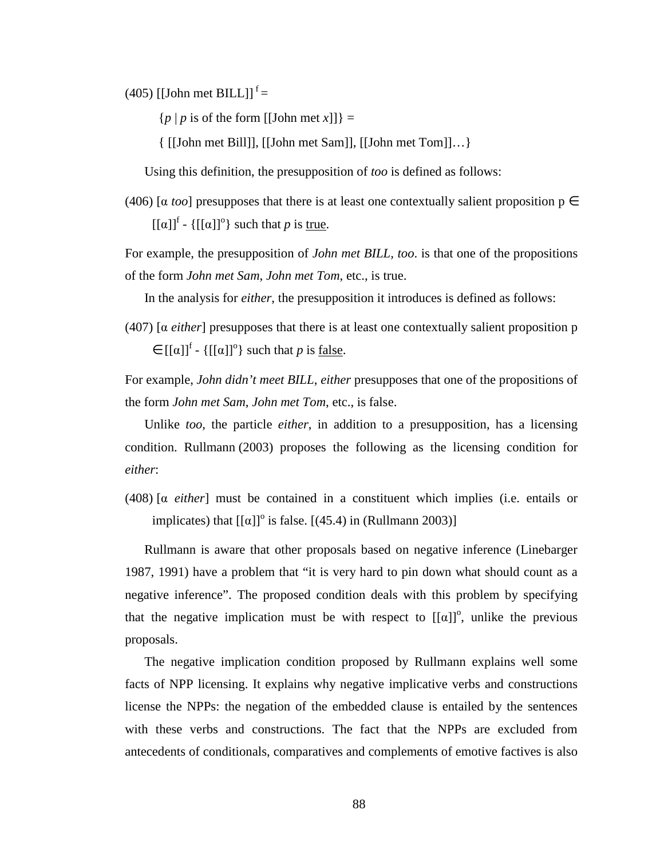$(405)$  [[John met BILL]]<sup>f</sup> =

 $\{p \mid p$  is of the form [[John met *x*]]} =

{ [[John met Bill]], [[John met Sam]], [[John met Tom]]…}

Using this definition, the presupposition of *too* is defined as follows:

(406) [ $\alpha$  *too*] presupposes that there is at least one contextually salient proposition  $p \in$  $[[\alpha]]^{\text{f}}$  -  $\{[[\alpha]]^{\text{o}}\}$  such that *p* is <u>true</u>.

For example, the presupposition of *John met BILL, too*. is that one of the propositions of the form *John met Sam*, *John met Tom*, etc., is true.

In the analysis for *either*, the presupposition it introduces is defined as follows:

(407) [α *either*] presupposes that there is at least one contextually salient proposition p  $\in [[\alpha]]^f$  - { $[[\alpha]]^o$ } such that *p* is <u>false</u>.

For example, *John didn't meet BILL*, *either* presupposes that one of the propositions of the form *John met Sam*, *John met Tom*, etc., is false.

Unlike *too*, the particle *either*, in addition to a presupposition, has a licensing condition. Rullmann (2003) proposes the following as the licensing condition for *either*:

(408) [α *either*] must be contained in a constituent which implies (i.e. entails or implicates) that  $[[\alpha]]^{\circ}$  is false.  $[(45.4)$  in (Rullmann 2003)]

Rullmann is aware that other proposals based on negative inference (Linebarger 1987, 1991) have a problem that "it is very hard to pin down what should count as a negative inference". The proposed condition deals with this problem by specifying that the negative implication must be with respect to  $[[\alpha]]^{\circ}$ , unlike the previous proposals.

The negative implication condition proposed by Rullmann explains well some facts of NPP licensing. It explains why negative implicative verbs and constructions license the NPPs: the negation of the embedded clause is entailed by the sentences with these verbs and constructions. The fact that the NPPs are excluded from antecedents of conditionals, comparatives and complements of emotive factives is also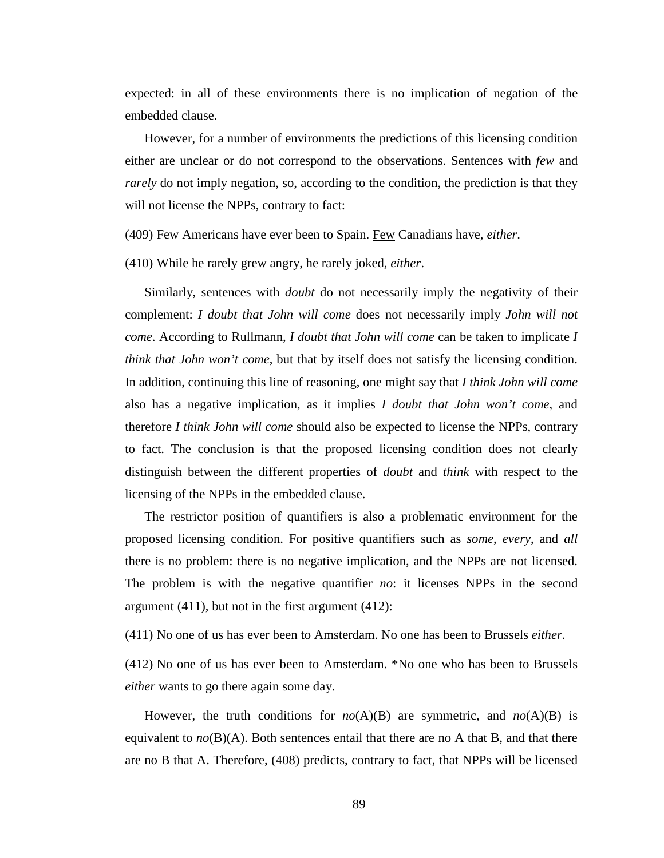expected: in all of these environments there is no implication of negation of the embedded clause.

However, for a number of environments the predictions of this licensing condition either are unclear or do not correspond to the observations. Sentences with *few* and *rarely* do not imply negation, so, according to the condition, the prediction is that they will not license the NPPs, contrary to fact:

(409) Few Americans have ever been to Spain. Few Canadians have, *either*.

(410) While he rarely grew angry, he rarely joked, *either*.

Similarly, sentences with *doubt* do not necessarily imply the negativity of their complement: *I doubt that John will come* does not necessarily imply *John will not come*. According to Rullmann, *I doubt that John will come* can be taken to implicate *I think that John won't come*, but that by itself does not satisfy the licensing condition. In addition, continuing this line of reasoning, one might say that *I think John will come* also has a negative implication, as it implies *I doubt that John won't come*, and therefore *I think John will come* should also be expected to license the NPPs, contrary to fact. The conclusion is that the proposed licensing condition does not clearly distinguish between the different properties of *doubt* and *think* with respect to the licensing of the NPPs in the embedded clause.

The restrictor position of quantifiers is also a problematic environment for the proposed licensing condition. For positive quantifiers such as *some*, *every*, and *all* there is no problem: there is no negative implication, and the NPPs are not licensed. The problem is with the negative quantifier *no*: it licenses NPPs in the second argument (411), but not in the first argument (412):

(411) No one of us has ever been to Amsterdam. No one has been to Brussels *either*.

(412) No one of us has ever been to Amsterdam.  $N_0$  one who has been to Brussels *either* wants to go there again some day.

However, the truth conditions for  $no(A)(B)$  are symmetric, and  $no(A)(B)$  is equivalent to  $n\sigma(B)(A)$ . Both sentences entail that there are no A that B, and that there are no B that A. Therefore, (408) predicts, contrary to fact, that NPPs will be licensed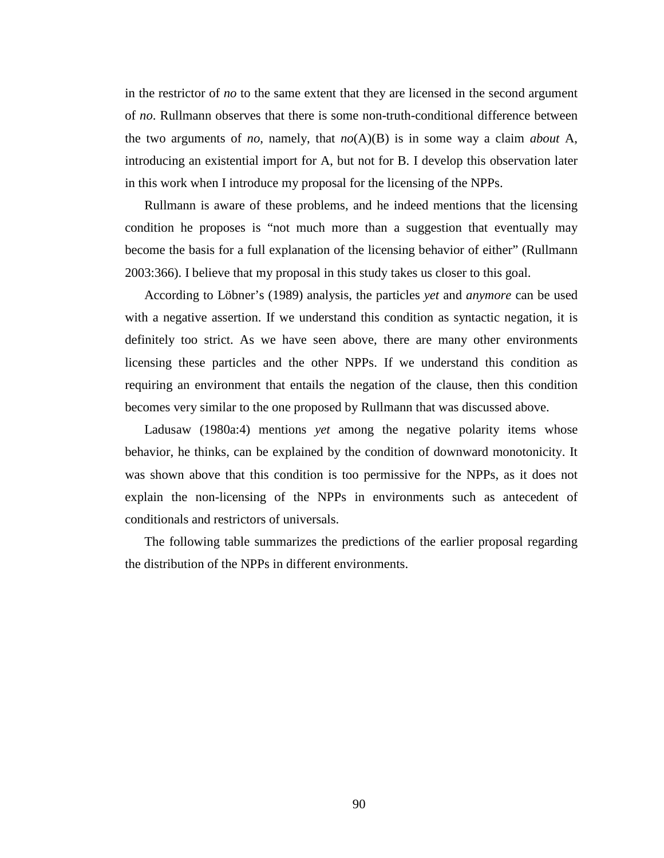in the restrictor of *no* to the same extent that they are licensed in the second argument of *no*. Rullmann observes that there is some non-truth-conditional difference between the two arguments of *no*, namely, that *no*(A)(B) is in some way a claim *about* A, introducing an existential import for A, but not for B. I develop this observation later in this work when I introduce my proposal for the licensing of the NPPs.

Rullmann is aware of these problems, and he indeed mentions that the licensing condition he proposes is "not much more than a suggestion that eventually may become the basis for a full explanation of the licensing behavior of either" (Rullmann 2003:366). I believe that my proposal in this study takes us closer to this goal.

According to Löbner's (1989) analysis, the particles *yet* and *anymore* can be used with a negative assertion. If we understand this condition as syntactic negation, it is definitely too strict. As we have seen above, there are many other environments licensing these particles and the other NPPs. If we understand this condition as requiring an environment that entails the negation of the clause, then this condition becomes very similar to the one proposed by Rullmann that was discussed above.

Ladusaw (1980a:4) mentions *yet* among the negative polarity items whose behavior, he thinks, can be explained by the condition of downward monotonicity. It was shown above that this condition is too permissive for the NPPs, as it does not explain the non-licensing of the NPPs in environments such as antecedent of conditionals and restrictors of universals.

The following table summarizes the predictions of the earlier proposal regarding the distribution of the NPPs in different environments.

90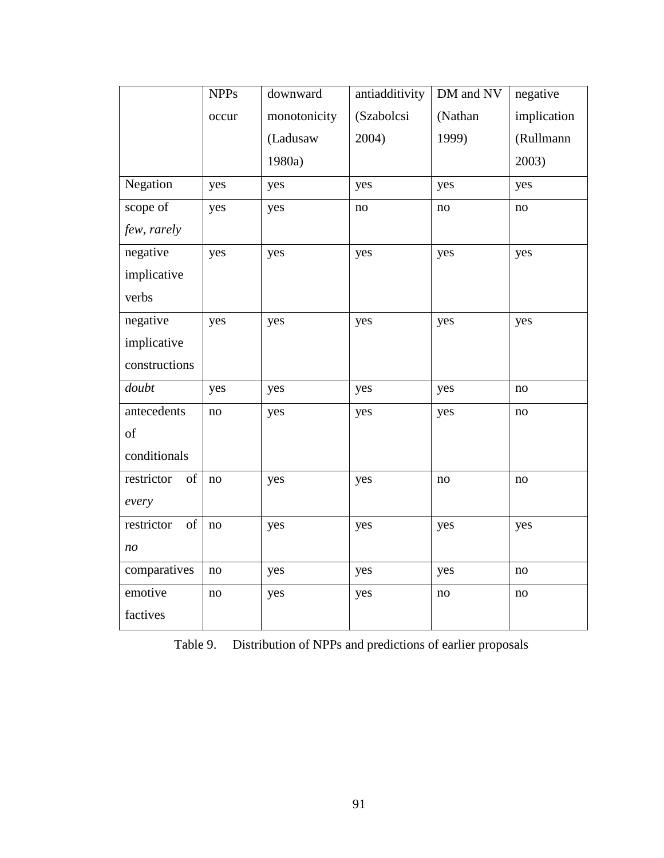|                  | <b>NPPs</b> | downward     | antiadditivity | DM and NV | negative    |
|------------------|-------------|--------------|----------------|-----------|-------------|
|                  | occur       | monotonicity | (Szabolcsi     | (Nathan   | implication |
|                  |             | (Ladusaw     | 2004)          | 1999)     | (Rullmann   |
|                  |             | 1980a)       |                |           | 2003)       |
| Negation         | yes         | yes          | yes            | yes       | yes         |
| scope of         | yes         | yes          | $\mathbf{no}$  | $\rm no$  | no          |
| few, rarely      |             |              |                |           |             |
| negative         | yes         | yes          | yes            | yes       | yes         |
| implicative      |             |              |                |           |             |
| verbs            |             |              |                |           |             |
| negative         | yes         | yes          | yes            | yes       | yes         |
| implicative      |             |              |                |           |             |
| constructions    |             |              |                |           |             |
| doubt            | yes         | yes          | yes            | yes       | $\rm no$    |
| antecedents      | no          | yes          | yes            | yes       | $\rm no$    |
| of               |             |              |                |           |             |
| conditionals     |             |              |                |           |             |
| restrictor<br>of | $\rm no$    | yes          | yes            | no        | no          |
| every            |             |              |                |           |             |
| of<br>restrictor | no          | yes          | yes            | yes       | yes         |
| no               |             |              |                |           |             |
| comparatives     | no          | yes          | yes            | yes       | no          |
| emotive          | no          | yes          | yes            | no        | no          |
| factives         |             |              |                |           |             |

Table 9. Distribution of NPPs and predictions of earlier proposals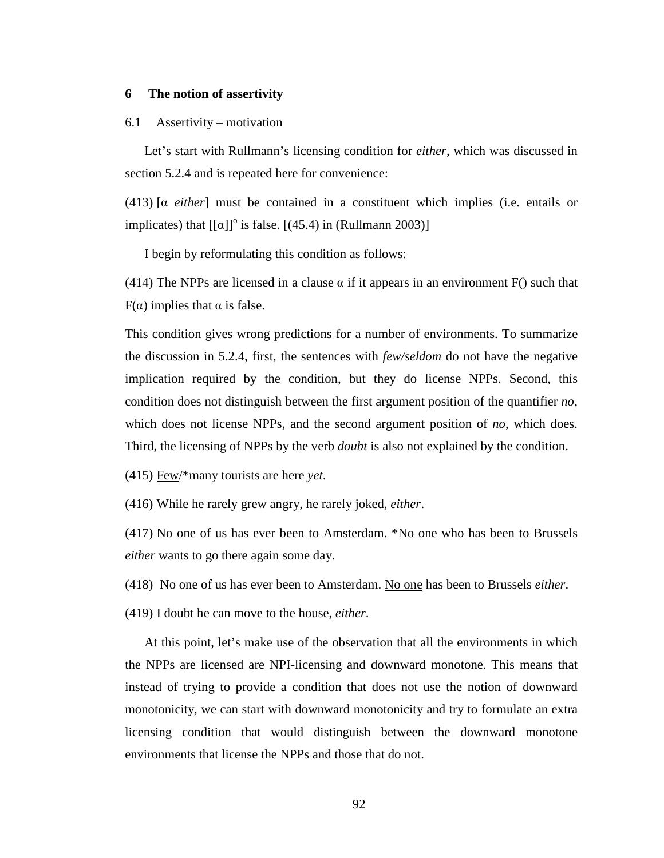#### **6 The notion of assertivity**

#### 6.1 Assertivity – motivation

Let's start with Rullmann's licensing condition for *either*, which was discussed in section 5.2.4 and is repeated here for convenience:

(413) [α *either*] must be contained in a constituent which implies (i.e. entails or implicates) that  $[[\alpha]]^{\circ}$  is false.  $[(45.4)$  in (Rullmann 2003)]

I begin by reformulating this condition as follows:

(414) The NPPs are licensed in a clause  $\alpha$  if it appears in an environment F() such that F( $\alpha$ ) implies that  $\alpha$  is false.

This condition gives wrong predictions for a number of environments. To summarize the discussion in 5.2.4, first, the sentences with *few/seldom* do not have the negative implication required by the condition, but they do license NPPs. Second, this condition does not distinguish between the first argument position of the quantifier *no*, which does not license NPPs, and the second argument position of *no*, which does. Third, the licensing of NPPs by the verb *doubt* is also not explained by the condition.

(415) Few/\*many tourists are here *yet*.

(416) While he rarely grew angry, he rarely joked, *either*.

(417) No one of us has ever been to Amsterdam. \*No one who has been to Brussels *either* wants to go there again some day.

(418) No one of us has ever been to Amsterdam. No one has been to Brussels *either*.

(419) I doubt he can move to the house, *either*.

At this point, let's make use of the observation that all the environments in which the NPPs are licensed are NPI-licensing and downward monotone. This means that instead of trying to provide a condition that does not use the notion of downward monotonicity, we can start with downward monotonicity and try to formulate an extra licensing condition that would distinguish between the downward monotone environments that license the NPPs and those that do not.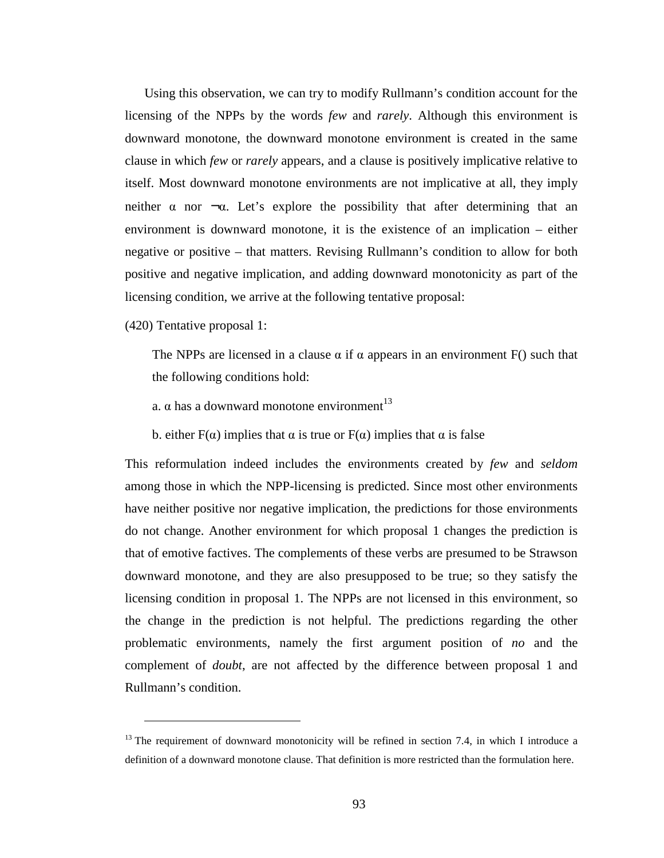Using this observation, we can try to modify Rullmann's condition account for the licensing of the NPPs by the words *few* and *rarely*. Although this environment is downward monotone, the downward monotone environment is created in the same clause in which *few* or *rarely* appears, and a clause is positively implicative relative to itself. Most downward monotone environments are not implicative at all, they imply neither  $\alpha$  nor  $\neg \alpha$ . Let's explore the possibility that after determining that an environment is downward monotone, it is the existence of an implication – either negative or positive – that matters. Revising Rullmann's condition to allow for both positive and negative implication, and adding downward monotonicity as part of the licensing condition, we arrive at the following tentative proposal:

(420) Tentative proposal 1:

 $\overline{a}$ 

The NPPs are licensed in a clause  $\alpha$  if  $\alpha$  appears in an environment F() such that the following conditions hold:

a.  $\alpha$  has a downward monotone environment<sup>13</sup>

b. either  $F(\alpha)$  implies that  $\alpha$  is true or  $F(\alpha)$  implies that  $\alpha$  is false

This reformulation indeed includes the environments created by *few* and *seldom* among those in which the NPP-licensing is predicted. Since most other environments have neither positive nor negative implication, the predictions for those environments do not change. Another environment for which proposal 1 changes the prediction is that of emotive factives. The complements of these verbs are presumed to be Strawson downward monotone, and they are also presupposed to be true; so they satisfy the licensing condition in proposal 1. The NPPs are not licensed in this environment, so the change in the prediction is not helpful. The predictions regarding the other problematic environments, namely the first argument position of *no* and the complement of *doubt*, are not affected by the difference between proposal 1 and Rullmann's condition.

 $13$  The requirement of downward monotonicity will be refined in section 7.4, in which I introduce a definition of a downward monotone clause. That definition is more restricted than the formulation here.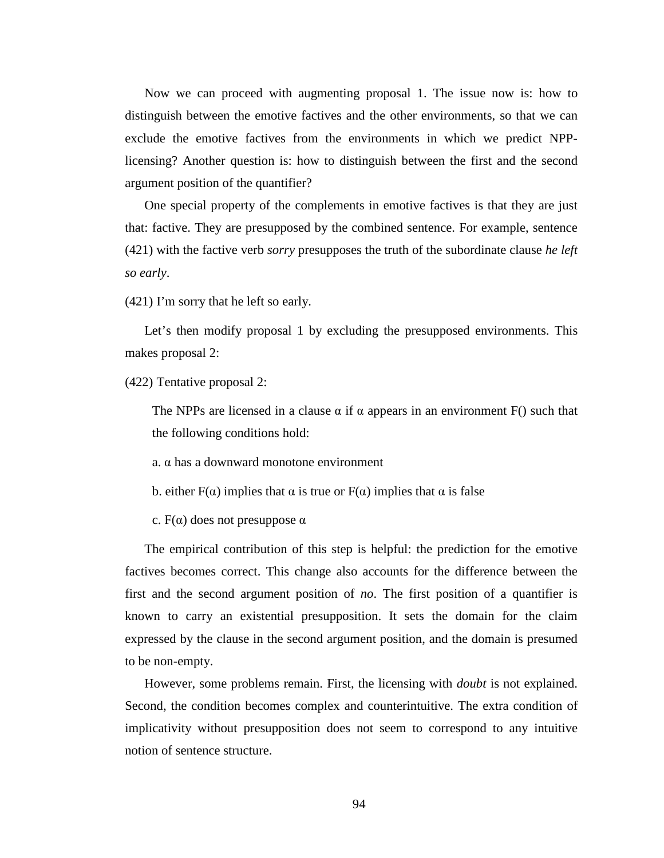Now we can proceed with augmenting proposal 1. The issue now is: how to distinguish between the emotive factives and the other environments, so that we can exclude the emotive factives from the environments in which we predict NPPlicensing? Another question is: how to distinguish between the first and the second argument position of the quantifier?

One special property of the complements in emotive factives is that they are just that: factive. They are presupposed by the combined sentence. For example, sentence (421) with the factive verb *sorry* presupposes the truth of the subordinate clause *he left so early*.

(421) I'm sorry that he left so early.

Let's then modify proposal 1 by excluding the presupposed environments. This makes proposal 2:

(422) Tentative proposal 2:

The NPPs are licensed in a clause  $\alpha$  if  $\alpha$  appears in an environment F() such that the following conditions hold:

a. α has a downward monotone environment

b. either  $F(\alpha)$  implies that  $\alpha$  is true or  $F(\alpha)$  implies that  $\alpha$  is false

c.  $F(\alpha)$  does not presuppose  $\alpha$ 

The empirical contribution of this step is helpful: the prediction for the emotive factives becomes correct. This change also accounts for the difference between the first and the second argument position of *no*. The first position of a quantifier is known to carry an existential presupposition. It sets the domain for the claim expressed by the clause in the second argument position, and the domain is presumed to be non-empty.

However, some problems remain. First, the licensing with *doubt* is not explained. Second, the condition becomes complex and counterintuitive. The extra condition of implicativity without presupposition does not seem to correspond to any intuitive notion of sentence structure.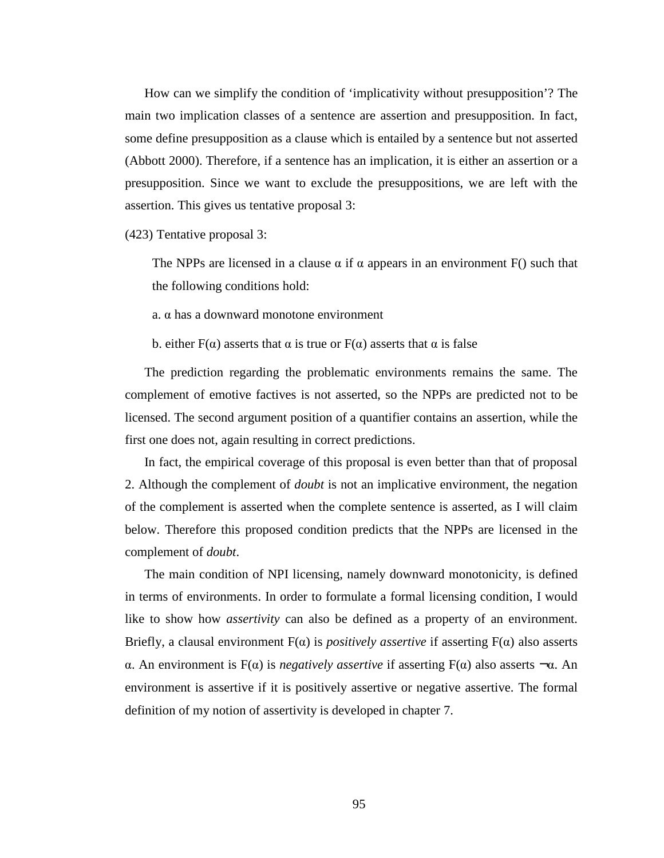How can we simplify the condition of 'implicativity without presupposition'? The main two implication classes of a sentence are assertion and presupposition. In fact, some define presupposition as a clause which is entailed by a sentence but not asserted (Abbott 2000). Therefore, if a sentence has an implication, it is either an assertion or a presupposition. Since we want to exclude the presuppositions, we are left with the assertion. This gives us tentative proposal 3:

(423) Tentative proposal 3:

The NPPs are licensed in a clause  $\alpha$  if  $\alpha$  appears in an environment F() such that the following conditions hold:

a. α has a downward monotone environment

b. either  $F(\alpha)$  asserts that  $\alpha$  is true or  $F(\alpha)$  asserts that  $\alpha$  is false

The prediction regarding the problematic environments remains the same. The complement of emotive factives is not asserted, so the NPPs are predicted not to be licensed. The second argument position of a quantifier contains an assertion, while the first one does not, again resulting in correct predictions.

In fact, the empirical coverage of this proposal is even better than that of proposal 2. Although the complement of *doubt* is not an implicative environment, the negation of the complement is asserted when the complete sentence is asserted, as I will claim below. Therefore this proposed condition predicts that the NPPs are licensed in the complement of *doubt*.

The main condition of NPI licensing, namely downward monotonicity, is defined in terms of environments. In order to formulate a formal licensing condition, I would like to show how *assertivity* can also be defined as a property of an environment. Briefly, a clausal environment  $F(\alpha)$  is *positively assertive* if asserting  $F(\alpha)$  also asserts α. An environment is F(α) is *negatively assertive* if asserting F(α) also asserts ¬α. An environment is assertive if it is positively assertive or negative assertive. The formal definition of my notion of assertivity is developed in chapter 7.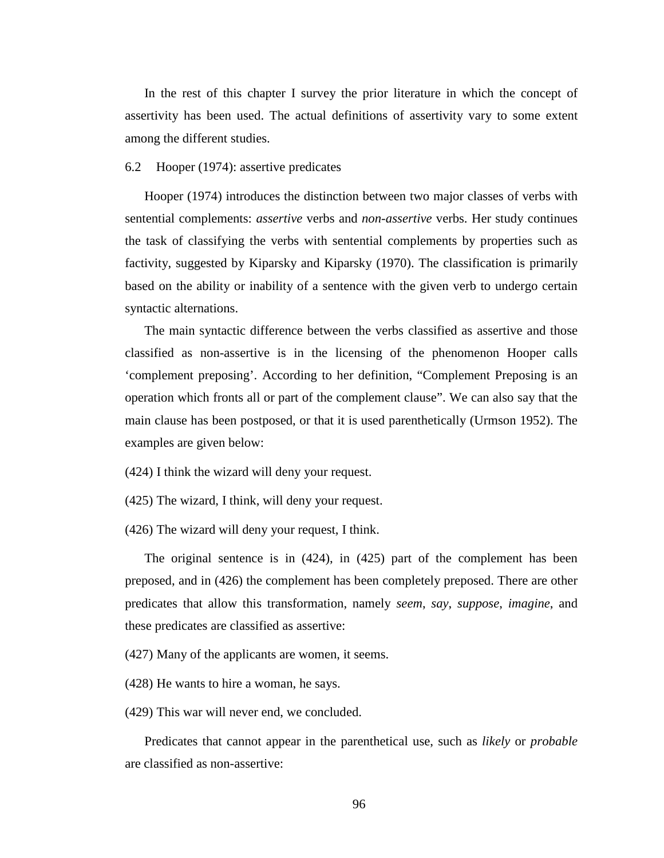In the rest of this chapter I survey the prior literature in which the concept of assertivity has been used. The actual definitions of assertivity vary to some extent among the different studies.

# 6.2 Hooper (1974): assertive predicates

Hooper (1974) introduces the distinction between two major classes of verbs with sentential complements: *assertive* verbs and *non-assertive* verbs. Her study continues the task of classifying the verbs with sentential complements by properties such as factivity, suggested by Kiparsky and Kiparsky (1970). The classification is primarily based on the ability or inability of a sentence with the given verb to undergo certain syntactic alternations.

The main syntactic difference between the verbs classified as assertive and those classified as non-assertive is in the licensing of the phenomenon Hooper calls 'complement preposing'. According to her definition, "Complement Preposing is an operation which fronts all or part of the complement clause". We can also say that the main clause has been postposed, or that it is used parenthetically (Urmson 1952). The examples are given below:

- (424) I think the wizard will deny your request.
- (425) The wizard, I think, will deny your request.
- (426) The wizard will deny your request, I think.

The original sentence is in (424), in (425) part of the complement has been preposed, and in (426) the complement has been completely preposed. There are other predicates that allow this transformation, namely *seem*, *say*, *suppose*, *imagine*, and these predicates are classified as assertive:

(427) Many of the applicants are women, it seems.

- (428) He wants to hire a woman, he says.
- (429) This war will never end, we concluded.

Predicates that cannot appear in the parenthetical use, such as *likely* or *probable* are classified as non-assertive: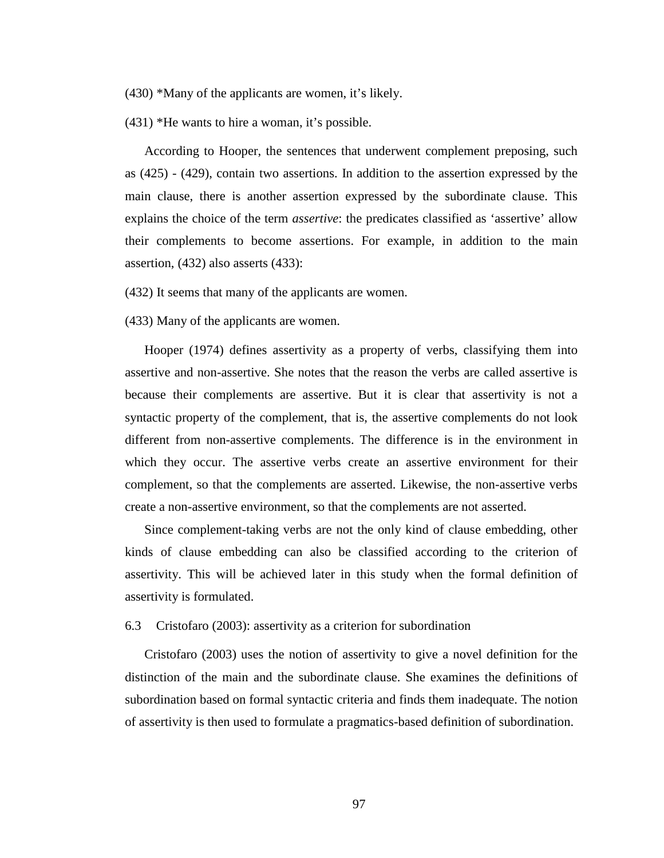(430) \*Many of the applicants are women, it's likely.

(431) \*He wants to hire a woman, it's possible.

According to Hooper, the sentences that underwent complement preposing, such as (425) - (429), contain two assertions. In addition to the assertion expressed by the main clause, there is another assertion expressed by the subordinate clause. This explains the choice of the term *assertive*: the predicates classified as 'assertive' allow their complements to become assertions. For example, in addition to the main assertion, (432) also asserts (433):

(432) It seems that many of the applicants are women.

(433) Many of the applicants are women.

Hooper (1974) defines assertivity as a property of verbs, classifying them into assertive and non-assertive. She notes that the reason the verbs are called assertive is because their complements are assertive. But it is clear that assertivity is not a syntactic property of the complement, that is, the assertive complements do not look different from non-assertive complements. The difference is in the environment in which they occur. The assertive verbs create an assertive environment for their complement, so that the complements are asserted. Likewise, the non-assertive verbs create a non-assertive environment, so that the complements are not asserted.

Since complement-taking verbs are not the only kind of clause embedding, other kinds of clause embedding can also be classified according to the criterion of assertivity. This will be achieved later in this study when the formal definition of assertivity is formulated.

## 6.3 Cristofaro (2003): assertivity as a criterion for subordination

Cristofaro (2003) uses the notion of assertivity to give a novel definition for the distinction of the main and the subordinate clause. She examines the definitions of subordination based on formal syntactic criteria and finds them inadequate. The notion of assertivity is then used to formulate a pragmatics-based definition of subordination.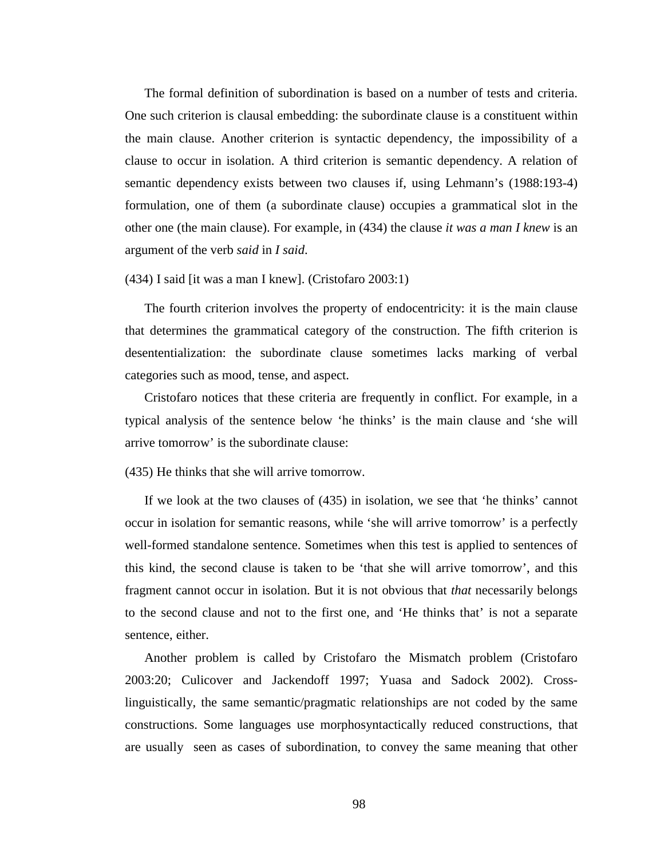The formal definition of subordination is based on a number of tests and criteria. One such criterion is clausal embedding: the subordinate clause is a constituent within the main clause. Another criterion is syntactic dependency, the impossibility of a clause to occur in isolation. A third criterion is semantic dependency. A relation of semantic dependency exists between two clauses if, using Lehmann's (1988:193-4) formulation, one of them (a subordinate clause) occupies a grammatical slot in the other one (the main clause). For example, in (434) the clause *it was a man I knew* is an argument of the verb *said* in *I said*.

## (434) I said [it was a man I knew]. (Cristofaro 2003:1)

The fourth criterion involves the property of endocentricity: it is the main clause that determines the grammatical category of the construction. The fifth criterion is desententialization: the subordinate clause sometimes lacks marking of verbal categories such as mood, tense, and aspect.

Cristofaro notices that these criteria are frequently in conflict. For example, in a typical analysis of the sentence below 'he thinks' is the main clause and 'she will arrive tomorrow' is the subordinate clause:

(435) He thinks that she will arrive tomorrow.

If we look at the two clauses of (435) in isolation, we see that 'he thinks' cannot occur in isolation for semantic reasons, while 'she will arrive tomorrow' is a perfectly well-formed standalone sentence. Sometimes when this test is applied to sentences of this kind, the second clause is taken to be 'that she will arrive tomorrow', and this fragment cannot occur in isolation. But it is not obvious that *that* necessarily belongs to the second clause and not to the first one, and 'He thinks that' is not a separate sentence, either.

Another problem is called by Cristofaro the Mismatch problem (Cristofaro 2003:20; Culicover and Jackendoff 1997; Yuasa and Sadock 2002). Crosslinguistically, the same semantic/pragmatic relationships are not coded by the same constructions. Some languages use morphosyntactically reduced constructions, that are usually seen as cases of subordination, to convey the same meaning that other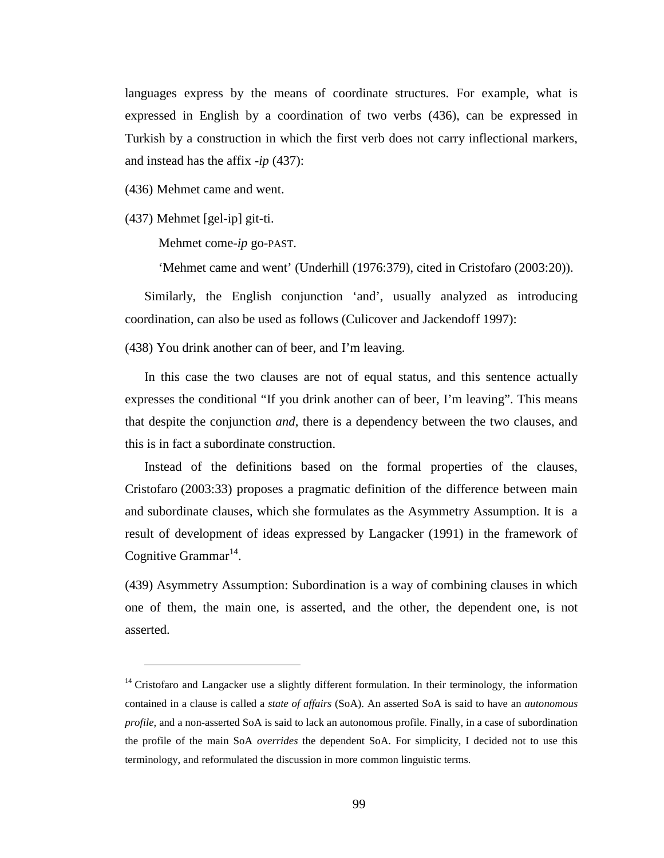languages express by the means of coordinate structures. For example, what is expressed in English by a coordination of two verbs (436), can be expressed in Turkish by a construction in which the first verb does not carry inflectional markers, and instead has the affix -*ip* (437):

(436) Mehmet came and went.

(437) Mehmet [gel-ip] git-ti.

 $\overline{a}$ 

Mehmet come-*ip* go-PAST.

'Mehmet came and went' (Underhill (1976:379), cited in Cristofaro (2003:20)).

Similarly, the English conjunction 'and', usually analyzed as introducing coordination, can also be used as follows (Culicover and Jackendoff 1997):

(438) You drink another can of beer, and I'm leaving.

In this case the two clauses are not of equal status, and this sentence actually expresses the conditional "If you drink another can of beer, I'm leaving". This means that despite the conjunction *and*, there is a dependency between the two clauses, and this is in fact a subordinate construction.

Instead of the definitions based on the formal properties of the clauses, Cristofaro (2003:33) proposes a pragmatic definition of the difference between main and subordinate clauses, which she formulates as the Asymmetry Assumption. It is a result of development of ideas expressed by Langacker (1991) in the framework of Cognitive Grammar $^{14}$ .

(439) Asymmetry Assumption: Subordination is a way of combining clauses in which one of them, the main one, is asserted, and the other, the dependent one, is not asserted.

<sup>&</sup>lt;sup>14</sup> Cristofaro and Langacker use a slightly different formulation. In their terminology, the information contained in a clause is called a *state of affairs* (SoA). An asserted SoA is said to have an *autonomous profile*, and a non-asserted SoA is said to lack an autonomous profile. Finally, in a case of subordination the profile of the main SoA *overrides* the dependent SoA. For simplicity, I decided not to use this terminology, and reformulated the discussion in more common linguistic terms.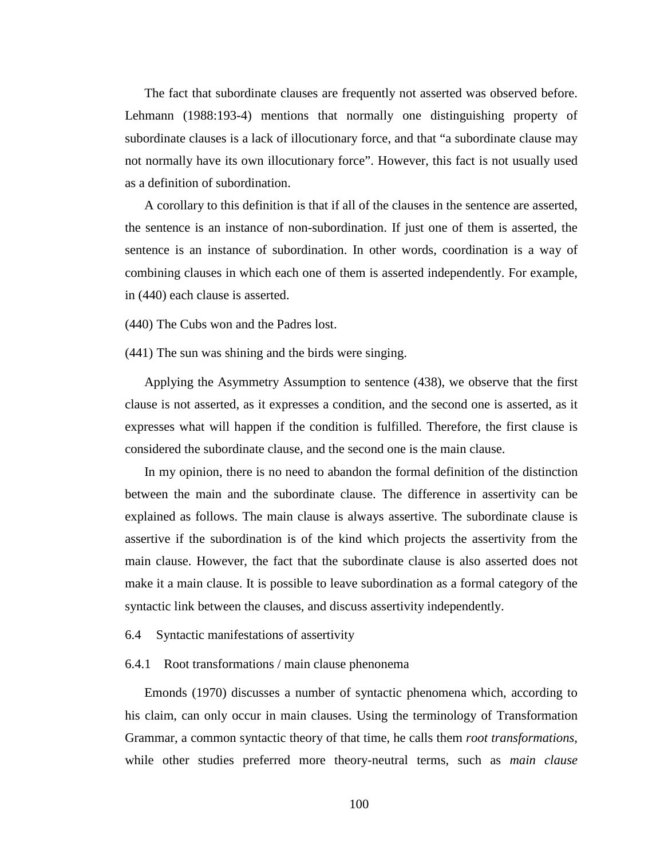The fact that subordinate clauses are frequently not asserted was observed before. Lehmann (1988:193-4) mentions that normally one distinguishing property of subordinate clauses is a lack of illocutionary force, and that "a subordinate clause may not normally have its own illocutionary force". However, this fact is not usually used as a definition of subordination.

A corollary to this definition is that if all of the clauses in the sentence are asserted, the sentence is an instance of non-subordination. If just one of them is asserted, the sentence is an instance of subordination. In other words, coordination is a way of combining clauses in which each one of them is asserted independently. For example, in (440) each clause is asserted.

(440) The Cubs won and the Padres lost.

(441) The sun was shining and the birds were singing.

Applying the Asymmetry Assumption to sentence (438), we observe that the first clause is not asserted, as it expresses a condition, and the second one is asserted, as it expresses what will happen if the condition is fulfilled. Therefore, the first clause is considered the subordinate clause, and the second one is the main clause.

In my opinion, there is no need to abandon the formal definition of the distinction between the main and the subordinate clause. The difference in assertivity can be explained as follows. The main clause is always assertive. The subordinate clause is assertive if the subordination is of the kind which projects the assertivity from the main clause. However, the fact that the subordinate clause is also asserted does not make it a main clause. It is possible to leave subordination as a formal category of the syntactic link between the clauses, and discuss assertivity independently.

### 6.4 Syntactic manifestations of assertivity

### 6.4.1 Root transformations / main clause phenonema

Emonds (1970) discusses a number of syntactic phenomena which, according to his claim, can only occur in main clauses. Using the terminology of Transformation Grammar, a common syntactic theory of that time, he calls them *root transformations*, while other studies preferred more theory-neutral terms, such as *main clause*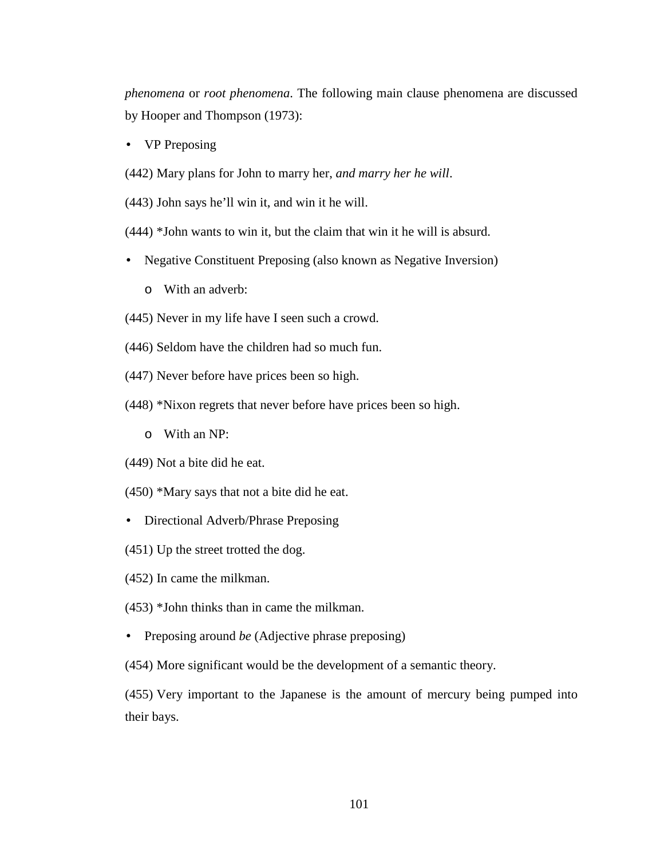*phenomena* or *root phenomena*. The following main clause phenomena are discussed by Hooper and Thompson (1973):

• VP Preposing

(442) Mary plans for John to marry her, *and marry her he will*.

(443) John says he'll win it, and win it he will.

(444) \*John wants to win it, but the claim that win it he will is absurd.

- Negative Constituent Preposing (also known as Negative Inversion)
	- o With an adverb:
- (445) Never in my life have I seen such a crowd.
- (446) Seldom have the children had so much fun.
- (447) Never before have prices been so high.
- (448) \*Nixon regrets that never before have prices been so high.
	- o With an NP:
- (449) Not a bite did he eat.
- (450) \*Mary says that not a bite did he eat.
- Directional Adverb/Phrase Preposing
- (451) Up the street trotted the dog.
- (452) In came the milkman.
- (453) \*John thinks than in came the milkman.
- Preposing around *be* (Adjective phrase preposing)

(454) More significant would be the development of a semantic theory.

(455) Very important to the Japanese is the amount of mercury being pumped into their bays.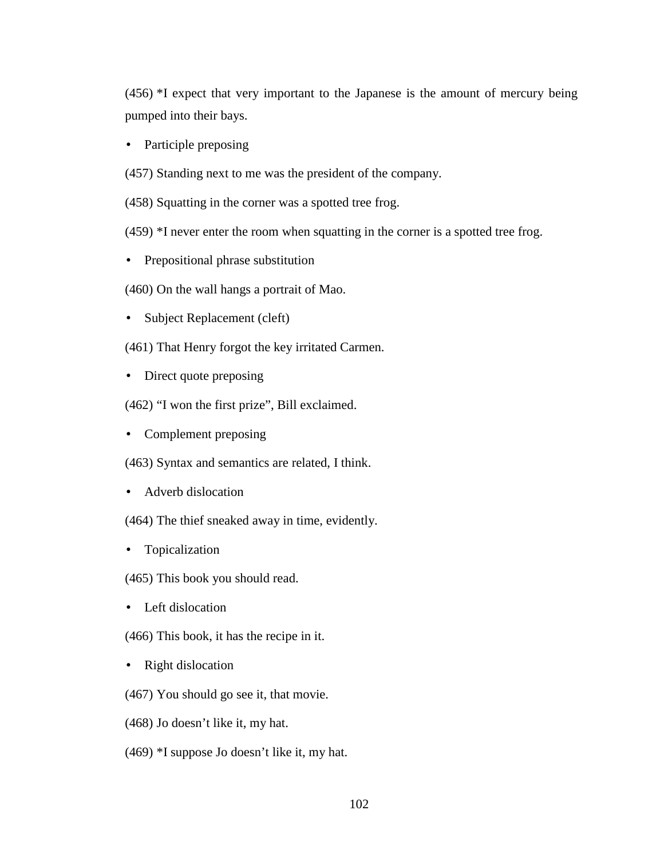(456) \*I expect that very important to the Japanese is the amount of mercury being pumped into their bays.

- Participle preposing
- (457) Standing next to me was the president of the company.
- (458) Squatting in the corner was a spotted tree frog.
- (459) \*I never enter the room when squatting in the corner is a spotted tree frog.
- Prepositional phrase substitution
- (460) On the wall hangs a portrait of Mao.
- Subject Replacement (cleft)
- (461) That Henry forgot the key irritated Carmen.
- Direct quote preposing
- (462) "I won the first prize", Bill exclaimed.
- Complement preposing
- (463) Syntax and semantics are related, I think.
- Adverb dislocation
- (464) The thief sneaked away in time, evidently.
- Topicalization
- (465) This book you should read.
- Left dislocation
- (466) This book, it has the recipe in it.
- Right dislocation
- (467) You should go see it, that movie.
- (468) Jo doesn't like it, my hat.
- (469) \*I suppose Jo doesn't like it, my hat.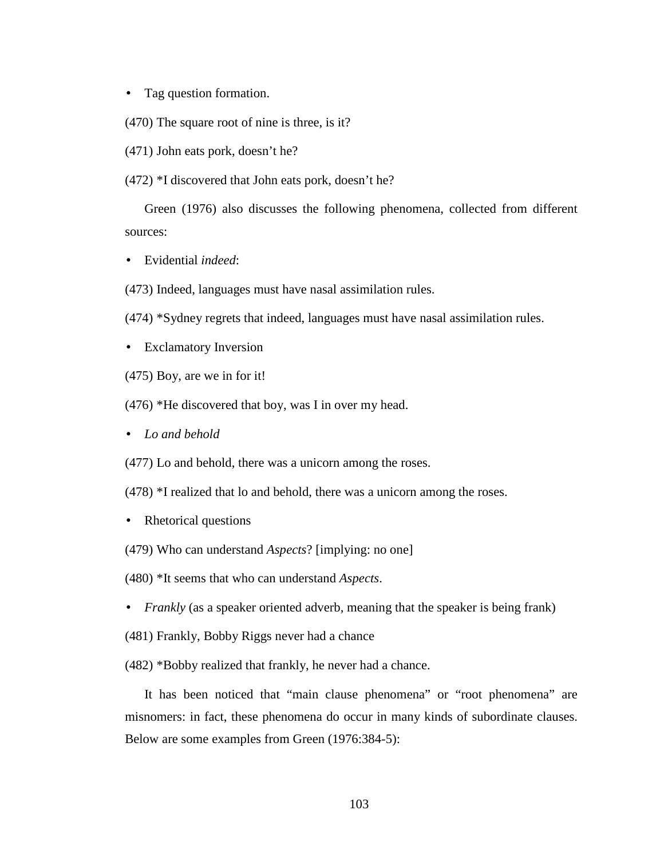- Tag question formation.
- (470) The square root of nine is three, is it?
- (471) John eats pork, doesn't he?
- (472) \*I discovered that John eats pork, doesn't he?

Green (1976) also discusses the following phenomena, collected from different sources:

- Evidential *indeed*:
- (473) Indeed, languages must have nasal assimilation rules.
- (474) \*Sydney regrets that indeed, languages must have nasal assimilation rules.
- Exclamatory Inversion
- (475) Boy, are we in for it!
- (476) \*He discovered that boy, was I in over my head.
- *Lo and behold*

(477) Lo and behold, there was a unicorn among the roses.

- (478) \*I realized that lo and behold, there was a unicorn among the roses.
- Rhetorical questions
- (479) Who can understand *Aspects*? [implying: no one]
- (480) \*It seems that who can understand *Aspects*.
- *Frankly* (as a speaker oriented adverb, meaning that the speaker is being frank)
- (481) Frankly, Bobby Riggs never had a chance

(482) \*Bobby realized that frankly, he never had a chance.

It has been noticed that "main clause phenomena" or "root phenomena" are misnomers: in fact, these phenomena do occur in many kinds of subordinate clauses. Below are some examples from Green (1976:384-5):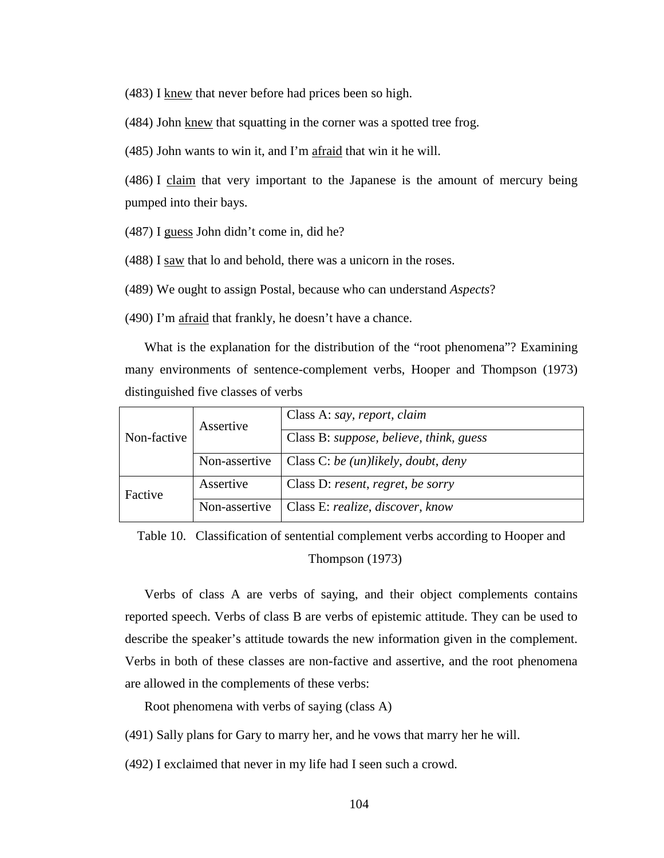(483) I knew that never before had prices been so high.

(484) John knew that squatting in the corner was a spotted tree frog.

(485) John wants to win it, and I'm afraid that win it he will.

(486) I claim that very important to the Japanese is the amount of mercury being pumped into their bays.

(487) I guess John didn't come in, did he?

(488) I saw that lo and behold, there was a unicorn in the roses.

(489) We ought to assign Postal, because who can understand *Aspects*?

(490) I'm afraid that frankly, he doesn't have a chance.

What is the explanation for the distribution of the "root phenomena"? Examining many environments of sentence-complement verbs, Hooper and Thompson (1973) distinguished five classes of verbs

| Non-factive | Assertive     | Class A: say, report, claim<br>Class B: suppose, believe, think, guess |
|-------------|---------------|------------------------------------------------------------------------|
|             | Non-assertive | Class C: be (un)likely, doubt, deny                                    |
| Factive     | Assertive     | Class D: resent, regret, be sorry                                      |
|             | Non-assertive | Class E: realize, discover, know                                       |

Table 10. Classification of sentential complement verbs according to Hooper and Thompson (1973)

Verbs of class A are verbs of saying, and their object complements contains reported speech. Verbs of class B are verbs of epistemic attitude. They can be used to describe the speaker's attitude towards the new information given in the complement. Verbs in both of these classes are non-factive and assertive, and the root phenomena are allowed in the complements of these verbs:

Root phenomena with verbs of saying (class A)

(491) Sally plans for Gary to marry her, and he vows that marry her he will.

(492) I exclaimed that never in my life had I seen such a crowd.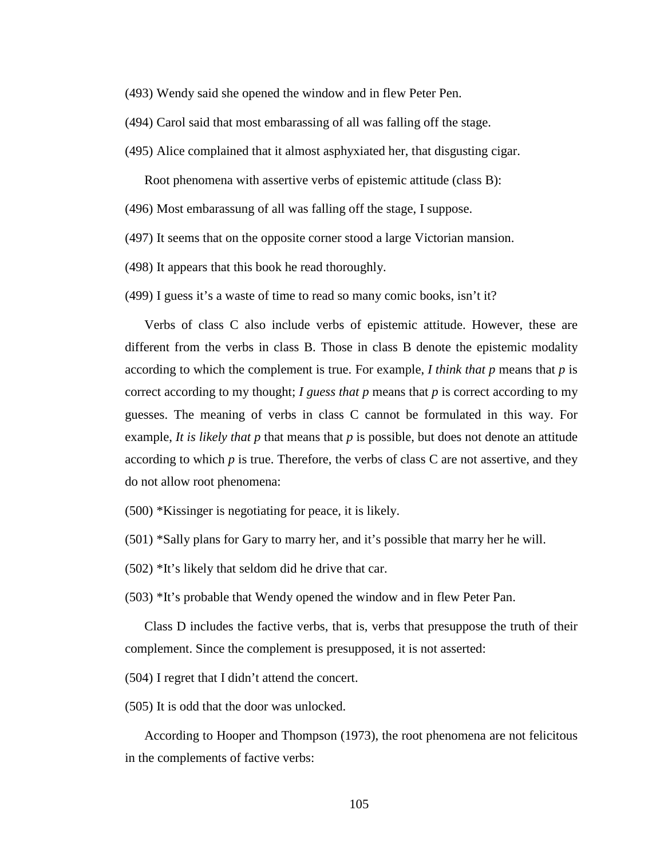- (493) Wendy said she opened the window and in flew Peter Pen.
- (494) Carol said that most embarassing of all was falling off the stage.
- (495) Alice complained that it almost asphyxiated her, that disgusting cigar.

Root phenomena with assertive verbs of epistemic attitude (class B):

- (496) Most embarassung of all was falling off the stage, I suppose.
- (497) It seems that on the opposite corner stood a large Victorian mansion.
- (498) It appears that this book he read thoroughly.
- (499) I guess it's a waste of time to read so many comic books, isn't it?

Verbs of class C also include verbs of epistemic attitude. However, these are different from the verbs in class B. Those in class B denote the epistemic modality according to which the complement is true. For example, *I think that p* means that *p* is correct according to my thought; *I guess that p* means that *p* is correct according to my guesses. The meaning of verbs in class C cannot be formulated in this way. For example, *It is likely that p* that means that *p* is possible, but does not denote an attitude according to which *p* is true. Therefore, the verbs of class C are not assertive, and they do not allow root phenomena:

- (500) \*Kissinger is negotiating for peace, it is likely.
- (501) \*Sally plans for Gary to marry her, and it's possible that marry her he will.
- (502) \*It's likely that seldom did he drive that car.
- (503) \*It's probable that Wendy opened the window and in flew Peter Pan.

Class D includes the factive verbs, that is, verbs that presuppose the truth of their complement. Since the complement is presupposed, it is not asserted:

(504) I regret that I didn't attend the concert.

(505) It is odd that the door was unlocked.

According to Hooper and Thompson (1973), the root phenomena are not felicitous in the complements of factive verbs: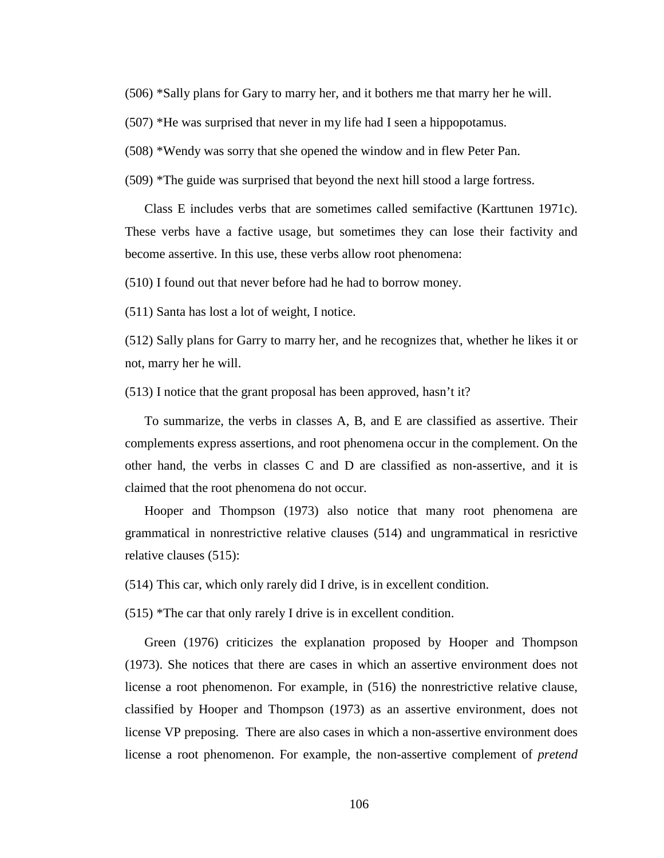(506) \*Sally plans for Gary to marry her, and it bothers me that marry her he will.

(507) \*He was surprised that never in my life had I seen a hippopotamus.

(508) \*Wendy was sorry that she opened the window and in flew Peter Pan.

(509) \*The guide was surprised that beyond the next hill stood a large fortress.

Class E includes verbs that are sometimes called semifactive (Karttunen 1971c). These verbs have a factive usage, but sometimes they can lose their factivity and become assertive. In this use, these verbs allow root phenomena:

(510) I found out that never before had he had to borrow money.

(511) Santa has lost a lot of weight, I notice.

(512) Sally plans for Garry to marry her, and he recognizes that, whether he likes it or not, marry her he will.

(513) I notice that the grant proposal has been approved, hasn't it?

To summarize, the verbs in classes A, B, and E are classified as assertive. Their complements express assertions, and root phenomena occur in the complement. On the other hand, the verbs in classes C and D are classified as non-assertive, and it is claimed that the root phenomena do not occur.

Hooper and Thompson (1973) also notice that many root phenomena are grammatical in nonrestrictive relative clauses (514) and ungrammatical in resrictive relative clauses (515):

(514) This car, which only rarely did I drive, is in excellent condition.

(515) \*The car that only rarely I drive is in excellent condition.

Green (1976) criticizes the explanation proposed by Hooper and Thompson (1973). She notices that there are cases in which an assertive environment does not license a root phenomenon. For example, in (516) the nonrestrictive relative clause, classified by Hooper and Thompson (1973) as an assertive environment, does not license VP preposing. There are also cases in which a non-assertive environment does license a root phenomenon. For example, the non-assertive complement of *pretend*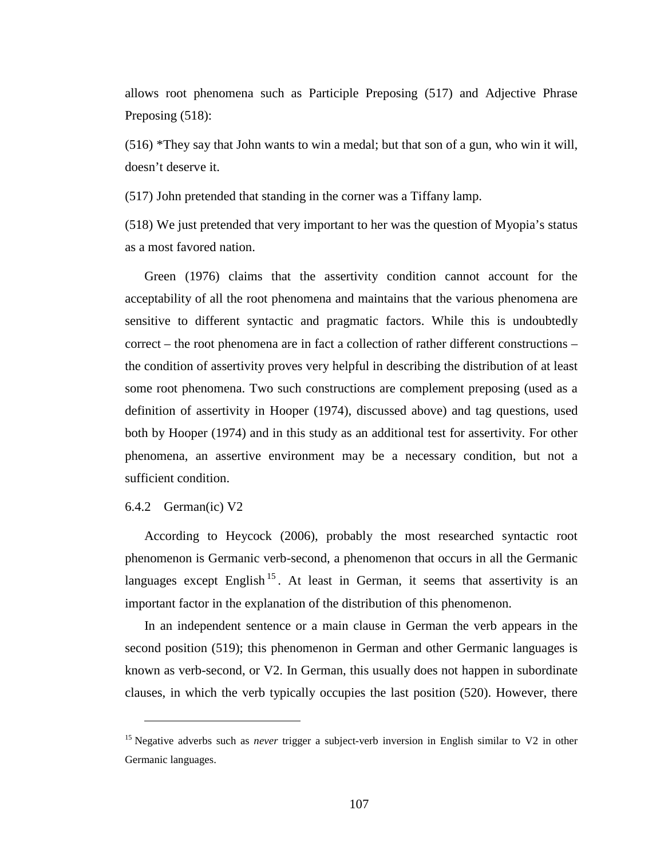allows root phenomena such as Participle Preposing (517) and Adjective Phrase Preposing  $(518)$ :

(516) \*They say that John wants to win a medal; but that son of a gun, who win it will, doesn't deserve it.

(517) John pretended that standing in the corner was a Tiffany lamp.

(518) We just pretended that very important to her was the question of Myopia's status as a most favored nation.

Green (1976) claims that the assertivity condition cannot account for the acceptability of all the root phenomena and maintains that the various phenomena are sensitive to different syntactic and pragmatic factors. While this is undoubtedly correct – the root phenomena are in fact a collection of rather different constructions – the condition of assertivity proves very helpful in describing the distribution of at least some root phenomena. Two such constructions are complement preposing (used as a definition of assertivity in Hooper (1974), discussed above) and tag questions, used both by Hooper (1974) and in this study as an additional test for assertivity. For other phenomena, an assertive environment may be a necessary condition, but not a sufficient condition.

# 6.4.2 German(ic) V2

 $\overline{a}$ 

According to Heycock (2006), probably the most researched syntactic root phenomenon is Germanic verb-second, a phenomenon that occurs in all the Germanic languages except English<sup>15</sup>. At least in German, it seems that assertivity is an important factor in the explanation of the distribution of this phenomenon.

In an independent sentence or a main clause in German the verb appears in the second position (519); this phenomenon in German and other Germanic languages is known as verb-second, or V2. In German, this usually does not happen in subordinate clauses, in which the verb typically occupies the last position (520). However, there

<sup>&</sup>lt;sup>15</sup> Negative adverbs such as *never* trigger a subject-verb inversion in English similar to V2 in other Germanic languages.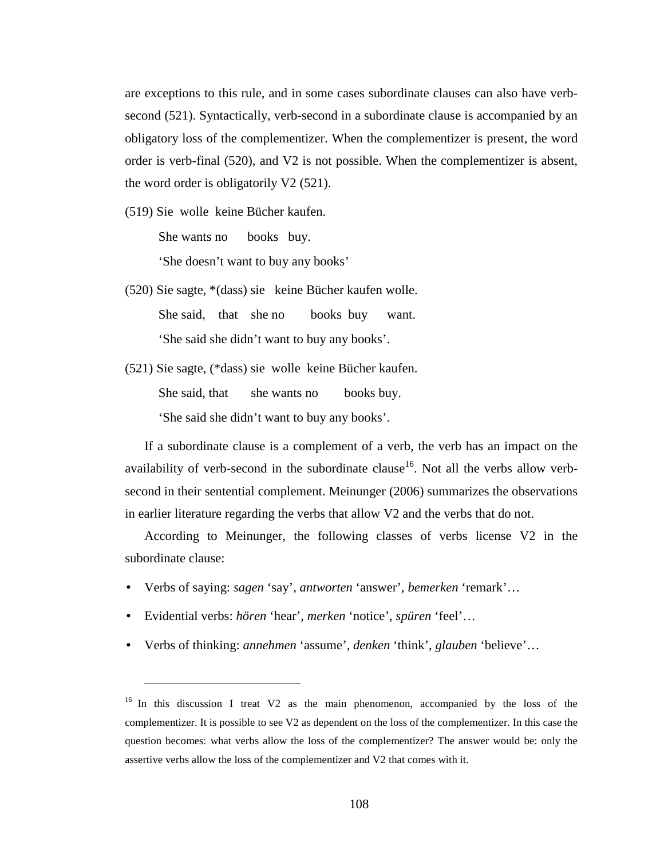are exceptions to this rule, and in some cases subordinate clauses can also have verbsecond (521). Syntactically, verb-second in a subordinate clause is accompanied by an obligatory loss of the complementizer. When the complementizer is present, the word order is verb-final (520), and V2 is not possible. When the complementizer is absent, the word order is obligatorily V2 (521).

(519) Sie wolle keine Bücher kaufen.

She wants no books buy.

'She doesn't want to buy any books'

- (520) Sie sagte, \*(dass) sie keine Bücher kaufen wolle. She said, that she no books buy want. 'She said she didn't want to buy any books'.
- (521) Sie sagte, (\*dass) sie wolle keine Bücher kaufen. She said, that she wants no books buy. 'She said she didn't want to buy any books'.

If a subordinate clause is a complement of a verb, the verb has an impact on the availability of verb-second in the subordinate clause<sup>16</sup>. Not all the verbs allow verbsecond in their sentential complement. Meinunger (2006) summarizes the observations in earlier literature regarding the verbs that allow V2 and the verbs that do not.

According to Meinunger, the following classes of verbs license V2 in the subordinate clause:

- Verbs of saying: *sagen* 'say', *antworten* 'answer', *bemerken* 'remark'…
- Evidential verbs: *hören* 'hear', *merken* 'notice', *spüren* 'feel'…

 $\overline{a}$ 

• Verbs of thinking: *annehmen* 'assume', *denken* 'think', *glauben* 'believe'…

<sup>&</sup>lt;sup>16</sup> In this discussion I treat V2 as the main phenomenon, accompanied by the loss of the complementizer. It is possible to see V2 as dependent on the loss of the complementizer. In this case the question becomes: what verbs allow the loss of the complementizer? The answer would be: only the assertive verbs allow the loss of the complementizer and V2 that comes with it.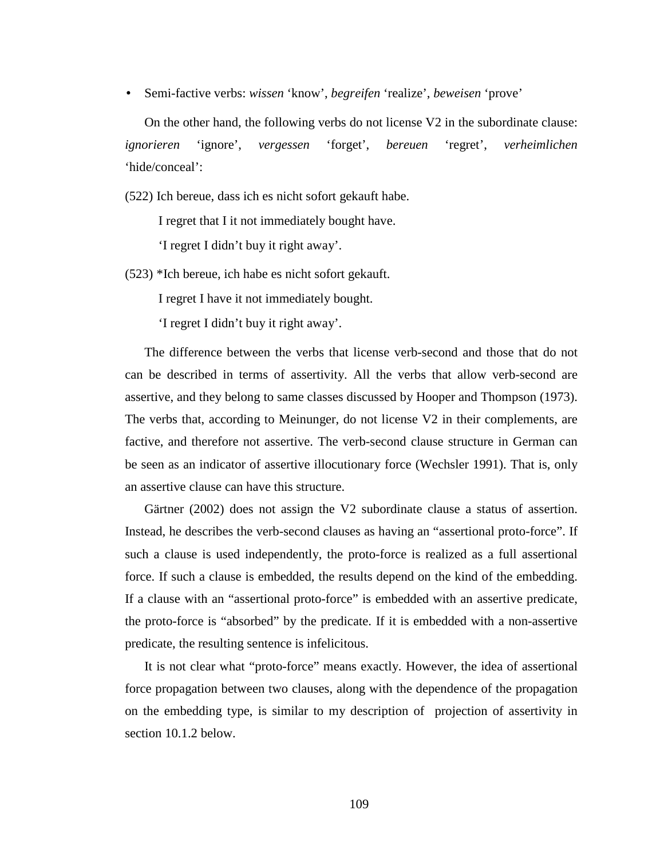• Semi-factive verbs: *wissen* 'know', *begreifen* 'realize', *beweisen* 'prove'

On the other hand, the following verbs do not license V2 in the subordinate clause: *ignorieren* 'ignore', *vergessen* 'forget', *bereuen* 'regret', *verheimlichen* 'hide/conceal':

(522) Ich bereue, dass ich es nicht sofort gekauft habe.

I regret that I it not immediately bought have.

'I regret I didn't buy it right away'.

(523) \*Ich bereue, ich habe es nicht sofort gekauft.

I regret I have it not immediately bought.

'I regret I didn't buy it right away'.

The difference between the verbs that license verb-second and those that do not can be described in terms of assertivity. All the verbs that allow verb-second are assertive, and they belong to same classes discussed by Hooper and Thompson (1973). The verbs that, according to Meinunger, do not license V2 in their complements, are factive, and therefore not assertive. The verb-second clause structure in German can be seen as an indicator of assertive illocutionary force (Wechsler 1991). That is, only an assertive clause can have this structure.

Gärtner (2002) does not assign the V2 subordinate clause a status of assertion. Instead, he describes the verb-second clauses as having an "assertional proto-force". If such a clause is used independently, the proto-force is realized as a full assertional force. If such a clause is embedded, the results depend on the kind of the embedding. If a clause with an "assertional proto-force" is embedded with an assertive predicate, the proto-force is "absorbed" by the predicate. If it is embedded with a non-assertive predicate, the resulting sentence is infelicitous.

It is not clear what "proto-force" means exactly. However, the idea of assertional force propagation between two clauses, along with the dependence of the propagation on the embedding type, is similar to my description of projection of assertivity in section 10.1.2 below.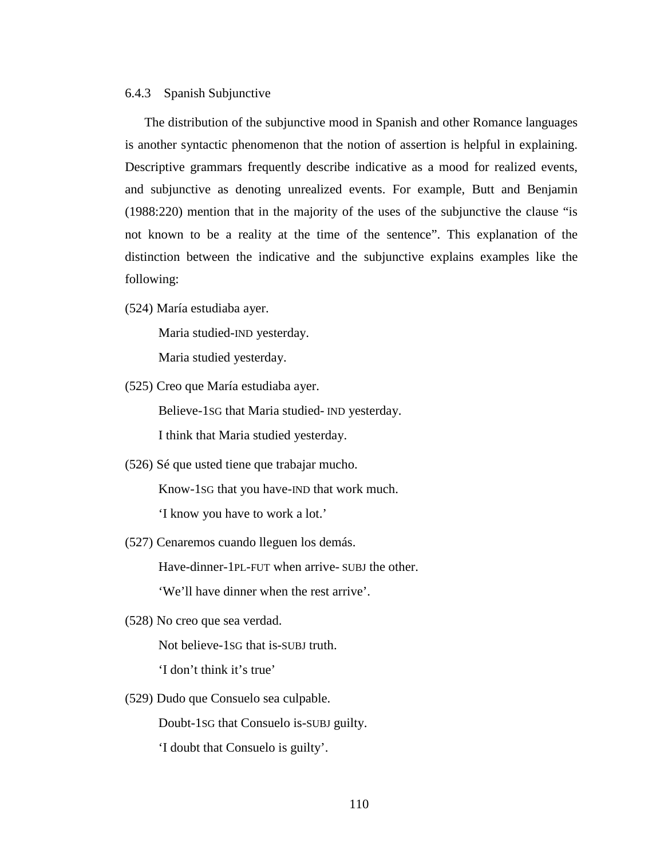### 6.4.3 Spanish Subjunctive

The distribution of the subjunctive mood in Spanish and other Romance languages is another syntactic phenomenon that the notion of assertion is helpful in explaining. Descriptive grammars frequently describe indicative as a mood for realized events, and subjunctive as denoting unrealized events. For example, Butt and Benjamin (1988:220) mention that in the majority of the uses of the subjunctive the clause "is not known to be a reality at the time of the sentence". This explanation of the distinction between the indicative and the subjunctive explains examples like the following:

(524) María estudiaba ayer.

Maria studied-IND yesterday.

Maria studied yesterday.

- (525) Creo que María estudiaba ayer. Believe-1SG that Maria studied- IND yesterday. I think that Maria studied yesterday.
- (526) Sé que usted tiene que trabajar mucho. Know-1SG that you have-IND that work much. 'I know you have to work a lot.'
- (527) Cenaremos cuando lleguen los demás.

Have-dinner-1PL-FUT when arrive- SUBJ the other.

'We'll have dinner when the rest arrive'.

(528) No creo que sea verdad.

Not believe-1SG that is-SUBJ truth.

'I don't think it's true'

(529) Dudo que Consuelo sea culpable.

Doubt-1SG that Consuelo is-SUBJ guilty.

'I doubt that Consuelo is guilty'.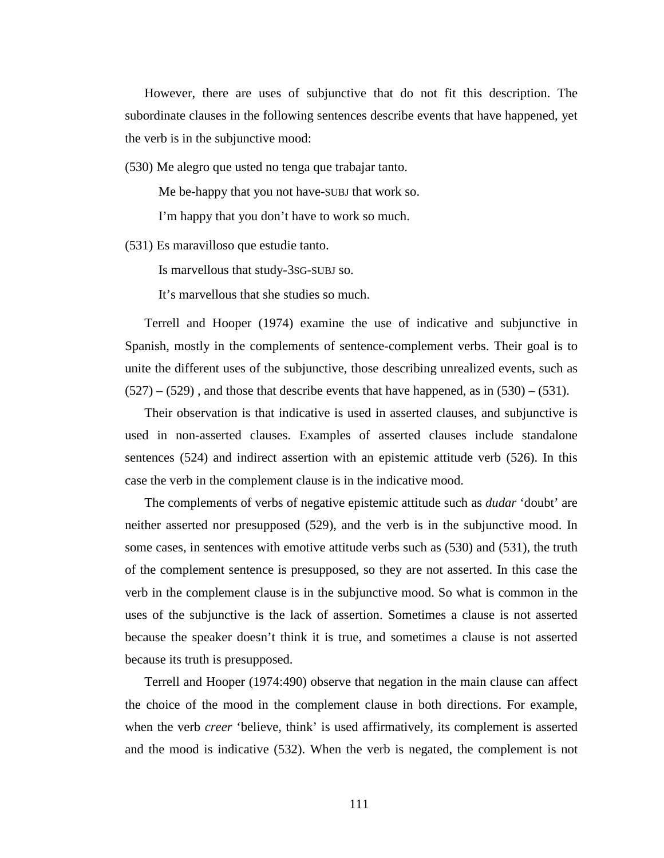However, there are uses of subjunctive that do not fit this description. The subordinate clauses in the following sentences describe events that have happened, yet the verb is in the subjunctive mood:

(530) Me alegro que usted no tenga que trabajar tanto.

Me be-happy that you not have-SUBJ that work so.

I'm happy that you don't have to work so much.

(531) Es maravilloso que estudie tanto.

Is marvellous that study-3SG-SUBJ so.

It's marvellous that she studies so much.

Terrell and Hooper (1974) examine the use of indicative and subjunctive in Spanish, mostly in the complements of sentence-complement verbs. Their goal is to unite the different uses of the subjunctive, those describing unrealized events, such as  $(527) - (529)$ , and those that describe events that have happened, as in  $(530) - (531)$ .

Their observation is that indicative is used in asserted clauses, and subjunctive is used in non-asserted clauses. Examples of asserted clauses include standalone sentences (524) and indirect assertion with an epistemic attitude verb (526). In this case the verb in the complement clause is in the indicative mood.

The complements of verbs of negative epistemic attitude such as *dudar* 'doubt' are neither asserted nor presupposed (529), and the verb is in the subjunctive mood. In some cases, in sentences with emotive attitude verbs such as (530) and (531), the truth of the complement sentence is presupposed, so they are not asserted. In this case the verb in the complement clause is in the subjunctive mood. So what is common in the uses of the subjunctive is the lack of assertion. Sometimes a clause is not asserted because the speaker doesn't think it is true, and sometimes a clause is not asserted because its truth is presupposed.

Terrell and Hooper (1974:490) observe that negation in the main clause can affect the choice of the mood in the complement clause in both directions. For example, when the verb *creer* 'believe, think' is used affirmatively, its complement is asserted and the mood is indicative (532). When the verb is negated, the complement is not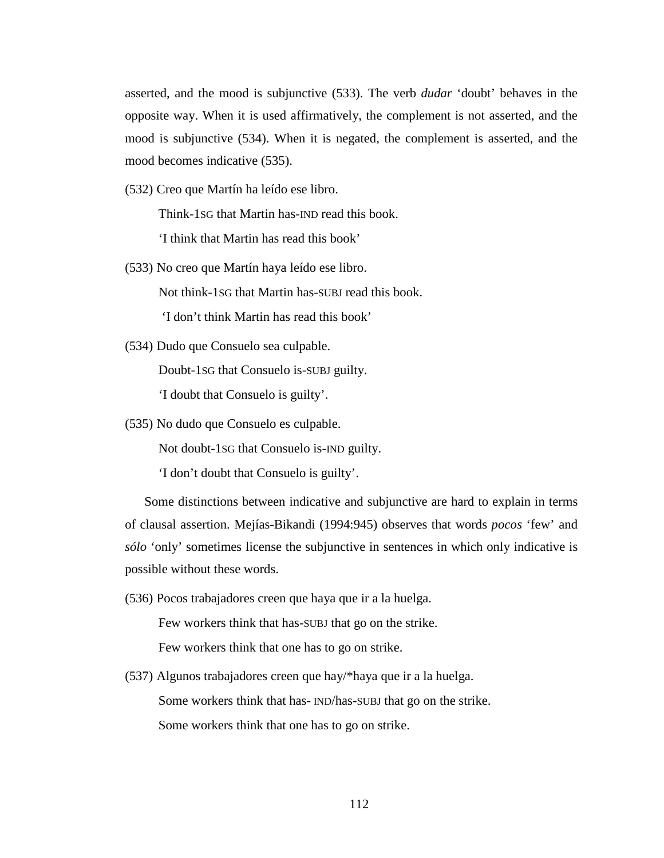asserted, and the mood is subjunctive (533). The verb *dudar* 'doubt' behaves in the opposite way. When it is used affirmatively, the complement is not asserted, and the mood is subjunctive (534). When it is negated, the complement is asserted, and the mood becomes indicative (535).

(532) Creo que Martín ha leído ese libro.

Think-1SG that Martin has-IND read this book.

'I think that Martin has read this book'

(533) No creo que Martín haya leído ese libro.

Not think-1SG that Martin has-SUBJ read this book.

'I don't think Martin has read this book'

(534) Dudo que Consuelo sea culpable.

Doubt-1SG that Consuelo is-SUBJ guilty.

'I doubt that Consuelo is guilty'.

(535) No dudo que Consuelo es culpable.

Not doubt-1SG that Consuelo is-IND guilty.

'I don't doubt that Consuelo is guilty'.

Some distinctions between indicative and subjunctive are hard to explain in terms of clausal assertion. Mejías-Bikandi (1994:945) observes that words *pocos* 'few' and *sólo* 'only' sometimes license the subjunctive in sentences in which only indicative is possible without these words.

(536) Pocos trabajadores creen que haya que ir a la huelga.

Few workers think that has-SUBJ that go on the strike. Few workers think that one has to go on strike.

(537) Algunos trabajadores creen que hay/\*haya que ir a la huelga. Some workers think that has- IND/has-SUBJ that go on the strike. Some workers think that one has to go on strike.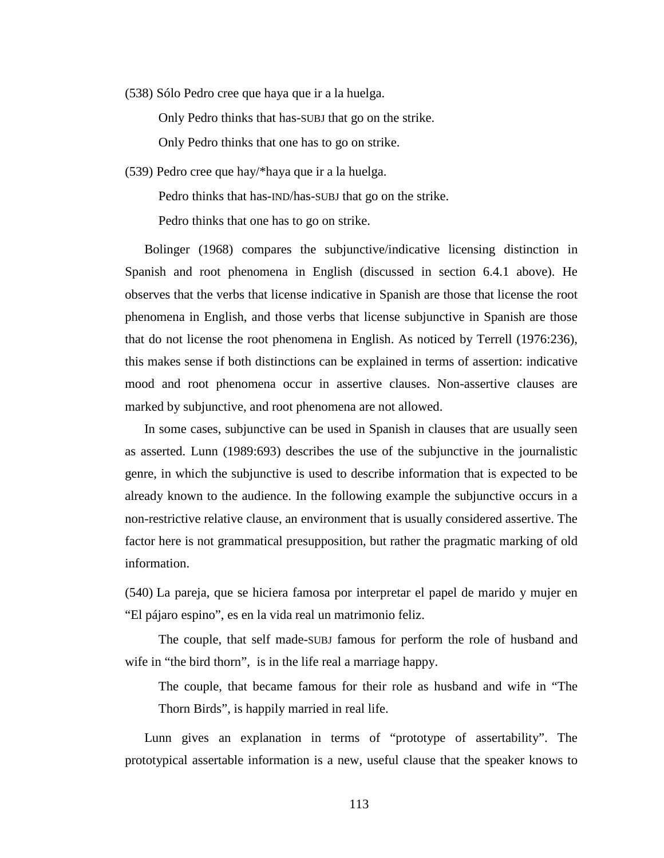(538) Sólo Pedro cree que haya que ir a la huelga.

Only Pedro thinks that has-SUBJ that go on the strike.

Only Pedro thinks that one has to go on strike.

(539) Pedro cree que hay/\*haya que ir a la huelga.

Pedro thinks that has-IND/has-SUBJ that go on the strike.

Pedro thinks that one has to go on strike.

Bolinger (1968) compares the subjunctive/indicative licensing distinction in Spanish and root phenomena in English (discussed in section 6.4.1 above). He observes that the verbs that license indicative in Spanish are those that license the root phenomena in English, and those verbs that license subjunctive in Spanish are those that do not license the root phenomena in English. As noticed by Terrell (1976:236), this makes sense if both distinctions can be explained in terms of assertion: indicative mood and root phenomena occur in assertive clauses. Non-assertive clauses are marked by subjunctive, and root phenomena are not allowed.

In some cases, subjunctive can be used in Spanish in clauses that are usually seen as asserted. Lunn (1989:693) describes the use of the subjunctive in the journalistic genre, in which the subjunctive is used to describe information that is expected to be already known to the audience. In the following example the subjunctive occurs in a non-restrictive relative clause, an environment that is usually considered assertive. The factor here is not grammatical presupposition, but rather the pragmatic marking of old information.

(540) La pareja, que se hiciera famosa por interpretar el papel de marido y mujer en "El pájaro espino", es en la vida real un matrimonio feliz.

The couple, that self made-SUBJ famous for perform the role of husband and wife in "the bird thorn", is in the life real a marriage happy.

The couple, that became famous for their role as husband and wife in "The Thorn Birds", is happily married in real life.

Lunn gives an explanation in terms of "prototype of assertability". The prototypical assertable information is a new, useful clause that the speaker knows to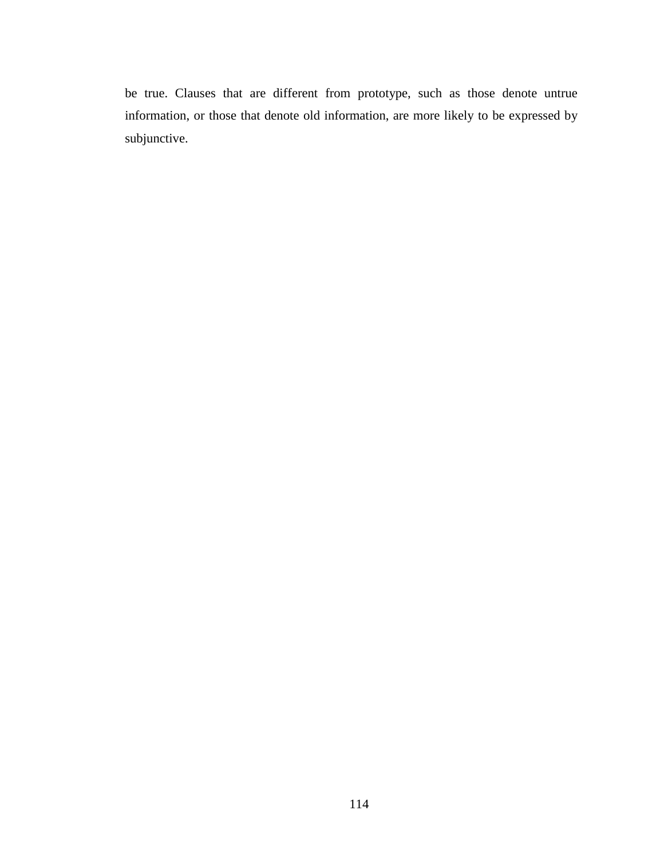be true. Clauses that are different from prototype, such as those denote untrue information, or those that denote old information, are more likely to be expressed by subjunctive.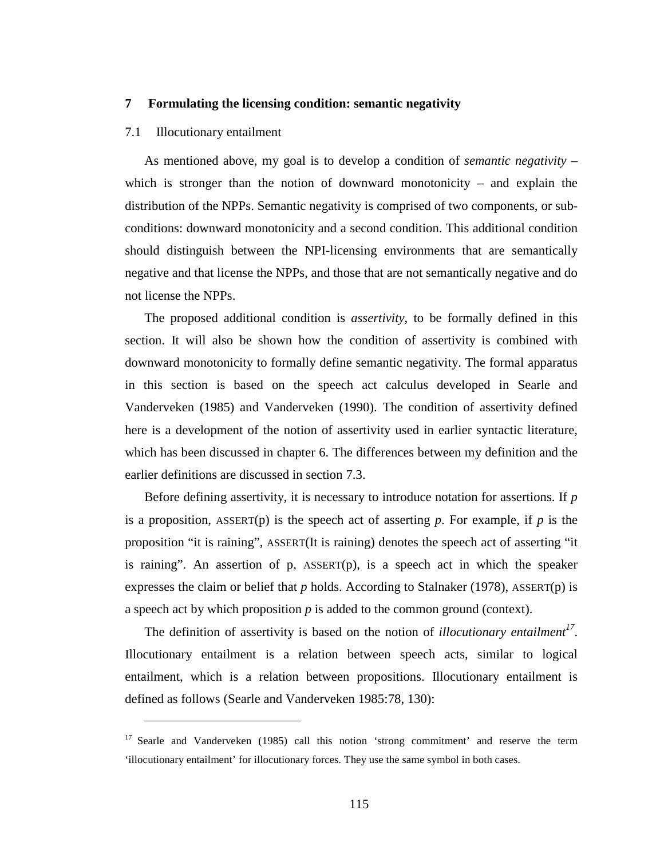# **7 Formulating the licensing condition: semantic negativity**

### 7.1 Illocutionary entailment

 $\overline{a}$ 

As mentioned above, my goal is to develop a condition of *semantic negativity* – which is stronger than the notion of downward monotonicity – and explain the distribution of the NPPs. Semantic negativity is comprised of two components, or subconditions: downward monotonicity and a second condition. This additional condition should distinguish between the NPI-licensing environments that are semantically negative and that license the NPPs, and those that are not semantically negative and do not license the NPPs.

The proposed additional condition is *assertivity*, to be formally defined in this section. It will also be shown how the condition of assertivity is combined with downward monotonicity to formally define semantic negativity. The formal apparatus in this section is based on the speech act calculus developed in Searle and Vanderveken (1985) and Vanderveken (1990). The condition of assertivity defined here is a development of the notion of assertivity used in earlier syntactic literature, which has been discussed in chapter 6. The differences between my definition and the earlier definitions are discussed in section 7.3.

Before defining assertivity, it is necessary to introduce notation for assertions. If *p* is a proposition, ASSERT(p) is the speech act of asserting p. For example, if  $p$  is the proposition "it is raining", ASSERT(It is raining) denotes the speech act of asserting "it is raining". An assertion of  $p$ ,  $ASSET(p)$ , is a speech act in which the speaker expresses the claim or belief that  $p$  holds. According to Stalnaker (1978), ASSERT(p) is a speech act by which proposition *p* is added to the common ground (context).

The definition of assertivity is based on the notion of *illocutionary entailment<sup>17</sup>* . Illocutionary entailment is a relation between speech acts, similar to logical entailment, which is a relation between propositions. Illocutionary entailment is defined as follows (Searle and Vanderveken 1985:78, 130):

<sup>&</sup>lt;sup>17</sup> Searle and Vanderveken (1985) call this notion 'strong commitment' and reserve the term 'illocutionary entailment' for illocutionary forces. They use the same symbol in both cases.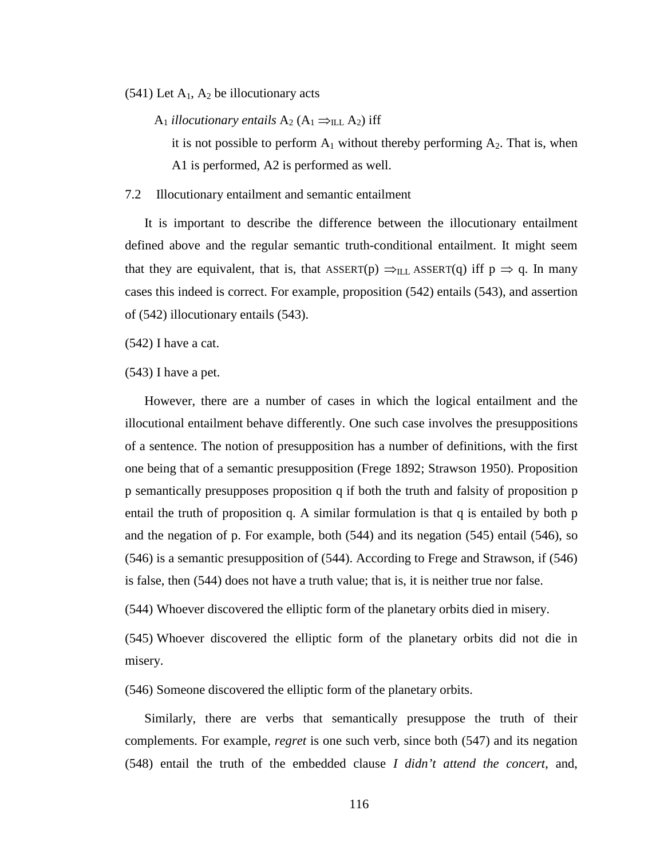$(541)$  Let  $A_1$ ,  $A_2$  be illocutionary acts

A<sub>1</sub> *illocutionary entails*  $A_2$  ( $A_1 \Rightarrow_{ILL} A_2$ ) iff

it is not possible to perform  $A_1$  without thereby performing  $A_2$ . That is, when A1 is performed, A2 is performed as well.

7.2 Illocutionary entailment and semantic entailment

It is important to describe the difference between the illocutionary entailment defined above and the regular semantic truth-conditional entailment. It might seem that they are equivalent, that is, that ASSERT(p)  $\Rightarrow$ <sub>ILL</sub> ASSERT(q) iff p  $\Rightarrow$  q. In many cases this indeed is correct. For example, proposition (542) entails (543), and assertion of (542) illocutionary entails (543).

(542) I have a cat.

(543) I have a pet.

However, there are a number of cases in which the logical entailment and the illocutional entailment behave differently. One such case involves the presuppositions of a sentence. The notion of presupposition has a number of definitions, with the first one being that of a semantic presupposition (Frege 1892; Strawson 1950). Proposition p semantically presupposes proposition q if both the truth and falsity of proposition p entail the truth of proposition q. A similar formulation is that q is entailed by both p and the negation of p. For example, both (544) and its negation (545) entail (546), so (546) is a semantic presupposition of (544). According to Frege and Strawson, if (546) is false, then (544) does not have a truth value; that is, it is neither true nor false.

(544) Whoever discovered the elliptic form of the planetary orbits died in misery.

(545) Whoever discovered the elliptic form of the planetary orbits did not die in misery.

(546) Someone discovered the elliptic form of the planetary orbits.

Similarly, there are verbs that semantically presuppose the truth of their complements. For example, *regret* is one such verb, since both (547) and its negation (548) entail the truth of the embedded clause *I didn't attend the concert*, and,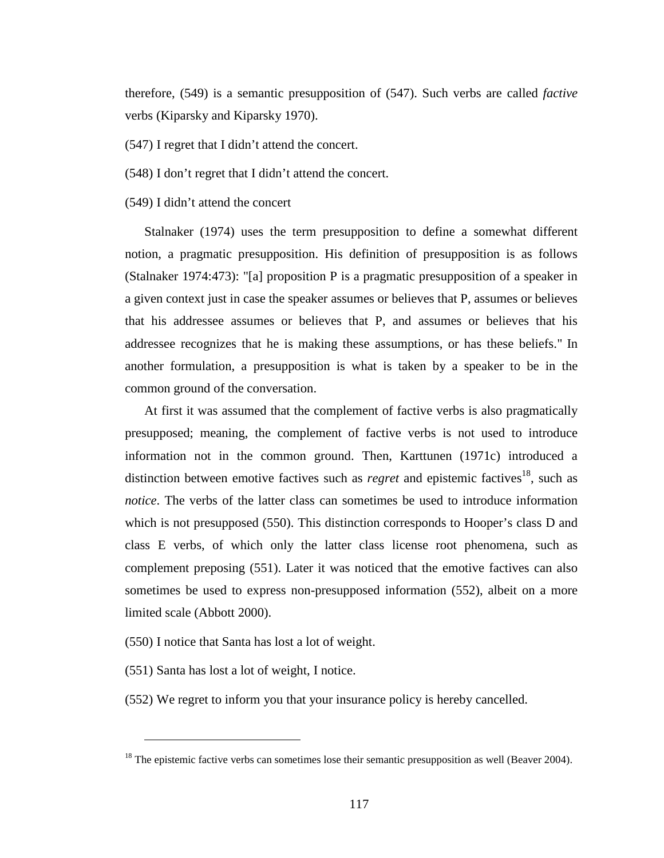therefore, (549) is a semantic presupposition of (547). Such verbs are called *factive* verbs (Kiparsky and Kiparsky 1970).

(547) I regret that I didn't attend the concert.

(548) I don't regret that I didn't attend the concert.

(549) I didn't attend the concert

Stalnaker (1974) uses the term presupposition to define a somewhat different notion, a pragmatic presupposition. His definition of presupposition is as follows (Stalnaker 1974:473): "[a] proposition P is a pragmatic presupposition of a speaker in a given context just in case the speaker assumes or believes that P, assumes or believes that his addressee assumes or believes that P, and assumes or believes that his addressee recognizes that he is making these assumptions, or has these beliefs." In another formulation, a presupposition is what is taken by a speaker to be in the common ground of the conversation.

At first it was assumed that the complement of factive verbs is also pragmatically presupposed; meaning, the complement of factive verbs is not used to introduce information not in the common ground. Then, Karttunen (1971c) introduced a distinction between emotive factives such as *regret* and epistemic factives<sup>18</sup>, such as *notice*. The verbs of the latter class can sometimes be used to introduce information which is not presupposed (550). This distinction corresponds to Hooper's class D and class E verbs, of which only the latter class license root phenomena, such as complement preposing (551). Later it was noticed that the emotive factives can also sometimes be used to express non-presupposed information (552), albeit on a more limited scale (Abbott 2000).

(550) I notice that Santa has lost a lot of weight.

(551) Santa has lost a lot of weight, I notice.

 $\overline{a}$ 

(552) We regret to inform you that your insurance policy is hereby cancelled.

 $18$  The epistemic factive verbs can sometimes lose their semantic presupposition as well (Beaver 2004).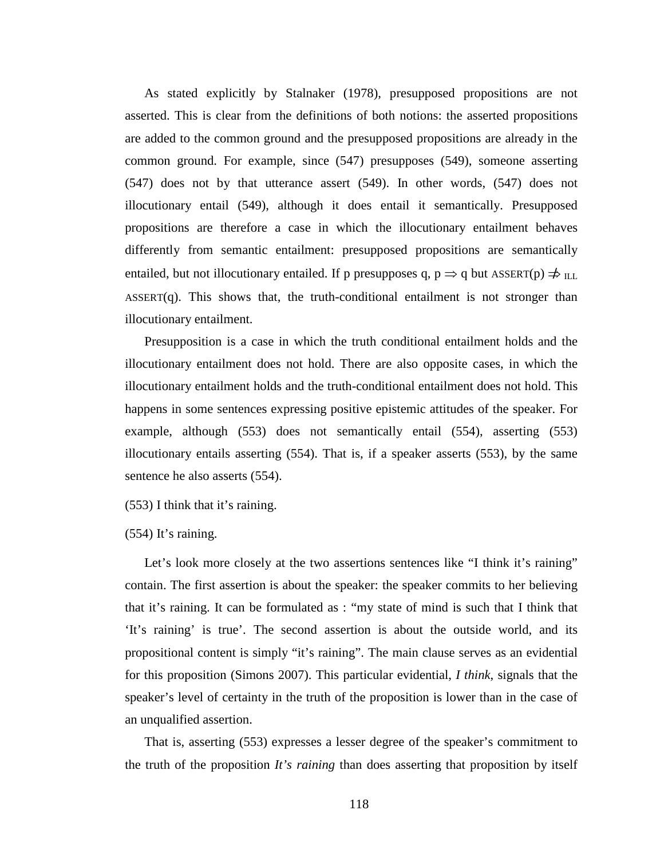As stated explicitly by Stalnaker (1978), presupposed propositions are not asserted. This is clear from the definitions of both notions: the asserted propositions are added to the common ground and the presupposed propositions are already in the common ground. For example, since (547) presupposes (549), someone asserting (547) does not by that utterance assert (549). In other words, (547) does not illocutionary entail (549), although it does entail it semantically. Presupposed propositions are therefore a case in which the illocutionary entailment behaves differently from semantic entailment: presupposed propositions are semantically entailed, but not illocutionary entailed. If p presupposes q,  $p \Rightarrow q$  but ASSERT(p)  $\Rightarrow$  ILL  $ASSERT(q)$ . This shows that, the truth-conditional entailment is not stronger than illocutionary entailment.

Presupposition is a case in which the truth conditional entailment holds and the illocutionary entailment does not hold. There are also opposite cases, in which the illocutionary entailment holds and the truth-conditional entailment does not hold. This happens in some sentences expressing positive epistemic attitudes of the speaker. For example, although (553) does not semantically entail (554), asserting (553) illocutionary entails asserting (554). That is, if a speaker asserts (553), by the same sentence he also asserts (554).

(553) I think that it's raining.

(554) It's raining.

Let's look more closely at the two assertions sentences like "I think it's raining" contain. The first assertion is about the speaker: the speaker commits to her believing that it's raining. It can be formulated as : "my state of mind is such that I think that 'It's raining' is true'. The second assertion is about the outside world, and its propositional content is simply "it's raining". The main clause serves as an evidential for this proposition (Simons 2007). This particular evidential, *I think*, signals that the speaker's level of certainty in the truth of the proposition is lower than in the case of an unqualified assertion.

That is, asserting (553) expresses a lesser degree of the speaker's commitment to the truth of the proposition *It's raining* than does asserting that proposition by itself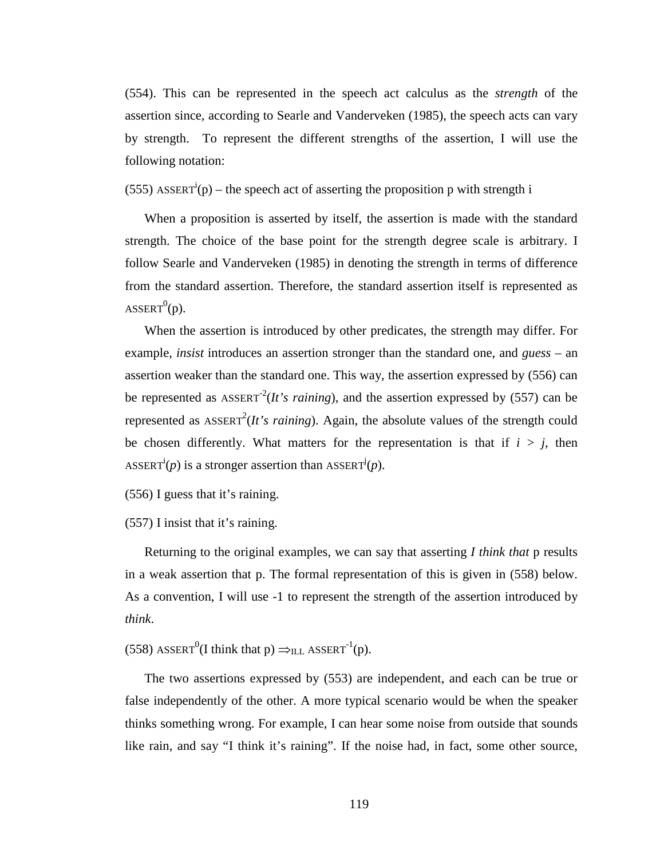(554). This can be represented in the speech act calculus as the *strength* of the assertion since, according to Searle and Vanderveken (1985), the speech acts can vary by strength. To represent the different strengths of the assertion, I will use the following notation:

(555) ASSERT<sup>i</sup>(p) – the speech act of asserting the proposition p with strength i

When a proposition is asserted by itself, the assertion is made with the standard strength. The choice of the base point for the strength degree scale is arbitrary. I follow Searle and Vanderveken (1985) in denoting the strength in terms of difference from the standard assertion. Therefore, the standard assertion itself is represented as ASSERT $^{0}$ (p).

When the assertion is introduced by other predicates, the strength may differ. For example, *insist* introduces an assertion stronger than the standard one, and *guess* – an assertion weaker than the standard one. This way, the assertion expressed by (556) can be represented as  $\text{ASSENT}^2(It's \text{ raining})$ , and the assertion expressed by (557) can be represented as  $\text{ASSENT}^2(It's \text{ raining})$ . Again, the absolute values of the strength could be chosen differently. What matters for the representation is that if  $i > j$ , then ASSERT<sup>i</sup>(*p*) is a stronger assertion than ASSERT<sup>j</sup>(*p*).

(556) I guess that it's raining.

(557) I insist that it's raining.

Returning to the original examples, we can say that asserting *I think that* p results in a weak assertion that p. The formal representation of this is given in (558) below. As a convention, I will use -1 to represent the strength of the assertion introduced by *think*.

(558) ASSERT<sup>0</sup>(I think that p)  $\Rightarrow$ <sub>ILL</sub> ASSERT<sup>-1</sup>(p).

The two assertions expressed by (553) are independent, and each can be true or false independently of the other. A more typical scenario would be when the speaker thinks something wrong. For example, I can hear some noise from outside that sounds like rain, and say "I think it's raining". If the noise had, in fact, some other source,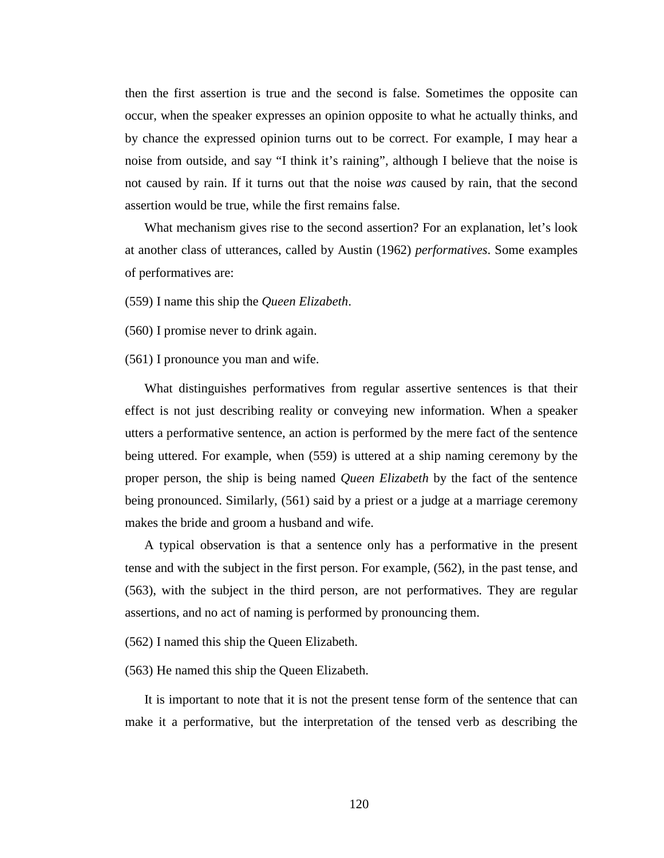then the first assertion is true and the second is false. Sometimes the opposite can occur, when the speaker expresses an opinion opposite to what he actually thinks, and by chance the expressed opinion turns out to be correct. For example, I may hear a noise from outside, and say "I think it's raining", although I believe that the noise is not caused by rain. If it turns out that the noise *was* caused by rain, that the second assertion would be true, while the first remains false.

What mechanism gives rise to the second assertion? For an explanation, let's look at another class of utterances, called by Austin (1962) *performatives*. Some examples of performatives are:

(559) I name this ship the *Queen Elizabeth*.

(560) I promise never to drink again.

(561) I pronounce you man and wife.

What distinguishes performatives from regular assertive sentences is that their effect is not just describing reality or conveying new information. When a speaker utters a performative sentence, an action is performed by the mere fact of the sentence being uttered. For example, when (559) is uttered at a ship naming ceremony by the proper person, the ship is being named *Queen Elizabeth* by the fact of the sentence being pronounced. Similarly, (561) said by a priest or a judge at a marriage ceremony makes the bride and groom a husband and wife.

A typical observation is that a sentence only has a performative in the present tense and with the subject in the first person. For example, (562), in the past tense, and (563), with the subject in the third person, are not performatives. They are regular assertions, and no act of naming is performed by pronouncing them.

(562) I named this ship the Queen Elizabeth.

(563) He named this ship the Queen Elizabeth.

It is important to note that it is not the present tense form of the sentence that can make it a performative, but the interpretation of the tensed verb as describing the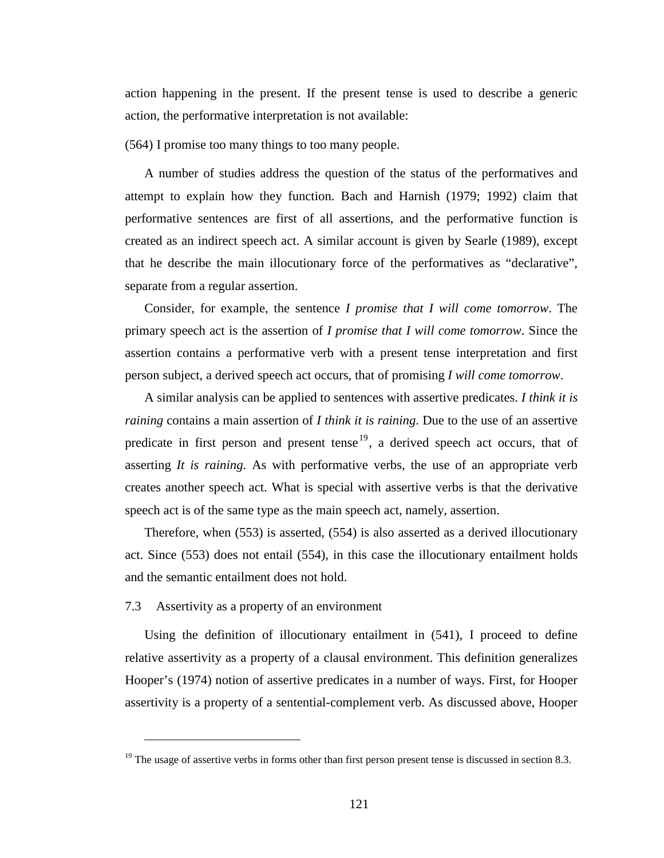action happening in the present. If the present tense is used to describe a generic action, the performative interpretation is not available:

(564) I promise too many things to too many people.

A number of studies address the question of the status of the performatives and attempt to explain how they function. Bach and Harnish (1979; 1992) claim that performative sentences are first of all assertions, and the performative function is created as an indirect speech act. A similar account is given by Searle (1989), except that he describe the main illocutionary force of the performatives as "declarative", separate from a regular assertion.

Consider, for example, the sentence *I promise that I will come tomorrow*. The primary speech act is the assertion of *I promise that I will come tomorrow*. Since the assertion contains a performative verb with a present tense interpretation and first person subject, a derived speech act occurs, that of promising *I will come tomorrow*.

A similar analysis can be applied to sentences with assertive predicates. *I think it is raining* contains a main assertion of *I think it is raining*. Due to the use of an assertive predicate in first person and present tense<sup>19</sup>, a derived speech act occurs, that of asserting *It is raining*. As with performative verbs, the use of an appropriate verb creates another speech act. What is special with assertive verbs is that the derivative speech act is of the same type as the main speech act, namely, assertion.

Therefore, when (553) is asserted, (554) is also asserted as a derived illocutionary act. Since (553) does not entail (554), in this case the illocutionary entailment holds and the semantic entailment does not hold.

### 7.3 Assertivity as a property of an environment

 $\overline{a}$ 

Using the definition of illocutionary entailment in (541), I proceed to define relative assertivity as a property of a clausal environment. This definition generalizes Hooper's (1974) notion of assertive predicates in a number of ways. First, for Hooper assertivity is a property of a sentential-complement verb. As discussed above, Hooper

 $19$  The usage of assertive verbs in forms other than first person present tense is discussed in section 8.3.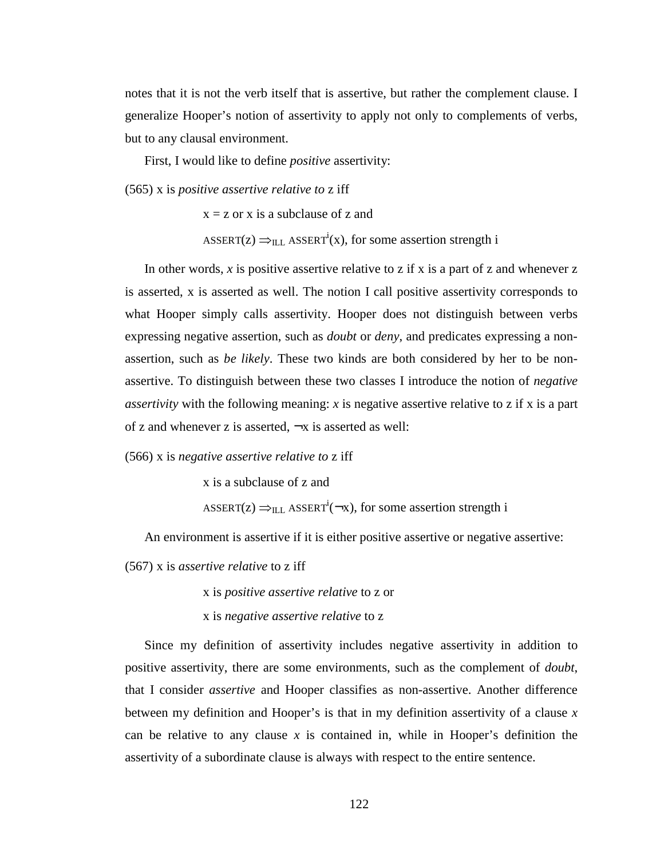notes that it is not the verb itself that is assertive, but rather the complement clause. I generalize Hooper's notion of assertivity to apply not only to complements of verbs, but to any clausal environment.

First, I would like to define *positive* assertivity:

(565) x is *positive assertive relative to* z iff

 $x = z$  or x is a subclause of z and ASSERT( $z$ )  $\Rightarrow$ <sub>ILL</sub> ASSERT<sup>i</sup>(x), for some assertion strength i

In other words,  $x$  is positive assertive relative to z if  $x$  is a part of  $z$  and whenever  $z$ is asserted, x is asserted as well. The notion I call positive assertivity corresponds to what Hooper simply calls assertivity. Hooper does not distinguish between verbs expressing negative assertion, such as *doubt* or *deny*, and predicates expressing a nonassertion, such as *be likely*. These two kinds are both considered by her to be nonassertive. To distinguish between these two classes I introduce the notion of *negative assertivity* with the following meaning: *x* is negative assertive relative to z if x is a part of z and whenever z is asserted,  $\neg x$  is asserted as well:

(566) x is *negative assertive relative to* z iff

x is a subclause of z and

ASSERT( $z$ )  $\Rightarrow$ <sub>ILL</sub> ASSERT<sup>i</sup>( $\neg x$ ), for some assertion strength i

An environment is assertive if it is either positive assertive or negative assertive:

(567) x is *assertive relative* to z iff

x is *positive assertive relative* to z or

x is *negative assertive relative* to z

Since my definition of assertivity includes negative assertivity in addition to positive assertivity, there are some environments, such as the complement of *doubt*, that I consider *assertive* and Hooper classifies as non-assertive. Another difference between my definition and Hooper's is that in my definition assertivity of a clause *x* can be relative to any clause *x* is contained in, while in Hooper's definition the assertivity of a subordinate clause is always with respect to the entire sentence.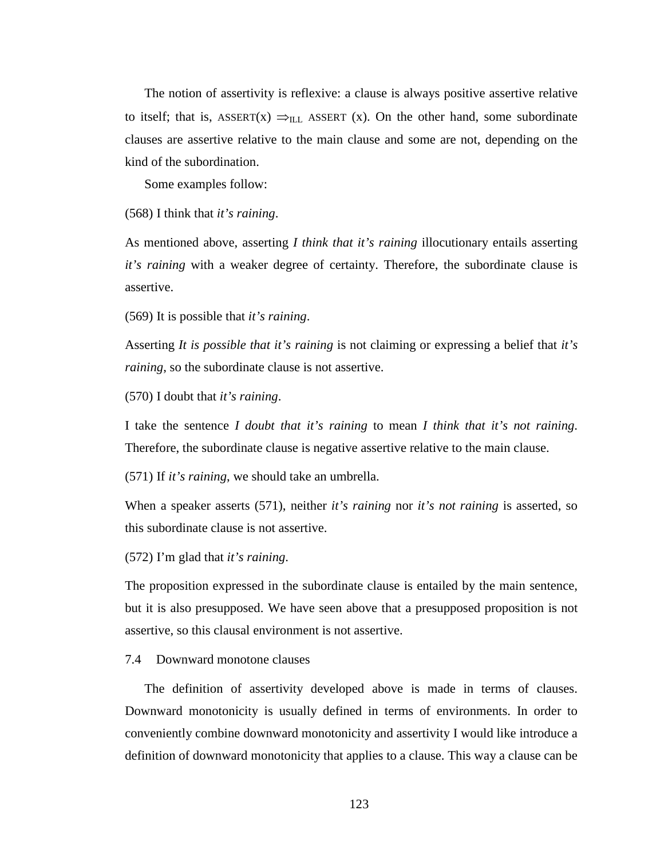The notion of assertivity is reflexive: a clause is always positive assertive relative to itself; that is, ASSERT(x)  $\Rightarrow$ <sub>ILL</sub> ASSERT (x). On the other hand, some subordinate clauses are assertive relative to the main clause and some are not, depending on the kind of the subordination.

Some examples follow:

(568) I think that *it's raining*.

As mentioned above, asserting *I think that it's raining* illocutionary entails asserting *it's raining* with a weaker degree of certainty. Therefore, the subordinate clause is assertive.

(569) It is possible that *it's raining*.

Asserting *It is possible that it's raining* is not claiming or expressing a belief that *it's raining*, so the subordinate clause is not assertive.

(570) I doubt that *it's raining*.

I take the sentence *I doubt that it's raining* to mean *I think that it's not raining*. Therefore, the subordinate clause is negative assertive relative to the main clause.

(571) If *it's raining*, we should take an umbrella.

When a speaker asserts (571), neither *it's raining* nor *it's not raining* is asserted, so this subordinate clause is not assertive.

(572) I'm glad that *it's raining*.

The proposition expressed in the subordinate clause is entailed by the main sentence, but it is also presupposed. We have seen above that a presupposed proposition is not assertive, so this clausal environment is not assertive.

### 7.4 Downward monotone clauses

The definition of assertivity developed above is made in terms of clauses. Downward monotonicity is usually defined in terms of environments. In order to conveniently combine downward monotonicity and assertivity I would like introduce a definition of downward monotonicity that applies to a clause. This way a clause can be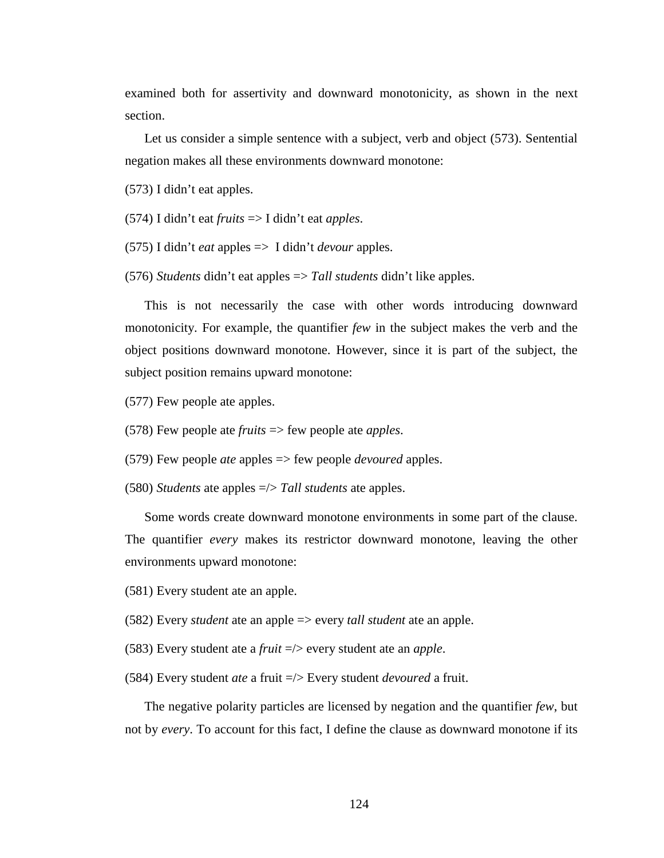examined both for assertivity and downward monotonicity, as shown in the next section.

Let us consider a simple sentence with a subject, verb and object (573). Sentential negation makes all these environments downward monotone:

(573) I didn't eat apples.

- (574) I didn't eat *fruits* => I didn't eat *apples*.
- (575) I didn't *eat* apples => I didn't *devour* apples.
- (576) *Students* didn't eat apples => *Tall students* didn't like apples.

This is not necessarily the case with other words introducing downward monotonicity. For example, the quantifier *few* in the subject makes the verb and the object positions downward monotone. However, since it is part of the subject, the subject position remains upward monotone:

(577) Few people ate apples.

- (578) Few people ate *fruits* => few people ate *apples*.
- (579) Few people *ate* apples => few people *devoured* apples.
- (580) *Students* ate apples =/> *Tall students* ate apples.

Some words create downward monotone environments in some part of the clause. The quantifier *every* makes its restrictor downward monotone, leaving the other environments upward monotone:

- (581) Every student ate an apple.
- (582) Every *student* ate an apple => every *tall student* ate an apple.
- (583) Every student ate a *fruit* =/> every student ate an *apple*.
- (584) Every student *ate* a fruit =/> Every student *devoured* a fruit.

The negative polarity particles are licensed by negation and the quantifier *few*, but not by *every*. To account for this fact, I define the clause as downward monotone if its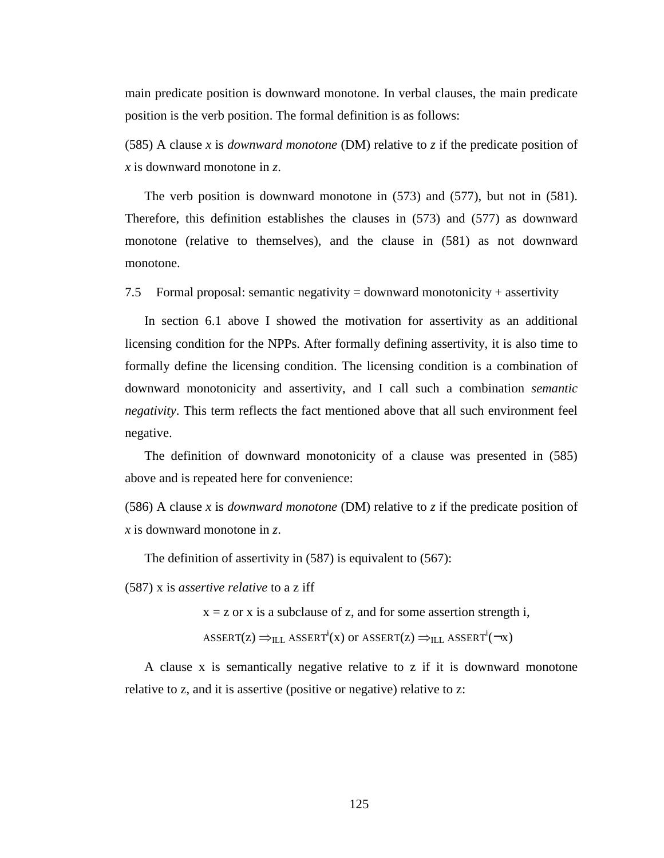main predicate position is downward monotone. In verbal clauses, the main predicate position is the verb position. The formal definition is as follows:

(585) A clause *x* is *downward monotone* (DM) relative to *z* if the predicate position of *x* is downward monotone in *z*.

The verb position is downward monotone in (573) and (577), but not in (581). Therefore, this definition establishes the clauses in (573) and (577) as downward monotone (relative to themselves), and the clause in (581) as not downward monotone.

7.5 Formal proposal: semantic negativity = downward monotonicity + assertivity

In section 6.1 above I showed the motivation for assertivity as an additional licensing condition for the NPPs. After formally defining assertivity, it is also time to formally define the licensing condition. The licensing condition is a combination of downward monotonicity and assertivity, and I call such a combination *semantic negativity*. This term reflects the fact mentioned above that all such environment feel negative.

The definition of downward monotonicity of a clause was presented in (585) above and is repeated here for convenience:

(586) A clause *x* is *downward monotone* (DM) relative to *z* if the predicate position of *x* is downward monotone in *z*.

The definition of assertivity in (587) is equivalent to (567):

(587) x is *assertive relative* to a z iff

 $x = z$  or x is a subclause of z, and for some assertion strength i,

ASSERT( $z$ )  $\Rightarrow$ <sub>ILL</sub> ASSERT<sup>i</sup>(x) or ASSERT( $z$ )  $\Rightarrow$ <sub>ILL</sub> ASSERT<sup>i</sup>( $\neg$ x)

A clause x is semantically negative relative to z if it is downward monotone relative to z, and it is assertive (positive or negative) relative to z: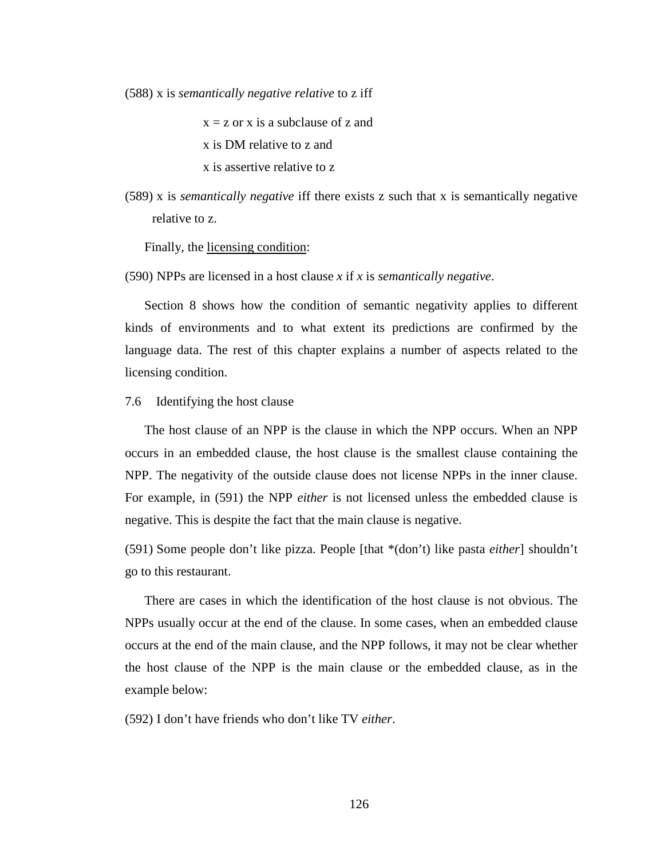(588) x is *semantically negative relative* to z iff

 $x = z$  or x is a subclause of z and

x is DM relative to z and

- x is assertive relative to z
- (589) x is *semantically negative* iff there exists z such that x is semantically negative relative to z.

Finally, the licensing condition:

(590) NPPs are licensed in a host clause *x* if *x* is *semantically negative*.

Section 8 shows how the condition of semantic negativity applies to different kinds of environments and to what extent its predictions are confirmed by the language data. The rest of this chapter explains a number of aspects related to the licensing condition.

# 7.6 Identifying the host clause

The host clause of an NPP is the clause in which the NPP occurs. When an NPP occurs in an embedded clause, the host clause is the smallest clause containing the NPP. The negativity of the outside clause does not license NPPs in the inner clause. For example, in (591) the NPP *either* is not licensed unless the embedded clause is negative. This is despite the fact that the main clause is negative.

(591) Some people don't like pizza. People [that \*(don't) like pasta *either*] shouldn't go to this restaurant.

There are cases in which the identification of the host clause is not obvious. The NPPs usually occur at the end of the clause. In some cases, when an embedded clause occurs at the end of the main clause, and the NPP follows, it may not be clear whether the host clause of the NPP is the main clause or the embedded clause, as in the example below:

(592) I don't have friends who don't like TV *either*.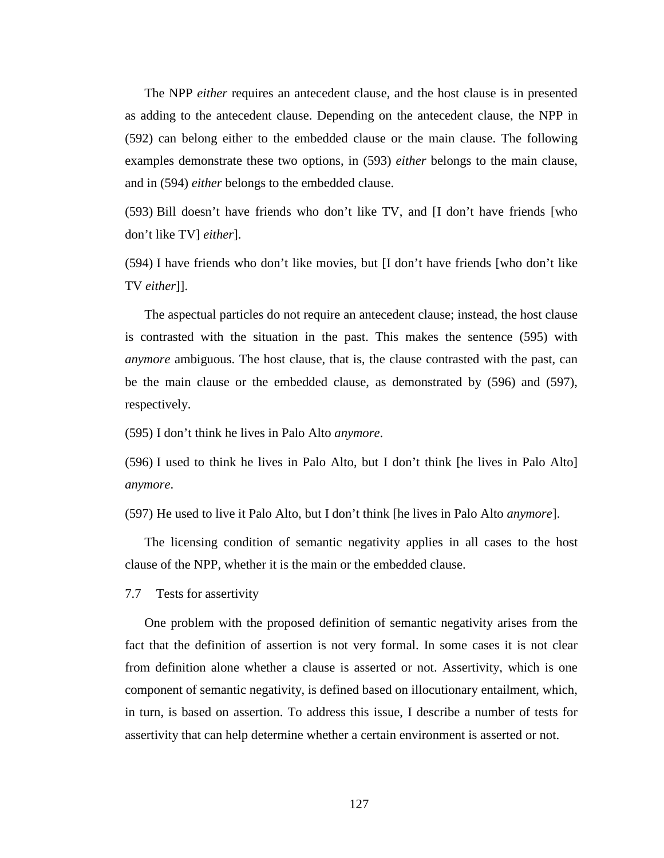The NPP *either* requires an antecedent clause, and the host clause is in presented as adding to the antecedent clause. Depending on the antecedent clause, the NPP in (592) can belong either to the embedded clause or the main clause. The following examples demonstrate these two options, in (593) *either* belongs to the main clause, and in (594) *either* belongs to the embedded clause.

(593) Bill doesn't have friends who don't like TV, and [I don't have friends [who don't like TV] *either*].

(594) I have friends who don't like movies, but [I don't have friends [who don't like TV *either*]].

The aspectual particles do not require an antecedent clause; instead, the host clause is contrasted with the situation in the past. This makes the sentence (595) with *anymore* ambiguous. The host clause, that is, the clause contrasted with the past, can be the main clause or the embedded clause, as demonstrated by (596) and (597), respectively.

(595) I don't think he lives in Palo Alto *anymore*.

(596) I used to think he lives in Palo Alto, but I don't think [he lives in Palo Alto] *anymore*.

(597) He used to live it Palo Alto, but I don't think [he lives in Palo Alto *anymore*].

The licensing condition of semantic negativity applies in all cases to the host clause of the NPP, whether it is the main or the embedded clause.

7.7 Tests for assertivity

One problem with the proposed definition of semantic negativity arises from the fact that the definition of assertion is not very formal. In some cases it is not clear from definition alone whether a clause is asserted or not. Assertivity, which is one component of semantic negativity, is defined based on illocutionary entailment, which, in turn, is based on assertion. To address this issue, I describe a number of tests for assertivity that can help determine whether a certain environment is asserted or not.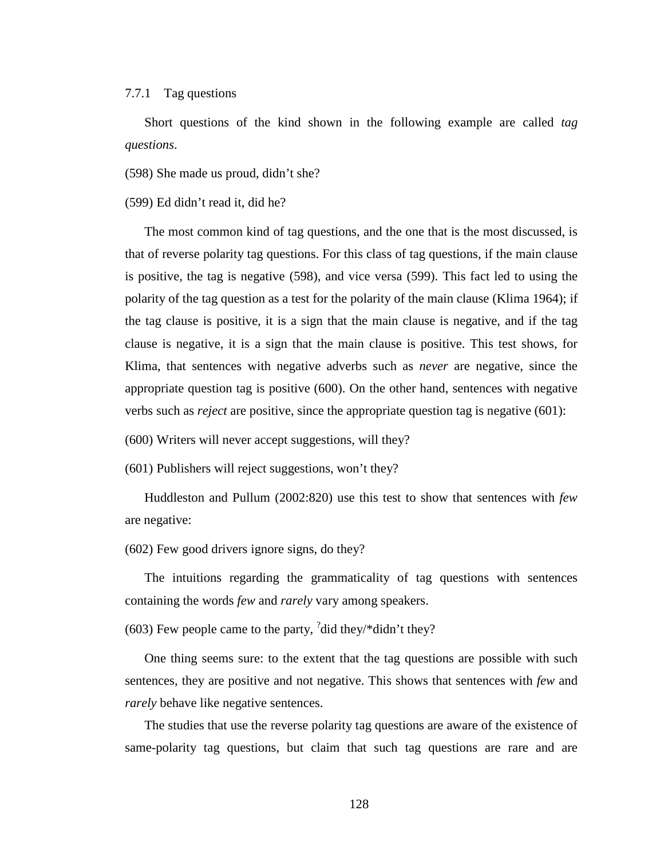### 7.7.1 Tag questions

Short questions of the kind shown in the following example are called *tag questions*.

(598) She made us proud, didn't she?

(599) Ed didn't read it, did he?

The most common kind of tag questions, and the one that is the most discussed, is that of reverse polarity tag questions. For this class of tag questions, if the main clause is positive, the tag is negative (598), and vice versa (599). This fact led to using the polarity of the tag question as a test for the polarity of the main clause (Klima 1964); if the tag clause is positive, it is a sign that the main clause is negative, and if the tag clause is negative, it is a sign that the main clause is positive. This test shows, for Klima, that sentences with negative adverbs such as *never* are negative, since the appropriate question tag is positive (600). On the other hand, sentences with negative verbs such as *reject* are positive, since the appropriate question tag is negative (601):

(600) Writers will never accept suggestions, will they?

(601) Publishers will reject suggestions, won't they?

Huddleston and Pullum (2002:820) use this test to show that sentences with *few* are negative:

(602) Few good drivers ignore signs, do they?

The intuitions regarding the grammaticality of tag questions with sentences containing the words *few* and *rarely* vary among speakers.

(603) Few people came to the party,  $\frac{3}{4}$  did they/\*didn't they?

One thing seems sure: to the extent that the tag questions are possible with such sentences, they are positive and not negative. This shows that sentences with *few* and *rarely* behave like negative sentences.

The studies that use the reverse polarity tag questions are aware of the existence of same-polarity tag questions, but claim that such tag questions are rare and are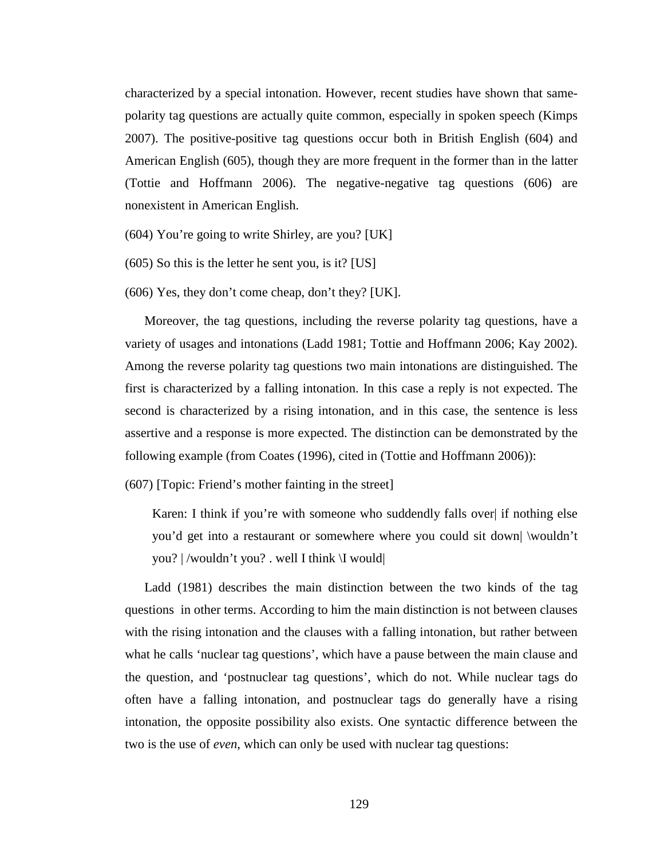characterized by a special intonation. However, recent studies have shown that samepolarity tag questions are actually quite common, especially in spoken speech (Kimps 2007). The positive-positive tag questions occur both in British English (604) and American English (605), though they are more frequent in the former than in the latter (Tottie and Hoffmann 2006). The negative-negative tag questions (606) are nonexistent in American English.

(604) You're going to write Shirley, are you? [UK]

(605) So this is the letter he sent you, is it? [US]

(606) Yes, they don't come cheap, don't they? [UK].

Moreover, the tag questions, including the reverse polarity tag questions, have a variety of usages and intonations (Ladd 1981; Tottie and Hoffmann 2006; Kay 2002). Among the reverse polarity tag questions two main intonations are distinguished. The first is characterized by a falling intonation. In this case a reply is not expected. The second is characterized by a rising intonation, and in this case, the sentence is less assertive and a response is more expected. The distinction can be demonstrated by the following example (from Coates (1996), cited in (Tottie and Hoffmann 2006)):

(607) [Topic: Friend's mother fainting in the street]

Karen: I think if you're with someone who suddendly falls over if nothing else you'd get into a restaurant or somewhere where you could sit down| \wouldn't you? | /wouldn't you? . well I think \I would|

Ladd (1981) describes the main distinction between the two kinds of the tag questions in other terms. According to him the main distinction is not between clauses with the rising intonation and the clauses with a falling intonation, but rather between what he calls 'nuclear tag questions', which have a pause between the main clause and the question, and 'postnuclear tag questions', which do not. While nuclear tags do often have a falling intonation, and postnuclear tags do generally have a rising intonation, the opposite possibility also exists. One syntactic difference between the two is the use of *even*, which can only be used with nuclear tag questions: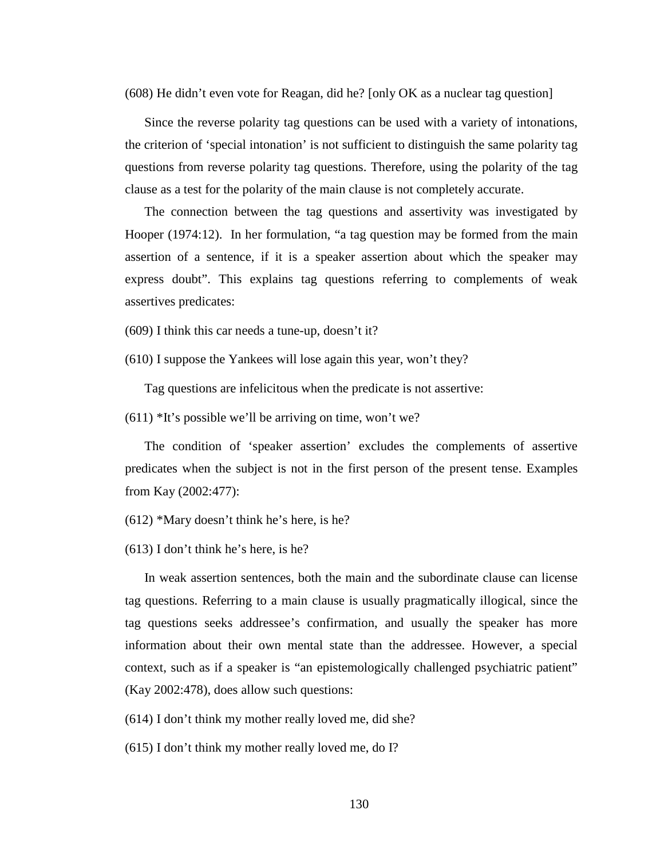(608) He didn't even vote for Reagan, did he? [only OK as a nuclear tag question]

Since the reverse polarity tag questions can be used with a variety of intonations, the criterion of 'special intonation' is not sufficient to distinguish the same polarity tag questions from reverse polarity tag questions. Therefore, using the polarity of the tag clause as a test for the polarity of the main clause is not completely accurate.

The connection between the tag questions and assertivity was investigated by Hooper (1974:12). In her formulation, "a tag question may be formed from the main assertion of a sentence, if it is a speaker assertion about which the speaker may express doubt". This explains tag questions referring to complements of weak assertives predicates:

(609) I think this car needs a tune-up, doesn't it?

(610) I suppose the Yankees will lose again this year, won't they?

Tag questions are infelicitous when the predicate is not assertive:

 $(611)$  \*It's possible we'll be arriving on time, won't we?

The condition of 'speaker assertion' excludes the complements of assertive predicates when the subject is not in the first person of the present tense. Examples from Kay (2002:477):

(612) \*Mary doesn't think he's here, is he?

(613) I don't think he's here, is he?

In weak assertion sentences, both the main and the subordinate clause can license tag questions. Referring to a main clause is usually pragmatically illogical, since the tag questions seeks addressee's confirmation, and usually the speaker has more information about their own mental state than the addressee. However, a special context, such as if a speaker is "an epistemologically challenged psychiatric patient" (Kay 2002:478), does allow such questions:

(614) I don't think my mother really loved me, did she?

(615) I don't think my mother really loved me, do I?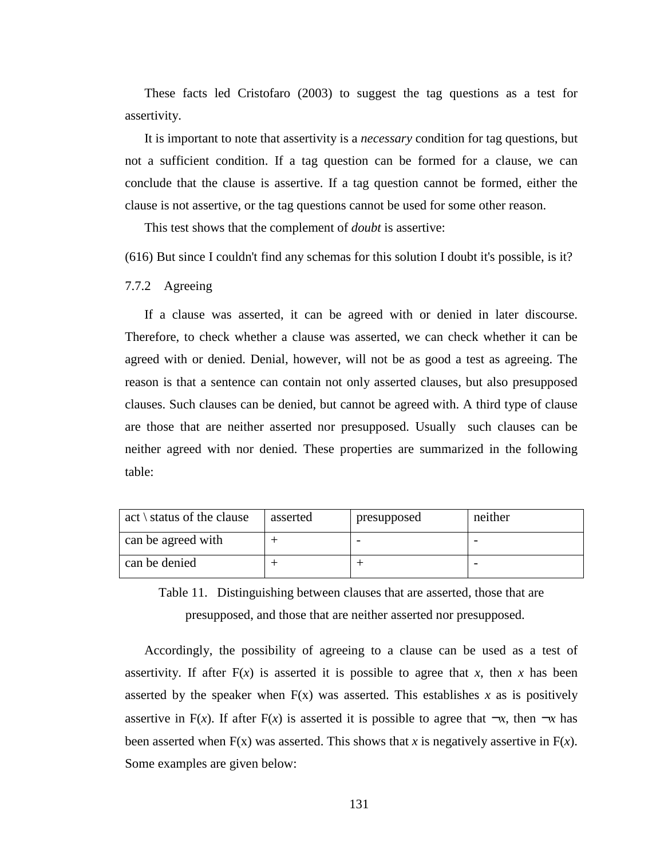These facts led Cristofaro (2003) to suggest the tag questions as a test for assertivity.

It is important to note that assertivity is a *necessary* condition for tag questions, but not a sufficient condition. If a tag question can be formed for a clause, we can conclude that the clause is assertive. If a tag question cannot be formed, either the clause is not assertive, or the tag questions cannot be used for some other reason.

This test shows that the complement of *doubt* is assertive:

(616) But since I couldn't find any schemas for this solution I doubt it's possible, is it?

7.7.2 Agreeing

If a clause was asserted, it can be agreed with or denied in later discourse. Therefore, to check whether a clause was asserted, we can check whether it can be agreed with or denied. Denial, however, will not be as good a test as agreeing. The reason is that a sentence can contain not only asserted clauses, but also presupposed clauses. Such clauses can be denied, but cannot be agreed with. A third type of clause are those that are neither asserted nor presupposed. Usually such clauses can be neither agreed with nor denied. These properties are summarized in the following table:

| $\text{act} \setminus \text{status of the clause}$ | asserted | presupposed | neither |
|----------------------------------------------------|----------|-------------|---------|
| can be agreed with                                 |          |             |         |
| can be denied                                      |          |             |         |

Table 11. Distinguishing between clauses that are asserted, those that are presupposed, and those that are neither asserted nor presupposed.

Accordingly, the possibility of agreeing to a clause can be used as a test of assertivity. If after  $F(x)$  is asserted it is possible to agree that *x*, then *x* has been asserted by the speaker when  $F(x)$  was asserted. This establishes x as is positively assertive in F(*x*). If after F(*x*) is asserted it is possible to agree that  $\neg x$ , then  $\neg x$  has been asserted when  $F(x)$  was asserted. This shows that *x* is negatively assertive in  $F(x)$ . Some examples are given below: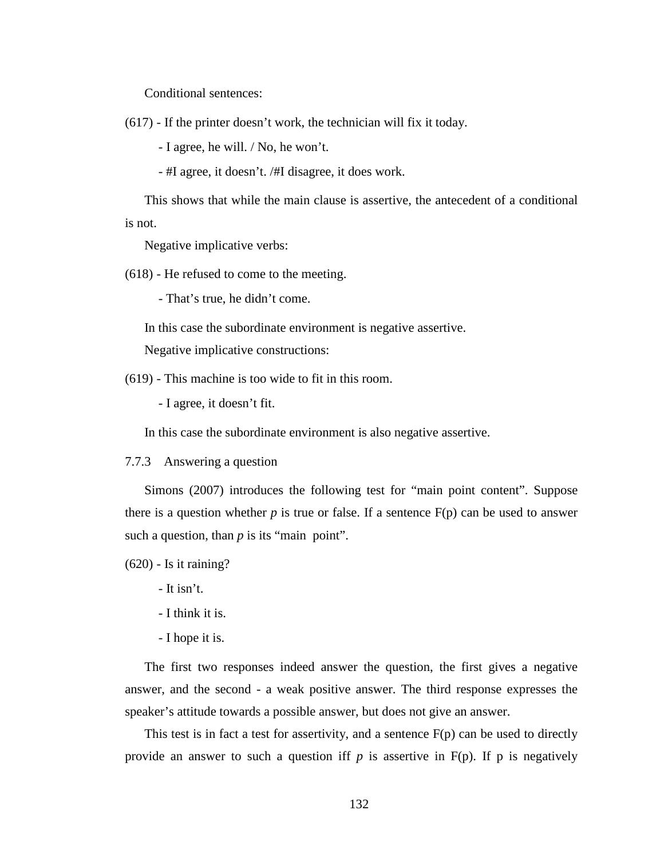Conditional sentences:

(617) - If the printer doesn't work, the technician will fix it today.

- I agree, he will. / No, he won't.

- #I agree, it doesn't. /#I disagree, it does work.

This shows that while the main clause is assertive, the antecedent of a conditional is not.

Negative implicative verbs:

(618) - He refused to come to the meeting.

- That's true, he didn't come.

In this case the subordinate environment is negative assertive.

Negative implicative constructions:

(619) - This machine is too wide to fit in this room.

- I agree, it doesn't fit.

In this case the subordinate environment is also negative assertive.

7.7.3 Answering a question

Simons (2007) introduces the following test for "main point content". Suppose there is a question whether  $p$  is true or false. If a sentence  $F(p)$  can be used to answer such a question, than *p* is its "main point".

(620) - Is it raining?

- It isn't.

- I think it is.

- I hope it is.

The first two responses indeed answer the question, the first gives a negative answer, and the second - a weak positive answer. The third response expresses the speaker's attitude towards a possible answer, but does not give an answer.

This test is in fact a test for assertivity, and a sentence  $F(p)$  can be used to directly provide an answer to such a question iff  $p$  is assertive in  $F(p)$ . If  $p$  is negatively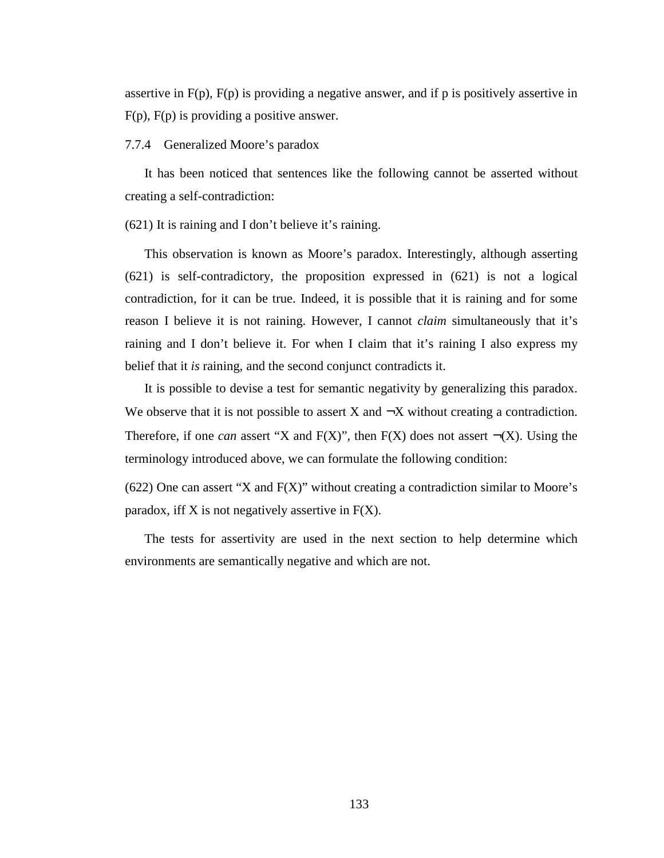assertive in  $F(p)$ ,  $F(p)$  is providing a negative answer, and if p is positively assertive in F(p), F(p) is providing a positive answer.

# 7.7.4 Generalized Moore's paradox

It has been noticed that sentences like the following cannot be asserted without creating a self-contradiction:

(621) It is raining and I don't believe it's raining.

This observation is known as Moore's paradox. Interestingly, although asserting (621) is self-contradictory, the proposition expressed in (621) is not a logical contradiction, for it can be true. Indeed, it is possible that it is raining and for some reason I believe it is not raining. However, I cannot *claim* simultaneously that it's raining and I don't believe it. For when I claim that it's raining I also express my belief that it *is* raining, and the second conjunct contradicts it.

It is possible to devise a test for semantic negativity by generalizing this paradox. We observe that it is not possible to assert  $X$  and  $\neg X$  without creating a contradiction. Therefore, if one *can* assert "X and  $F(X)$ ", then  $F(X)$  does not assert  $\neg(X)$ . Using the terminology introduced above, we can formulate the following condition:

(622) One can assert "X and F(X)" without creating a contradiction similar to Moore's paradox, iff  $X$  is not negatively assertive in  $F(X)$ .

The tests for assertivity are used in the next section to help determine which environments are semantically negative and which are not.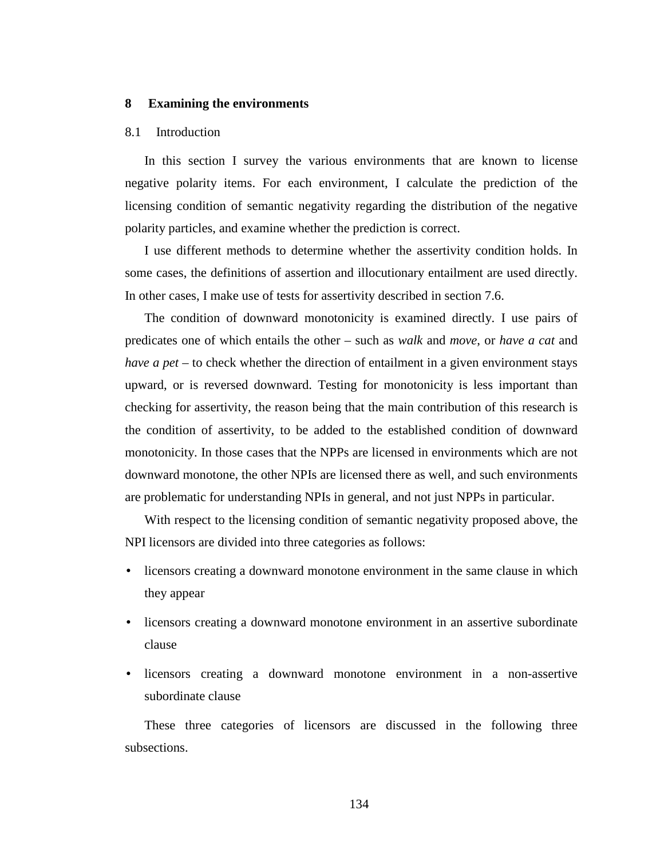## **8 Examining the environments**

### 8.1 Introduction

In this section I survey the various environments that are known to license negative polarity items. For each environment, I calculate the prediction of the licensing condition of semantic negativity regarding the distribution of the negative polarity particles, and examine whether the prediction is correct.

I use different methods to determine whether the assertivity condition holds. In some cases, the definitions of assertion and illocutionary entailment are used directly. In other cases, I make use of tests for assertivity described in section 7.6.

The condition of downward monotonicity is examined directly. I use pairs of predicates one of which entails the other – such as *walk* and *move*, or *have a cat* and *have a pet* – to check whether the direction of entailment in a given environment stays upward, or is reversed downward. Testing for monotonicity is less important than checking for assertivity, the reason being that the main contribution of this research is the condition of assertivity, to be added to the established condition of downward monotonicity. In those cases that the NPPs are licensed in environments which are not downward monotone, the other NPIs are licensed there as well, and such environments are problematic for understanding NPIs in general, and not just NPPs in particular.

With respect to the licensing condition of semantic negativity proposed above, the NPI licensors are divided into three categories as follows:

- licensors creating a downward monotone environment in the same clause in which they appear
- licensors creating a downward monotone environment in an assertive subordinate clause
- licensors creating a downward monotone environment in a non-assertive subordinate clause

These three categories of licensors are discussed in the following three subsections.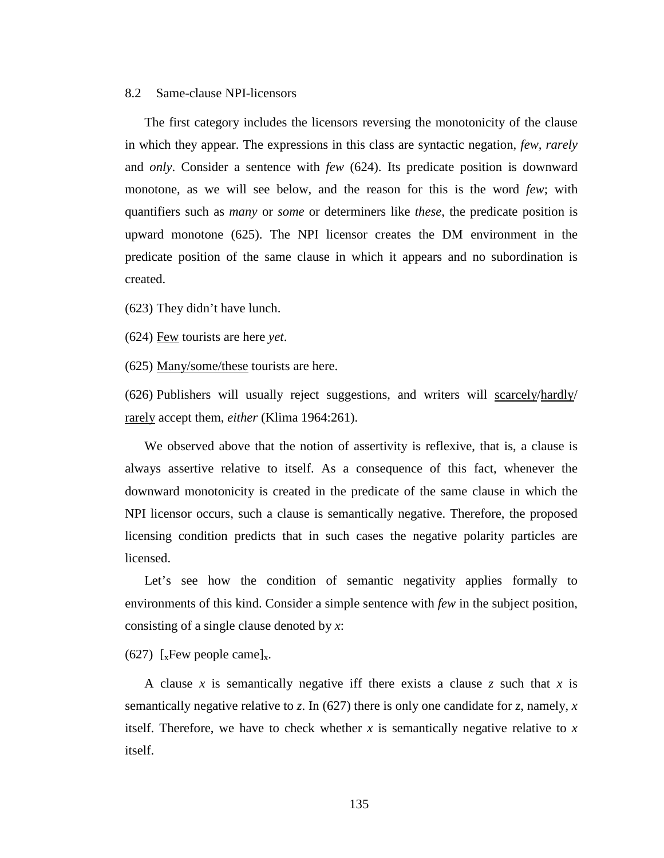#### 8.2 Same-clause NPI-licensors

The first category includes the licensors reversing the monotonicity of the clause in which they appear. The expressions in this class are syntactic negation, *few, rarely* and *only*. Consider a sentence with *few* (624). Its predicate position is downward monotone, as we will see below, and the reason for this is the word *few*; with quantifiers such as *many* or *some* or determiners like *these*, the predicate position is upward monotone (625). The NPI licensor creates the DM environment in the predicate position of the same clause in which it appears and no subordination is created.

(623) They didn't have lunch.

(624) Few tourists are here *yet*.

(625) Many/some/these tourists are here.

(626) Publishers will usually reject suggestions, and writers will scarcely/hardly/ rarely accept them, *either* (Klima 1964:261).

We observed above that the notion of assertivity is reflexive, that is, a clause is always assertive relative to itself. As a consequence of this fact, whenever the downward monotonicity is created in the predicate of the same clause in which the NPI licensor occurs, such a clause is semantically negative. Therefore, the proposed licensing condition predicts that in such cases the negative polarity particles are licensed.

Let's see how the condition of semantic negativity applies formally to environments of this kind. Consider a simple sentence with *few* in the subject position, consisting of a single clause denoted by *x*:

(627) [ $x$ Few people came] $x$ .

A clause *x* is semantically negative iff there exists a clause *z* such that *x* is semantically negative relative to *z*. In (627) there is only one candidate for *z*, namely, *x* itself. Therefore, we have to check whether *x* is semantically negative relative to *x* itself.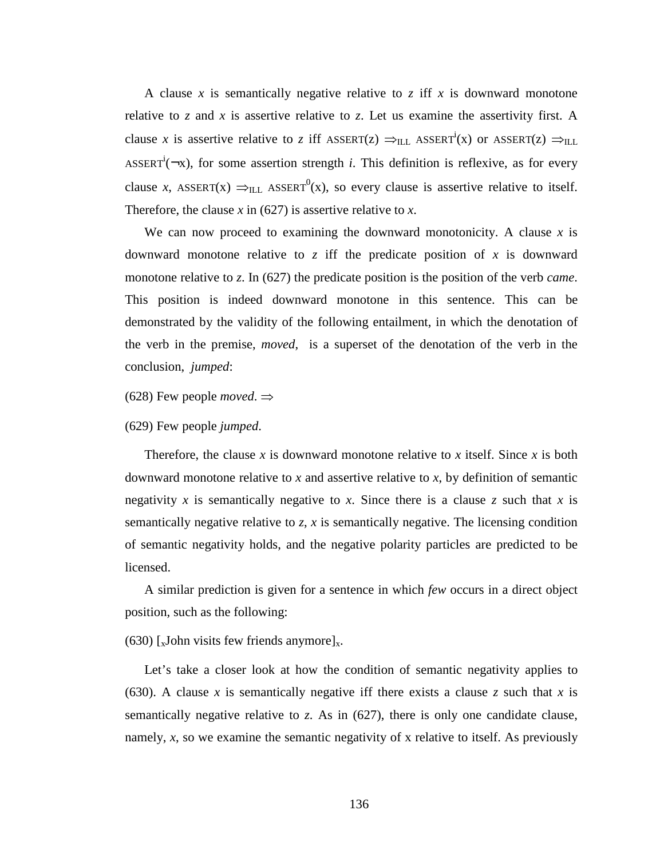A clause *x* is semantically negative relative to *z* iff *x* is downward monotone relative to  $z$  and  $x$  is assertive relative to  $z$ . Let us examine the assertivity first. A clause *x* is assertive relative to *z* iff ASSERT(*z*)  $\Rightarrow$ <sub>ILL</sub> ASSERT<sup>i</sup>(*x*) or ASSERT(*z*)  $\Rightarrow$ <sub>ILL</sub> ASSERT<sup>i</sup>( $\neg x$ ), for some assertion strength *i*. This definition is reflexive, as for every clause *x*, ASSERT(x)  $\Rightarrow$ <sub>ILL</sub> ASSERT<sup>0</sup>(x), so every clause is assertive relative to itself. Therefore, the clause  $x$  in (627) is assertive relative to  $x$ .

We can now proceed to examining the downward monotonicity. A clause  $x$  is downward monotone relative to *z* iff the predicate position of *x* is downward monotone relative to *z*. In (627) the predicate position is the position of the verb *came*. This position is indeed downward monotone in this sentence. This can be demonstrated by the validity of the following entailment, in which the denotation of the verb in the premise, *moved*, is a superset of the denotation of the verb in the conclusion, *jumped*:

(628) Few people *moved*.  $\Rightarrow$ 

(629) Few people *jumped*.

Therefore, the clause *x* is downward monotone relative to *x* itself. Since *x* is both downward monotone relative to *x* and assertive relative to *x*, by definition of semantic negativity *x* is semantically negative to *x*. Since there is a clause *z* such that *x* is semantically negative relative to *z*, *x* is semantically negative. The licensing condition of semantic negativity holds, and the negative polarity particles are predicted to be licensed.

A similar prediction is given for a sentence in which *few* occurs in a direct object position, such as the following:

(630) [ $x$ John visits few friends anymore] $x$ .

Let's take a closer look at how the condition of semantic negativity applies to (630). A clause x is semantically negative iff there exists a clause z such that x is semantically negative relative to *z*. As in (627), there is only one candidate clause, namely, *x*, so we examine the semantic negativity of x relative to itself. As previously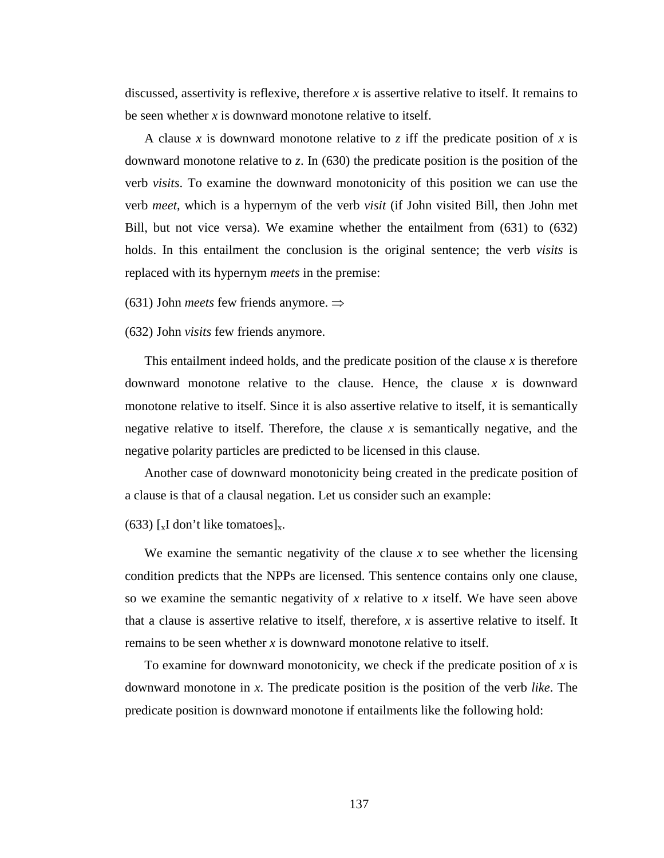discussed, assertivity is reflexive, therefore *x* is assertive relative to itself. It remains to be seen whether *x* is downward monotone relative to itself.

A clause *x* is downward monotone relative to *z* iff the predicate position of *x* is downward monotone relative to *z*. In (630) the predicate position is the position of the verb *visits*. To examine the downward monotonicity of this position we can use the verb *meet*, which is a hypernym of the verb *visit* (if John visited Bill, then John met Bill, but not vice versa). We examine whether the entailment from (631) to (632) holds. In this entailment the conclusion is the original sentence; the verb *visits* is replaced with its hypernym *meets* in the premise:

(631) John *meets* few friends anymore. ⇒

(632) John *visits* few friends anymore.

This entailment indeed holds, and the predicate position of the clause *x* is therefore downward monotone relative to the clause. Hence, the clause *x* is downward monotone relative to itself. Since it is also assertive relative to itself, it is semantically negative relative to itself. Therefore, the clause  $x$  is semantically negative, and the negative polarity particles are predicted to be licensed in this clause.

Another case of downward monotonicity being created in the predicate position of a clause is that of a clausal negation. Let us consider such an example:

### (633)  $\left[ \times \right]$  don't like tomatoes]<sub>x</sub>.

We examine the semantic negativity of the clause  $x$  to see whether the licensing condition predicts that the NPPs are licensed. This sentence contains only one clause, so we examine the semantic negativity of *x* relative to *x* itself. We have seen above that a clause is assertive relative to itself, therefore, *x* is assertive relative to itself. It remains to be seen whether *x* is downward monotone relative to itself.

To examine for downward monotonicity, we check if the predicate position of *x* is downward monotone in *x*. The predicate position is the position of the verb *like*. The predicate position is downward monotone if entailments like the following hold: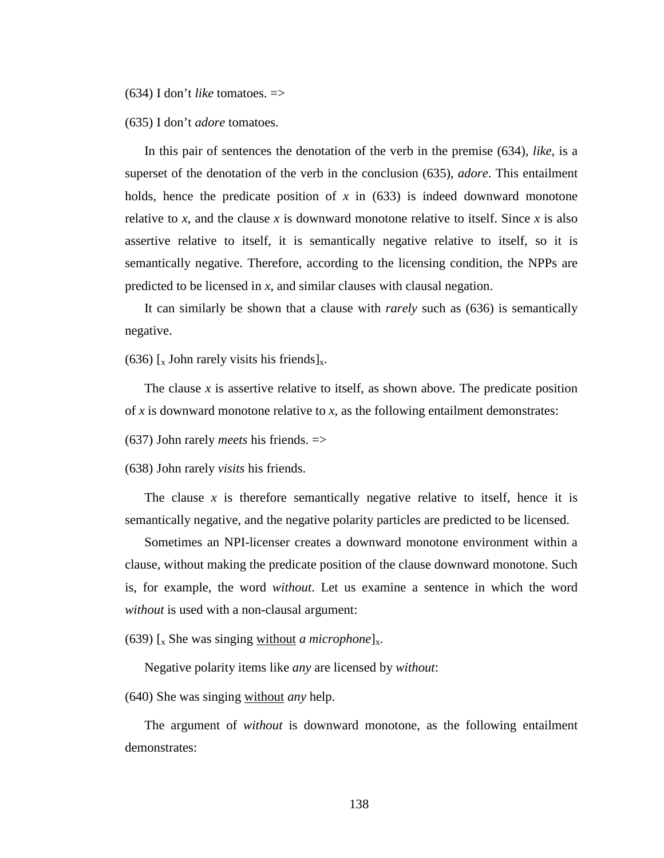(634) I don't *like* tomatoes. =>

(635) I don't *adore* tomatoes.

In this pair of sentences the denotation of the verb in the premise (634), *like*, is a superset of the denotation of the verb in the conclusion (635), *adore*. This entailment holds, hence the predicate position of  $x$  in (633) is indeed downward monotone relative to *x*, and the clause *x* is downward monotone relative to itself. Since *x* is also assertive relative to itself, it is semantically negative relative to itself, so it is semantically negative. Therefore, according to the licensing condition, the NPPs are predicted to be licensed in *x*, and similar clauses with clausal negation.

It can similarly be shown that a clause with *rarely* such as (636) is semantically negative.

(636) [ $_{\rm x}$  John rarely visits his friends] $_{\rm x}$ .

The clause *x* is assertive relative to itself, as shown above. The predicate position of *x* is downward monotone relative to *x*, as the following entailment demonstrates:

(637) John rarely *meets* his friends. =>

(638) John rarely *visits* his friends.

The clause  $x$  is therefore semantically negative relative to itself, hence it is semantically negative, and the negative polarity particles are predicted to be licensed.

Sometimes an NPI-licenser creates a downward monotone environment within a clause, without making the predicate position of the clause downward monotone. Such is, for example, the word *without*. Let us examine a sentence in which the word *without* is used with a non-clausal argument:

(639)  $\lceil_{x}$  She was singing without *a microphone* $\lceil_{x}$ .

Negative polarity items like *any* are licensed by *without*:

(640) She was singing without *any* help.

The argument of *without* is downward monotone, as the following entailment demonstrates: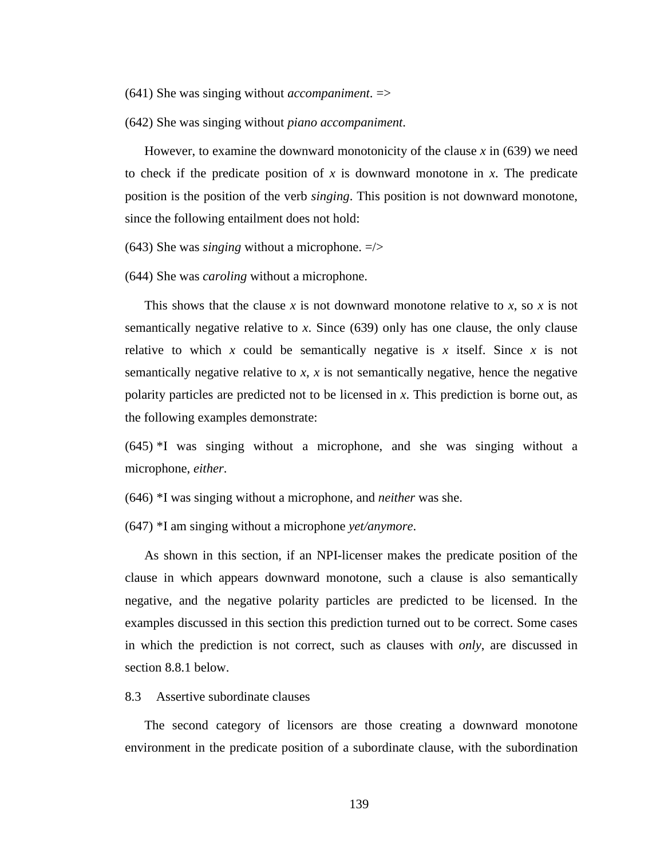- (641) She was singing without *accompaniment*. =>
- (642) She was singing without *piano accompaniment*.

However, to examine the downward monotonicity of the clause *x* in (639) we need to check if the predicate position of *x* is downward monotone in *x*. The predicate position is the position of the verb *singing*. This position is not downward monotone, since the following entailment does not hold:

- (643) She was *singing* without a microphone. =/>
- (644) She was *caroling* without a microphone.

This shows that the clause *x* is not downward monotone relative to *x*, so *x* is not semantically negative relative to *x*. Since (639) only has one clause, the only clause relative to which  $x$  could be semantically negative is  $x$  itself. Since  $x$  is not semantically negative relative to *x*, *x* is not semantically negative, hence the negative polarity particles are predicted not to be licensed in *x*. This prediction is borne out, as the following examples demonstrate:

(645) \*I was singing without a microphone, and she was singing without a microphone, *either*.

(646) \*I was singing without a microphone, and *neither* was she.

(647) \*I am singing without a microphone *yet/anymore*.

As shown in this section, if an NPI-licenser makes the predicate position of the clause in which appears downward monotone, such a clause is also semantically negative, and the negative polarity particles are predicted to be licensed. In the examples discussed in this section this prediction turned out to be correct. Some cases in which the prediction is not correct, such as clauses with *only*, are discussed in section 8.8.1 below.

## 8.3 Assertive subordinate clauses

The second category of licensors are those creating a downward monotone environment in the predicate position of a subordinate clause, with the subordination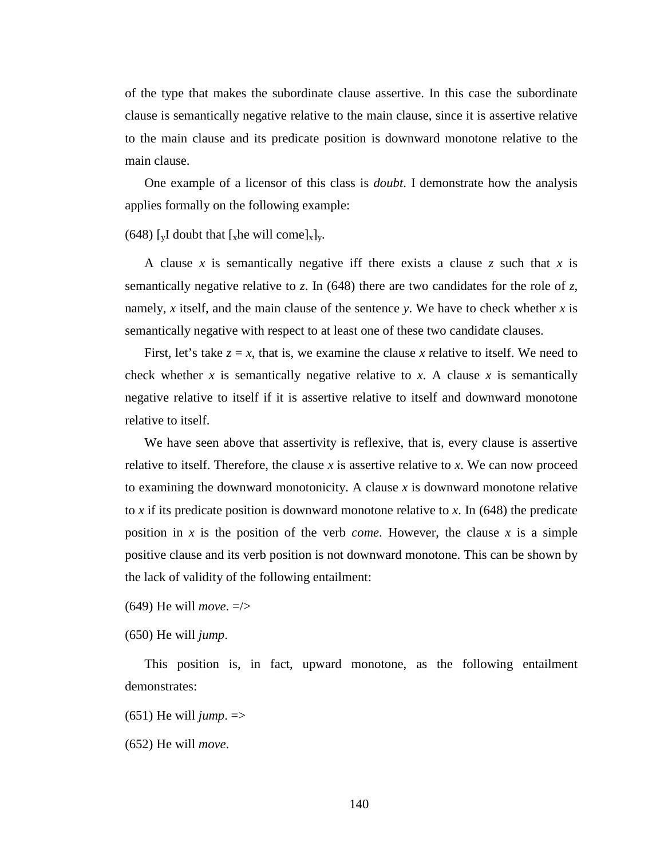of the type that makes the subordinate clause assertive. In this case the subordinate clause is semantically negative relative to the main clause, since it is assertive relative to the main clause and its predicate position is downward monotone relative to the main clause.

One example of a licensor of this class is *doubt*. I demonstrate how the analysis applies formally on the following example:

(648) [ $\rm vI$  doubt that [ $\rm x$ he will come] $\rm x$ ] $\rm v$ .

A clause *x* is semantically negative iff there exists a clause *z* such that *x* is semantically negative relative to *z*. In (648) there are two candidates for the role of *z*, namely, *x* itself, and the main clause of the sentence *y*. We have to check whether *x* is semantically negative with respect to at least one of these two candidate clauses.

First, let's take  $z = x$ , that is, we examine the clause x relative to itself. We need to check whether *x* is semantically negative relative to *x*. A clause *x* is semantically negative relative to itself if it is assertive relative to itself and downward monotone relative to itself.

We have seen above that assertivity is reflexive, that is, every clause is assertive relative to itself. Therefore, the clause *x* is assertive relative to *x*. We can now proceed to examining the downward monotonicity. A clause *x* is downward monotone relative to *x* if its predicate position is downward monotone relative to *x*. In (648) the predicate position in *x* is the position of the verb *come*. However, the clause *x* is a simple positive clause and its verb position is not downward monotone. This can be shown by the lack of validity of the following entailment:

(649) He will *move*. =/>

(650) He will *jump*.

This position is, in fact, upward monotone, as the following entailment demonstrates:

 $(651)$  He will *jump*.  $\Rightarrow$ 

(652) He will *move*.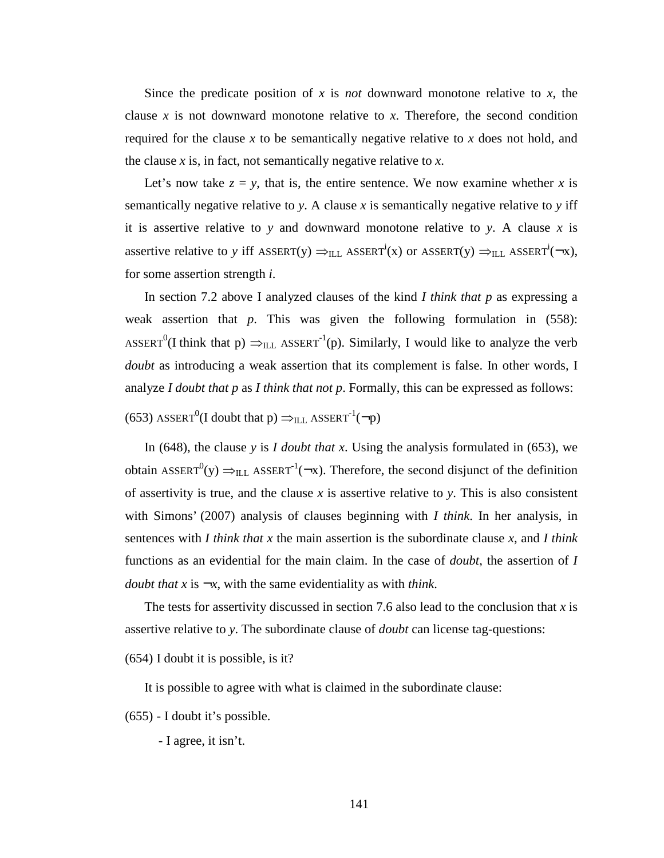Since the predicate position of  $x$  is *not* downward monotone relative to  $x$ , the clause  $x$  is not downward monotone relative to  $x$ . Therefore, the second condition required for the clause *x* to be semantically negative relative to *x* does not hold, and the clause *x* is, in fact, not semantically negative relative to *x*.

Let's now take  $z = y$ , that is, the entire sentence. We now examine whether x is semantically negative relative to *y*. A clause *x* is semantically negative relative to *y* iff it is assertive relative to *y* and downward monotone relative to *y*. A clause *x* is assertive relative to *y* iff ASSERT(y)  $\Rightarrow$ <sub>ILL</sub> ASSERT<sup>i</sup>(x) or ASSERT(y)  $\Rightarrow$ <sub>ILL</sub> ASSERT<sup>i</sup>( $\neg$ x), for some assertion strength *i*.

In section 7.2 above I analyzed clauses of the kind *I think that p* as expressing a weak assertion that *p*. This was given the following formulation in (558): ASSERT<sup>0</sup>(I think that p)  $\Rightarrow$ <sub>ILL</sub> ASSERT<sup>-1</sup>(p). Similarly, I would like to analyze the verb *doubt* as introducing a weak assertion that its complement is false. In other words, I analyze *I doubt that p* as *I think that not p*. Formally, this can be expressed as follows:

(653) ASSERT<sup>0</sup>(I doubt that p)  $\Rightarrow$ <sub>ILL</sub> ASSERT<sup>-1</sup>(¬p)

In (648), the clause *y* is *I doubt that x*. Using the analysis formulated in (653), we obtain ASSERT<sup>0</sup>(y)  $\Rightarrow$ <sub>ILL</sub> ASSERT<sup>-1</sup>( $\rightarrow$ x). Therefore, the second disjunct of the definition of assertivity is true, and the clause *x* is assertive relative to *y*. This is also consistent with Simons' (2007) analysis of clauses beginning with *I think*. In her analysis, in sentences with *I think that x* the main assertion is the subordinate clause *x*, and *I think* functions as an evidential for the main claim. In the case of *doubt*, the assertion of *I doubt that x* is  $-x$ , with the same evidentiality as with *think*.

The tests for assertivity discussed in section 7.6 also lead to the conclusion that *x* is assertive relative to *y*. The subordinate clause of *doubt* can license tag-questions:

(654) I doubt it is possible, is it?

It is possible to agree with what is claimed in the subordinate clause:

(655) - I doubt it's possible.

- I agree, it isn't.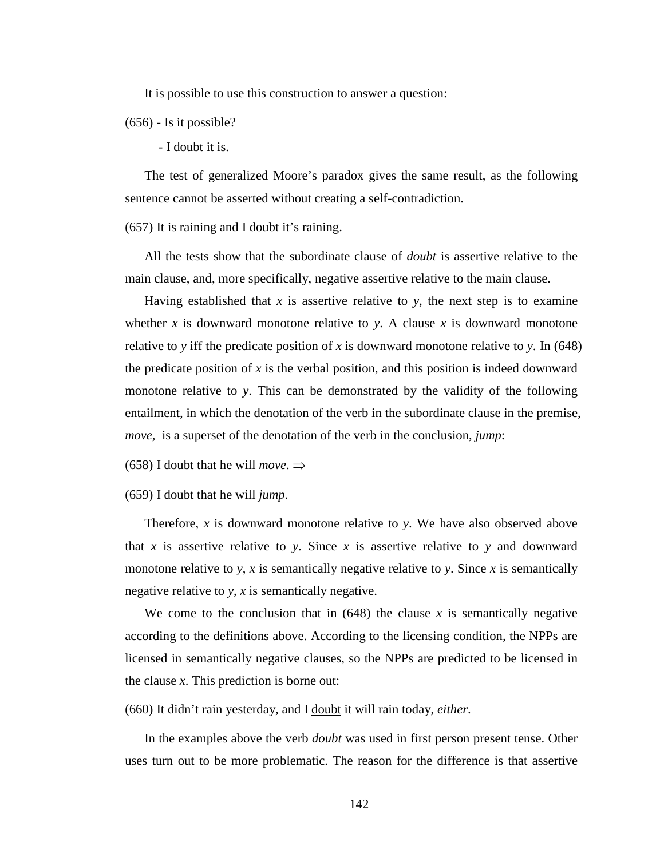It is possible to use this construction to answer a question:

(656) - Is it possible?

- I doubt it is.

The test of generalized Moore's paradox gives the same result, as the following sentence cannot be asserted without creating a self-contradiction.

(657) It is raining and I doubt it's raining.

All the tests show that the subordinate clause of *doubt* is assertive relative to the main clause, and, more specifically, negative assertive relative to the main clause.

Having established that  $x$  is assertive relative to  $y$ , the next step is to examine whether  $x$  is downward monotone relative to  $y$ . A clause  $x$  is downward monotone relative to *y* iff the predicate position of *x* is downward monotone relative to *y*. In (648) the predicate position of  $x$  is the verbal position, and this position is indeed downward monotone relative to *y*. This can be demonstrated by the validity of the following entailment, in which the denotation of the verb in the subordinate clause in the premise, *move*, is a superset of the denotation of the verb in the conclusion, *jump*:

(658) I doubt that he will *move*.  $\Rightarrow$ 

(659) I doubt that he will *jump*.

Therefore, *x* is downward monotone relative to *y*. We have also observed above that *x* is assertive relative to *y*. Since *x* is assertive relative to *y* and downward monotone relative to *y*, *x* is semantically negative relative to *y*. Since *x* is semantically negative relative to *y*, *x* is semantically negative.

We come to the conclusion that in  $(648)$  the clause *x* is semantically negative according to the definitions above. According to the licensing condition, the NPPs are licensed in semantically negative clauses, so the NPPs are predicted to be licensed in the clause *x*. This prediction is borne out:

(660) It didn't rain yesterday, and I doubt it will rain today, *either*.

In the examples above the verb *doubt* was used in first person present tense. Other uses turn out to be more problematic. The reason for the difference is that assertive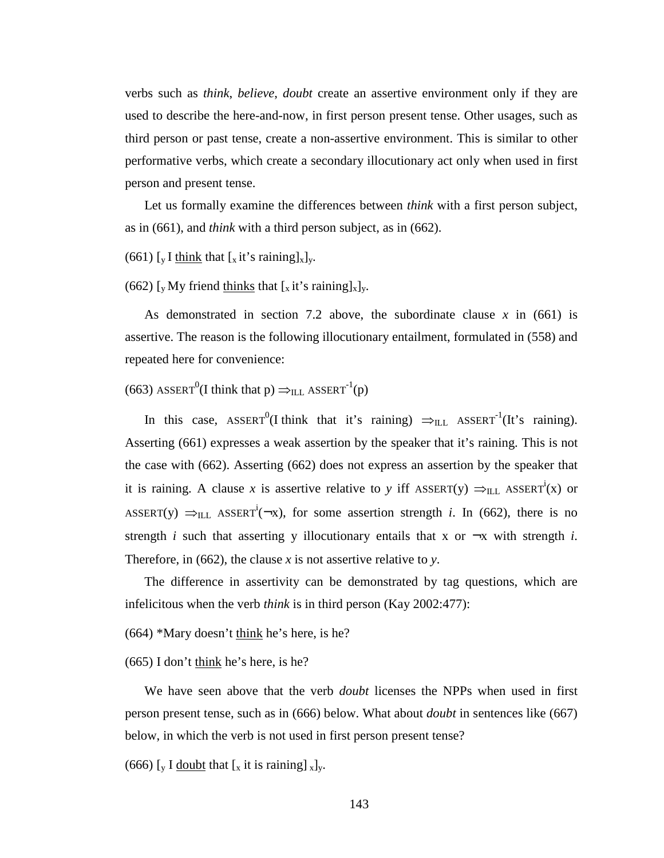verbs such as *think*, *believe*, *doubt* create an assertive environment only if they are used to describe the here-and-now, in first person present tense. Other usages, such as third person or past tense, create a non-assertive environment. This is similar to other performative verbs, which create a secondary illocutionary act only when used in first person and present tense.

Let us formally examine the differences between *think* with a first person subject, as in (661), and *think* with a third person subject, as in (662).

(661)  $\lceil_{\mathbf{v}} \mathbf{I} \rceil$  think that  $\lceil_{\mathbf{x}} \mathbf{it} \rceil$ 's raining $\lceil_{\mathbf{x}} \rceil$ <sub>v</sub>.

(662) [y My friend thinks that  $[x_i]$  it's raining  $[x]_y$ .

As demonstrated in section 7.2 above, the subordinate clause  $x$  in (661) is assertive. The reason is the following illocutionary entailment, formulated in (558) and repeated here for convenience:

(663) ASSERT<sup>0</sup>(I think that p)  $\Rightarrow$ <sub>ILL</sub> ASSERT<sup>-1</sup>(p)

In this case,  $\text{ASBERT}^0(I \text{ think that it's raining}) \implies_{\text{ILL}} \text{ASSENT}^1(It's raining).$ Asserting (661) expresses a weak assertion by the speaker that it's raining. This is not the case with (662). Asserting (662) does not express an assertion by the speaker that it is raining. A clause *x* is assertive relative to *y* iff ASSERT(y)  $\Rightarrow$ <sub>ILL</sub> ASSERT<sup>i</sup>(x) or ASSERT(y)  $\Rightarrow$ <sub>ILL</sub> ASSERT<sup>i</sup>( $\rightarrow$ x), for some assertion strength *i*. In (662), there is no strength *i* such that asserting y illocutionary entails that x or  $\neg x$  with strength *i*. Therefore, in (662), the clause *x* is not assertive relative to *y*.

The difference in assertivity can be demonstrated by tag questions, which are infelicitous when the verb *think* is in third person (Kay 2002:477):

(664) \*Mary doesn't think he's here, is he?

(665) I don't think he's here, is he?

We have seen above that the verb *doubt* licenses the NPPs when used in first person present tense, such as in (666) below. What about *doubt* in sentences like (667) below, in which the verb is not used in first person present tense?

(666) [y I doubt that  $[x$  it is raining]  $x]_y$ .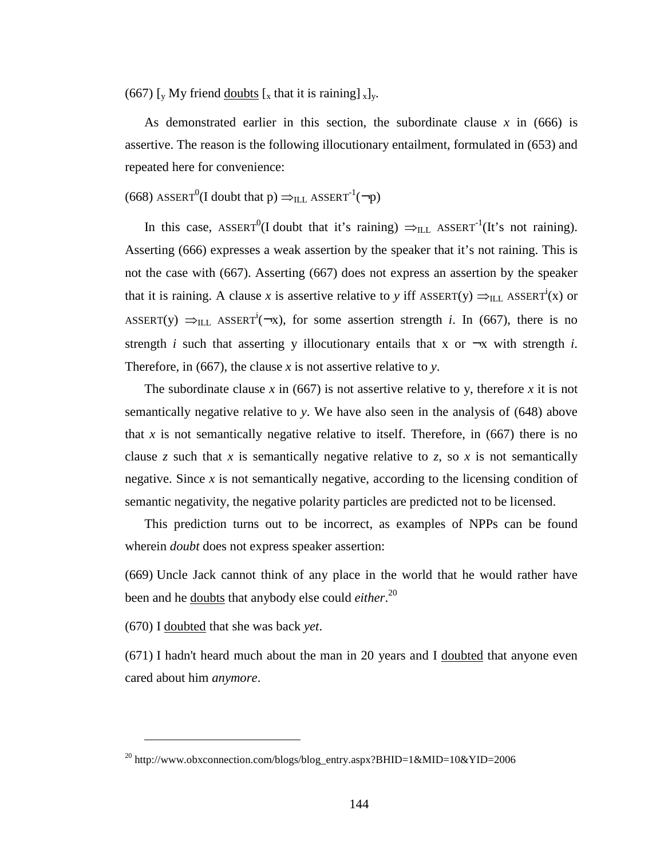(667) [y My friend doubts  $[x]$  that it is raining]  $[x]_y$ .

As demonstrated earlier in this section, the subordinate clause *x* in (666) is assertive. The reason is the following illocutionary entailment, formulated in (653) and repeated here for convenience:

(668) ASSERT<sup>0</sup>(I doubt that p)  $\Rightarrow$ <sub>ILL</sub> ASSERT<sup>-1</sup>(¬p)

In this case, ASSERT<sup>0</sup>(I doubt that it's raining)  $\Rightarrow$ <sub>ILL</sub> ASSERT<sup>-1</sup>(It's not raining). Asserting (666) expresses a weak assertion by the speaker that it's not raining. This is not the case with (667). Asserting (667) does not express an assertion by the speaker that it is raining. A clause *x* is assertive relative to *y* iff ASSERT(y)  $\Rightarrow$ <sub>ILL</sub> ASSERT<sup>i</sup>(x) or ASSERT(y)  $\Rightarrow$ <sub>ILL</sub> ASSERT<sup>i</sup>( $\rightarrow$ x), for some assertion strength *i*. In (667), there is no strength *i* such that asserting y illocutionary entails that x or  $-x$  with strength *i*. Therefore, in (667), the clause *x* is not assertive relative to *y*.

The subordinate clause  $x$  in (667) is not assertive relative to y, therefore  $x$  it is not semantically negative relative to *y*. We have also seen in the analysis of (648) above that  $x$  is not semantically negative relative to itself. Therefore, in  $(667)$  there is no clause *z* such that *x* is semantically negative relative to *z*, so *x* is not semantically negative. Since  $x$  is not semantically negative, according to the licensing condition of semantic negativity, the negative polarity particles are predicted not to be licensed.

This prediction turns out to be incorrect, as examples of NPPs can be found wherein *doubt* does not express speaker assertion:

(669) Uncle Jack cannot think of any place in the world that he would rather have been and he doubts that anybody else could *either*. 20

(670) I doubted that she was back *yet*.

 $\overline{a}$ 

(671) I hadn't heard much about the man in 20 years and I doubted that anyone even cared about him *anymore*.

<sup>&</sup>lt;sup>20</sup> http://www.obxconnection.com/blogs/blog\_entry.aspx?BHID=1&MID=10&YID=2006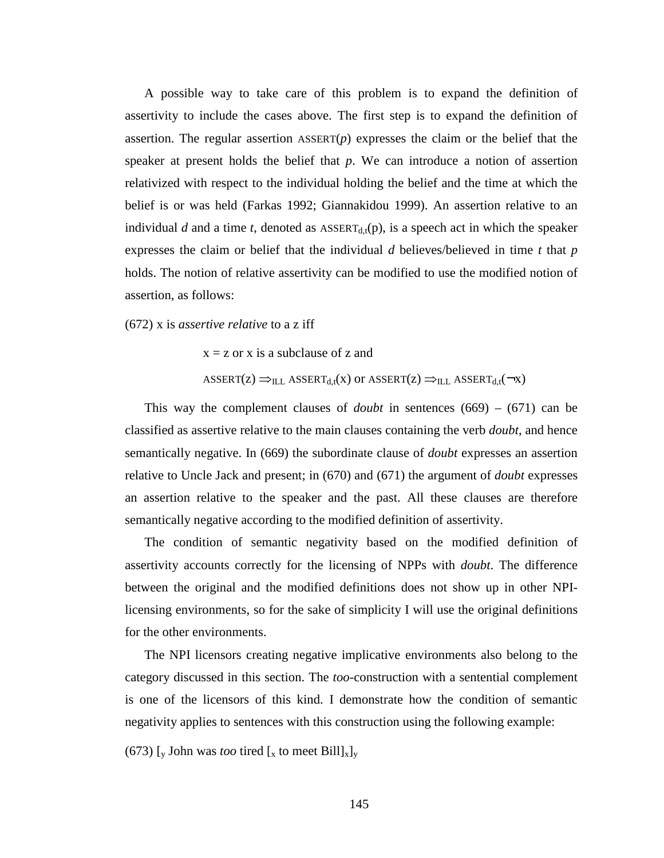A possible way to take care of this problem is to expand the definition of assertivity to include the cases above. The first step is to expand the definition of assertion. The regular assertion  $ASSENT(p)$  expresses the claim or the belief that the speaker at present holds the belief that *p*. We can introduce a notion of assertion relativized with respect to the individual holding the belief and the time at which the belief is or was held (Farkas 1992; Giannakidou 1999). An assertion relative to an individual *d* and a time *t*, denoted as  $\text{ASBERT}_{\text{d}}(p)$ , is a speech act in which the speaker expresses the claim or belief that the individual *d* believes/believed in time *t* that *p* holds. The notion of relative assertivity can be modified to use the modified notion of assertion, as follows:

(672) x is *assertive relative* to a z iff

 $x = z$  or x is a subclause of z and  $ASSERT(Z) \implies_{ILL} ASSERT_{d,t}(x)$  or  $ASSERT(Z) \implies_{ILL} ASSERT_{d,t}(\neg x)$ 

This way the complement clauses of *doubt* in sentences (669) – (671) can be classified as assertive relative to the main clauses containing the verb *doubt*, and hence semantically negative. In (669) the subordinate clause of *doubt* expresses an assertion relative to Uncle Jack and present; in (670) and (671) the argument of *doubt* expresses an assertion relative to the speaker and the past. All these clauses are therefore semantically negative according to the modified definition of assertivity.

The condition of semantic negativity based on the modified definition of assertivity accounts correctly for the licensing of NPPs with *doubt*. The difference between the original and the modified definitions does not show up in other NPIlicensing environments, so for the sake of simplicity I will use the original definitions for the other environments.

The NPI licensors creating negative implicative environments also belong to the category discussed in this section. The *too*-construction with a sentential complement is one of the licensors of this kind. I demonstrate how the condition of semantic negativity applies to sentences with this construction using the following example:

(673)  $\lceil_{v}$  John was *too* tired  $\lceil_{x}$  to meet Bill $\lceil_{x} \rceil_{v}$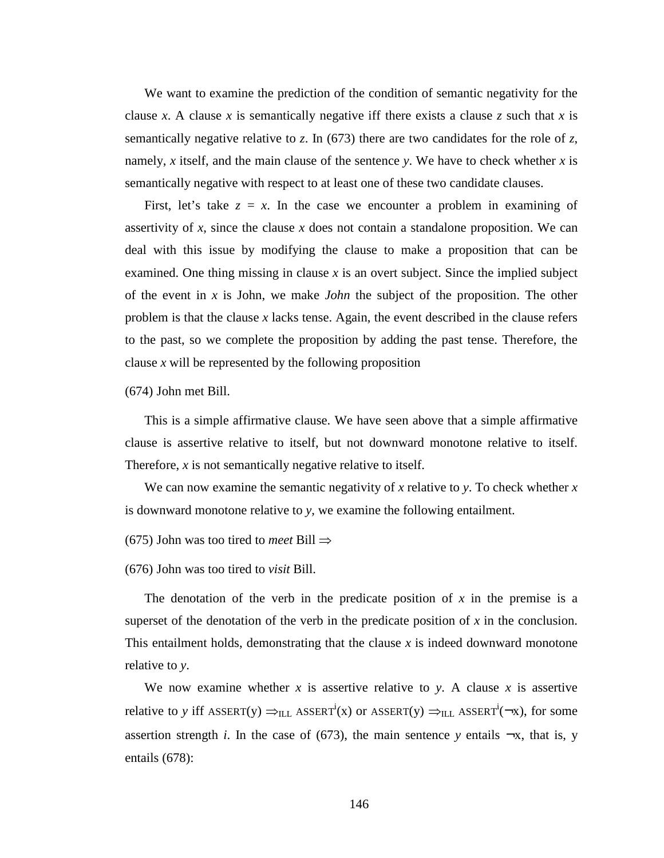We want to examine the prediction of the condition of semantic negativity for the clause *x*. A clause *x* is semantically negative iff there exists a clause *z* such that *x* is semantically negative relative to *z*. In (673) there are two candidates for the role of *z*, namely, *x* itself, and the main clause of the sentence *y*. We have to check whether *x* is semantically negative with respect to at least one of these two candidate clauses.

First, let's take  $z = x$ . In the case we encounter a problem in examining of assertivity of  $x$ , since the clause  $x$  does not contain a standalone proposition. We can deal with this issue by modifying the clause to make a proposition that can be examined. One thing missing in clause *x* is an overt subject. Since the implied subject of the event in *x* is John, we make *John* the subject of the proposition. The other problem is that the clause *x* lacks tense. Again, the event described in the clause refers to the past, so we complete the proposition by adding the past tense. Therefore, the clause *x* will be represented by the following proposition

(674) John met Bill.

This is a simple affirmative clause. We have seen above that a simple affirmative clause is assertive relative to itself, but not downward monotone relative to itself. Therefore, *x* is not semantically negative relative to itself.

We can now examine the semantic negativity of *x* relative to *y*. To check whether *x* is downward monotone relative to *y*, we examine the following entailment.

(675) John was too tired to *meet* Bill ⇒

(676) John was too tired to *visit* Bill.

The denotation of the verb in the predicate position of *x* in the premise is a superset of the denotation of the verb in the predicate position of *x* in the conclusion. This entailment holds, demonstrating that the clause *x* is indeed downward monotone relative to *y*.

We now examine whether  $x$  is assertive relative to  $y$ . A clause  $x$  is assertive relative to *y* iff ASSERT(y)  $\Rightarrow$ <sub>ILL</sub> ASSERT<sup>i</sup>(x) or ASSERT(y)  $\Rightarrow$ <sub>ILL</sub> ASSERT<sup>i</sup>( $\neg$ x), for some assertion strength *i*. In the case of (673), the main sentence *y* entails  $\neg x$ , that is, *y* entails (678):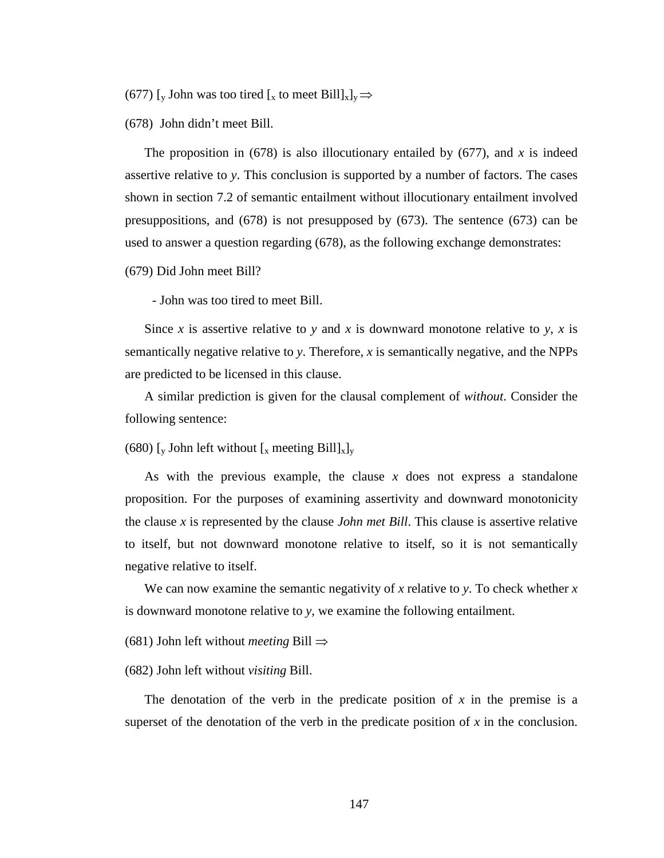(677) [y John was too tired [x to meet Bill] $x]_y \Rightarrow$ 

(678) John didn't meet Bill.

The proposition in (678) is also illocutionary entailed by (677), and *x* is indeed assertive relative to *y*. This conclusion is supported by a number of factors. The cases shown in section 7.2 of semantic entailment without illocutionary entailment involved presuppositions, and (678) is not presupposed by (673). The sentence (673) can be used to answer a question regarding (678), as the following exchange demonstrates:

(679) Did John meet Bill?

- John was too tired to meet Bill.

Since *x* is assertive relative to *y* and *x* is downward monotone relative to *y*, *x* is semantically negative relative to *y*. Therefore, *x* is semantically negative, and the NPPs are predicted to be licensed in this clause.

A similar prediction is given for the clausal complement of *without*. Consider the following sentence:

(680)  $\lceil_{v}$  John left without  $\lceil_{x}$  meeting Bill $\lceil_{x}$ <sub>v</sub>

As with the previous example, the clause *x* does not express a standalone proposition. For the purposes of examining assertivity and downward monotonicity the clause *x* is represented by the clause *John met Bill*. This clause is assertive relative to itself, but not downward monotone relative to itself, so it is not semantically negative relative to itself.

We can now examine the semantic negativity of *x* relative to *y*. To check whether *x* is downward monotone relative to *y*, we examine the following entailment.

(681) John left without *meeting* Bill ⇒

(682) John left without *visiting* Bill.

The denotation of the verb in the predicate position of *x* in the premise is a superset of the denotation of the verb in the predicate position of  $x$  in the conclusion.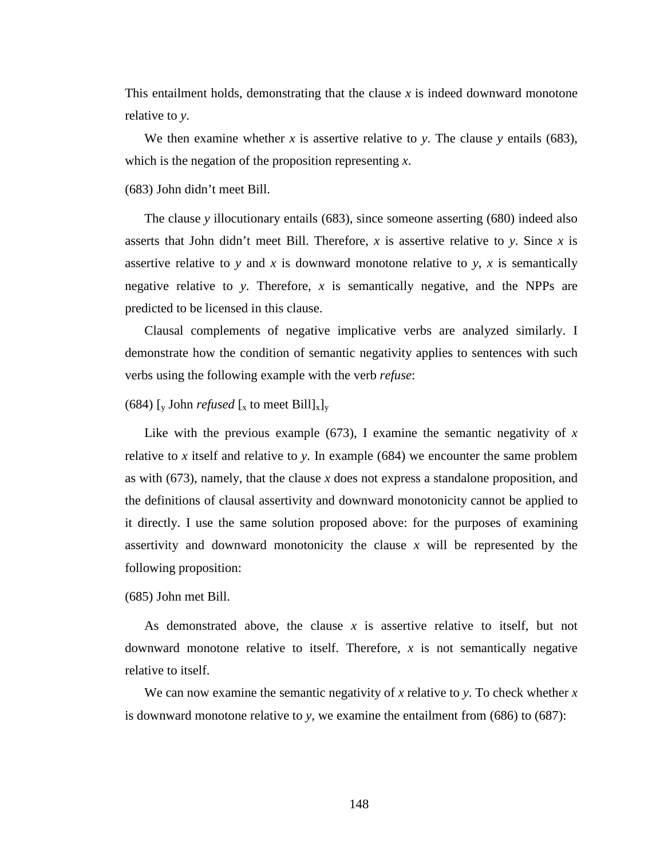This entailment holds, demonstrating that the clause *x* is indeed downward monotone relative to *y*.

We then examine whether  $x$  is assertive relative to  $y$ . The clause  $y$  entails (683), which is the negation of the proposition representing *x*.

(683) John didn't meet Bill.

The clause *y* illocutionary entails (683), since someone asserting (680) indeed also asserts that John didn't meet Bill. Therefore, *x* is assertive relative to *y*. Since *x* is assertive relative to *y* and *x* is downward monotone relative to *y*, *x* is semantically negative relative to *y*. Therefore, *x* is semantically negative, and the NPPs are predicted to be licensed in this clause.

Clausal complements of negative implicative verbs are analyzed similarly. I demonstrate how the condition of semantic negativity applies to sentences with such verbs using the following example with the verb *refuse*:

# (684) [y John *refused* [x to meet Bill]<sub>x</sub>]<sub>y</sub>

Like with the previous example (673), I examine the semantic negativity of *x* relative to *x* itself and relative to *y*. In example (684) we encounter the same problem as with (673), namely, that the clause *x* does not express a standalone proposition, and the definitions of clausal assertivity and downward monotonicity cannot be applied to it directly. I use the same solution proposed above: for the purposes of examining assertivity and downward monotonicity the clause *x* will be represented by the following proposition:

(685) John met Bill.

As demonstrated above, the clause *x* is assertive relative to itself, but not downward monotone relative to itself. Therefore, *x* is not semantically negative relative to itself.

We can now examine the semantic negativity of *x* relative to *y*. To check whether *x* is downward monotone relative to *y*, we examine the entailment from (686) to (687):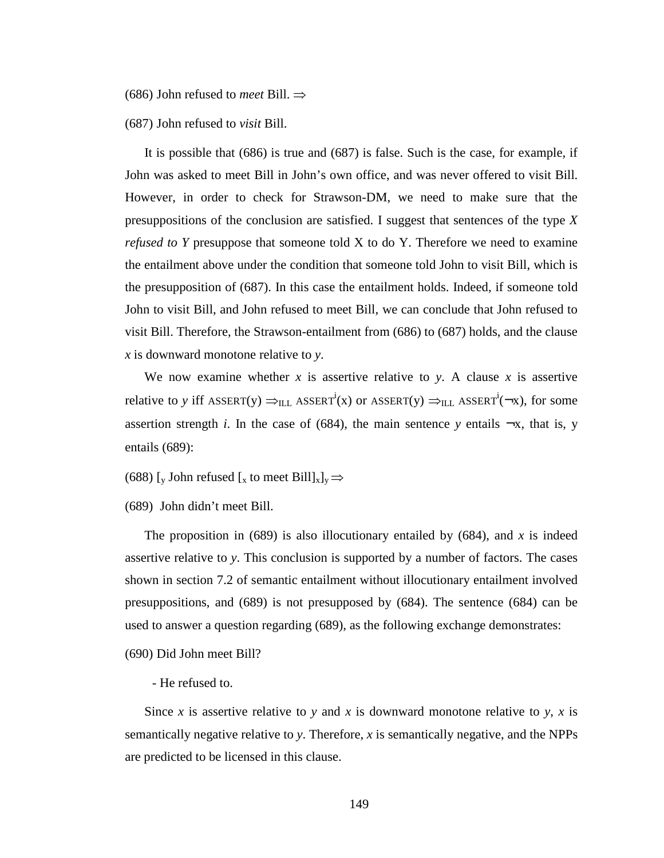(686) John refused to *meet* Bill. ⇒

(687) John refused to *visit* Bill.

It is possible that (686) is true and (687) is false. Such is the case, for example, if John was asked to meet Bill in John's own office, and was never offered to visit Bill. However, in order to check for Strawson-DM, we need to make sure that the presuppositions of the conclusion are satisfied. I suggest that sentences of the type *X refused to Y* presuppose that someone told X to do Y. Therefore we need to examine the entailment above under the condition that someone told John to visit Bill, which is the presupposition of (687). In this case the entailment holds. Indeed, if someone told John to visit Bill, and John refused to meet Bill, we can conclude that John refused to visit Bill. Therefore, the Strawson-entailment from (686) to (687) holds, and the clause *x* is downward monotone relative to *y*.

We now examine whether  $x$  is assertive relative to  $y$ . A clause  $x$  is assertive relative to *y* iff ASSERT(y)  $\Rightarrow$ <sub>ILL</sub> ASSERT<sup>i</sup>(x) or ASSERT(y)  $\Rightarrow$ <sub>ILL</sub> ASSERT<sup>i</sup>( $\neg$ x), for some assertion strength *i*. In the case of (684), the main sentence *y* entails  $\neg x$ , that is, *y* entails (689):

(688) [y John refused [x to meet Bill] $x]_y \Rightarrow$ 

(689) John didn't meet Bill.

The proposition in  $(689)$  is also illocutionary entailed by  $(684)$ , and x is indeed assertive relative to *y*. This conclusion is supported by a number of factors. The cases shown in section 7.2 of semantic entailment without illocutionary entailment involved presuppositions, and (689) is not presupposed by (684). The sentence (684) can be used to answer a question regarding (689), as the following exchange demonstrates:

(690) Did John meet Bill?

### - He refused to.

Since *x* is assertive relative to *y* and *x* is downward monotone relative to *y*, *x* is semantically negative relative to *y*. Therefore, *x* is semantically negative, and the NPPs are predicted to be licensed in this clause.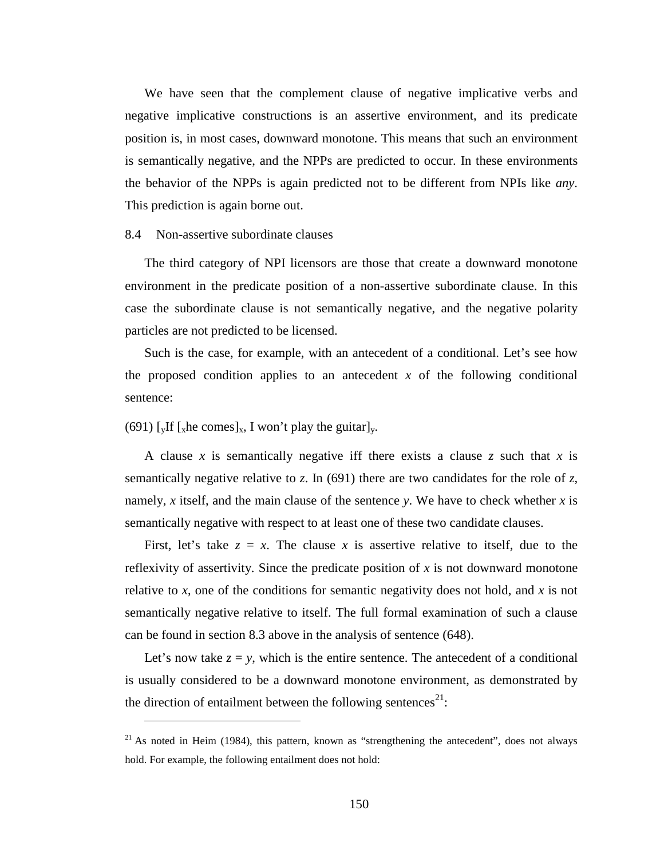We have seen that the complement clause of negative implicative verbs and negative implicative constructions is an assertive environment, and its predicate position is, in most cases, downward monotone. This means that such an environment is semantically negative, and the NPPs are predicted to occur. In these environments the behavior of the NPPs is again predicted not to be different from NPIs like *any*. This prediction is again borne out.

### 8.4 Non-assertive subordinate clauses

The third category of NPI licensors are those that create a downward monotone environment in the predicate position of a non-assertive subordinate clause. In this case the subordinate clause is not semantically negative, and the negative polarity particles are not predicted to be licensed.

Such is the case, for example, with an antecedent of a conditional. Let's see how the proposed condition applies to an antecedent  $x$  of the following conditional sentence:

# (691) [yIf [xhe comes]x, I won't play the guitar]y.

 $\overline{a}$ 

A clause *x* is semantically negative iff there exists a clause *z* such that *x* is semantically negative relative to *z*. In (691) there are two candidates for the role of *z*, namely, *x* itself, and the main clause of the sentence *y*. We have to check whether *x* is semantically negative with respect to at least one of these two candidate clauses.

First, let's take  $z = x$ . The clause x is assertive relative to itself, due to the reflexivity of assertivity. Since the predicate position of *x* is not downward monotone relative to *x*, one of the conditions for semantic negativity does not hold, and *x* is not semantically negative relative to itself. The full formal examination of such a clause can be found in section 8.3 above in the analysis of sentence (648).

Let's now take  $z = y$ , which is the entire sentence. The antecedent of a conditional is usually considered to be a downward monotone environment, as demonstrated by the direction of entailment between the following sentences<sup>21</sup>:

 $21$  As noted in Heim (1984), this pattern, known as "strengthening the antecedent", does not always hold. For example, the following entailment does not hold: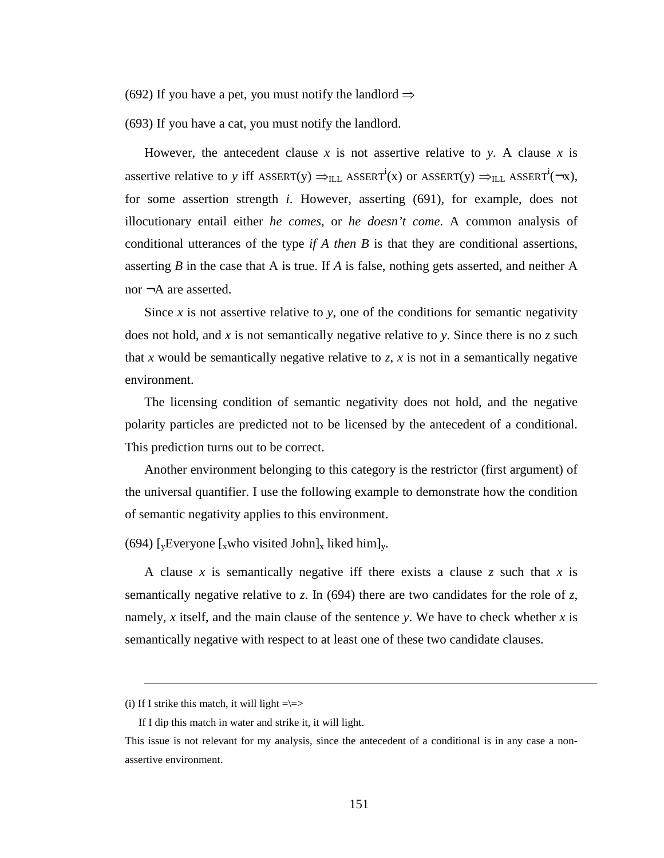(692) If you have a pet, you must notify the landlord  $\Rightarrow$ 

(693) If you have a cat, you must notify the landlord.

However, the antecedent clause  $x$  is not assertive relative to  $y$ . A clause  $x$  is assertive relative to *y* iff ASSERT(y)  $\Rightarrow$ <sub>ILL</sub> ASSERT<sup>i</sup>(x) or ASSERT(y)  $\Rightarrow$ <sub>ILL</sub> ASSERT<sup>i</sup>( $\neg$ x), for some assertion strength *i*. However, asserting (691), for example, does not illocutionary entail either *he comes*, or *he doesn't come*. A common analysis of conditional utterances of the type *if A then B* is that they are conditional assertions, asserting *B* in the case that A is true. If *A* is false, nothing gets asserted, and neither A nor ¬A are asserted.

Since  $x$  is not assertive relative to  $y$ , one of the conditions for semantic negativity does not hold, and *x* is not semantically negative relative to *y*. Since there is no *z* such that *x* would be semantically negative relative to *z*, *x* is not in a semantically negative environment.

The licensing condition of semantic negativity does not hold, and the negative polarity particles are predicted not to be licensed by the antecedent of a conditional. This prediction turns out to be correct.

Another environment belonging to this category is the restrictor (first argument) of the universal quantifier. I use the following example to demonstrate how the condition of semantic negativity applies to this environment.

(694) [<sub>v</sub>Everyone [<sub>x</sub>who visited John]<sub>x</sub> liked him]<sub>y</sub>.

A clause *x* is semantically negative iff there exists a clause *z* such that *x* is semantically negative relative to *z*. In (694) there are two candidates for the role of *z*, namely, *x* itself, and the main clause of the sentence *y*. We have to check whether *x* is semantically negative with respect to at least one of these two candidate clauses.

 $\overline{a}$ 

<sup>(</sup>i) If I strike this match, it will light  $=\ge$ 

If I dip this match in water and strike it, it will light.

This issue is not relevant for my analysis, since the antecedent of a conditional is in any case a nonassertive environment.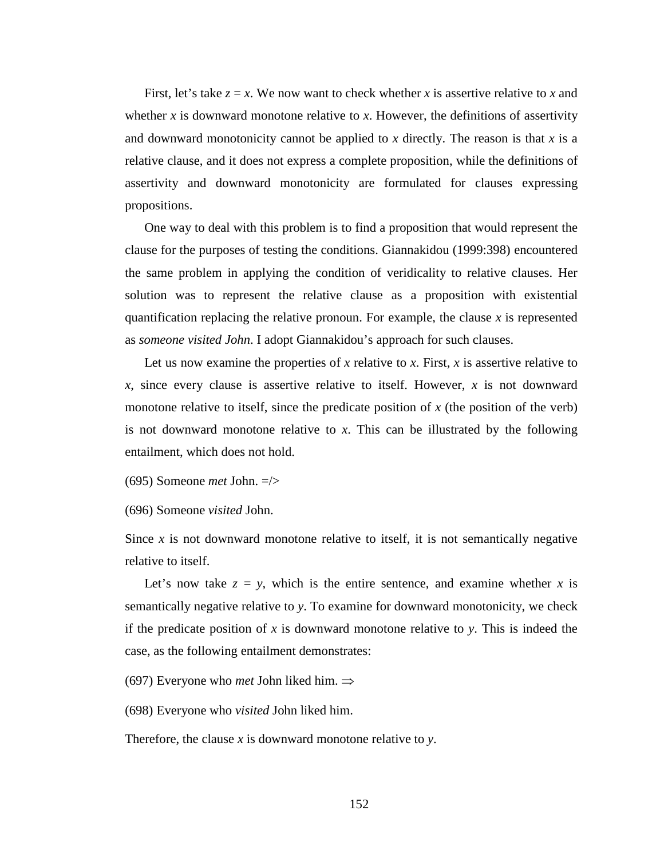First, let's take  $z = x$ . We now want to check whether *x* is assertive relative to *x* and whether  $x$  is downward monotone relative to  $x$ . However, the definitions of assertivity and downward monotonicity cannot be applied to  $x$  directly. The reason is that  $x$  is a relative clause, and it does not express a complete proposition, while the definitions of assertivity and downward monotonicity are formulated for clauses expressing propositions.

One way to deal with this problem is to find a proposition that would represent the clause for the purposes of testing the conditions. Giannakidou (1999:398) encountered the same problem in applying the condition of veridicality to relative clauses. Her solution was to represent the relative clause as a proposition with existential quantification replacing the relative pronoun. For example, the clause *x* is represented as *someone visited John*. I adopt Giannakidou's approach for such clauses.

Let us now examine the properties of x relative to x. First, x is assertive relative to *x*, since every clause is assertive relative to itself. However, *x* is not downward monotone relative to itself, since the predicate position of  $x$  (the position of the verb) is not downward monotone relative to *x*. This can be illustrated by the following entailment, which does not hold.

(695) Someone *met* John. =/>

(696) Someone *visited* John.

Since  $x$  is not downward monotone relative to itself, it is not semantically negative relative to itself.

Let's now take  $z = y$ , which is the entire sentence, and examine whether x is semantically negative relative to *y*. To examine for downward monotonicity, we check if the predicate position of *x* is downward monotone relative to *y*. This is indeed the case, as the following entailment demonstrates:

(697) Everyone who *met* John liked him. ⇒

(698) Everyone who *visited* John liked him.

Therefore, the clause *x* is downward monotone relative to *y*.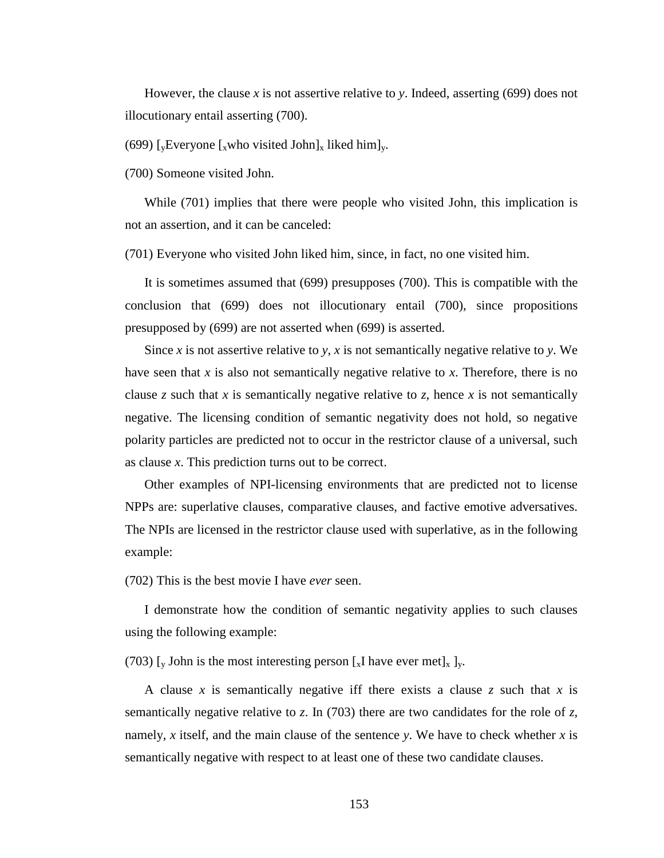However, the clause x is not assertive relative to y. Indeed, asserting  $(699)$  does not illocutionary entail asserting (700).

(699) [<sub>v</sub>Everyone [<sub>x</sub>who visited John]<sub>x</sub> liked him]<sub>y</sub>.

(700) Someone visited John.

While (701) implies that there were people who visited John, this implication is not an assertion, and it can be canceled:

(701) Everyone who visited John liked him, since, in fact, no one visited him.

It is sometimes assumed that (699) presupposes (700). This is compatible with the conclusion that (699) does not illocutionary entail (700), since propositions presupposed by (699) are not asserted when (699) is asserted.

Since *x* is not assertive relative to *y*, *x* is not semantically negative relative to *y*. We have seen that *x* is also not semantically negative relative to *x*. Therefore, there is no clause *z* such that *x* is semantically negative relative to *z*, hence *x* is not semantically negative. The licensing condition of semantic negativity does not hold, so negative polarity particles are predicted not to occur in the restrictor clause of a universal, such as clause *x*. This prediction turns out to be correct.

Other examples of NPI-licensing environments that are predicted not to license NPPs are: superlative clauses, comparative clauses, and factive emotive adversatives. The NPIs are licensed in the restrictor clause used with superlative, as in the following example:

(702) This is the best movie I have *ever* seen.

I demonstrate how the condition of semantic negativity applies to such clauses using the following example:

(703) [y John is the most interesting person [x] have ever met]<sub>x</sub> ]<sub>y</sub>.

A clause *x* is semantically negative iff there exists a clause *z* such that *x* is semantically negative relative to *z*. In (703) there are two candidates for the role of *z*, namely, *x* itself, and the main clause of the sentence *y*. We have to check whether *x* is semantically negative with respect to at least one of these two candidate clauses.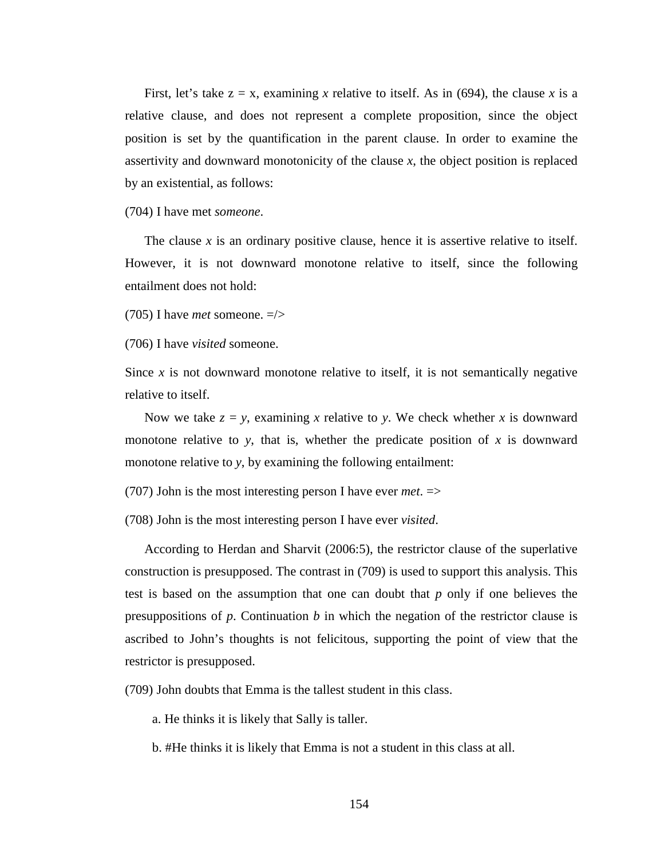First, let's take  $z = x$ , examining x relative to itself. As in (694), the clause x is a relative clause, and does not represent a complete proposition, since the object position is set by the quantification in the parent clause. In order to examine the assertivity and downward monotonicity of the clause *x*, the object position is replaced by an existential, as follows:

(704) I have met *someone*.

The clause  $x$  is an ordinary positive clause, hence it is assertive relative to itself. However, it is not downward monotone relative to itself, since the following entailment does not hold:

(705) I have *met* someone. =/>

(706) I have *visited* someone.

Since  $x$  is not downward monotone relative to itself, it is not semantically negative relative to itself.

Now we take  $z = y$ , examining *x* relative to *y*. We check whether *x* is downward monotone relative to *y*, that is, whether the predicate position of  $x$  is downward monotone relative to *y*, by examining the following entailment:

(707) John is the most interesting person I have ever *met*. =>

(708) John is the most interesting person I have ever *visited*.

According to Herdan and Sharvit (2006:5), the restrictor clause of the superlative construction is presupposed. The contrast in (709) is used to support this analysis. This test is based on the assumption that one can doubt that *p* only if one believes the presuppositions of *p*. Continuation *b* in which the negation of the restrictor clause is ascribed to John's thoughts is not felicitous, supporting the point of view that the restrictor is presupposed.

(709) John doubts that Emma is the tallest student in this class.

a. He thinks it is likely that Sally is taller.

b. #He thinks it is likely that Emma is not a student in this class at all.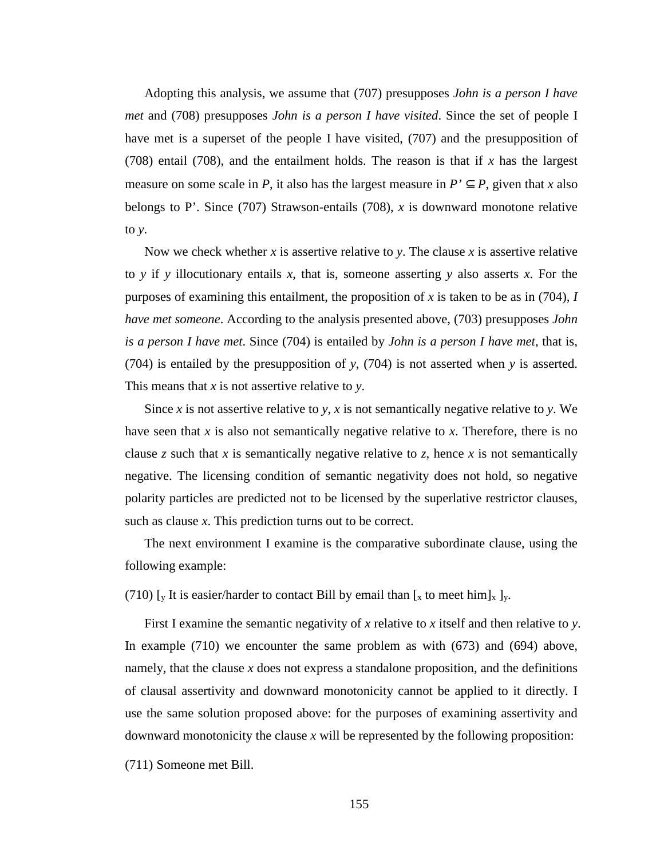Adopting this analysis, we assume that (707) presupposes *John is a person I have met* and (708) presupposes *John is a person I have visited*. Since the set of people I have met is a superset of the people I have visited, (707) and the presupposition of (708) entail (708), and the entailment holds. The reason is that if *x* has the largest measure on some scale in *P*, it also has the largest measure in  $P' \subseteq P$ , given that *x* also belongs to P'. Since (707) Strawson-entails (708), *x* is downward monotone relative to *y*.

Now we check whether *x* is assertive relative to *y*. The clause *x* is assertive relative to *y* if *y* illocutionary entails *x*, that is, someone asserting *y* also asserts *x*. For the purposes of examining this entailment, the proposition of *x* is taken to be as in (704), *I have met someone*. According to the analysis presented above, (703) presupposes *John is a person I have met*. Since (704) is entailed by *John is a person I have met*, that is, (704) is entailed by the presupposition of *y*, (704) is not asserted when *y* is asserted. This means that *x* is not assertive relative to *y*.

Since *x* is not assertive relative to *y*, *x* is not semantically negative relative to *y*. We have seen that *x* is also not semantically negative relative to *x*. Therefore, there is no clause  $z$  such that  $x$  is semantically negative relative to  $z$ , hence  $x$  is not semantically negative. The licensing condition of semantic negativity does not hold, so negative polarity particles are predicted not to be licensed by the superlative restrictor clauses, such as clause *x*. This prediction turns out to be correct.

The next environment I examine is the comparative subordinate clause, using the following example:

(710) [y It is easier/harder to contact Bill by email than [x to meet him]x ]y.

First I examine the semantic negativity of *x* relative to *x* itself and then relative to *y*. In example (710) we encounter the same problem as with (673) and (694) above, namely, that the clause *x* does not express a standalone proposition, and the definitions of clausal assertivity and downward monotonicity cannot be applied to it directly. I use the same solution proposed above: for the purposes of examining assertivity and downward monotonicity the clause *x* will be represented by the following proposition:

(711) Someone met Bill.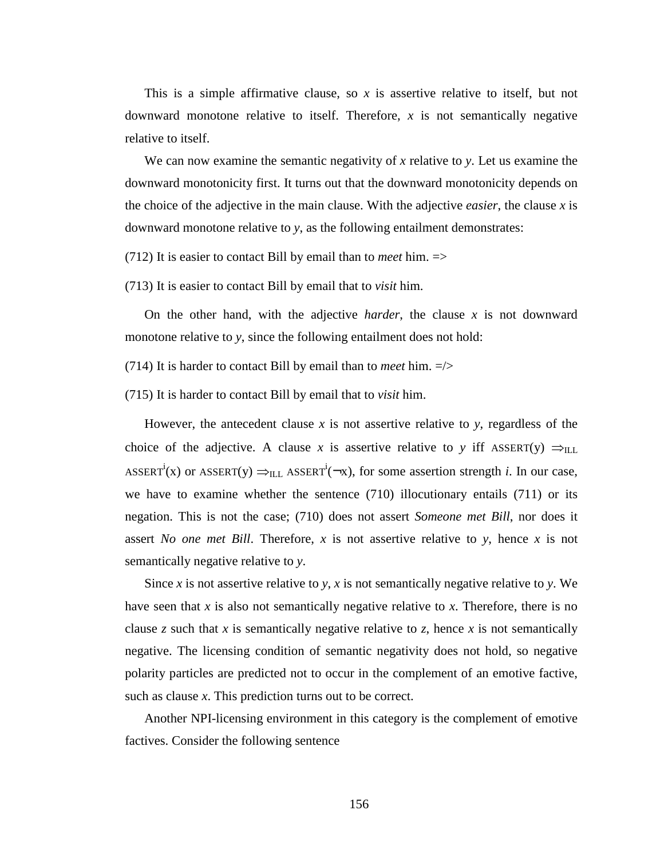This is a simple affirmative clause, so *x* is assertive relative to itself, but not downward monotone relative to itself. Therefore, *x* is not semantically negative relative to itself.

We can now examine the semantic negativity of *x* relative to *y*. Let us examine the downward monotonicity first. It turns out that the downward monotonicity depends on the choice of the adjective in the main clause. With the adjective *easier*, the clause *x* is downward monotone relative to *y*, as the following entailment demonstrates:

(712) It is easier to contact Bill by email than to *meet* him.  $\Rightarrow$ 

(713) It is easier to contact Bill by email that to *visit* him.

On the other hand, with the adjective *harder*, the clause *x* is not downward monotone relative to *y*, since the following entailment does not hold:

(714) It is harder to contact Bill by email than to *meet* him. =/>

(715) It is harder to contact Bill by email that to *visit* him.

However, the antecedent clause  $x$  is not assertive relative to  $y$ , regardless of the choice of the adjective. A clause *x* is assertive relative to *y* iff ASSERT(y)  $\Rightarrow$ <sub>ILL</sub> ASSERT<sup>i</sup>(x) or ASSERT(y)  $\Rightarrow$ <sub>ILL</sub> ASSERT<sup>i</sup>( $\neg x$ ), for some assertion strength *i*. In our case, we have to examine whether the sentence (710) illocutionary entails (711) or its negation. This is not the case; (710) does not assert *Someone met Bill*, nor does it assert *No one met Bill*. Therefore, *x* is not assertive relative to *y*, hence *x* is not semantically negative relative to *y*.

Since *x* is not assertive relative to *y*, *x* is not semantically negative relative to *y*. We have seen that *x* is also not semantically negative relative to *x*. Therefore, there is no clause *z* such that *x* is semantically negative relative to *z*, hence *x* is not semantically negative. The licensing condition of semantic negativity does not hold, so negative polarity particles are predicted not to occur in the complement of an emotive factive, such as clause *x*. This prediction turns out to be correct.

Another NPI-licensing environment in this category is the complement of emotive factives. Consider the following sentence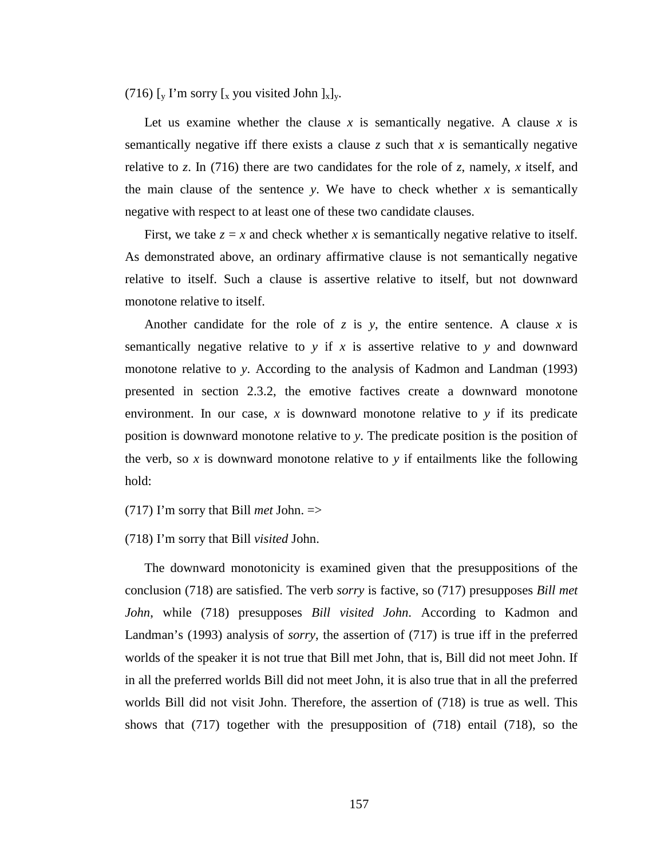(716) [y I'm sorry [x you visited John  $]_x]_y$ .

Let us examine whether the clause *x* is semantically negative. A clause *x* is semantically negative iff there exists a clause  $\zeta$  such that  $\chi$  is semantically negative relative to *z*. In (716) there are two candidates for the role of *z*, namely, *x* itself, and the main clause of the sentence *y*. We have to check whether  $x$  is semantically negative with respect to at least one of these two candidate clauses.

First, we take  $z = x$  and check whether x is semantically negative relative to itself. As demonstrated above, an ordinary affirmative clause is not semantically negative relative to itself. Such a clause is assertive relative to itself, but not downward monotone relative to itself.

Another candidate for the role of  $z$  is  $y$ , the entire sentence. A clause  $x$  is semantically negative relative to *y* if *x* is assertive relative to *y* and downward monotone relative to *y*. According to the analysis of Kadmon and Landman (1993) presented in section 2.3.2, the emotive factives create a downward monotone environment. In our case, *x* is downward monotone relative to *y* if its predicate position is downward monotone relative to *y*. The predicate position is the position of the verb, so  $x$  is downward monotone relative to  $y$  if entailments like the following hold:

(717) I'm sorry that Bill *met* John. =>

## (718) I'm sorry that Bill *visited* John.

The downward monotonicity is examined given that the presuppositions of the conclusion (718) are satisfied. The verb *sorry* is factive, so (717) presupposes *Bill met John*, while (718) presupposes *Bill visited John*. According to Kadmon and Landman's (1993) analysis of *sorry*, the assertion of (717) is true iff in the preferred worlds of the speaker it is not true that Bill met John, that is, Bill did not meet John. If in all the preferred worlds Bill did not meet John, it is also true that in all the preferred worlds Bill did not visit John. Therefore, the assertion of (718) is true as well. This shows that (717) together with the presupposition of (718) entail (718), so the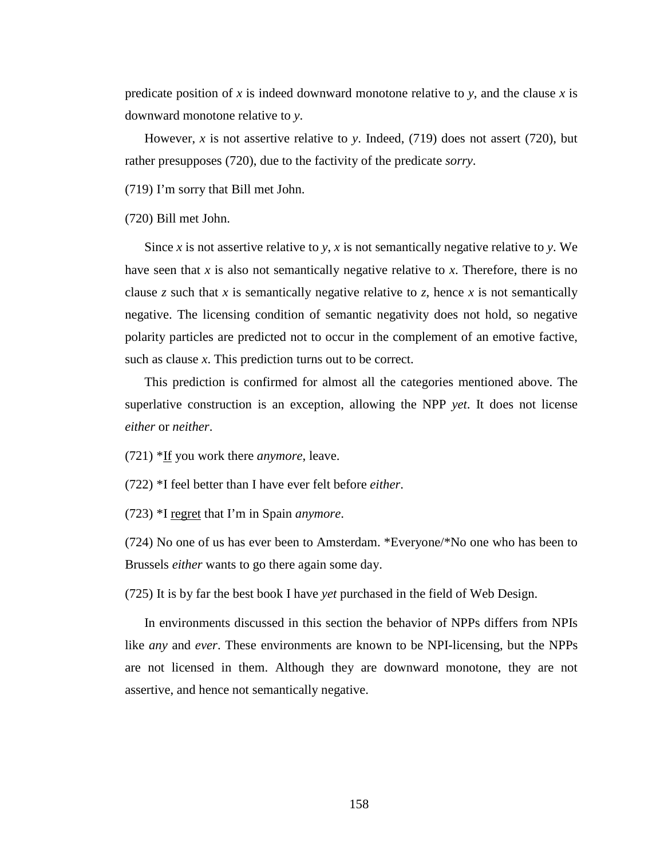predicate position of *x* is indeed downward monotone relative to *y*, and the clause *x* is downward monotone relative to *y*.

However, *x* is not assertive relative to *y*. Indeed, (719) does not assert (720), but rather presupposes (720), due to the factivity of the predicate *sorry*.

(719) I'm sorry that Bill met John.

(720) Bill met John.

Since *x* is not assertive relative to *y*, *x* is not semantically negative relative to *y*. We have seen that *x* is also not semantically negative relative to *x*. Therefore, there is no clause *z* such that *x* is semantically negative relative to *z*, hence *x* is not semantically negative. The licensing condition of semantic negativity does not hold, so negative polarity particles are predicted not to occur in the complement of an emotive factive, such as clause *x*. This prediction turns out to be correct.

This prediction is confirmed for almost all the categories mentioned above. The superlative construction is an exception, allowing the NPP *yet*. It does not license *either* or *neither*.

(721) \*If you work there *anymore*, leave.

(722) \*I feel better than I have ever felt before *either*.

(723) \*I regret that I'm in Spain *anymore*.

(724) No one of us has ever been to Amsterdam. \*Everyone/\*No one who has been to Brussels *either* wants to go there again some day.

(725) It is by far the best book I have *yet* purchased in the field of Web Design.

In environments discussed in this section the behavior of NPPs differs from NPIs like *any* and *ever*. These environments are known to be NPI-licensing, but the NPPs are not licensed in them. Although they are downward monotone, they are not assertive, and hence not semantically negative.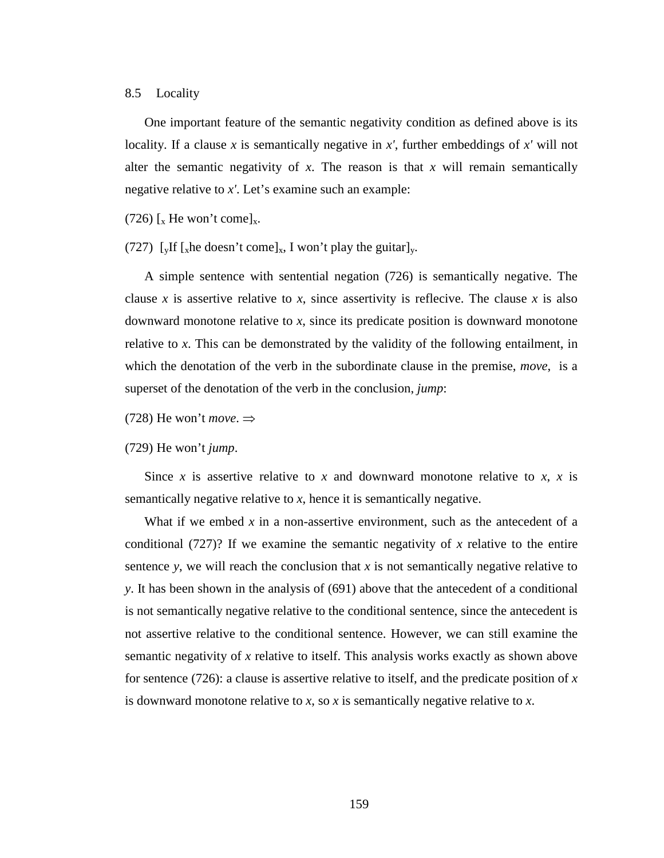### 8.5 Locality

One important feature of the semantic negativity condition as defined above is its locality. If a clause *x* is semantically negative in *x'*, further embeddings of *x'* will not alter the semantic negativity of *x*. The reason is that *x* will remain semantically negative relative to *x'*. Let's examine such an example:

(726)  $\left[x\right]$  He won't come]<sub>x</sub>.

(727) [yIf [xhe doesn't come]<sub>x</sub>, I won't play the guitar]<sub>y</sub>.

A simple sentence with sentential negation (726) is semantically negative. The clause *x* is assertive relative to *x*, since assertivity is reflecive. The clause *x* is also downward monotone relative to *x*, since its predicate position is downward monotone relative to *x*. This can be demonstrated by the validity of the following entailment, in which the denotation of the verb in the subordinate clause in the premise, *move*, is a superset of the denotation of the verb in the conclusion, *jump*:

(728) He won't *move*.  $\Rightarrow$ 

(729) He won't *jump*.

Since *x* is assertive relative to *x* and downward monotone relative to *x*, *x* is semantically negative relative to *x*, hence it is semantically negative.

What if we embed *x* in a non-assertive environment, such as the antecedent of a conditional (727)? If we examine the semantic negativity of *x* relative to the entire sentence *y*, we will reach the conclusion that *x* is not semantically negative relative to *y*. It has been shown in the analysis of (691) above that the antecedent of a conditional is not semantically negative relative to the conditional sentence, since the antecedent is not assertive relative to the conditional sentence. However, we can still examine the semantic negativity of *x* relative to itself. This analysis works exactly as shown above for sentence (726): a clause is assertive relative to itself, and the predicate position of *x* is downward monotone relative to *x*, so *x* is semantically negative relative to *x*.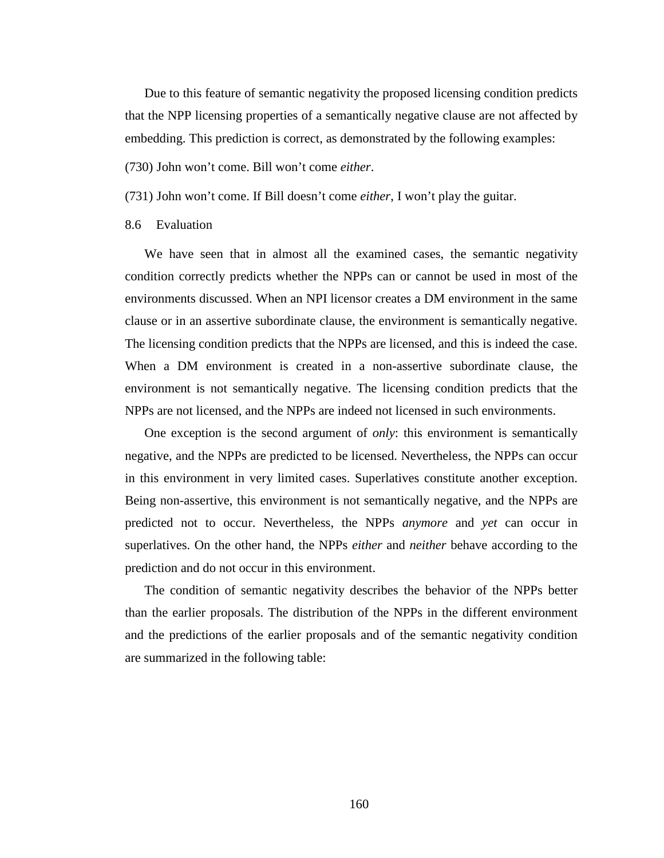Due to this feature of semantic negativity the proposed licensing condition predicts that the NPP licensing properties of a semantically negative clause are not affected by embedding. This prediction is correct, as demonstrated by the following examples:

(730) John won't come. Bill won't come *either*.

(731) John won't come. If Bill doesn't come *either*, I won't play the guitar.

### 8.6 Evaluation

We have seen that in almost all the examined cases, the semantic negativity condition correctly predicts whether the NPPs can or cannot be used in most of the environments discussed. When an NPI licensor creates a DM environment in the same clause or in an assertive subordinate clause, the environment is semantically negative. The licensing condition predicts that the NPPs are licensed, and this is indeed the case. When a DM environment is created in a non-assertive subordinate clause, the environment is not semantically negative. The licensing condition predicts that the NPPs are not licensed, and the NPPs are indeed not licensed in such environments.

One exception is the second argument of *only*: this environment is semantically negative, and the NPPs are predicted to be licensed. Nevertheless, the NPPs can occur in this environment in very limited cases. Superlatives constitute another exception. Being non-assertive, this environment is not semantically negative, and the NPPs are predicted not to occur. Nevertheless, the NPPs *anymore* and *yet* can occur in superlatives. On the other hand, the NPPs *either* and *neither* behave according to the prediction and do not occur in this environment.

The condition of semantic negativity describes the behavior of the NPPs better than the earlier proposals. The distribution of the NPPs in the different environment and the predictions of the earlier proposals and of the semantic negativity condition are summarized in the following table: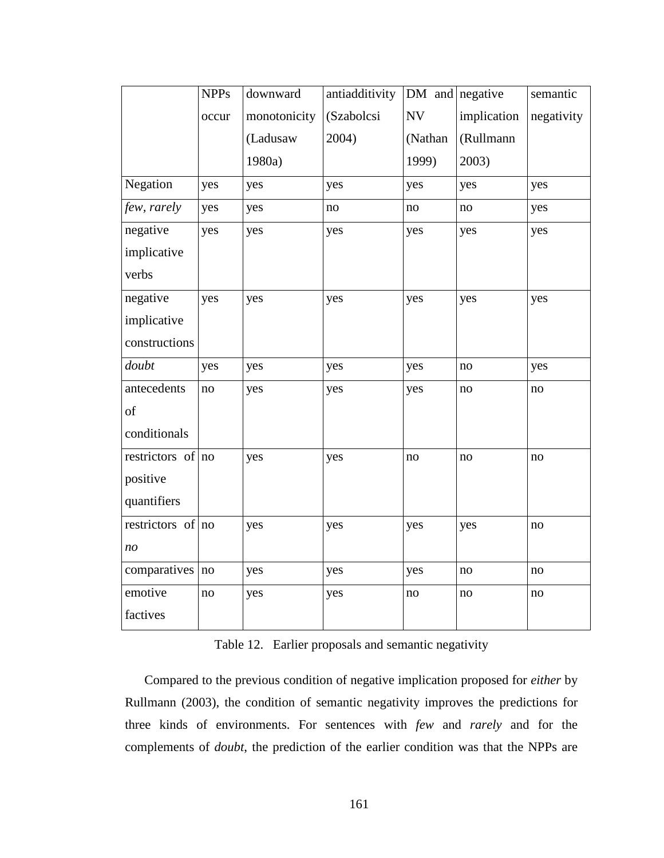|                   | <b>NPPs</b> | downward     | antiadditivity | $DM$ and negative |               | semantic   |
|-------------------|-------------|--------------|----------------|-------------------|---------------|------------|
|                   | occur       | monotonicity | (Szabolcsi     | NV                | implication   | negativity |
|                   |             | (Ladusaw     | 2004)          | (Nathan           | (Rullmann     |            |
|                   |             | 1980a)       |                | 1999)             | 2003)         |            |
| Negation          | yes         | yes          | yes            | yes               | yes           | yes        |
| few, rarely       | yes         | yes          | no             | $\rm no$          | $\rm no$      | yes        |
| negative          | yes         | yes          | yes            | yes               | yes           | yes        |
| implicative       |             |              |                |                   |               |            |
| verbs             |             |              |                |                   |               |            |
| negative          | yes         | yes          | yes            | yes               | yes           | yes        |
| implicative       |             |              |                |                   |               |            |
| constructions     |             |              |                |                   |               |            |
| doubt             | yes         | yes          | yes            | yes               | $\mathbf{no}$ | yes        |
| antecedents       | no          | yes          | yes            | yes               | $\mathbf{no}$ | no         |
| of                |             |              |                |                   |               |            |
| conditionals      |             |              |                |                   |               |            |
| restrictors of no |             | yes          | yes            | no                | no            | no         |
| positive          |             |              |                |                   |               |            |
| quantifiers       |             |              |                |                   |               |            |
| restrictors of no |             | yes          | yes            | yes               | yes           | no         |
| no                |             |              |                |                   |               |            |
| comparatives no   |             | yes          | yes            | yes               | $\rm no$      | $\rm no$   |
| emotive           | no          | yes          | yes            | $\rm no$          | $\rm no$      | no         |
| factives          |             |              |                |                   |               |            |

Table 12. Earlier proposals and semantic negativity

Compared to the previous condition of negative implication proposed for *either* by Rullmann (2003), the condition of semantic negativity improves the predictions for three kinds of environments. For sentences with *few* and *rarely* and for the complements of *doubt*, the prediction of the earlier condition was that the NPPs are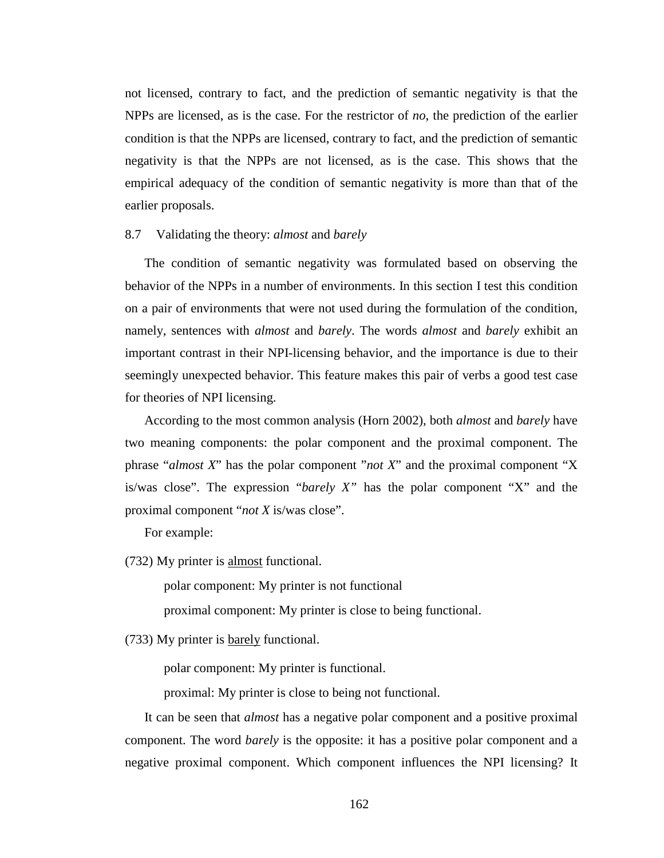not licensed, contrary to fact, and the prediction of semantic negativity is that the NPPs are licensed, as is the case. For the restrictor of *no*, the prediction of the earlier condition is that the NPPs are licensed, contrary to fact, and the prediction of semantic negativity is that the NPPs are not licensed, as is the case. This shows that the empirical adequacy of the condition of semantic negativity is more than that of the earlier proposals.

# 8.7 Validating the theory: *almost* and *barely*

The condition of semantic negativity was formulated based on observing the behavior of the NPPs in a number of environments. In this section I test this condition on a pair of environments that were not used during the formulation of the condition, namely, sentences with *almost* and *barely*. The words *almost* and *barely* exhibit an important contrast in their NPI-licensing behavior, and the importance is due to their seemingly unexpected behavior. This feature makes this pair of verbs a good test case for theories of NPI licensing.

According to the most common analysis (Horn 2002), both *almost* and *barely* have two meaning components: the polar component and the proximal component. The phrase "*almost X*" has the polar component "*not X*" and the proximal component "X is/was close". The expression "*barely X"* has the polar component "X" and the proximal component "*not X* is/was close".

For example:

(732) My printer is almost functional.

polar component: My printer is not functional

proximal component: My printer is close to being functional.

(733) My printer is barely functional.

polar component: My printer is functional.

proximal: My printer is close to being not functional.

It can be seen that *almost* has a negative polar component and a positive proximal component. The word *barely* is the opposite: it has a positive polar component and a negative proximal component. Which component influences the NPI licensing? It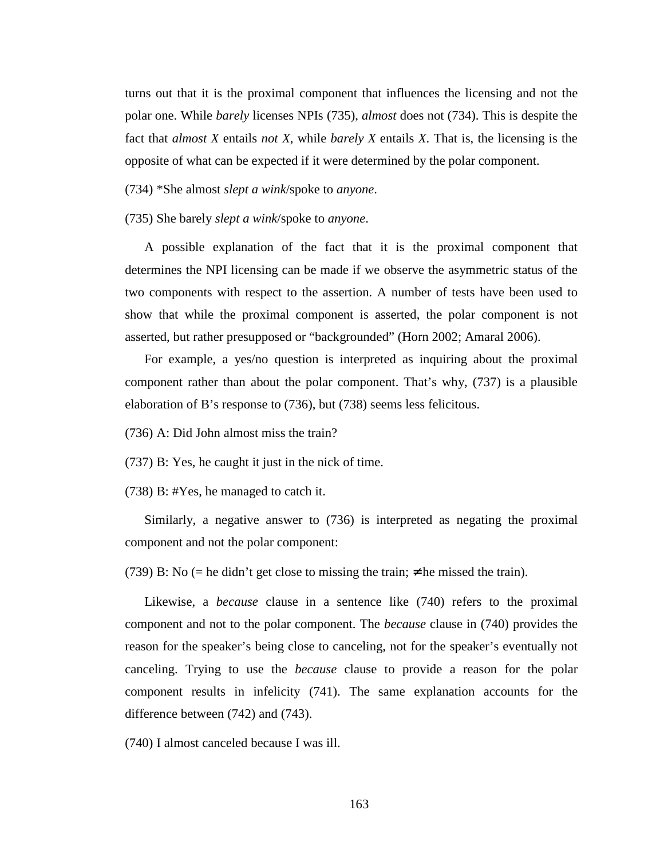turns out that it is the proximal component that influences the licensing and not the polar one. While *barely* licenses NPIs (735), *almost* does not (734). This is despite the fact that *almost X* entails *not X*, while *barely X* entails *X*. That is, the licensing is the opposite of what can be expected if it were determined by the polar component.

(734) \*She almost *slept a wink*/spoke to *anyone*.

(735) She barely *slept a wink*/spoke to *anyone*.

A possible explanation of the fact that it is the proximal component that determines the NPI licensing can be made if we observe the asymmetric status of the two components with respect to the assertion. A number of tests have been used to show that while the proximal component is asserted, the polar component is not asserted, but rather presupposed or "backgrounded" (Horn 2002; Amaral 2006).

For example, a yes/no question is interpreted as inquiring about the proximal component rather than about the polar component. That's why, (737) is a plausible elaboration of B's response to (736), but (738) seems less felicitous.

(736) A: Did John almost miss the train?

(737) B: Yes, he caught it just in the nick of time.

(738) B: #Yes, he managed to catch it.

Similarly, a negative answer to (736) is interpreted as negating the proximal component and not the polar component:

(739) B: No (= he didn't get close to missing the train;  $\neq$  he missed the train).

Likewise, a *because* clause in a sentence like (740) refers to the proximal component and not to the polar component. The *because* clause in (740) provides the reason for the speaker's being close to canceling, not for the speaker's eventually not canceling. Trying to use the *because* clause to provide a reason for the polar component results in infelicity (741). The same explanation accounts for the difference between (742) and (743).

(740) I almost canceled because I was ill.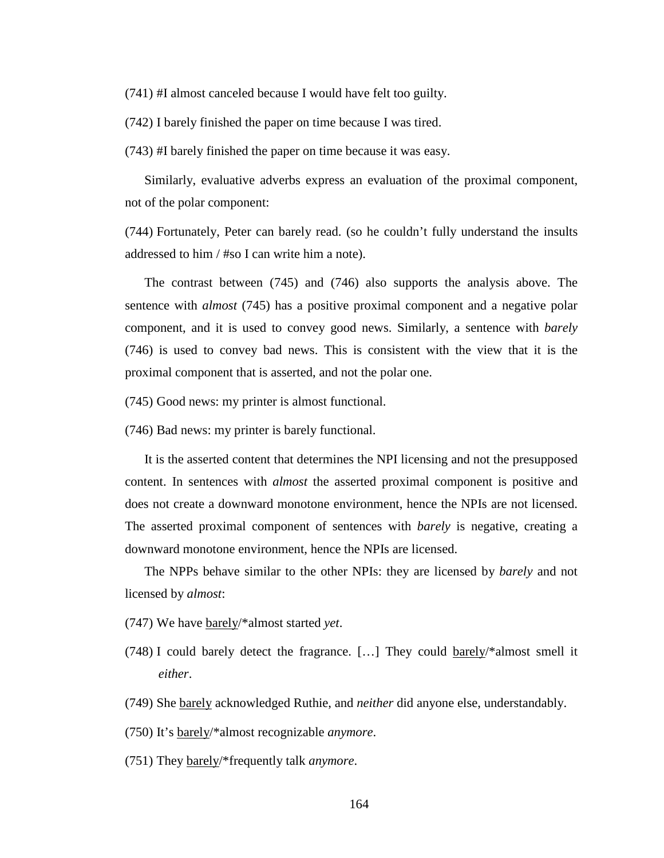(741) #I almost canceled because I would have felt too guilty.

(742) I barely finished the paper on time because I was tired.

(743) #I barely finished the paper on time because it was easy.

Similarly, evaluative adverbs express an evaluation of the proximal component, not of the polar component:

(744) Fortunately, Peter can barely read. (so he couldn't fully understand the insults addressed to him / #so I can write him a note).

The contrast between (745) and (746) also supports the analysis above. The sentence with *almost* (745) has a positive proximal component and a negative polar component, and it is used to convey good news. Similarly, a sentence with *barely* (746) is used to convey bad news. This is consistent with the view that it is the proximal component that is asserted, and not the polar one.

(745) Good news: my printer is almost functional.

(746) Bad news: my printer is barely functional.

It is the asserted content that determines the NPI licensing and not the presupposed content. In sentences with *almost* the asserted proximal component is positive and does not create a downward monotone environment, hence the NPIs are not licensed. The asserted proximal component of sentences with *barely* is negative, creating a downward monotone environment, hence the NPIs are licensed.

The NPPs behave similar to the other NPIs: they are licensed by *barely* and not licensed by *almost*:

- (747) We have barely/\*almost started *yet*.
- (748) I could barely detect the fragrance. […] They could barely/\*almost smell it *either*.
- (749) She barely acknowledged Ruthie, and *neither* did anyone else, understandably.
- (750) It's barely/\*almost recognizable *anymore*.
- (751) They barely/\*frequently talk *anymore*.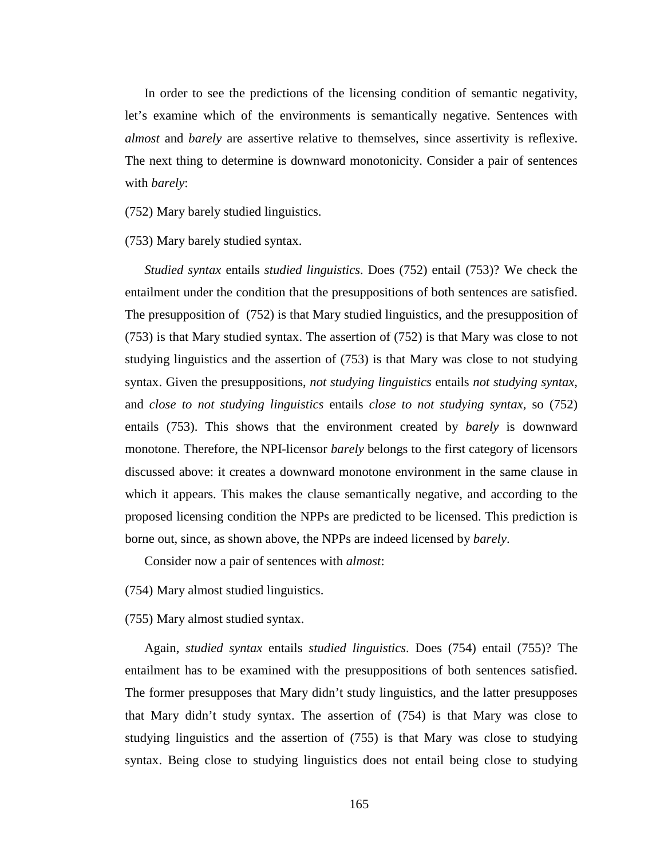In order to see the predictions of the licensing condition of semantic negativity, let's examine which of the environments is semantically negative. Sentences with *almost* and *barely* are assertive relative to themselves, since assertivity is reflexive. The next thing to determine is downward monotonicity. Consider a pair of sentences with *barely*:

(752) Mary barely studied linguistics.

(753) Mary barely studied syntax.

*Studied syntax* entails *studied linguistics*. Does (752) entail (753)? We check the entailment under the condition that the presuppositions of both sentences are satisfied. The presupposition of (752) is that Mary studied linguistics, and the presupposition of (753) is that Mary studied syntax. The assertion of (752) is that Mary was close to not studying linguistics and the assertion of (753) is that Mary was close to not studying syntax. Given the presuppositions, *not studying linguistics* entails *not studying syntax*, and *close to not studying linguistics* entails *close to not studying syntax*, so (752) entails (753). This shows that the environment created by *barely* is downward monotone. Therefore, the NPI-licensor *barely* belongs to the first category of licensors discussed above: it creates a downward monotone environment in the same clause in which it appears. This makes the clause semantically negative, and according to the proposed licensing condition the NPPs are predicted to be licensed. This prediction is borne out, since, as shown above, the NPPs are indeed licensed by *barely*.

Consider now a pair of sentences with *almost*:

(754) Mary almost studied linguistics.

(755) Mary almost studied syntax.

Again, *studied syntax* entails *studied linguistics*. Does (754) entail (755)? The entailment has to be examined with the presuppositions of both sentences satisfied. The former presupposes that Mary didn't study linguistics, and the latter presupposes that Mary didn't study syntax. The assertion of (754) is that Mary was close to studying linguistics and the assertion of (755) is that Mary was close to studying syntax. Being close to studying linguistics does not entail being close to studying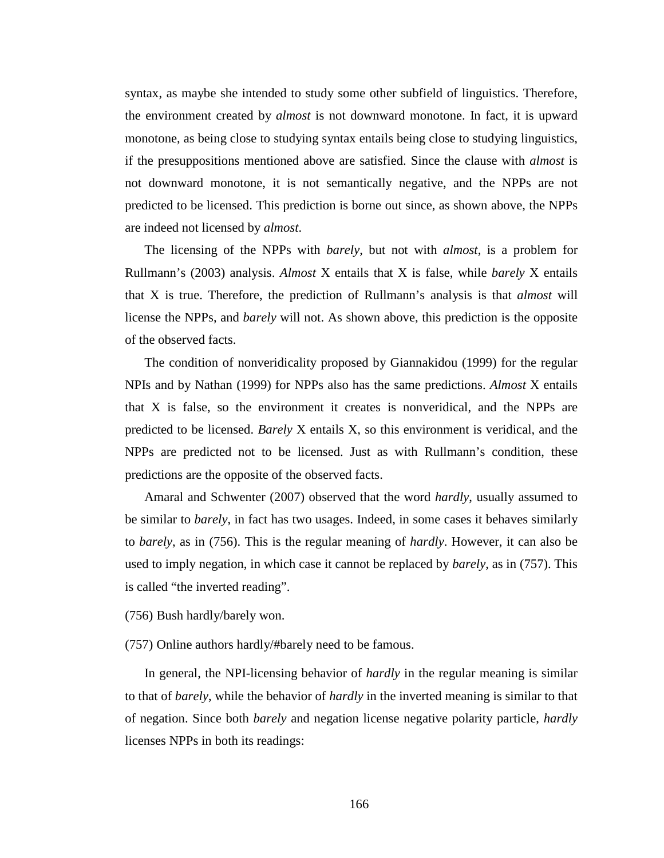syntax, as maybe she intended to study some other subfield of linguistics. Therefore, the environment created by *almost* is not downward monotone. In fact, it is upward monotone, as being close to studying syntax entails being close to studying linguistics, if the presuppositions mentioned above are satisfied. Since the clause with *almost* is not downward monotone, it is not semantically negative, and the NPPs are not predicted to be licensed. This prediction is borne out since, as shown above, the NPPs are indeed not licensed by *almost*.

The licensing of the NPPs with *barely*, but not with *almost*, is a problem for Rullmann's (2003) analysis. *Almost* X entails that X is false, while *barely* X entails that X is true. Therefore, the prediction of Rullmann's analysis is that *almost* will license the NPPs, and *barely* will not. As shown above, this prediction is the opposite of the observed facts.

The condition of nonveridicality proposed by Giannakidou (1999) for the regular NPIs and by Nathan (1999) for NPPs also has the same predictions. *Almost* X entails that X is false, so the environment it creates is nonveridical, and the NPPs are predicted to be licensed. *Barely* X entails X, so this environment is veridical, and the NPPs are predicted not to be licensed. Just as with Rullmann's condition, these predictions are the opposite of the observed facts.

Amaral and Schwenter (2007) observed that the word *hardly*, usually assumed to be similar to *barely*, in fact has two usages. Indeed, in some cases it behaves similarly to *barely*, as in (756). This is the regular meaning of *hardly*. However, it can also be used to imply negation, in which case it cannot be replaced by *barely*, as in (757). This is called "the inverted reading".

(756) Bush hardly/barely won.

(757) Online authors hardly/#barely need to be famous.

In general, the NPI-licensing behavior of *hardly* in the regular meaning is similar to that of *barely*, while the behavior of *hardly* in the inverted meaning is similar to that of negation. Since both *barely* and negation license negative polarity particle, *hardly* licenses NPPs in both its readings: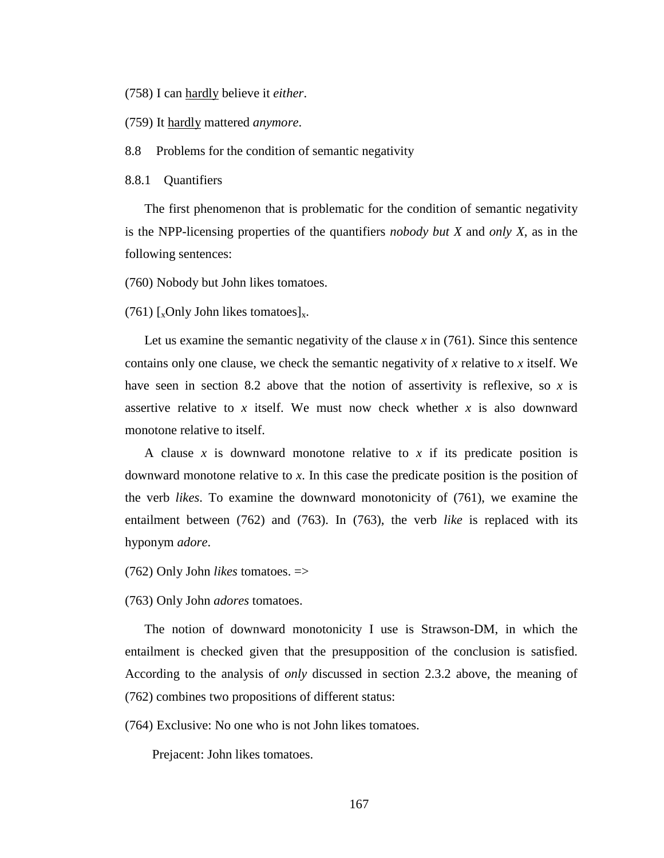(758) I can hardly believe it *either*.

(759) It hardly mattered *anymore*.

8.8 Problems for the condition of semantic negativity

8.8.1 Quantifiers

The first phenomenon that is problematic for the condition of semantic negativity is the NPP-licensing properties of the quantifiers *nobody but X* and *only X*, as in the following sentences:

(760) Nobody but John likes tomatoes.

(761)  $\left[\right]_x$ Only John likes tomatoes $\left]_x$ .

Let us examine the semantic negativity of the clause  $\chi$  in (761). Since this sentence contains only one clause, we check the semantic negativity of *x* relative to *x* itself. We have seen in section 8.2 above that the notion of assertivity is reflexive, so *x* is assertive relative to x itself. We must now check whether  $x$  is also downward monotone relative to itself.

A clause *x* is downward monotone relative to *x* if its predicate position is downward monotone relative to *x*. In this case the predicate position is the position of the verb *likes*. To examine the downward monotonicity of (761), we examine the entailment between (762) and (763). In (763), the verb *like* is replaced with its hyponym *adore*.

(762) Only John *likes* tomatoes. =>

(763) Only John *adores* tomatoes.

The notion of downward monotonicity I use is Strawson-DM, in which the entailment is checked given that the presupposition of the conclusion is satisfied. According to the analysis of *only* discussed in section 2.3.2 above, the meaning of (762) combines two propositions of different status:

(764) Exclusive: No one who is not John likes tomatoes.

Prejacent: John likes tomatoes.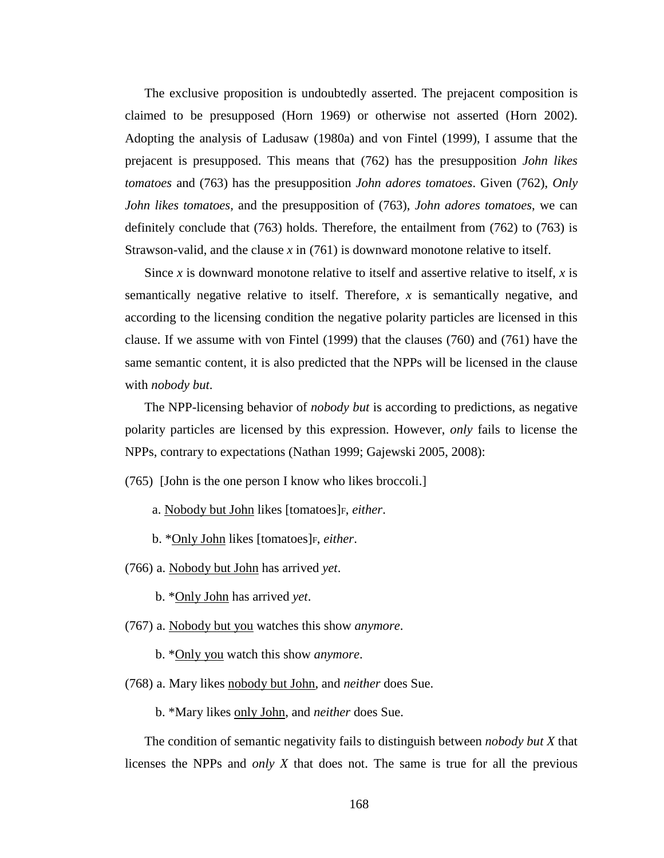The exclusive proposition is undoubtedly asserted. The prejacent composition is claimed to be presupposed (Horn 1969) or otherwise not asserted (Horn 2002). Adopting the analysis of Ladusaw (1980a) and von Fintel (1999), I assume that the prejacent is presupposed. This means that (762) has the presupposition *John likes tomatoes* and (763) has the presupposition *John adores tomatoes*. Given (762), *Only John likes tomatoes,* and the presupposition of (763), *John adores tomatoes*, we can definitely conclude that (763) holds. Therefore, the entailment from (762) to (763) is Strawson-valid, and the clause *x* in (761) is downward monotone relative to itself.

Since *x* is downward monotone relative to itself and assertive relative to itself, *x* is semantically negative relative to itself. Therefore, *x* is semantically negative, and according to the licensing condition the negative polarity particles are licensed in this clause. If we assume with von Fintel (1999) that the clauses (760) and (761) have the same semantic content, it is also predicted that the NPPs will be licensed in the clause with *nobody but*.

The NPP-licensing behavior of *nobody but* is according to predictions, as negative polarity particles are licensed by this expression. However, *only* fails to license the NPPs, contrary to expectations (Nathan 1999; Gajewski 2005, 2008):

(765) [John is the one person I know who likes broccoli.]

a. Nobody but John likes [tomatoes]F, *either*.

b. \*Only John likes [tomatoes]F, *either*.

(766) a. Nobody but John has arrived *yet*.

b. \*Only John has arrived *yet*.

(767) a. Nobody but you watches this show *anymore*.

b. \*Only you watch this show *anymore*.

(768) a. Mary likes nobody but John, and *neither* does Sue.

b. \*Mary likes only John, and *neither* does Sue.

The condition of semantic negativity fails to distinguish between *nobody but X* that licenses the NPPs and *only X* that does not. The same is true for all the previous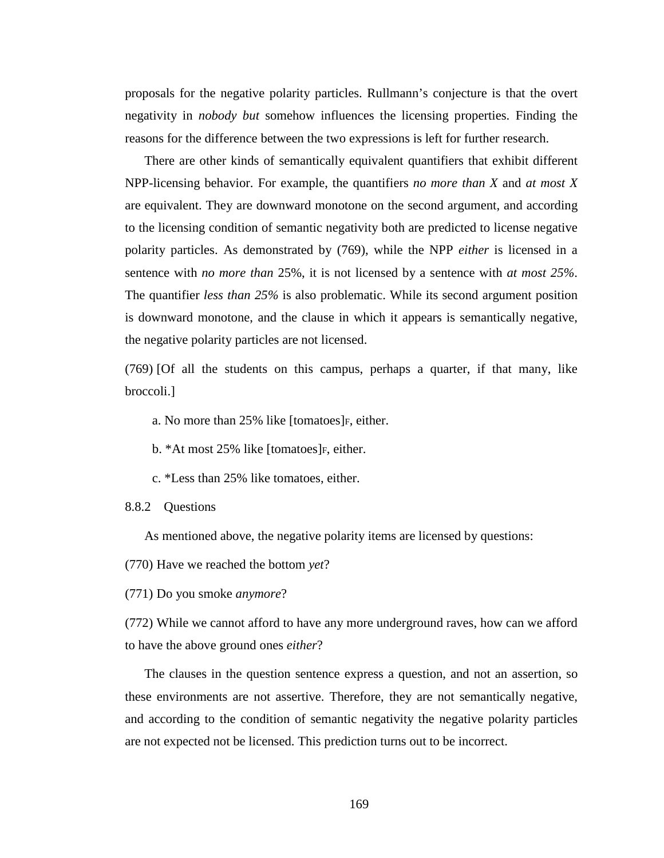proposals for the negative polarity particles. Rullmann's conjecture is that the overt negativity in *nobody but* somehow influences the licensing properties. Finding the reasons for the difference between the two expressions is left for further research.

There are other kinds of semantically equivalent quantifiers that exhibit different NPP-licensing behavior. For example, the quantifiers *no more than X* and *at most X* are equivalent. They are downward monotone on the second argument, and according to the licensing condition of semantic negativity both are predicted to license negative polarity particles. As demonstrated by (769), while the NPP *either* is licensed in a sentence with *no more than* 25%, it is not licensed by a sentence with *at most 25%*. The quantifier *less than 25%* is also problematic. While its second argument position is downward monotone, and the clause in which it appears is semantically negative, the negative polarity particles are not licensed.

(769) [Of all the students on this campus, perhaps a quarter, if that many, like broccoli.]

a. No more than 25% like [tomatoes] F, either.

b. \*At most 25% like [tomatoes] F, either.

c. \*Less than 25% like tomatoes, either.

8.8.2 Questions

As mentioned above, the negative polarity items are licensed by questions:

(770) Have we reached the bottom *yet*?

(771) Do you smoke *anymore*?

(772) While we cannot afford to have any more underground raves, how can we afford to have the above ground ones *either*?

The clauses in the question sentence express a question, and not an assertion, so these environments are not assertive. Therefore, they are not semantically negative, and according to the condition of semantic negativity the negative polarity particles are not expected not be licensed. This prediction turns out to be incorrect.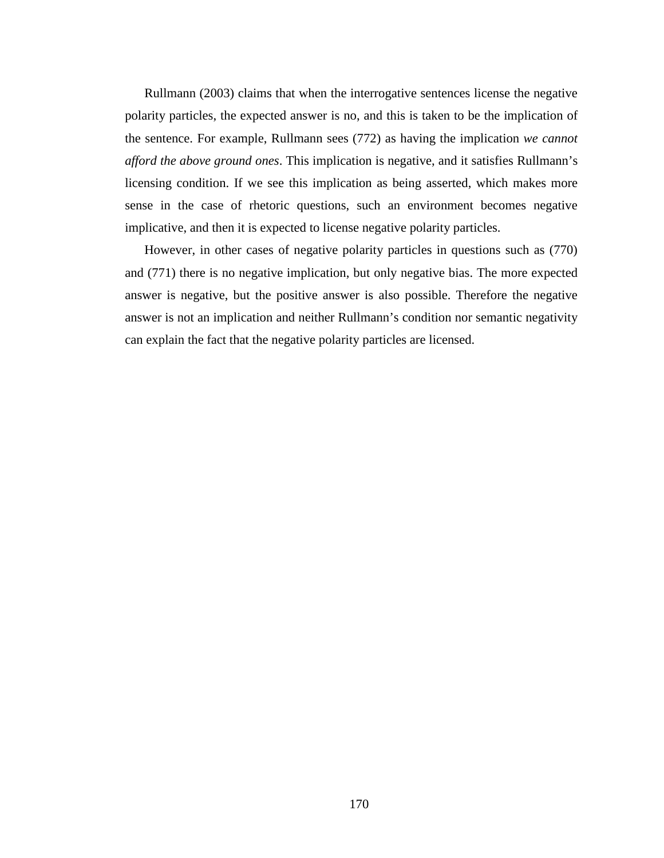Rullmann (2003) claims that when the interrogative sentences license the negative polarity particles, the expected answer is no, and this is taken to be the implication of the sentence. For example, Rullmann sees (772) as having the implication *we cannot afford the above ground ones*. This implication is negative, and it satisfies Rullmann's licensing condition. If we see this implication as being asserted, which makes more sense in the case of rhetoric questions, such an environment becomes negative implicative, and then it is expected to license negative polarity particles.

However, in other cases of negative polarity particles in questions such as (770) and (771) there is no negative implication, but only negative bias. The more expected answer is negative, but the positive answer is also possible. Therefore the negative answer is not an implication and neither Rullmann's condition nor semantic negativity can explain the fact that the negative polarity particles are licensed.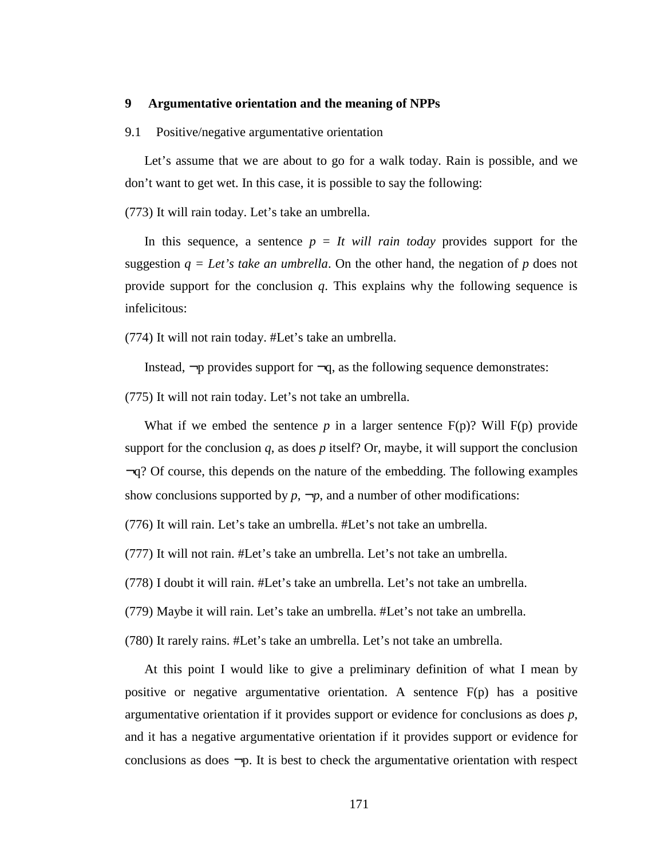# **9 Argumentative orientation and the meaning of NPPs**

## 9.1 Positive/negative argumentative orientation

Let's assume that we are about to go for a walk today. Rain is possible, and we don't want to get wet. In this case, it is possible to say the following:

(773) It will rain today. Let's take an umbrella.

In this sequence, a sentence  $p = It$  will rain today provides support for the suggestion  $q = Let's take an umbrella$ . On the other hand, the negation of *p* does not provide support for the conclusion *q*. This explains why the following sequence is infelicitous:

(774) It will not rain today. #Let's take an umbrella.

Instead,  $\neg p$  provides support for  $\neg q$ , as the following sequence demonstrates:

(775) It will not rain today. Let's not take an umbrella.

What if we embed the sentence  $p$  in a larger sentence  $F(p)$ ? Will  $F(p)$  provide support for the conclusion  $q$ , as does  $p$  itself? Or, maybe, it will support the conclusion  $\neg q$ ? Of course, this depends on the nature of the embedding. The following examples show conclusions supported by  $p$ ,  $\neg p$ , and a number of other modifications:

(776) It will rain. Let's take an umbrella. #Let's not take an umbrella.

(777) It will not rain. #Let's take an umbrella. Let's not take an umbrella.

(778) I doubt it will rain. #Let's take an umbrella. Let's not take an umbrella.

(779) Maybe it will rain. Let's take an umbrella. #Let's not take an umbrella.

(780) It rarely rains. #Let's take an umbrella. Let's not take an umbrella.

At this point I would like to give a preliminary definition of what I mean by positive or negative argumentative orientation. A sentence  $F(p)$  has a positive argumentative orientation if it provides support or evidence for conclusions as does *p*, and it has a negative argumentative orientation if it provides support or evidence for conclusions as does  $\neg p$ . It is best to check the argumentative orientation with respect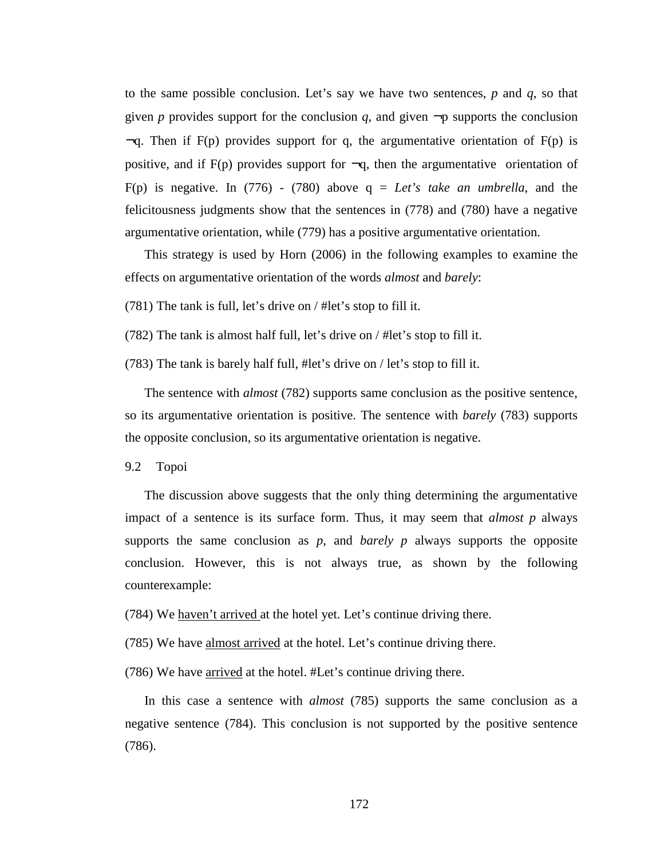to the same possible conclusion. Let's say we have two sentences, *p* and *q*, so that given *p* provides support for the conclusion *q*, and given  $\neg p$  supports the conclusion  $\neg q$ . Then if F(p) provides support for q, the argumentative orientation of F(p) is positive, and if  $F(p)$  provides support for  $\neg q$ , then the argumentative orientation of F(p) is negative. In (776) - (780) above  $q = Let's take an umbrella, and the$ felicitousness judgments show that the sentences in (778) and (780) have a negative argumentative orientation, while (779) has a positive argumentative orientation.

This strategy is used by Horn (2006) in the following examples to examine the effects on argumentative orientation of the words *almost* and *barely*:

(781) The tank is full, let's drive on / #let's stop to fill it.

(782) The tank is almost half full, let's drive on / #let's stop to fill it.

(783) The tank is barely half full, #let's drive on / let's stop to fill it.

The sentence with *almost* (782) supports same conclusion as the positive sentence, so its argumentative orientation is positive. The sentence with *barely* (783) supports the opposite conclusion, so its argumentative orientation is negative.

9.2 Topoi

The discussion above suggests that the only thing determining the argumentative impact of a sentence is its surface form. Thus, it may seem that *almost p* always supports the same conclusion as *p*, and *barely p* always supports the opposite conclusion. However, this is not always true, as shown by the following counterexample:

(784) We haven't arrived at the hotel yet. Let's continue driving there.

(785) We have almost arrived at the hotel. Let's continue driving there.

(786) We have arrived at the hotel. #Let's continue driving there.

In this case a sentence with *almost* (785) supports the same conclusion as a negative sentence (784). This conclusion is not supported by the positive sentence (786).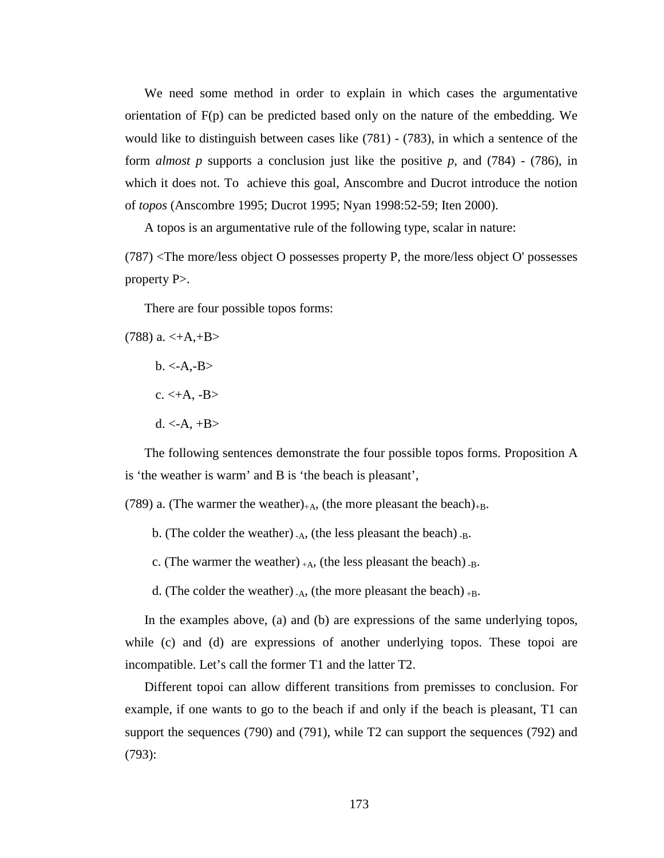We need some method in order to explain in which cases the argumentative orientation of F(p) can be predicted based only on the nature of the embedding. We would like to distinguish between cases like (781) - (783), in which a sentence of the form *almost p* supports a conclusion just like the positive *p*, and (784) - (786), in which it does not. To achieve this goal, Anscombre and Ducrot introduce the notion of *topos* (Anscombre 1995; Ducrot 1995; Nyan 1998:52-59; Iten 2000).

A topos is an argumentative rule of the following type, scalar in nature:

(787) <The more/less object O possesses property P, the more/less object O' possesses property P>.

There are four possible topos forms:

 $(788)$  a.  $\lt +A, +B$ 

- $b. < A.-B>$
- $c. < +A. -B>$
- $d. < A. +B>$

The following sentences demonstrate the four possible topos forms. Proposition A is 'the weather is warm' and B is 'the beach is pleasant',

(789) a. (The warmer the weather)<sub>+A</sub>, (the more pleasant the beach)<sub>+B</sub>.

- b. (The colder the weather)  $_{\text{A}}$ , (the less pleasant the beach)  $_{\text{B}}$ .
- c. (The warmer the weather)  $+A$ , (the less pleasant the beach)  $-B$ .
- d. (The colder the weather)  $_{-A}$ , (the more pleasant the beach)  $_{+B}$ .

In the examples above, (a) and (b) are expressions of the same underlying topos, while (c) and (d) are expressions of another underlying topos. These topoi are incompatible. Let's call the former T1 and the latter T2.

Different topoi can allow different transitions from premisses to conclusion. For example, if one wants to go to the beach if and only if the beach is pleasant, T1 can support the sequences (790) and (791), while T2 can support the sequences (792) and (793):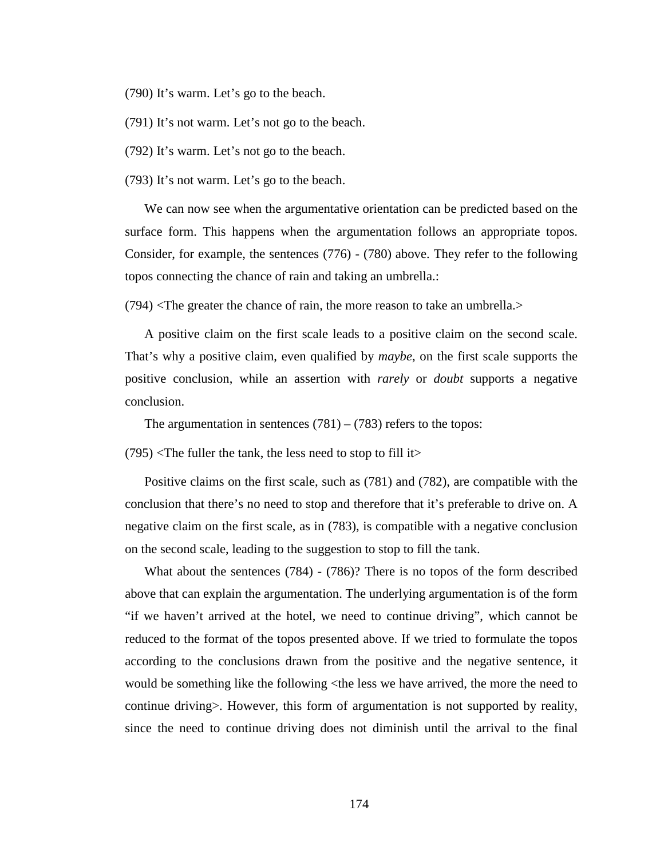(790) It's warm. Let's go to the beach.

(791) It's not warm. Let's not go to the beach.

(792) It's warm. Let's not go to the beach.

(793) It's not warm. Let's go to the beach.

We can now see when the argumentative orientation can be predicted based on the surface form. This happens when the argumentation follows an appropriate topos. Consider, for example, the sentences (776) - (780) above. They refer to the following topos connecting the chance of rain and taking an umbrella.:

 $(794)$  <The greater the chance of rain, the more reason to take an umbrella.

A positive claim on the first scale leads to a positive claim on the second scale. That's why a positive claim, even qualified by *maybe*, on the first scale supports the positive conclusion, while an assertion with *rarely* or *doubt* supports a negative conclusion.

The argumentation in sentences  $(781) - (783)$  refers to the topos:

 $(795)$  <The fuller the tank, the less need to stop to fill it >

Positive claims on the first scale, such as (781) and (782), are compatible with the conclusion that there's no need to stop and therefore that it's preferable to drive on. A negative claim on the first scale, as in (783), is compatible with a negative conclusion on the second scale, leading to the suggestion to stop to fill the tank.

What about the sentences (784) - (786)? There is no topos of the form described above that can explain the argumentation. The underlying argumentation is of the form "if we haven't arrived at the hotel, we need to continue driving", which cannot be reduced to the format of the topos presented above. If we tried to formulate the topos according to the conclusions drawn from the positive and the negative sentence, it would be something like the following  $\lt$ the less we have arrived, the more the need to continue driving>. However, this form of argumentation is not supported by reality, since the need to continue driving does not diminish until the arrival to the final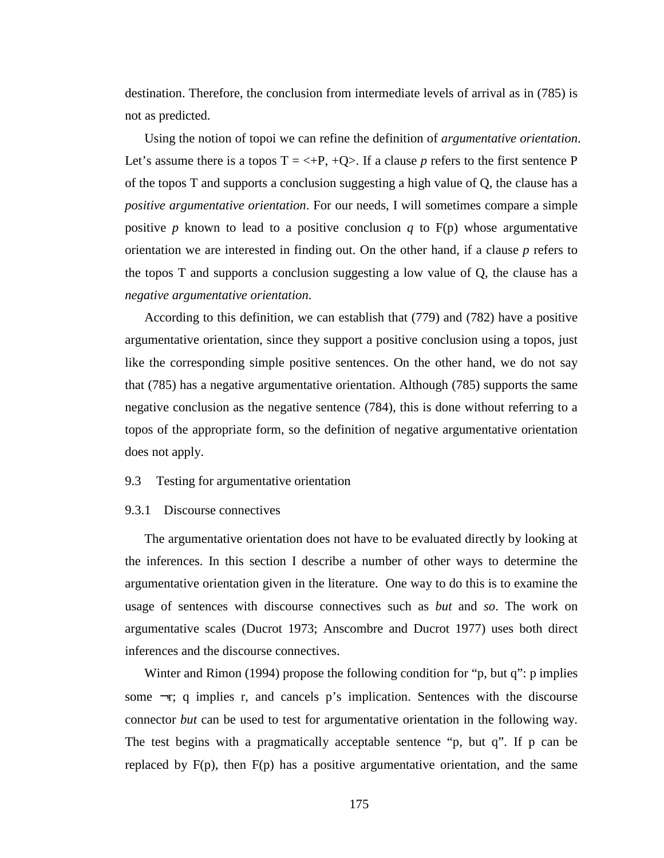destination. Therefore, the conclusion from intermediate levels of arrival as in (785) is not as predicted.

Using the notion of topoi we can refine the definition of *argumentative orientation*. Let's assume there is a topos  $T = \langle +P, +Q \rangle$ . If a clause p refers to the first sentence P of the topos T and supports a conclusion suggesting a high value of Q, the clause has a *positive argumentative orientation*. For our needs, I will sometimes compare a simple positive *p* known to lead to a positive conclusion *q* to  $F(p)$  whose argumentative orientation we are interested in finding out. On the other hand, if a clause *p* refers to the topos T and supports a conclusion suggesting a low value of Q, the clause has a *negative argumentative orientation*.

According to this definition, we can establish that (779) and (782) have a positive argumentative orientation, since they support a positive conclusion using a topos, just like the corresponding simple positive sentences. On the other hand, we do not say that (785) has a negative argumentative orientation. Although (785) supports the same negative conclusion as the negative sentence (784), this is done without referring to a topos of the appropriate form, so the definition of negative argumentative orientation does not apply.

#### 9.3 Testing for argumentative orientation

#### 9.3.1 Discourse connectives

The argumentative orientation does not have to be evaluated directly by looking at the inferences. In this section I describe a number of other ways to determine the argumentative orientation given in the literature. One way to do this is to examine the usage of sentences with discourse connectives such as *but* and *so*. The work on argumentative scales (Ducrot 1973; Anscombre and Ducrot 1977) uses both direct inferences and the discourse connectives.

Winter and Rimon (1994) propose the following condition for "p, but q": p implies some  $\neg$ r; q implies r, and cancels p's implication. Sentences with the discourse connector *but* can be used to test for argumentative orientation in the following way. The test begins with a pragmatically acceptable sentence "p, but q". If p can be replaced by  $F(p)$ , then  $F(p)$  has a positive argumentative orientation, and the same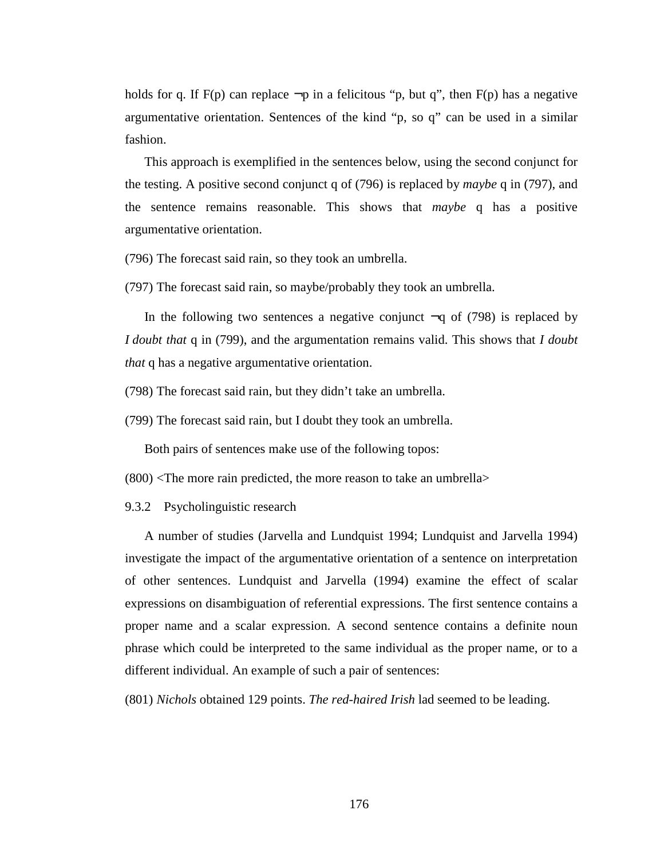holds for q. If F(p) can replace  $\neg p$  in a felicitous "p, but q", then F(p) has a negative argumentative orientation. Sentences of the kind "p, so q" can be used in a similar fashion.

This approach is exemplified in the sentences below, using the second conjunct for the testing. A positive second conjunct q of (796) is replaced by *maybe* q in (797), and the sentence remains reasonable. This shows that *maybe* q has a positive argumentative orientation.

(796) The forecast said rain, so they took an umbrella.

(797) The forecast said rain, so maybe/probably they took an umbrella.

In the following two sentences a negative conjunct  $\neg q$  of (798) is replaced by *I doubt that* q in (799), and the argumentation remains valid. This shows that *I doubt that* q has a negative argumentative orientation.

(798) The forecast said rain, but they didn't take an umbrella.

(799) The forecast said rain, but I doubt they took an umbrella.

Both pairs of sentences make use of the following topos:

 $(800)$  <The more rain predicted, the more reason to take an umbrella>

9.3.2 Psycholinguistic research

A number of studies (Jarvella and Lundquist 1994; Lundquist and Jarvella 1994) investigate the impact of the argumentative orientation of a sentence on interpretation of other sentences. Lundquist and Jarvella (1994) examine the effect of scalar expressions on disambiguation of referential expressions. The first sentence contains a proper name and a scalar expression. A second sentence contains a definite noun phrase which could be interpreted to the same individual as the proper name, or to a different individual. An example of such a pair of sentences:

(801) *Nichols* obtained 129 points. *The red-haired Irish* lad seemed to be leading.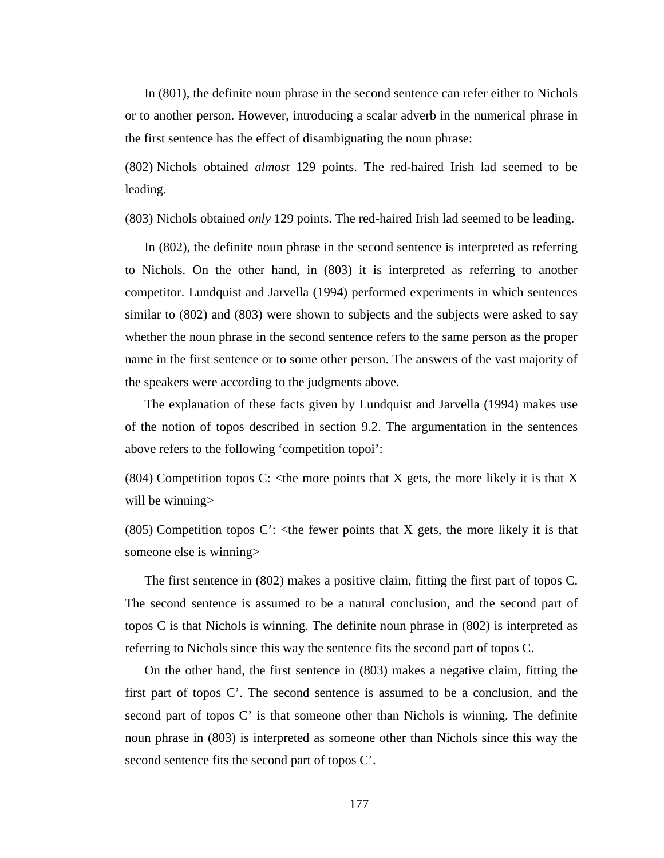In (801), the definite noun phrase in the second sentence can refer either to Nichols or to another person. However, introducing a scalar adverb in the numerical phrase in the first sentence has the effect of disambiguating the noun phrase:

(802) Nichols obtained *almost* 129 points. The red-haired Irish lad seemed to be leading.

(803) Nichols obtained *only* 129 points. The red-haired Irish lad seemed to be leading.

In (802), the definite noun phrase in the second sentence is interpreted as referring to Nichols. On the other hand, in (803) it is interpreted as referring to another competitor. Lundquist and Jarvella (1994) performed experiments in which sentences similar to (802) and (803) were shown to subjects and the subjects were asked to say whether the noun phrase in the second sentence refers to the same person as the proper name in the first sentence or to some other person. The answers of the vast majority of the speakers were according to the judgments above.

The explanation of these facts given by Lundquist and Jarvella (1994) makes use of the notion of topos described in section 9.2. The argumentation in the sentences above refers to the following 'competition topoi':

(804) Competition topos C:  $\lt$ the more points that X gets, the more likely it is that X will be winning

(805) Competition topos C':  $\lt$ the fewer points that X gets, the more likely it is that someone else is winning>

The first sentence in (802) makes a positive claim, fitting the first part of topos C. The second sentence is assumed to be a natural conclusion, and the second part of topos C is that Nichols is winning. The definite noun phrase in (802) is interpreted as referring to Nichols since this way the sentence fits the second part of topos C.

On the other hand, the first sentence in (803) makes a negative claim, fitting the first part of topos C'. The second sentence is assumed to be a conclusion, and the second part of topos C' is that someone other than Nichols is winning. The definite noun phrase in (803) is interpreted as someone other than Nichols since this way the second sentence fits the second part of topos C'.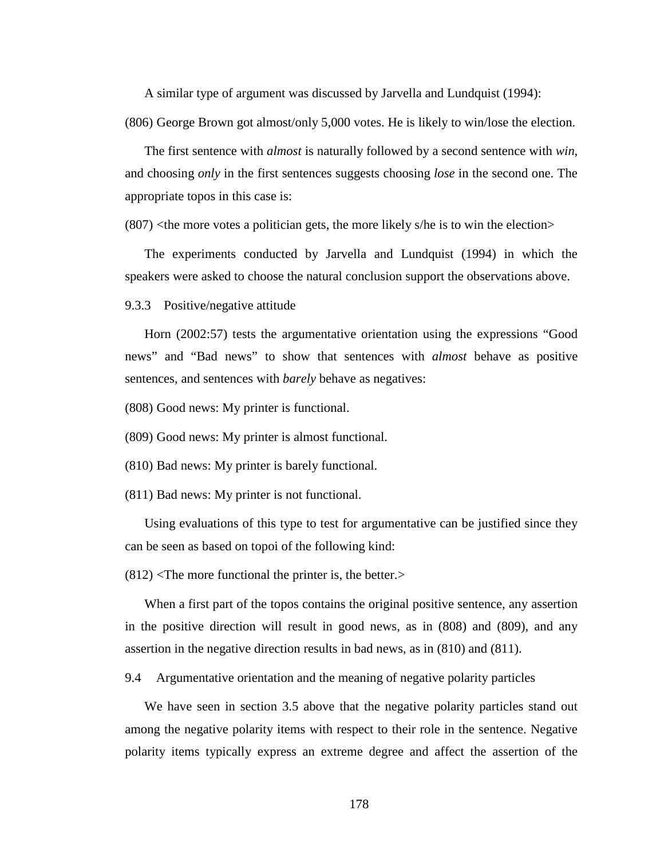A similar type of argument was discussed by Jarvella and Lundquist (1994): (806) George Brown got almost/only 5,000 votes. He is likely to win/lose the election.

The first sentence with *almost* is naturally followed by a second sentence with *win*, and choosing *only* in the first sentences suggests choosing *lose* in the second one. The appropriate topos in this case is:

 $(807)$  <the more votes a politician gets, the more likely s/he is to win the election>

The experiments conducted by Jarvella and Lundquist (1994) in which the speakers were asked to choose the natural conclusion support the observations above.

9.3.3 Positive/negative attitude

Horn (2002:57) tests the argumentative orientation using the expressions "Good news" and "Bad news" to show that sentences with *almost* behave as positive sentences, and sentences with *barely* behave as negatives:

(808) Good news: My printer is functional.

(809) Good news: My printer is almost functional.

(810) Bad news: My printer is barely functional.

(811) Bad news: My printer is not functional.

Using evaluations of this type to test for argumentative can be justified since they can be seen as based on topoi of the following kind:

 $(812)$  <The more functional the printer is, the better.>

When a first part of the topos contains the original positive sentence, any assertion in the positive direction will result in good news, as in (808) and (809), and any assertion in the negative direction results in bad news, as in (810) and (811).

9.4 Argumentative orientation and the meaning of negative polarity particles

We have seen in section 3.5 above that the negative polarity particles stand out among the negative polarity items with respect to their role in the sentence. Negative polarity items typically express an extreme degree and affect the assertion of the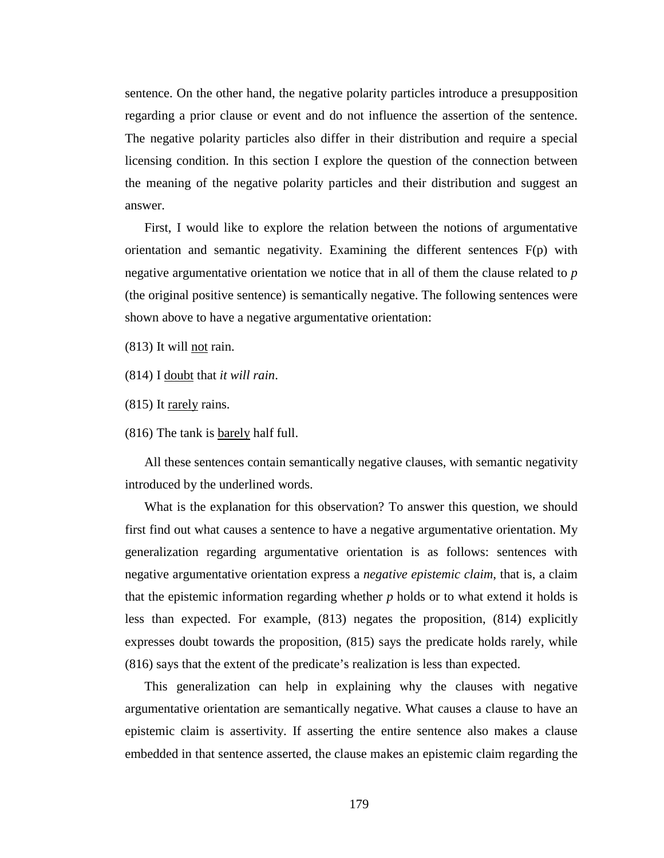sentence. On the other hand, the negative polarity particles introduce a presupposition regarding a prior clause or event and do not influence the assertion of the sentence. The negative polarity particles also differ in their distribution and require a special licensing condition. In this section I explore the question of the connection between the meaning of the negative polarity particles and their distribution and suggest an answer.

First, I would like to explore the relation between the notions of argumentative orientation and semantic negativity. Examining the different sentences F(p) with negative argumentative orientation we notice that in all of them the clause related to *p* (the original positive sentence) is semantically negative. The following sentences were shown above to have a negative argumentative orientation:

(813) It will not rain.

(814) I doubt that *it will rain*.

(815) It rarely rains.

(816) The tank is barely half full.

All these sentences contain semantically negative clauses, with semantic negativity introduced by the underlined words.

What is the explanation for this observation? To answer this question, we should first find out what causes a sentence to have a negative argumentative orientation. My generalization regarding argumentative orientation is as follows: sentences with negative argumentative orientation express a *negative epistemic claim*, that is, a claim that the epistemic information regarding whether *p* holds or to what extend it holds is less than expected. For example, (813) negates the proposition, (814) explicitly expresses doubt towards the proposition, (815) says the predicate holds rarely, while (816) says that the extent of the predicate's realization is less than expected.

This generalization can help in explaining why the clauses with negative argumentative orientation are semantically negative. What causes a clause to have an epistemic claim is assertivity. If asserting the entire sentence also makes a clause embedded in that sentence asserted, the clause makes an epistemic claim regarding the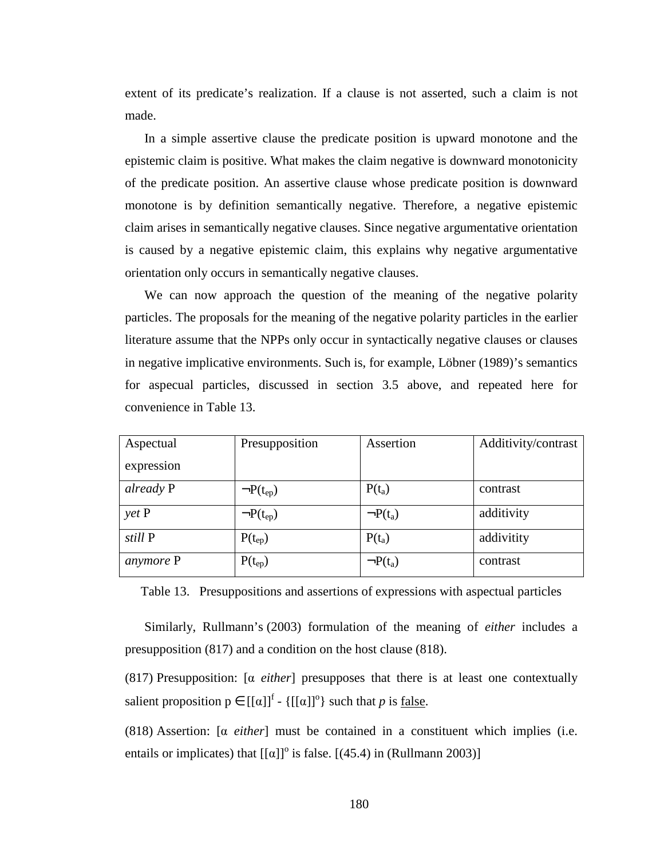extent of its predicate's realization. If a clause is not asserted, such a claim is not made.

In a simple assertive clause the predicate position is upward monotone and the epistemic claim is positive. What makes the claim negative is downward monotonicity of the predicate position. An assertive clause whose predicate position is downward monotone is by definition semantically negative. Therefore, a negative epistemic claim arises in semantically negative clauses. Since negative argumentative orientation is caused by a negative epistemic claim, this explains why negative argumentative orientation only occurs in semantically negative clauses.

We can now approach the question of the meaning of the negative polarity particles. The proposals for the meaning of the negative polarity particles in the earlier literature assume that the NPPs only occur in syntactically negative clauses or clauses in negative implicative environments. Such is, for example, Löbner (1989)'s semantics for aspecual particles, discussed in section 3.5 above, and repeated here for convenience in Table 13.

| Aspectual  | Presupposition   | Assertion     | Additivity/contrast |
|------------|------------------|---------------|---------------------|
| expression |                  |               |                     |
| already P  | $\neg P(t_{ep})$ | $P(t_a)$      | contrast            |
| $y$ et $P$ | $\neg P(t_{ep})$ | $\neg P(t_a)$ | additivity          |
| still P    | $P(t_{ep})$      | $P(t_a)$      | addivitity          |
| anymore P  | $P(t_{ep})$      | $\neg P(t_a)$ | contrast            |

Table 13. Presuppositions and assertions of expressions with aspectual particles

Similarly, Rullmann's (2003) formulation of the meaning of *either* includes a presupposition (817) and a condition on the host clause (818).

(817) Presupposition: [α *either*] presupposes that there is at least one contextually salient proposition  $p \in [[\alpha]]^f$  -  $\{[[\alpha]]^o\}$  such that *p* is <u>false</u>.

(818) Assertion: [α *either*] must be contained in a constituent which implies (i.e. entails or implicates) that  $[[\alpha]]^{\circ}$  is false.  $[(45.4)$  in (Rullmann 2003)]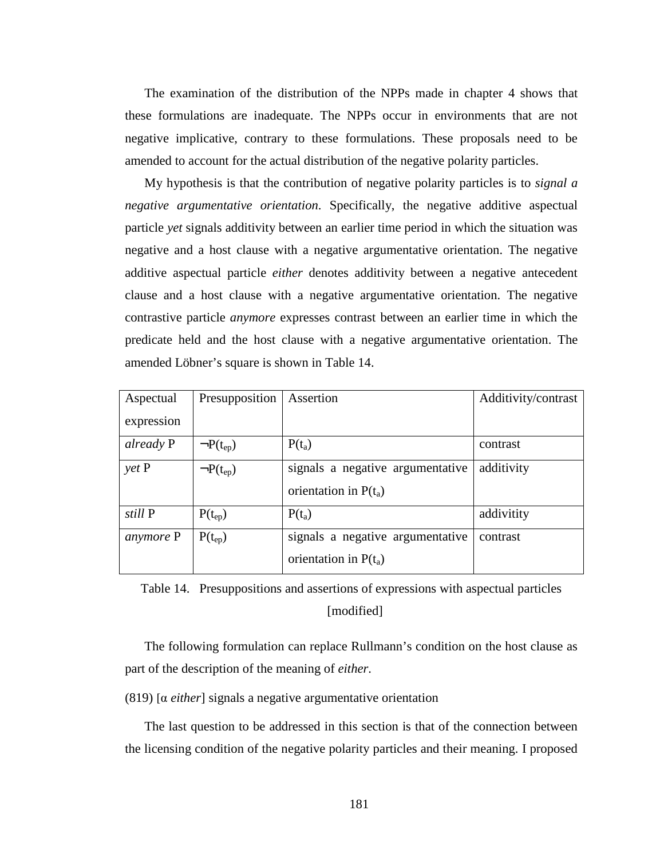The examination of the distribution of the NPPs made in chapter 4 shows that these formulations are inadequate. The NPPs occur in environments that are not negative implicative, contrary to these formulations. These proposals need to be amended to account for the actual distribution of the negative polarity particles.

My hypothesis is that the contribution of negative polarity particles is to *signal a negative argumentative orientation*. Specifically, the negative additive aspectual particle *yet* signals additivity between an earlier time period in which the situation was negative and a host clause with a negative argumentative orientation. The negative additive aspectual particle *either* denotes additivity between a negative antecedent clause and a host clause with a negative argumentative orientation. The negative contrastive particle *anymore* expresses contrast between an earlier time in which the predicate held and the host clause with a negative argumentative orientation. The amended Löbner's square is shown in Table 14.

| Aspectual       | Presupposition   | Assertion                        | Additivity/contrast |
|-----------------|------------------|----------------------------------|---------------------|
| expression      |                  |                                  |                     |
| already P       | $\neg P(t_{ep})$ | $P(t_a)$                         | contrast            |
| $\gamma$ et $P$ | $\neg P(t_{ep})$ | signals a negative argumentative | additivity          |
|                 |                  | orientation in $P(t_a)$          |                     |
| still P         | $P(t_{ep})$      | $P(t_a)$                         | addivitity          |
| anymore P       | $P(t_{ep})$      | signals a negative argumentative | contrast            |
|                 |                  | orientation in $P(t_a)$          |                     |

Table 14. Presuppositions and assertions of expressions with aspectual particles [modified]

The following formulation can replace Rullmann's condition on the host clause as part of the description of the meaning of *either*.

(819) [α *either*] signals a negative argumentative orientation

The last question to be addressed in this section is that of the connection between the licensing condition of the negative polarity particles and their meaning. I proposed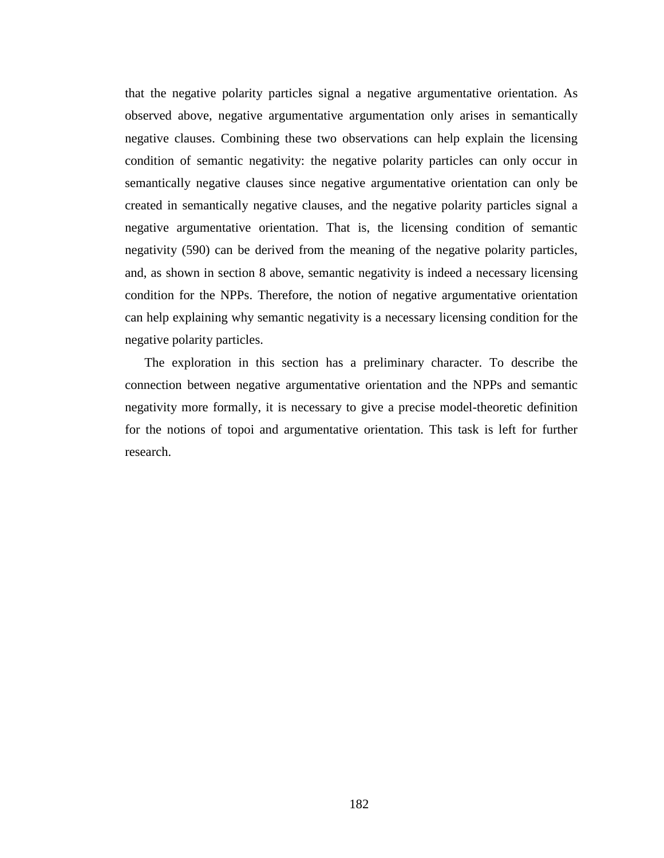that the negative polarity particles signal a negative argumentative orientation. As observed above, negative argumentative argumentation only arises in semantically negative clauses. Combining these two observations can help explain the licensing condition of semantic negativity: the negative polarity particles can only occur in semantically negative clauses since negative argumentative orientation can only be created in semantically negative clauses, and the negative polarity particles signal a negative argumentative orientation. That is, the licensing condition of semantic negativity (590) can be derived from the meaning of the negative polarity particles, and, as shown in section 8 above, semantic negativity is indeed a necessary licensing condition for the NPPs. Therefore, the notion of negative argumentative orientation can help explaining why semantic negativity is a necessary licensing condition for the negative polarity particles.

The exploration in this section has a preliminary character. To describe the connection between negative argumentative orientation and the NPPs and semantic negativity more formally, it is necessary to give a precise model-theoretic definition for the notions of topoi and argumentative orientation. This task is left for further research.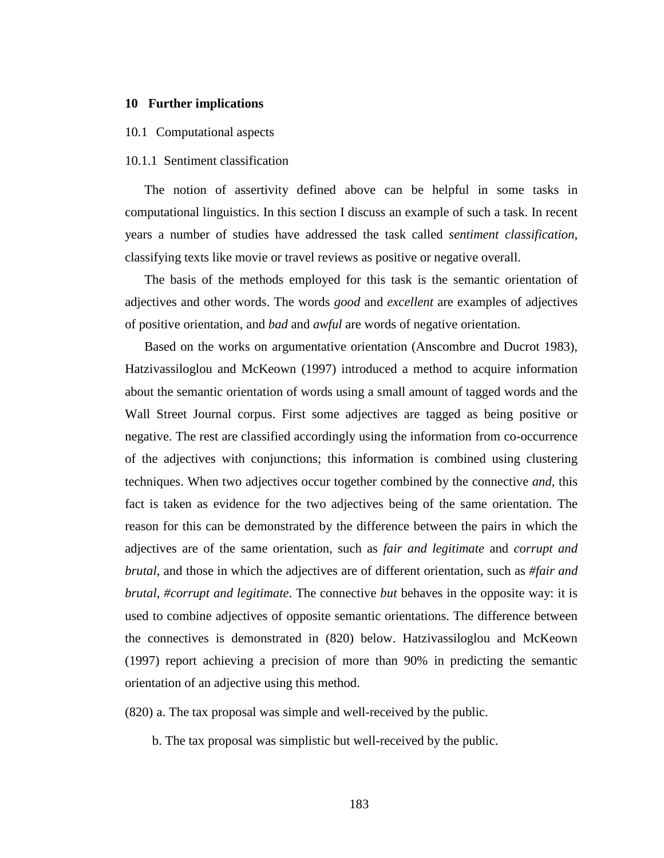#### **10 Further implications**

## 10.1 Computational aspects

# 10.1.1 Sentiment classification

The notion of assertivity defined above can be helpful in some tasks in computational linguistics. In this section I discuss an example of such a task. In recent years a number of studies have addressed the task called *sentiment classification*, classifying texts like movie or travel reviews as positive or negative overall.

The basis of the methods employed for this task is the semantic orientation of adjectives and other words. The words *good* and *excellent* are examples of adjectives of positive orientation, and *bad* and *awful* are words of negative orientation.

Based on the works on argumentative orientation (Anscombre and Ducrot 1983), Hatzivassiloglou and McKeown (1997) introduced a method to acquire information about the semantic orientation of words using a small amount of tagged words and the Wall Street Journal corpus. First some adjectives are tagged as being positive or negative. The rest are classified accordingly using the information from co-occurrence of the adjectives with conjunctions; this information is combined using clustering techniques. When two adjectives occur together combined by the connective *and*, this fact is taken as evidence for the two adjectives being of the same orientation. The reason for this can be demonstrated by the difference between the pairs in which the adjectives are of the same orientation, such as *fair and legitimate* and *corrupt and brutal*, and those in which the adjectives are of different orientation, such as *#fair and brutal*, *#corrupt and legitimate*. The connective *but* behaves in the opposite way: it is used to combine adjectives of opposite semantic orientations. The difference between the connectives is demonstrated in (820) below. Hatzivassiloglou and McKeown (1997) report achieving a precision of more than 90% in predicting the semantic orientation of an adjective using this method.

(820) a. The tax proposal was simple and well-received by the public.

b. The tax proposal was simplistic but well-received by the public.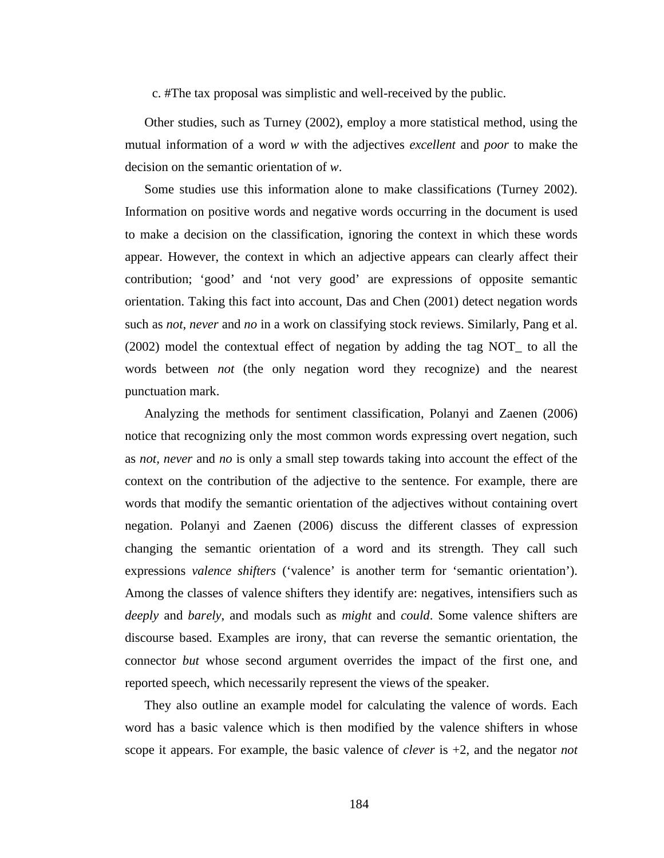c. #The tax proposal was simplistic and well-received by the public.

Other studies, such as Turney (2002), employ a more statistical method, using the mutual information of a word *w* with the adjectives *excellent* and *poor* to make the decision on the semantic orientation of *w*.

Some studies use this information alone to make classifications (Turney 2002). Information on positive words and negative words occurring in the document is used to make a decision on the classification, ignoring the context in which these words appear. However, the context in which an adjective appears can clearly affect their contribution; 'good' and 'not very good' are expressions of opposite semantic orientation. Taking this fact into account, Das and Chen (2001) detect negation words such as *not*, *never* and *no* in a work on classifying stock reviews. Similarly, Pang et al. (2002) model the contextual effect of negation by adding the tag NOT\_ to all the words between *not* (the only negation word they recognize) and the nearest punctuation mark.

Analyzing the methods for sentiment classification, Polanyi and Zaenen (2006) notice that recognizing only the most common words expressing overt negation, such as *not, never* and *no* is only a small step towards taking into account the effect of the context on the contribution of the adjective to the sentence. For example, there are words that modify the semantic orientation of the adjectives without containing overt negation. Polanyi and Zaenen (2006) discuss the different classes of expression changing the semantic orientation of a word and its strength. They call such expressions *valence shifters* ('valence' is another term for 'semantic orientation'). Among the classes of valence shifters they identify are: negatives, intensifiers such as *deeply* and *barely*, and modals such as *might* and *could*. Some valence shifters are discourse based. Examples are irony, that can reverse the semantic orientation, the connector *but* whose second argument overrides the impact of the first one, and reported speech, which necessarily represent the views of the speaker.

They also outline an example model for calculating the valence of words. Each word has a basic valence which is then modified by the valence shifters in whose scope it appears. For example, the basic valence of *clever* is +2, and the negator *not*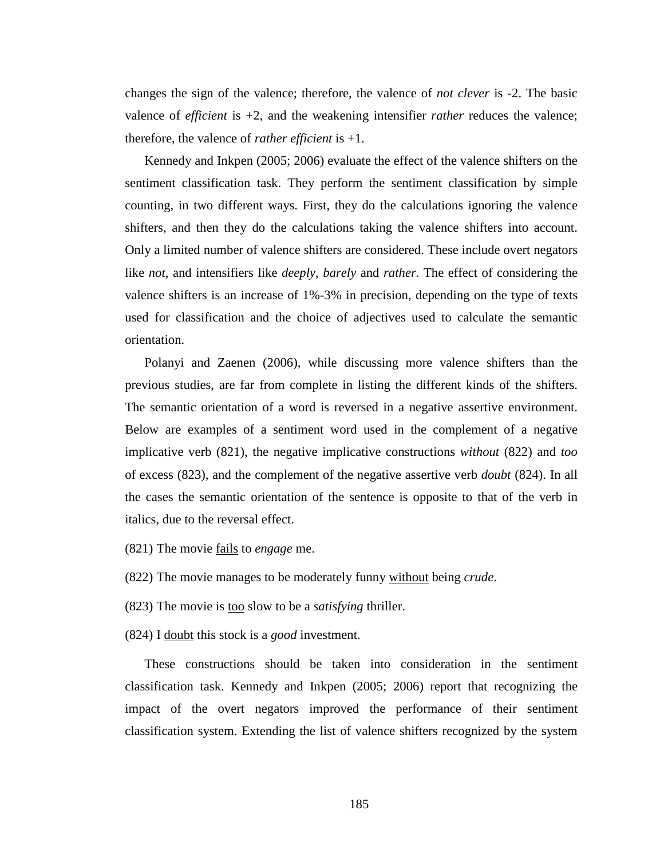changes the sign of the valence; therefore, the valence of *not clever* is -2. The basic valence of *efficient* is +2, and the weakening intensifier *rather* reduces the valence; therefore, the valence of *rather efficient* is +1.

Kennedy and Inkpen (2005; 2006) evaluate the effect of the valence shifters on the sentiment classification task. They perform the sentiment classification by simple counting, in two different ways. First, they do the calculations ignoring the valence shifters, and then they do the calculations taking the valence shifters into account. Only a limited number of valence shifters are considered. These include overt negators like *not*, and intensifiers like *deeply*, *barely* and *rather*. The effect of considering the valence shifters is an increase of 1%-3% in precision, depending on the type of texts used for classification and the choice of adjectives used to calculate the semantic orientation.

Polanyi and Zaenen (2006), while discussing more valence shifters than the previous studies, are far from complete in listing the different kinds of the shifters. The semantic orientation of a word is reversed in a negative assertive environment. Below are examples of a sentiment word used in the complement of a negative implicative verb (821), the negative implicative constructions *without* (822) and *too*  of excess (823), and the complement of the negative assertive verb *doubt* (824). In all the cases the semantic orientation of the sentence is opposite to that of the verb in italics, due to the reversal effect.

(821) The movie fails to *engage* me.

(822) The movie manages to be moderately funny without being *crude*.

(823) The movie is too slow to be a *satisfying* thriller.

(824) I doubt this stock is a *good* investment.

These constructions should be taken into consideration in the sentiment classification task. Kennedy and Inkpen (2005; 2006) report that recognizing the impact of the overt negators improved the performance of their sentiment classification system. Extending the list of valence shifters recognized by the system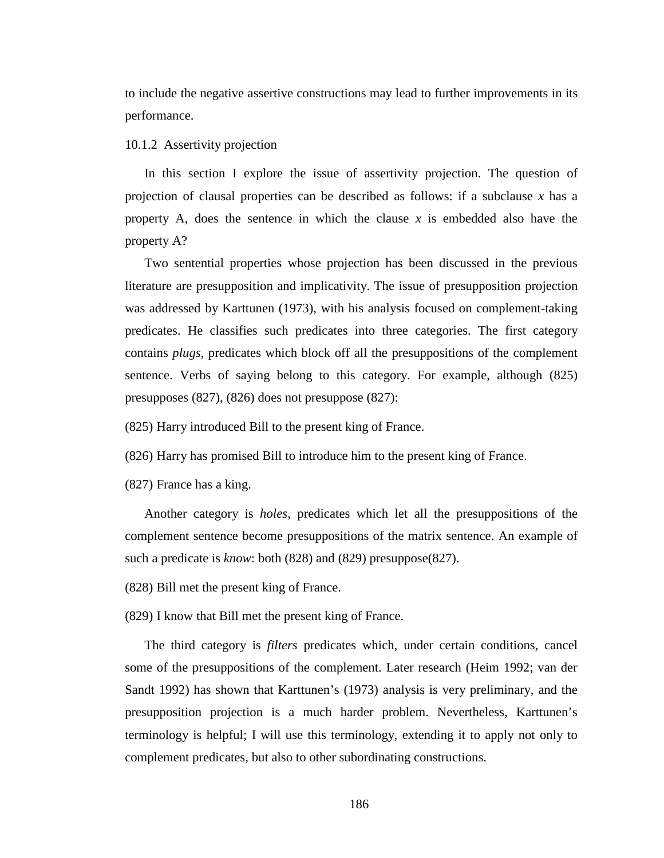to include the negative assertive constructions may lead to further improvements in its performance.

10.1.2 Assertivity projection

In this section I explore the issue of assertivity projection. The question of projection of clausal properties can be described as follows: if a subclause *x* has a property A, does the sentence in which the clause *x* is embedded also have the property A?

Two sentential properties whose projection has been discussed in the previous literature are presupposition and implicativity. The issue of presupposition projection was addressed by Karttunen (1973), with his analysis focused on complement-taking predicates. He classifies such predicates into three categories. The first category contains *plugs*, predicates which block off all the presuppositions of the complement sentence. Verbs of saying belong to this category. For example, although (825) presupposes (827), (826) does not presuppose (827):

(825) Harry introduced Bill to the present king of France.

(826) Harry has promised Bill to introduce him to the present king of France.

(827) France has a king.

Another category is *holes*, predicates which let all the presuppositions of the complement sentence become presuppositions of the matrix sentence. An example of such a predicate is *know*: both (828) and (829) presuppose(827).

(828) Bill met the present king of France.

(829) I know that Bill met the present king of France.

The third category is *filters* predicates which, under certain conditions, cancel some of the presuppositions of the complement. Later research (Heim 1992; van der Sandt 1992) has shown that Karttunen's (1973) analysis is very preliminary, and the presupposition projection is a much harder problem. Nevertheless, Karttunen's terminology is helpful; I will use this terminology, extending it to apply not only to complement predicates, but also to other subordinating constructions.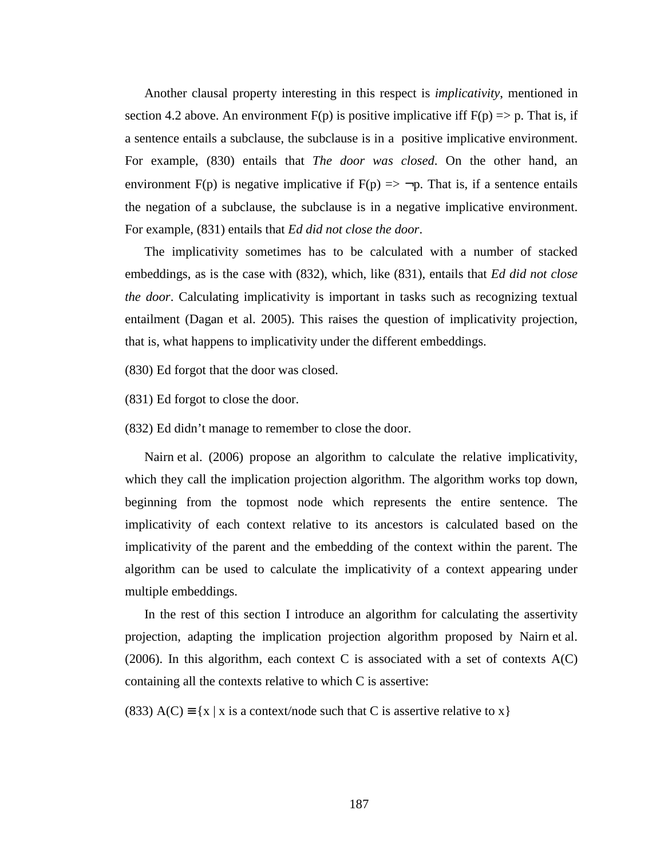Another clausal property interesting in this respect is *implicativity*, mentioned in section 4.2 above. An environment  $F(p)$  is positive implicative iff  $F(p) \Rightarrow p$ . That is, if a sentence entails a subclause, the subclause is in a positive implicative environment. For example, (830) entails that *The door was closed*. On the other hand, an environment F(p) is negative implicative if F(p)  $\Rightarrow \neg p$ . That is, if a sentence entails the negation of a subclause, the subclause is in a negative implicative environment. For example, (831) entails that *Ed did not close the door*.

The implicativity sometimes has to be calculated with a number of stacked embeddings, as is the case with (832), which, like (831), entails that *Ed did not close the door.* Calculating implicativity is important in tasks such as recognizing textual entailment (Dagan et al. 2005). This raises the question of implicativity projection, that is, what happens to implicativity under the different embeddings.

(830) Ed forgot that the door was closed.

(831) Ed forgot to close the door.

(832) Ed didn't manage to remember to close the door.

Nairn et al. (2006) propose an algorithm to calculate the relative implicativity, which they call the implication projection algorithm. The algorithm works top down, beginning from the topmost node which represents the entire sentence. The implicativity of each context relative to its ancestors is calculated based on the implicativity of the parent and the embedding of the context within the parent. The algorithm can be used to calculate the implicativity of a context appearing under multiple embeddings.

In the rest of this section I introduce an algorithm for calculating the assertivity projection, adapting the implication projection algorithm proposed by Nairn et al. (2006). In this algorithm, each context C is associated with a set of contexts  $A(C)$ containing all the contexts relative to which C is assertive:

(833) A(C)  $\equiv \{x \mid x \text{ is a context/node such that } C \text{ is a坚 relative to } x\}$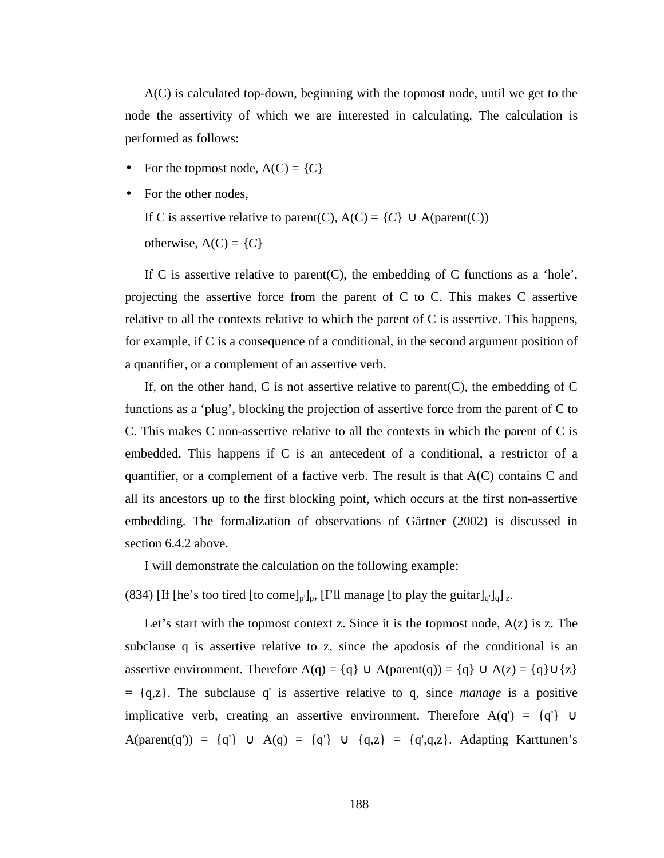A(C) is calculated top-down, beginning with the topmost node, until we get to the node the assertivity of which we are interested in calculating. The calculation is performed as follows:

- For the topmost node,  $A(C) = \{C\}$
- For the other nodes,

If C is assertive relative to parent(C),  $A(C) = \{C\} \cup A(parent(C))$ 

otherwise,  $A(C) = \{C\}$ 

If C is assertive relative to parent  $(C)$ , the embedding of C functions as a 'hole', projecting the assertive force from the parent of C to C. This makes C assertive relative to all the contexts relative to which the parent of C is assertive. This happens, for example, if C is a consequence of a conditional, in the second argument position of a quantifier, or a complement of an assertive verb.

If, on the other hand,  $C$  is not assertive relative to parent( $C$ ), the embedding of  $C$ functions as a 'plug', blocking the projection of assertive force from the parent of C to C. This makes C non-assertive relative to all the contexts in which the parent of C is embedded. This happens if C is an antecedent of a conditional, a restrictor of a quantifier, or a complement of a factive verb. The result is that A(C) contains C and all its ancestors up to the first blocking point, which occurs at the first non-assertive embedding. The formalization of observations of Gärtner (2002) is discussed in section 6.4.2 above.

I will demonstrate the calculation on the following example:

(834) [If [he's too tired [to come]<sub>p'</sub>]<sub>p</sub>, [I'll manage [to play the guitar]<sub>q'</sub>]<sub>q</sub>]<sub>z</sub>.

Let's start with the topmost context z. Since it is the topmost node,  $A(z)$  is z. The subclause q is assertive relative to z, since the apodosis of the conditional is an assertive environment. Therefore  $A(q) = \{q\} \cup A(parent(q)) = \{q\} \cup A(z) = \{q\} \cup \{z\}$ = {q,z}. The subclause q' is assertive relative to q, since *manage* is a positive implicative verb, creating an assertive environment. Therefore  $A(q') = \{q'\} \cup$ A(parent(q')) = {q'} ∪ A(q) = {q'} ∪ {q,z} = {q',q,z}. Adapting Karttunen's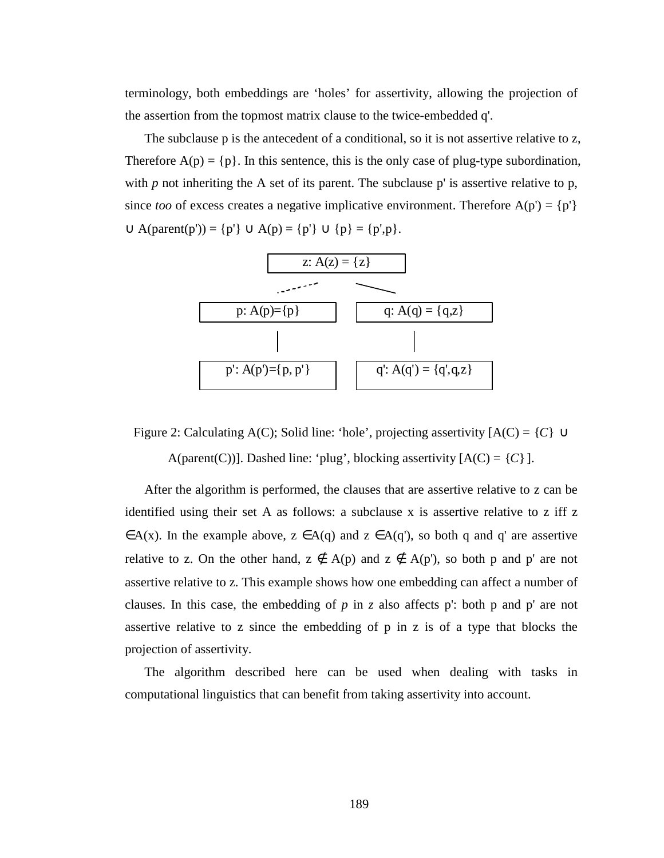terminology, both embeddings are 'holes' for assertivity, allowing the projection of the assertion from the topmost matrix clause to the twice-embedded q'.

The subclause p is the antecedent of a conditional, so it is not assertive relative to z, Therefore  $A(p) = \{p\}$ . In this sentence, this is the only case of plug-type subordination, with  $p$  not inheriting the A set of its parent. The subclause  $p'$  is assertive relative to  $p$ , since *too* of excess creates a negative implicative environment. Therefore  $A(p') = \{p'\}$  $∪ A(parent(p')) = {p'} ∪ A(p) = {p'} ∪ {p} = {p',p}.$ 



Figure 2: Calculating A(C); Solid line: 'hole', projecting assertivity [A(C) = {*C*} ∪ A(parent(C))]. Dashed line: 'plug', blocking assertivity  $[A(C) = \{C\}]$ .

After the algorithm is performed, the clauses that are assertive relative to z can be identified using their set A as follows: a subclause x is assertive relative to z iff z  $\in$ A(x). In the example above,  $z \in$ A(q) and  $z \in$ A(q'), so both q and q' are assertive relative to z. On the other hand,  $z \notin A(p)$  and  $z \notin A(p')$ , so both p and p' are not assertive relative to z. This example shows how one embedding can affect a number of clauses. In this case, the embedding of *p* in *z* also affects p': both p and p' are not assertive relative to z since the embedding of p in z is of a type that blocks the projection of assertivity.

The algorithm described here can be used when dealing with tasks in computational linguistics that can benefit from taking assertivity into account.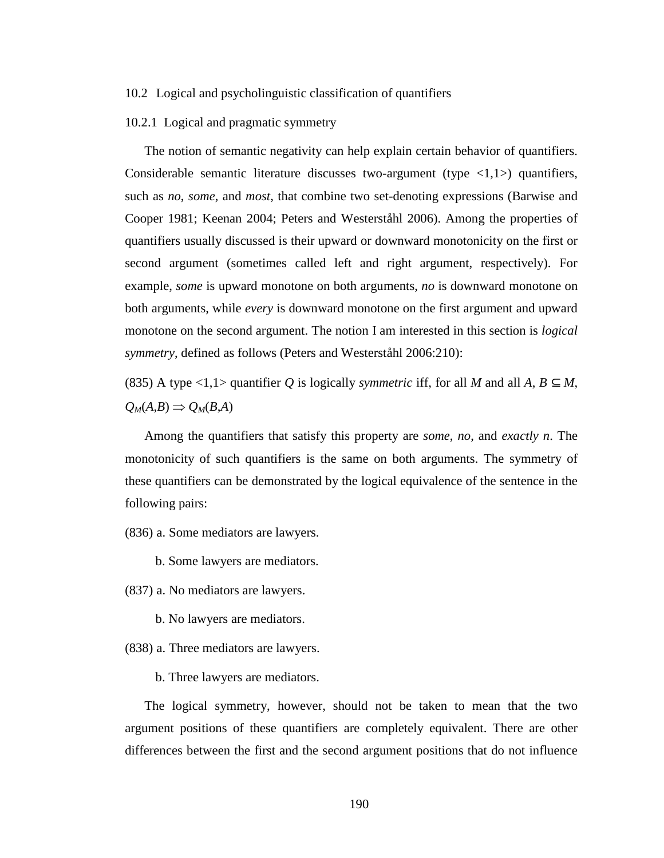## 10.2 Logical and psycholinguistic classification of quantifiers

#### 10.2.1 Logical and pragmatic symmetry

The notion of semantic negativity can help explain certain behavior of quantifiers. Considerable semantic literature discusses two-argument (type  $\langle 1,1 \rangle$ ) quantifiers, such as *no*, *some*, and *most*, that combine two set-denoting expressions (Barwise and Cooper 1981; Keenan 2004; Peters and Westerståhl 2006). Among the properties of quantifiers usually discussed is their upward or downward monotonicity on the first or second argument (sometimes called left and right argument, respectively). For example, *some* is upward monotone on both arguments, *no* is downward monotone on both arguments, while *every* is downward monotone on the first argument and upward monotone on the second argument. The notion I am interested in this section is *logical symmetry*, defined as follows (Peters and Westerståhl 2006:210):

(835) A type <1,1> quantifier *Q* is logically *symmetric* iff, for all *M* and all *A*,  $B \subseteq M$ ,  $Q_M(A,B) \Rightarrow Q_M(B,A)$ 

Among the quantifiers that satisfy this property are *some*, *no*, and *exactly n*. The monotonicity of such quantifiers is the same on both arguments. The symmetry of these quantifiers can be demonstrated by the logical equivalence of the sentence in the following pairs:

(836) a. Some mediators are lawyers.

b. Some lawyers are mediators.

(837) a. No mediators are lawyers.

b. No lawyers are mediators.

(838) a. Three mediators are lawyers.

b. Three lawyers are mediators.

The logical symmetry, however, should not be taken to mean that the two argument positions of these quantifiers are completely equivalent. There are other differences between the first and the second argument positions that do not influence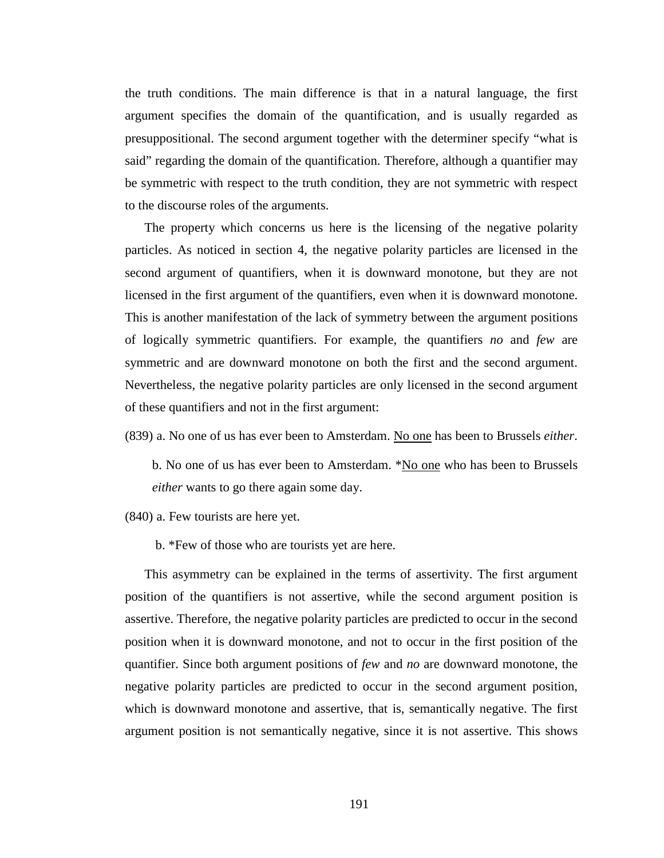the truth conditions. The main difference is that in a natural language, the first argument specifies the domain of the quantification, and is usually regarded as presuppositional. The second argument together with the determiner specify "what is said" regarding the domain of the quantification. Therefore, although a quantifier may be symmetric with respect to the truth condition, they are not symmetric with respect to the discourse roles of the arguments.

The property which concerns us here is the licensing of the negative polarity particles. As noticed in section 4, the negative polarity particles are licensed in the second argument of quantifiers, when it is downward monotone, but they are not licensed in the first argument of the quantifiers, even when it is downward monotone. This is another manifestation of the lack of symmetry between the argument positions of logically symmetric quantifiers. For example, the quantifiers *no* and *few* are symmetric and are downward monotone on both the first and the second argument. Nevertheless, the negative polarity particles are only licensed in the second argument of these quantifiers and not in the first argument:

(839) a. No one of us has ever been to Amsterdam. No one has been to Brussels *either*.

b. No one of us has ever been to Amsterdam. \*No one who has been to Brussels *either* wants to go there again some day.

(840) a. Few tourists are here yet.

b. \*Few of those who are tourists yet are here.

This asymmetry can be explained in the terms of assertivity. The first argument position of the quantifiers is not assertive, while the second argument position is assertive. Therefore, the negative polarity particles are predicted to occur in the second position when it is downward monotone, and not to occur in the first position of the quantifier. Since both argument positions of *few* and *no* are downward monotone, the negative polarity particles are predicted to occur in the second argument position, which is downward monotone and assertive, that is, semantically negative. The first argument position is not semantically negative, since it is not assertive. This shows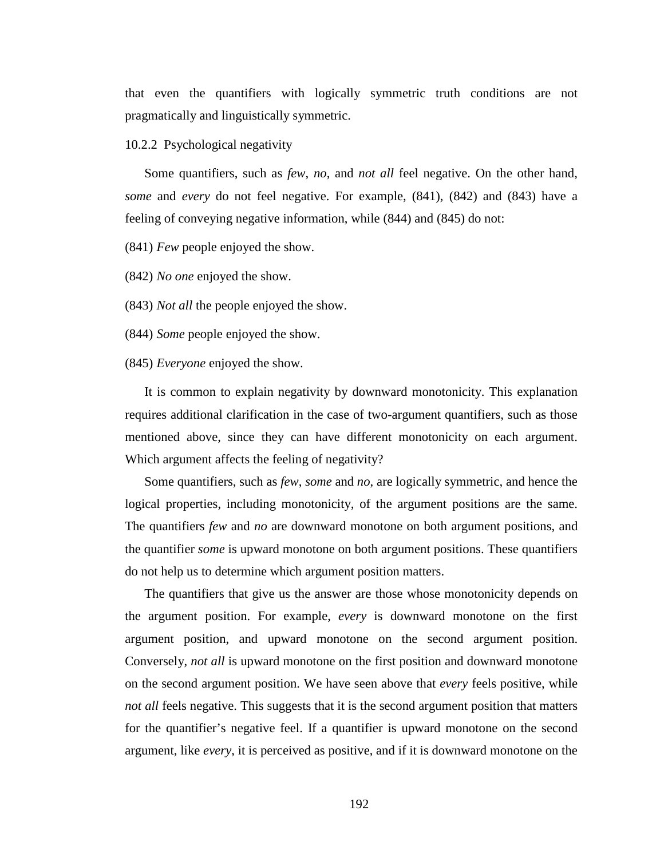that even the quantifiers with logically symmetric truth conditions are not pragmatically and linguistically symmetric.

# 10.2.2 Psychological negativity

Some quantifiers, such as *few*, *no*, and *not all* feel negative. On the other hand, *some* and *every* do not feel negative. For example, (841), (842) and (843) have a feeling of conveying negative information, while (844) and (845) do not:

(841) *Few* people enjoyed the show.

(842) *No one* enjoyed the show.

(843) *Not all* the people enjoyed the show.

(844) *Some* people enjoyed the show.

(845) *Everyone* enjoyed the show.

It is common to explain negativity by downward monotonicity. This explanation requires additional clarification in the case of two-argument quantifiers, such as those mentioned above, since they can have different monotonicity on each argument. Which argument affects the feeling of negativity?

Some quantifiers, such as *few*, *some* and *no*, are logically symmetric, and hence the logical properties, including monotonicity, of the argument positions are the same. The quantifiers *few* and *no* are downward monotone on both argument positions, and the quantifier *some* is upward monotone on both argument positions. These quantifiers do not help us to determine which argument position matters.

The quantifiers that give us the answer are those whose monotonicity depends on the argument position. For example, *every* is downward monotone on the first argument position, and upward monotone on the second argument position. Conversely, *not all* is upward monotone on the first position and downward monotone on the second argument position. We have seen above that *every* feels positive, while *not all* feels negative. This suggests that it is the second argument position that matters for the quantifier's negative feel. If a quantifier is upward monotone on the second argument, like *every*, it is perceived as positive, and if it is downward monotone on the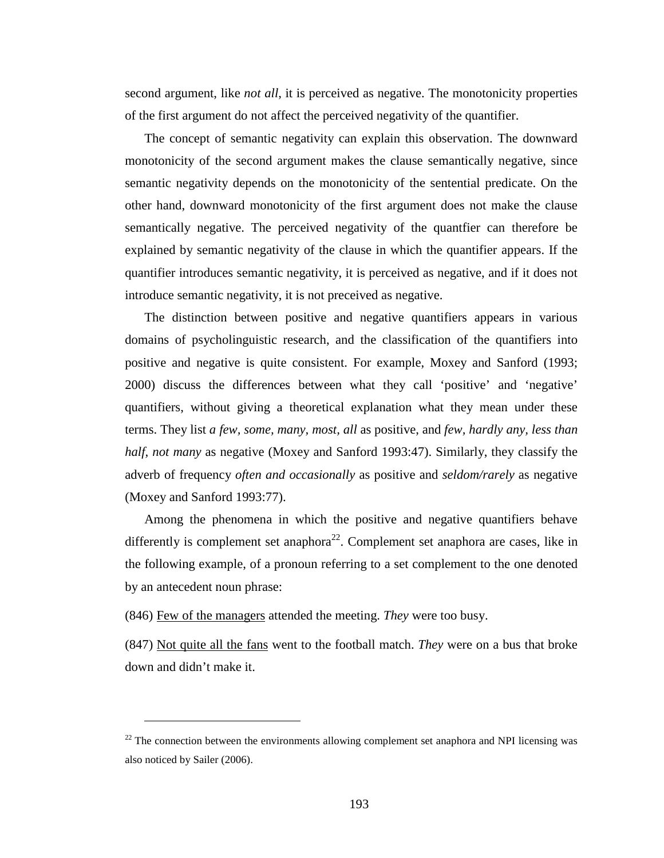second argument, like *not all*, it is perceived as negative. The monotonicity properties of the first argument do not affect the perceived negativity of the quantifier.

The concept of semantic negativity can explain this observation. The downward monotonicity of the second argument makes the clause semantically negative, since semantic negativity depends on the monotonicity of the sentential predicate. On the other hand, downward monotonicity of the first argument does not make the clause semantically negative. The perceived negativity of the quantfier can therefore be explained by semantic negativity of the clause in which the quantifier appears. If the quantifier introduces semantic negativity, it is perceived as negative, and if it does not introduce semantic negativity, it is not preceived as negative.

The distinction between positive and negative quantifiers appears in various domains of psycholinguistic research, and the classification of the quantifiers into positive and negative is quite consistent. For example, Moxey and Sanford (1993; 2000) discuss the differences between what they call 'positive' and 'negative' quantifiers, without giving a theoretical explanation what they mean under these terms. They list *a few, some, many, most, all* as positive, and *few, hardly any, less than half, not many* as negative (Moxey and Sanford 1993:47). Similarly, they classify the adverb of frequency *often and occasionally* as positive and *seldom/rarely* as negative (Moxey and Sanford 1993:77).

Among the phenomena in which the positive and negative quantifiers behave differently is complement set anaphora<sup>22</sup>. Complement set anaphora are cases, like in the following example, of a pronoun referring to a set complement to the one denoted by an antecedent noun phrase:

(846) Few of the managers attended the meeting. *They* were too busy.

 $\overline{a}$ 

(847) Not quite all the fans went to the football match. *They* were on a bus that broke down and didn't make it.

 $22$  The connection between the environments allowing complement set anaphora and NPI licensing was also noticed by Sailer (2006).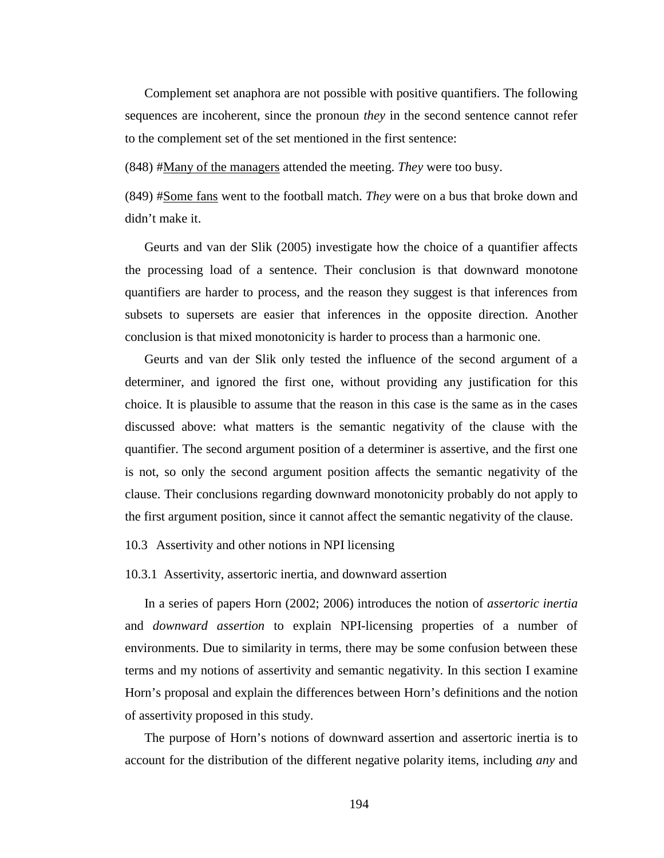Complement set anaphora are not possible with positive quantifiers. The following sequences are incoherent, since the pronoun *they* in the second sentence cannot refer to the complement set of the set mentioned in the first sentence:

(848) #Many of the managers attended the meeting. *They* were too busy.

(849) #Some fans went to the football match. *They* were on a bus that broke down and didn't make it.

Geurts and van der Slik (2005) investigate how the choice of a quantifier affects the processing load of a sentence. Their conclusion is that downward monotone quantifiers are harder to process, and the reason they suggest is that inferences from subsets to supersets are easier that inferences in the opposite direction. Another conclusion is that mixed monotonicity is harder to process than a harmonic one.

Geurts and van der Slik only tested the influence of the second argument of a determiner, and ignored the first one, without providing any justification for this choice. It is plausible to assume that the reason in this case is the same as in the cases discussed above: what matters is the semantic negativity of the clause with the quantifier. The second argument position of a determiner is assertive, and the first one is not, so only the second argument position affects the semantic negativity of the clause. Their conclusions regarding downward monotonicity probably do not apply to the first argument position, since it cannot affect the semantic negativity of the clause.

10.3 Assertivity and other notions in NPI licensing

10.3.1 Assertivity, assertoric inertia, and downward assertion

In a series of papers Horn (2002; 2006) introduces the notion of *assertoric inertia* and *downward assertion* to explain NPI-licensing properties of a number of environments. Due to similarity in terms, there may be some confusion between these terms and my notions of assertivity and semantic negativity. In this section I examine Horn's proposal and explain the differences between Horn's definitions and the notion of assertivity proposed in this study.

The purpose of Horn's notions of downward assertion and assertoric inertia is to account for the distribution of the different negative polarity items, including *any* and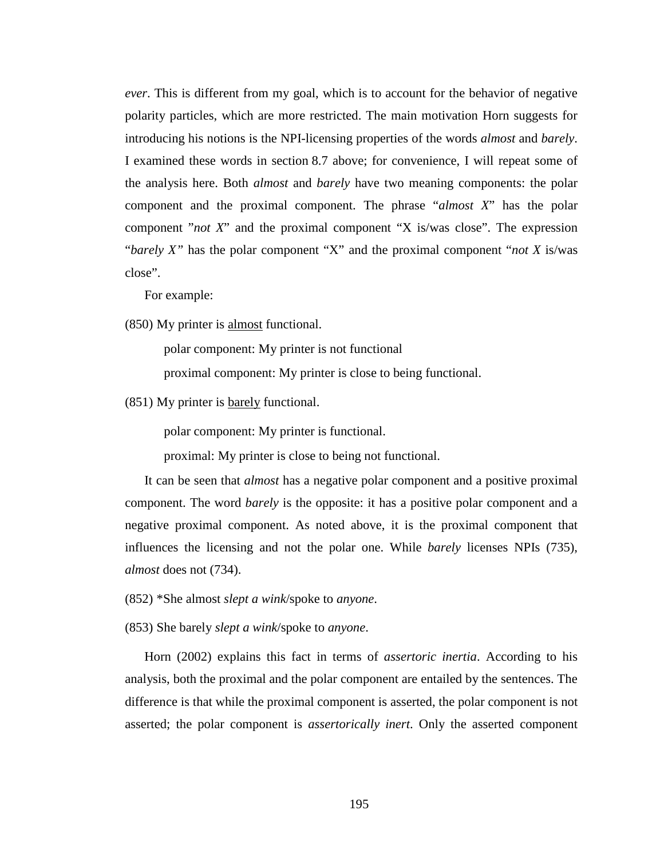*ever*. This is different from my goal, which is to account for the behavior of negative polarity particles, which are more restricted. The main motivation Horn suggests for introducing his notions is the NPI-licensing properties of the words *almost* and *barely*. I examined these words in section 8.7 above; for convenience, I will repeat some of the analysis here. Both *almost* and *barely* have two meaning components: the polar component and the proximal component. The phrase "*almost X*" has the polar component "*not X*" and the proximal component "X is/was close". The expression "*barely X"* has the polar component "X" and the proximal component "*not X* is/was close".

For example:

(850) My printer is almost functional.

polar component: My printer is not functional

proximal component: My printer is close to being functional.

(851) My printer is barely functional.

polar component: My printer is functional.

proximal: My printer is close to being not functional.

It can be seen that *almost* has a negative polar component and a positive proximal component. The word *barely* is the opposite: it has a positive polar component and a negative proximal component. As noted above, it is the proximal component that influences the licensing and not the polar one. While *barely* licenses NPIs (735), *almost* does not (734).

(852) \*She almost *slept a wink*/spoke to *anyone*.

(853) She barely *slept a wink*/spoke to *anyone*.

Horn (2002) explains this fact in terms of *assertoric inertia*. According to his analysis, both the proximal and the polar component are entailed by the sentences. The difference is that while the proximal component is asserted, the polar component is not asserted; the polar component is *assertorically inert*. Only the asserted component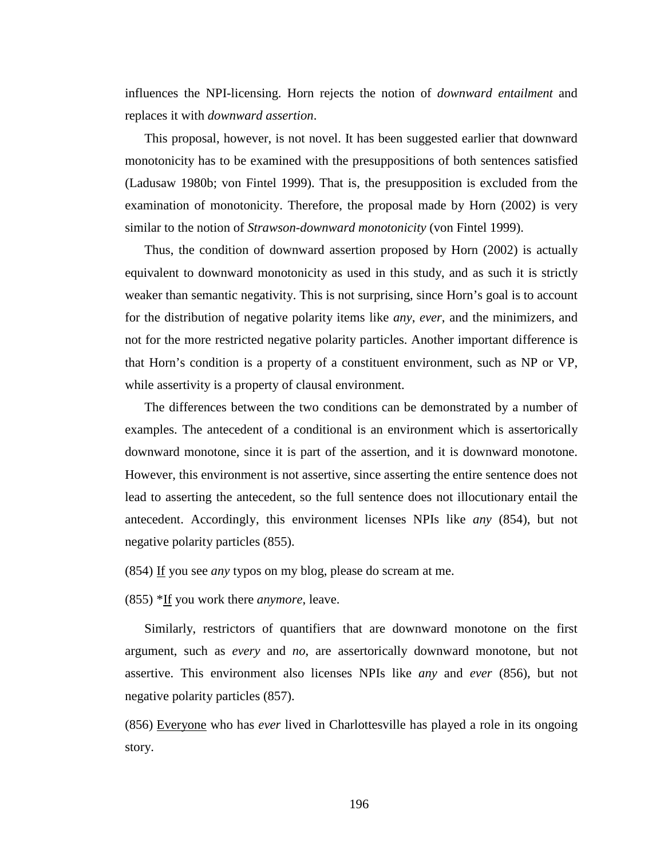influences the NPI-licensing. Horn rejects the notion of *downward entailment* and replaces it with *downward assertion*.

This proposal, however, is not novel. It has been suggested earlier that downward monotonicity has to be examined with the presuppositions of both sentences satisfied (Ladusaw 1980b; von Fintel 1999). That is, the presupposition is excluded from the examination of monotonicity. Therefore, the proposal made by Horn (2002) is very similar to the notion of *Strawson-downward monotonicity* (von Fintel 1999).

Thus, the condition of downward assertion proposed by Horn (2002) is actually equivalent to downward monotonicity as used in this study, and as such it is strictly weaker than semantic negativity. This is not surprising, since Horn's goal is to account for the distribution of negative polarity items like *any*, *ever*, and the minimizers, and not for the more restricted negative polarity particles. Another important difference is that Horn's condition is a property of a constituent environment, such as NP or VP, while assertivity is a property of clausal environment.

The differences between the two conditions can be demonstrated by a number of examples. The antecedent of a conditional is an environment which is assertorically downward monotone, since it is part of the assertion, and it is downward monotone. However, this environment is not assertive, since asserting the entire sentence does not lead to asserting the antecedent, so the full sentence does not illocutionary entail the antecedent. Accordingly, this environment licenses NPIs like *any* (854), but not negative polarity particles (855).

(854) If you see *any* typos on my blog, please do scream at me.

(855) \*If you work there *anymore*, leave.

Similarly, restrictors of quantifiers that are downward monotone on the first argument, such as *every* and *no*, are assertorically downward monotone, but not assertive. This environment also licenses NPIs like *any* and *ever* (856), but not negative polarity particles (857).

(856) Everyone who has *ever* lived in Charlottesville has played a role in its ongoing story.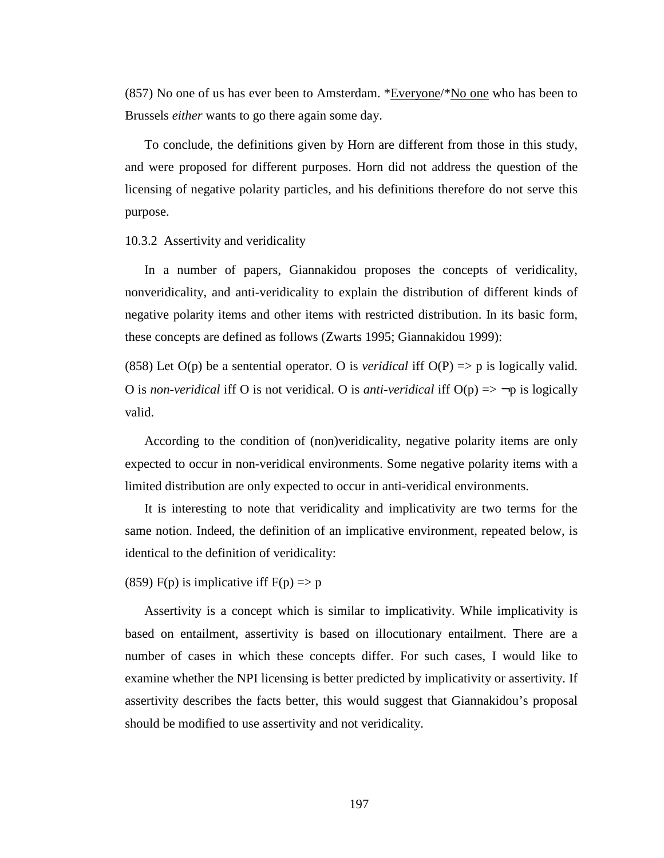(857) No one of us has ever been to Amsterdam. \*Everyone/\*No one who has been to Brussels *either* wants to go there again some day.

To conclude, the definitions given by Horn are different from those in this study, and were proposed for different purposes. Horn did not address the question of the licensing of negative polarity particles, and his definitions therefore do not serve this purpose.

10.3.2 Assertivity and veridicality

In a number of papers, Giannakidou proposes the concepts of veridicality, nonveridicality, and anti-veridicality to explain the distribution of different kinds of negative polarity items and other items with restricted distribution. In its basic form, these concepts are defined as follows (Zwarts 1995; Giannakidou 1999):

(858) Let  $O(p)$  be a sentential operator. O is *veridical* iff  $O(P) \Rightarrow p$  is logically valid. O is *non-veridical* iff O is not veridical. O is *anti-veridical* iff  $O(p) \Rightarrow \neg p$  is logically valid.

According to the condition of (non)veridicality, negative polarity items are only expected to occur in non-veridical environments. Some negative polarity items with a limited distribution are only expected to occur in anti-veridical environments.

It is interesting to note that veridicality and implicativity are two terms for the same notion. Indeed, the definition of an implicative environment, repeated below, is identical to the definition of veridicality:

(859) F(p) is implicative iff  $F(p) \Rightarrow p$ 

Assertivity is a concept which is similar to implicativity. While implicativity is based on entailment, assertivity is based on illocutionary entailment. There are a number of cases in which these concepts differ. For such cases, I would like to examine whether the NPI licensing is better predicted by implicativity or assertivity. If assertivity describes the facts better, this would suggest that Giannakidou's proposal should be modified to use assertivity and not veridicality.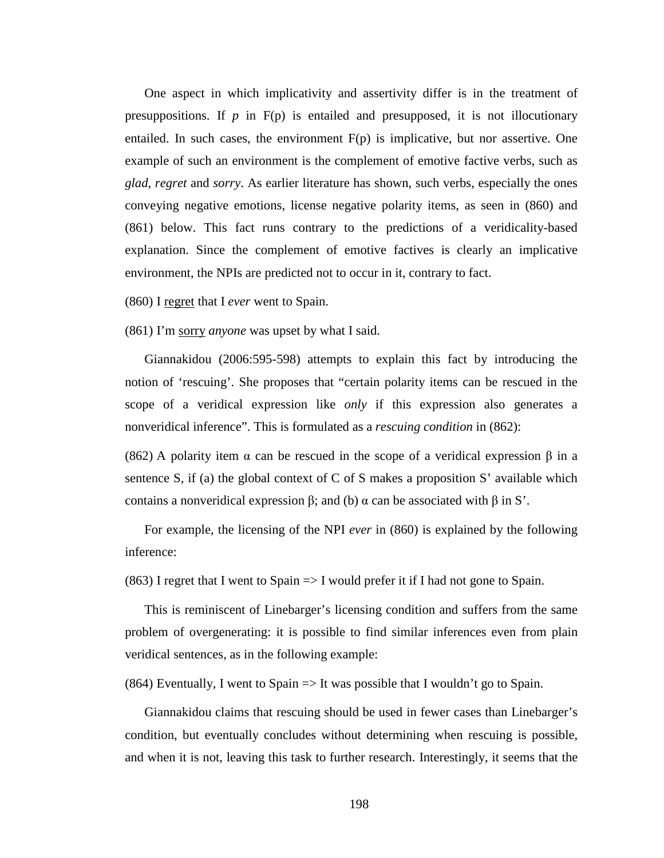One aspect in which implicativity and assertivity differ is in the treatment of presuppositions. If  $p$  in  $F(p)$  is entailed and presupposed, it is not illocutionary entailed. In such cases, the environment  $F(p)$  is implicative, but nor assertive. One example of such an environment is the complement of emotive factive verbs, such as *glad*, *regret* and *sorry*. As earlier literature has shown, such verbs, especially the ones conveying negative emotions, license negative polarity items, as seen in (860) and (861) below. This fact runs contrary to the predictions of a veridicality-based explanation. Since the complement of emotive factives is clearly an implicative environment, the NPIs are predicted not to occur in it, contrary to fact.

(860) I regret that I *ever* went to Spain.

(861) I'm sorry *anyone* was upset by what I said.

Giannakidou (2006:595-598) attempts to explain this fact by introducing the notion of 'rescuing'. She proposes that "certain polarity items can be rescued in the scope of a veridical expression like *only* if this expression also generates a nonveridical inference". This is formulated as a *rescuing condition* in (862):

(862) A polarity item  $\alpha$  can be rescued in the scope of a veridical expression  $\beta$  in a sentence S, if (a) the global context of C of S makes a proposition S' available which contains a nonveridical expression β; and (b) α can be associated with β in S'.

For example, the licensing of the NPI *ever* in (860) is explained by the following inference:

 $(863)$  I regret that I went to Spain  $\Rightarrow$  I would prefer it if I had not gone to Spain.

This is reminiscent of Linebarger's licensing condition and suffers from the same problem of overgenerating: it is possible to find similar inferences even from plain veridical sentences, as in the following example:

(864) Eventually, I went to Spain  $\Rightarrow$  It was possible that I wouldn't go to Spain.

Giannakidou claims that rescuing should be used in fewer cases than Linebarger's condition, but eventually concludes without determining when rescuing is possible, and when it is not, leaving this task to further research. Interestingly, it seems that the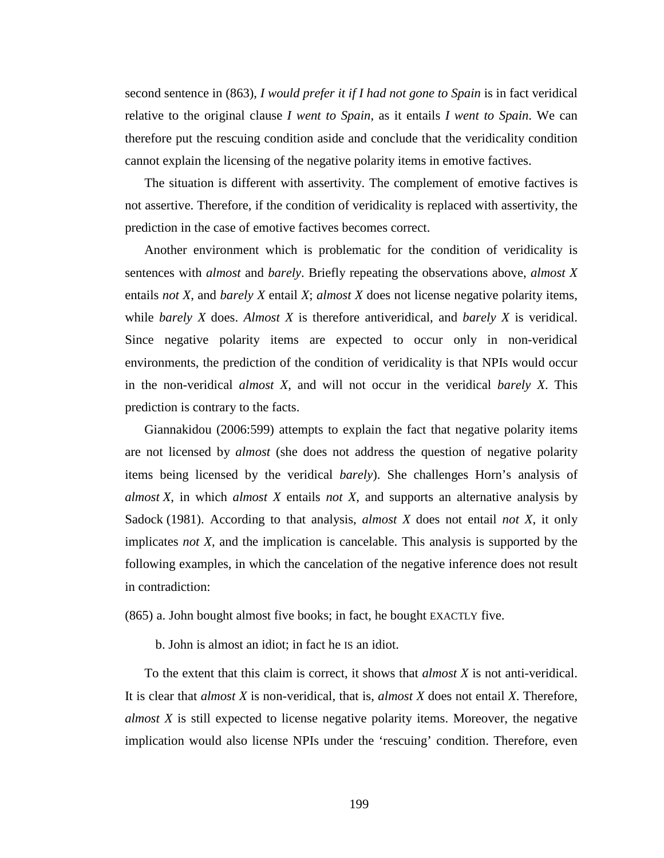second sentence in (863), *I would prefer it if I had not gone to Spain* is in fact veridical relative to the original clause *I went to Spain*, as it entails *I went to Spain*. We can therefore put the rescuing condition aside and conclude that the veridicality condition cannot explain the licensing of the negative polarity items in emotive factives.

The situation is different with assertivity. The complement of emotive factives is not assertive. Therefore, if the condition of veridicality is replaced with assertivity, the prediction in the case of emotive factives becomes correct.

Another environment which is problematic for the condition of veridicality is sentences with *almost* and *barely*. Briefly repeating the observations above, *almost X* entails *not X*, and *barely X* entail *X*; *almost X* does not license negative polarity items, while *barely X* does. *Almost X* is therefore antiveridical, and *barely X* is veridical. Since negative polarity items are expected to occur only in non-veridical environments, the prediction of the condition of veridicality is that NPIs would occur in the non-veridical *almost X*, and will not occur in the veridical *barely X*. This prediction is contrary to the facts.

Giannakidou (2006:599) attempts to explain the fact that negative polarity items are not licensed by *almost* (she does not address the question of negative polarity items being licensed by the veridical *barely*). She challenges Horn's analysis of *almost X*, in which *almost X* entails *not X*, and supports an alternative analysis by Sadock (1981). According to that analysis, *almost X* does not entail *not X*, it only implicates *not X*, and the implication is cancelable. This analysis is supported by the following examples, in which the cancelation of the negative inference does not result in contradiction:

(865) a. John bought almost five books; in fact, he bought EXACTLY five.

b. John is almost an idiot; in fact he IS an idiot.

To the extent that this claim is correct, it shows that *almost X* is not anti-veridical. It is clear that *almost X* is non-veridical, that is, *almost X* does not entail *X*. Therefore, *almost X* is still expected to license negative polarity items. Moreover, the negative implication would also license NPIs under the 'rescuing' condition. Therefore, even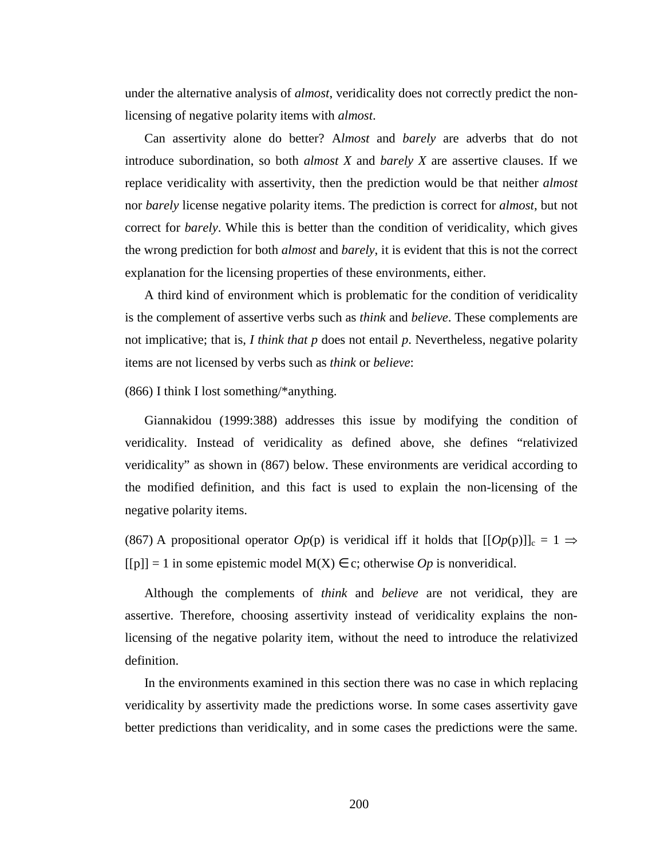under the alternative analysis of *almost*, veridicality does not correctly predict the nonlicensing of negative polarity items with *almost*.

Can assertivity alone do better? A*lmost* and *barely* are adverbs that do not introduce subordination, so both *almost X* and *barely X* are assertive clauses. If we replace veridicality with assertivity, then the prediction would be that neither *almost* nor *barely* license negative polarity items. The prediction is correct for *almost*, but not correct for *barely*. While this is better than the condition of veridicality, which gives the wrong prediction for both *almost* and *barely*, it is evident that this is not the correct explanation for the licensing properties of these environments, either.

A third kind of environment which is problematic for the condition of veridicality is the complement of assertive verbs such as *think* and *believe*. These complements are not implicative; that is, *I think that p* does not entail *p*. Nevertheless, negative polarity items are not licensed by verbs such as *think* or *believe*:

## (866) I think I lost something/\*anything.

Giannakidou (1999:388) addresses this issue by modifying the condition of veridicality. Instead of veridicality as defined above, she defines "relativized veridicality" as shown in (867) below. These environments are veridical according to the modified definition, and this fact is used to explain the non-licensing of the negative polarity items.

(867) A propositional operator  $Op(p)$  is veridical iff it holds that  $[[Op(p)]]_c = 1 \Rightarrow$  $[{\rho}] = 1$  in some epistemic model  $M(X) \in c$ ; otherwise *Op* is nonveridical.

Although the complements of *think* and *believe* are not veridical, they are assertive. Therefore, choosing assertivity instead of veridicality explains the nonlicensing of the negative polarity item, without the need to introduce the relativized definition.

In the environments examined in this section there was no case in which replacing veridicality by assertivity made the predictions worse. In some cases assertivity gave better predictions than veridicality, and in some cases the predictions were the same.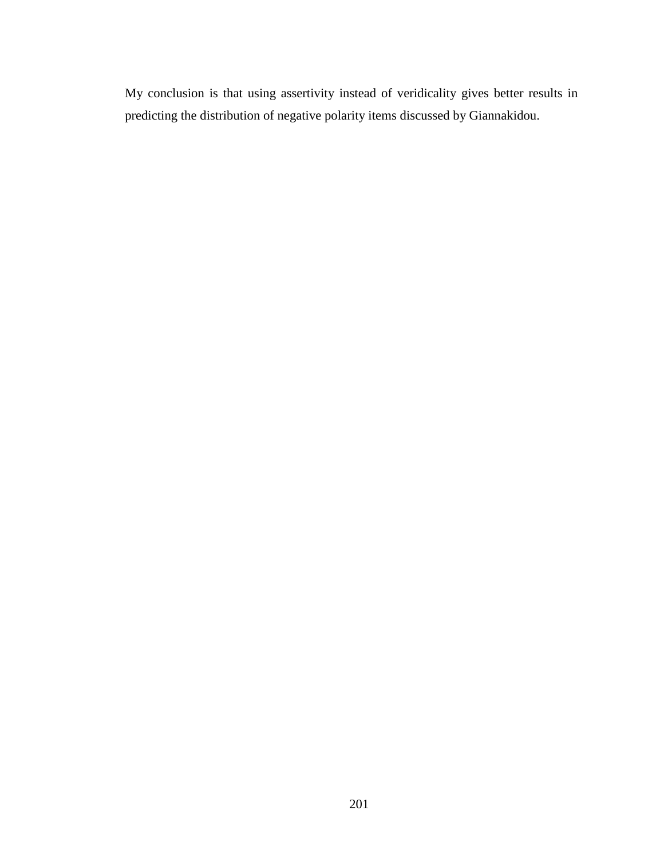My conclusion is that using assertivity instead of veridicality gives better results in predicting the distribution of negative polarity items discussed by Giannakidou.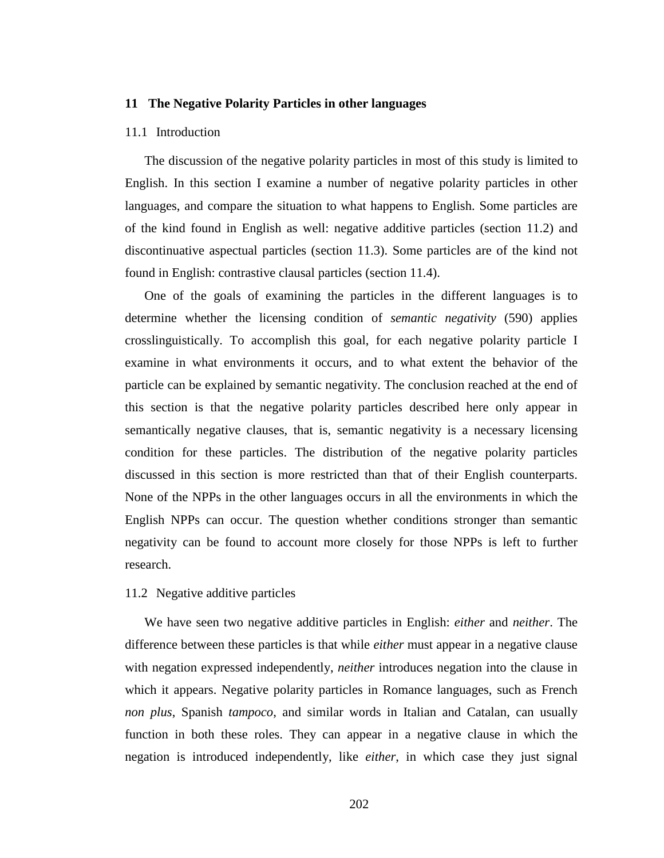# **11 The Negative Polarity Particles in other languages**

## 11.1 Introduction

The discussion of the negative polarity particles in most of this study is limited to English. In this section I examine a number of negative polarity particles in other languages, and compare the situation to what happens to English. Some particles are of the kind found in English as well: negative additive particles (section 11.2) and discontinuative aspectual particles (section 11.3). Some particles are of the kind not found in English: contrastive clausal particles (section 11.4).

One of the goals of examining the particles in the different languages is to determine whether the licensing condition of *semantic negativity* (590) applies crosslinguistically. To accomplish this goal, for each negative polarity particle I examine in what environments it occurs, and to what extent the behavior of the particle can be explained by semantic negativity. The conclusion reached at the end of this section is that the negative polarity particles described here only appear in semantically negative clauses, that is, semantic negativity is a necessary licensing condition for these particles. The distribution of the negative polarity particles discussed in this section is more restricted than that of their English counterparts. None of the NPPs in the other languages occurs in all the environments in which the English NPPs can occur. The question whether conditions stronger than semantic negativity can be found to account more closely for those NPPs is left to further research.

## 11.2 Negative additive particles

We have seen two negative additive particles in English: *either* and *neither*. The difference between these particles is that while *either* must appear in a negative clause with negation expressed independently, *neither* introduces negation into the clause in which it appears. Negative polarity particles in Romance languages, such as French *non plus*, Spanish *tampoco*, and similar words in Italian and Catalan, can usually function in both these roles. They can appear in a negative clause in which the negation is introduced independently, like *either*, in which case they just signal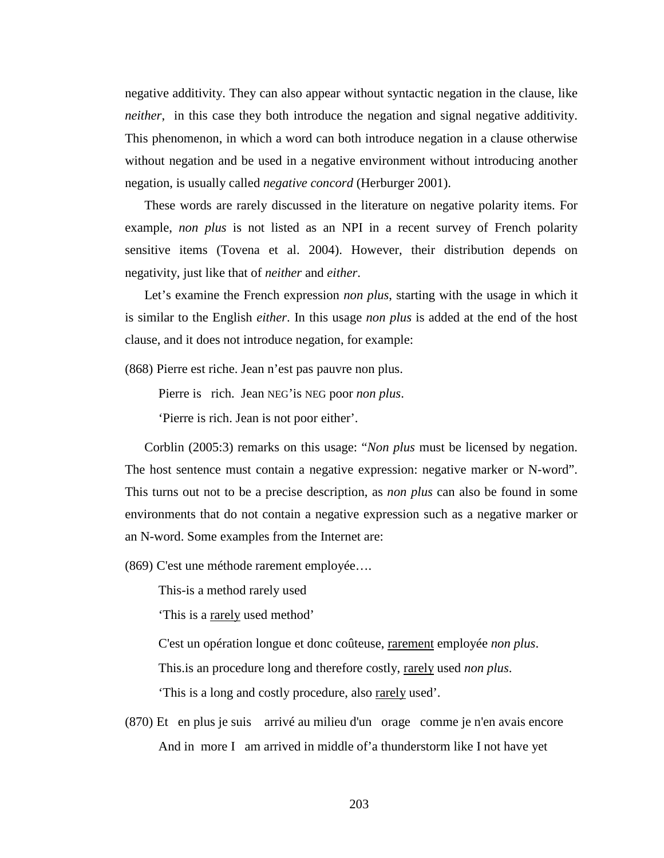negative additivity. They can also appear without syntactic negation in the clause, like *neither*, in this case they both introduce the negation and signal negative additivity. This phenomenon, in which a word can both introduce negation in a clause otherwise without negation and be used in a negative environment without introducing another negation, is usually called *negative concord* (Herburger 2001).

These words are rarely discussed in the literature on negative polarity items. For example, *non plus* is not listed as an NPI in a recent survey of French polarity sensitive items (Tovena et al. 2004). However, their distribution depends on negativity, just like that of *neither* and *either*.

Let's examine the French expression *non plus*, starting with the usage in which it is similar to the English *either*. In this usage *non plus* is added at the end of the host clause, and it does not introduce negation, for example:

(868) Pierre est riche. Jean n'est pas pauvre non plus.

Pierre is rich. Jean NEG'is NEG poor *non plus*.

'Pierre is rich. Jean is not poor either'.

Corblin (2005:3) remarks on this usage: "*Non plus* must be licensed by negation. The host sentence must contain a negative expression: negative marker or N-word". This turns out not to be a precise description, as *non plus* can also be found in some environments that do not contain a negative expression such as a negative marker or an N-word. Some examples from the Internet are:

(869) C'est une méthode rarement employée….

This-is a method rarely used

'This is a rarely used method'

C'est un opération longue et donc coûteuse, rarement employée *non plus*.

This.is an procedure long and therefore costly, rarely used *non plus*.

This is a long and costly procedure, also rarely used'.

(870) Et en plus je suis arrivé au milieu d'un orage comme je n'en avais encore And in more I am arrived in middle of'a thunderstorm like I not have yet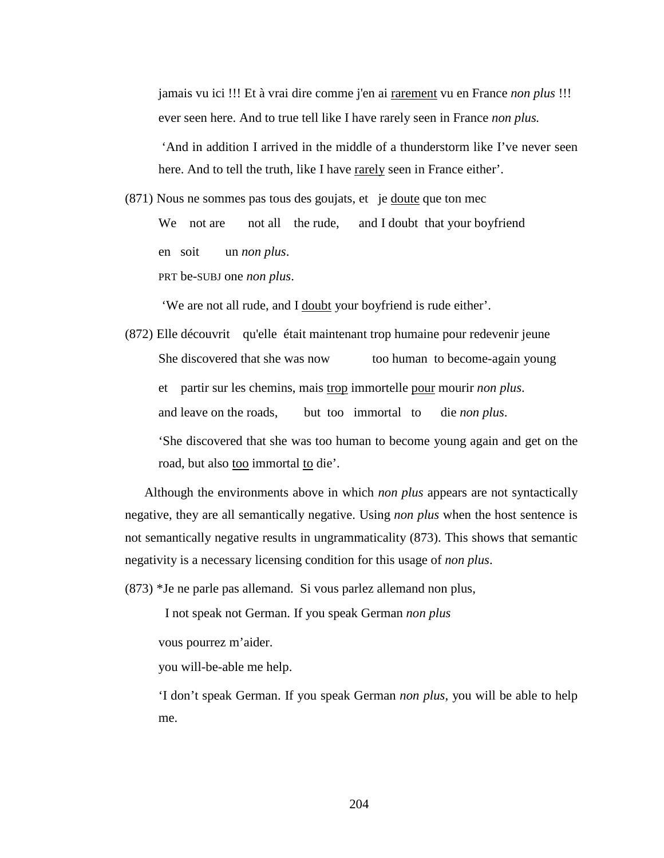jamais vu ici !!! Et à vrai dire comme j'en ai rarement vu en France *non plus* !!! ever seen here. And to true tell like I have rarely seen in France *non plus.* 

 'And in addition I arrived in the middle of a thunderstorm like I've never seen here. And to tell the truth, like I have rarely seen in France either'.

(871) Nous ne sommes pas tous des goujats, et je doute que ton mec

We not are not all the rude, and I doubt that your boyfriend en soit un *non plus*.

PRT be-SUBJ one *non plus*.

'We are not all rude, and I doubt your boyfriend is rude either'.

(872) Elle découvrit qu'elle était maintenant trop humaine pour redevenir jeune She discovered that she was now too human to become-again young et partir sur les chemins, mais trop immortelle pour mourir *non plus*. and leave on the roads, but too immortal to die *non plus*. 'She discovered that she was too human to become young again and get on the road, but also too immortal to die'.

Although the environments above in which *non plus* appears are not syntactically negative, they are all semantically negative. Using *non plus* when the host sentence is not semantically negative results in ungrammaticality (873). This shows that semantic negativity is a necessary licensing condition for this usage of *non plus*.

(873) \*Je ne parle pas allemand. Si vous parlez allemand non plus,

I not speak not German. If you speak German *non plus*

vous pourrez m'aider.

you will-be-able me help.

'I don't speak German. If you speak German *non plus*, you will be able to help me.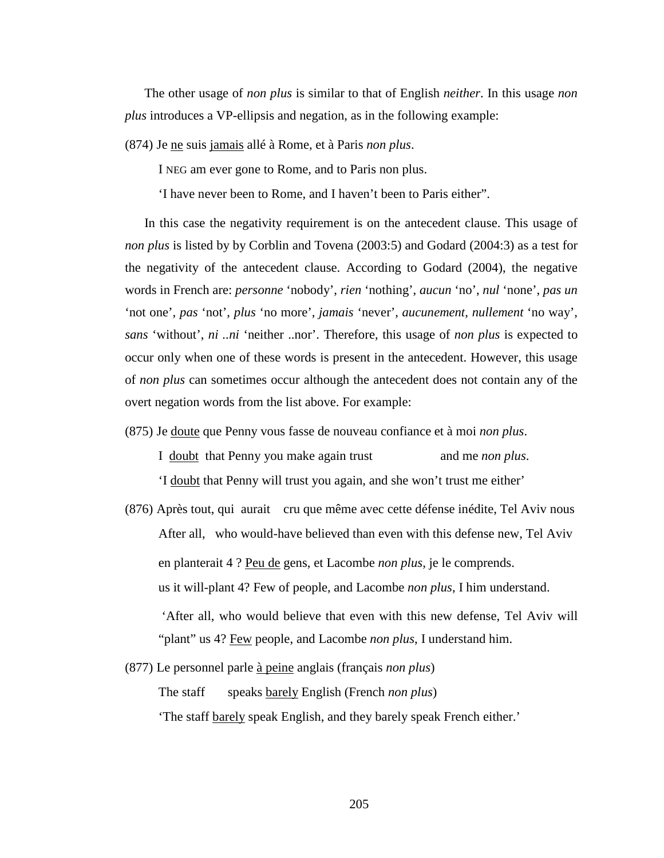The other usage of *non plus* is similar to that of English *neither*. In this usage *non plus* introduces a VP-ellipsis and negation, as in the following example:

(874) Je ne suis jamais allé à Rome, et à Paris *non plus*.

I NEG am ever gone to Rome, and to Paris non plus.

'I have never been to Rome, and I haven't been to Paris either".

In this case the negativity requirement is on the antecedent clause. This usage of *non plus* is listed by by Corblin and Tovena (2003:5) and Godard (2004:3) as a test for the negativity of the antecedent clause. According to Godard (2004), the negative words in French are: *personne* 'nobody', *rien* 'nothing', *aucun* 'no', *nul* 'none', *pas un* 'not one', *pas* 'not', *plus* 'no more', *jamais* 'never', *aucunement, nullement* 'no way', *sans* 'without', *ni ..ni* 'neither ..nor'. Therefore, this usage of *non plus* is expected to occur only when one of these words is present in the antecedent. However, this usage of *non plus* can sometimes occur although the antecedent does not contain any of the overt negation words from the list above. For example:

(875) Je doute que Penny vous fasse de nouveau confiance et à moi *non plus*.

I doubt that Penny you make again trust and me *non plus*.

'I doubt that Penny will trust you again, and she won't trust me either'

(876) Après tout, qui aurait cru que même avec cette défense inédite, Tel Aviv nous After all, who would-have believed than even with this defense new, Tel Aviv en planterait 4 ? Peu de gens, et Lacombe *non plus*, je le comprends. us it will-plant 4? Few of people, and Lacombe *non plus*, I him understand.

 'After all, who would believe that even with this new defense, Tel Aviv will "plant" us 4? Few people, and Lacombe *non plus*, I understand him.

(877) Le personnel parle à peine anglais (français *non plus*) The staff speaks barely English (French *non plus*) 'The staff barely speak English, and they barely speak French either.'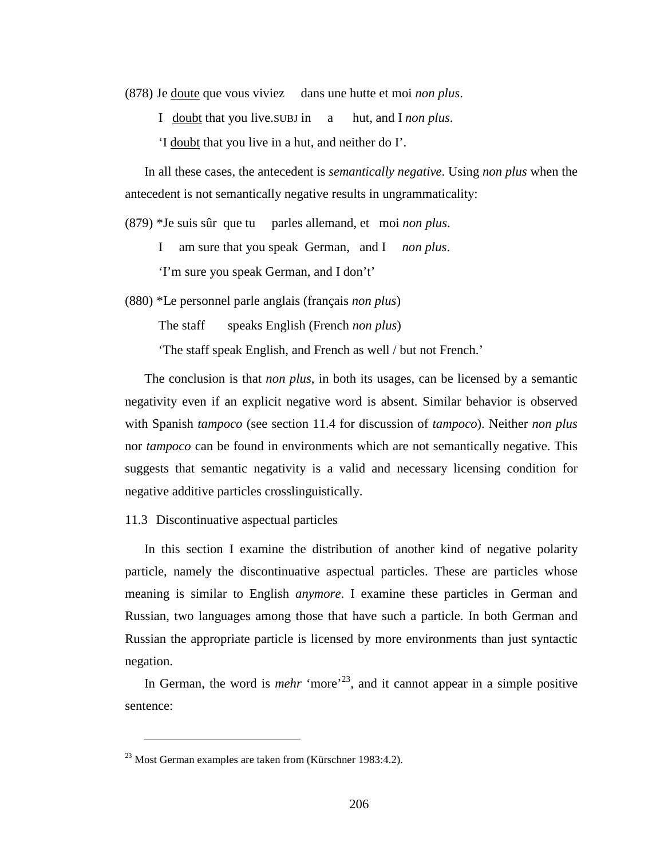(878) Je doute que vous viviez dans une hutte et moi *non plus*.

I doubt that you live.SUBJ in a hut, and I *non plus*.

'I doubt that you live in a hut, and neither do I'.

In all these cases, the antecedent is *semantically negative*. Using *non plus* when the antecedent is not semantically negative results in ungrammaticality:

(879) \*Je suis sûr que tu parles allemand, et moi *non plus*.

I am sure that you speak German, and I *non plus*.

'I'm sure you speak German, and I don't'

(880) \*Le personnel parle anglais (français *non plus*)

The staff speaks English (French *non plus*)

'The staff speak English, and French as well / but not French.'

The conclusion is that *non plus*, in both its usages, can be licensed by a semantic negativity even if an explicit negative word is absent. Similar behavior is observed with Spanish *tampoco* (see section 11.4 for discussion of *tampoco*). Neither *non plus* nor *tampoco* can be found in environments which are not semantically negative. This suggests that semantic negativity is a valid and necessary licensing condition for negative additive particles crosslinguistically.

11.3 Discontinuative aspectual particles

In this section I examine the distribution of another kind of negative polarity particle, namely the discontinuative aspectual particles. These are particles whose meaning is similar to English *anymore*. I examine these particles in German and Russian, two languages among those that have such a particle. In both German and Russian the appropriate particle is licensed by more environments than just syntactic negation.

In German, the word is *mehr* 'more'<sup>23</sup>, and it cannot appear in a simple positive sentence:

 $\overline{a}$ 

 $^{23}$  Most German examples are taken from (Kürschner 1983:4.2).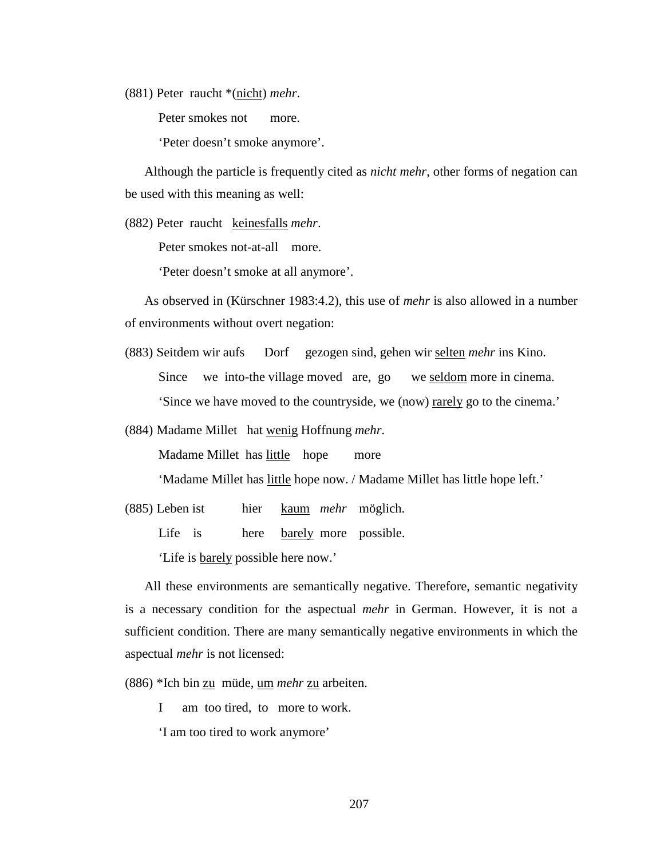(881) Peter raucht \*(nicht) *mehr*.

Peter smokes not more.

'Peter doesn't smoke anymore'.

Although the particle is frequently cited as *nicht mehr*, other forms of negation can be used with this meaning as well:

(882) Peter raucht keinesfalls *mehr*.

Peter smokes not-at-all more.

'Peter doesn't smoke at all anymore'.

As observed in (Kürschner 1983:4.2), this use of *mehr* is also allowed in a number of environments without overt negation:

- (883) Seitdem wir aufs Dorf gezogen sind, gehen wir selten *mehr* ins Kino. Since we into-the village moved are, go we seldom more in cinema. 'Since we have moved to the countryside, we (now) rarely go to the cinema.'
- (884) Madame Millet hat wenig Hoffnung *mehr*.

Madame Millet has little hope more

'Madame Millet has little hope now. / Madame Millet has little hope left.'

(885) Leben ist hier kaum *mehr* möglich.

Life is here barely more possible.

'Life is barely possible here now.'

All these environments are semantically negative. Therefore, semantic negativity is a necessary condition for the aspectual *mehr* in German. However, it is not a sufficient condition. There are many semantically negative environments in which the aspectual *mehr* is not licensed:

(886) \*Ich bin zu müde, um *mehr* zu arbeiten.

I am too tired, to more to work.

'I am too tired to work anymore'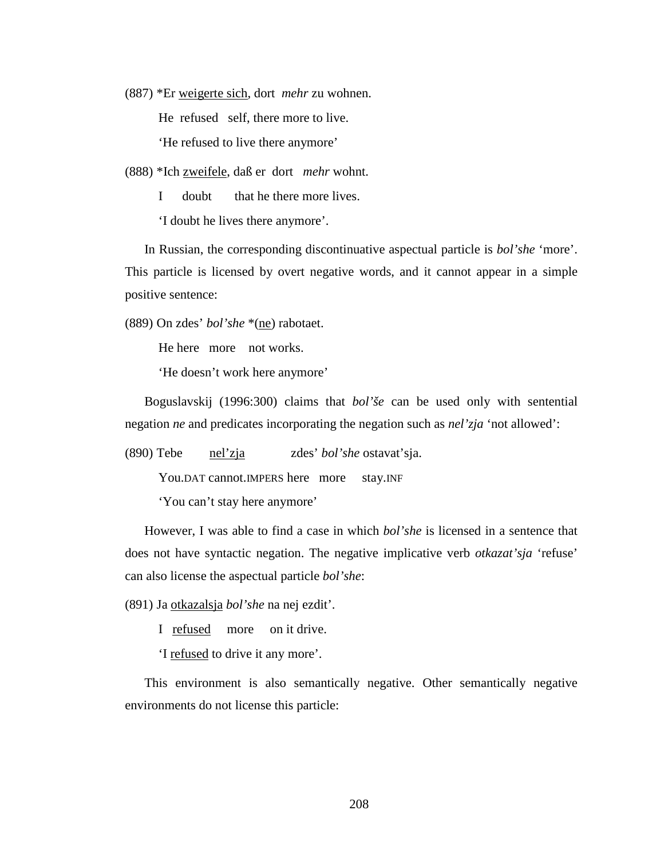(887) \*Er weigerte sich, dort *mehr* zu wohnen.

He refused self, there more to live.

'He refused to live there anymore'

(888) \*Ich zweifele, daß er dort *mehr* wohnt.

I doubt that he there more lives.

'I doubt he lives there anymore'.

In Russian, the corresponding discontinuative aspectual particle is *bol'she* 'more'. This particle is licensed by overt negative words, and it cannot appear in a simple positive sentence:

(889) On zdes' *bol'she* \*(ne) rabotaet.

He here more not works.

'He doesn't work here anymore'

Boguslavskij (1996:300) claims that *bol'še* can be used only with sentential negation *ne* and predicates incorporating the negation such as *nel'zja* 'not allowed':

(890) Tebe nel'zja zdes' *bol'she* ostavat'sja.

You.DAT cannot.IMPERS here more stay.INF

'You can't stay here anymore'

However, I was able to find a case in which *bol'she* is licensed in a sentence that does not have syntactic negation. The negative implicative verb *otkazat'sja* 'refuse' can also license the aspectual particle *bol'she*:

(891) Ja otkazalsja *bol'she* na nej ezdit'.

I refused more on it drive.

'I refused to drive it any more'.

This environment is also semantically negative. Other semantically negative environments do not license this particle: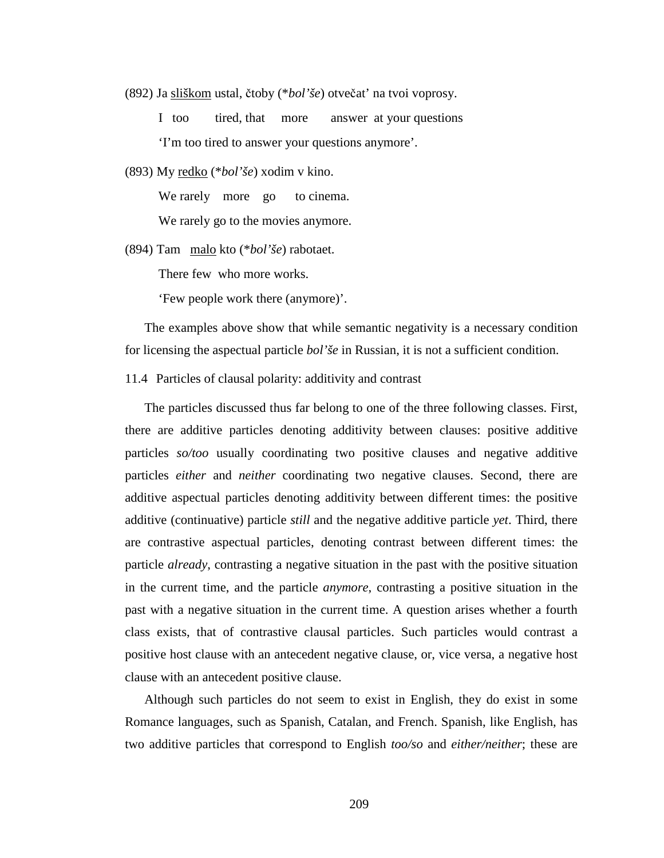(892) Ja sliškom ustal, čtoby (\**bol'še*) otvečat' na tvoi voprosy.

I too tired, that more answer at your questions 'I'm too tired to answer your questions anymore'.

(893) My redko (\**bol'še*) xodim v kino.

We rarely more go to cinema.

We rarely go to the movies anymore.

(894) Tam malo kto (\**bol'še*) rabotaet.

There few who more works.

'Few people work there (anymore)'.

The examples above show that while semantic negativity is a necessary condition for licensing the aspectual particle *bol'še* in Russian, it is not a sufficient condition.

11.4 Particles of clausal polarity: additivity and contrast

The particles discussed thus far belong to one of the three following classes. First, there are additive particles denoting additivity between clauses: positive additive particles *so/too* usually coordinating two positive clauses and negative additive particles *either* and *neither* coordinating two negative clauses. Second, there are additive aspectual particles denoting additivity between different times: the positive additive (continuative) particle *still* and the negative additive particle *yet*. Third, there are contrastive aspectual particles, denoting contrast between different times: the particle *already*, contrasting a negative situation in the past with the positive situation in the current time, and the particle *anymore*, contrasting a positive situation in the past with a negative situation in the current time. A question arises whether a fourth class exists, that of contrastive clausal particles. Such particles would contrast a positive host clause with an antecedent negative clause, or, vice versa, a negative host clause with an antecedent positive clause.

Although such particles do not seem to exist in English, they do exist in some Romance languages, such as Spanish, Catalan, and French. Spanish, like English, has two additive particles that correspond to English *too/so* and *either/neither*; these are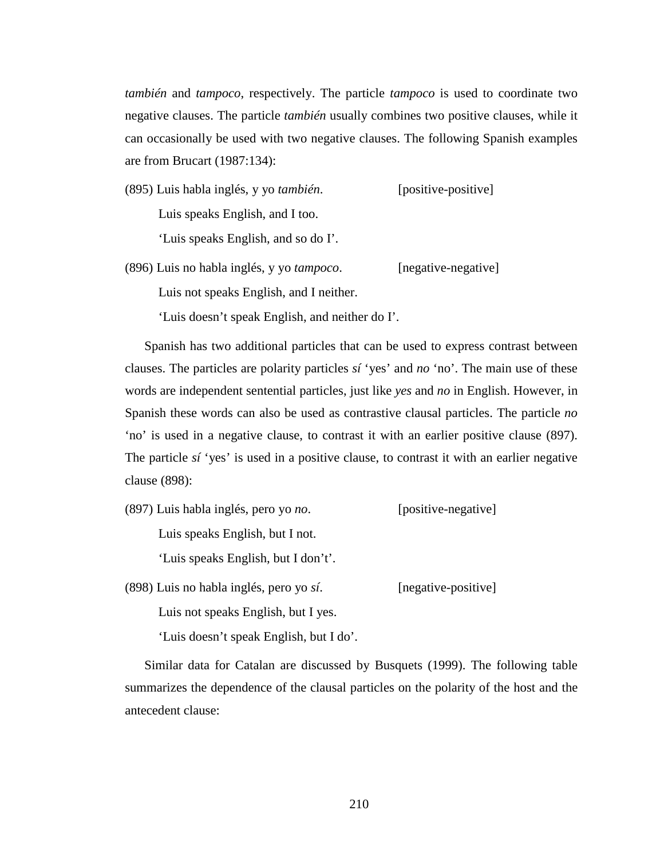*también* and *tampoco*, respectively. The particle *tampoco* is used to coordinate two negative clauses. The particle *también* usually combines two positive clauses, while it can occasionally be used with two negative clauses. The following Spanish examples are from Brucart (1987:134):

(895) Luis habla inglés, y yo *también*. [positive-positive] Luis speaks English, and I too.

'Luis speaks English, and so do I'.

(896) Luis no habla inglés, y yo *tampoco*. [negative-negative]

Luis not speaks English, and I neither.

'Luis doesn't speak English, and neither do I'.

Spanish has two additional particles that can be used to express contrast between clauses. The particles are polarity particles *sí* 'yes' and *no* 'no'. The main use of these words are independent sentential particles, just like *yes* and *no* in English. However, in Spanish these words can also be used as contrastive clausal particles. The particle *no* 'no' is used in a negative clause, to contrast it with an earlier positive clause (897). The particle *sí* 'yes' is used in a positive clause, to contrast it with an earlier negative clause (898):

(897) Luis habla inglés, pero yo *no*. [positive-negative]

Luis speaks English, but I not.

'Luis speaks English, but I don't'.

(898) Luis no habla inglés, pero yo *sí*. [negative-positive]

Luis not speaks English, but I yes.

'Luis doesn't speak English, but I do'.

Similar data for Catalan are discussed by Busquets (1999). The following table summarizes the dependence of the clausal particles on the polarity of the host and the antecedent clause: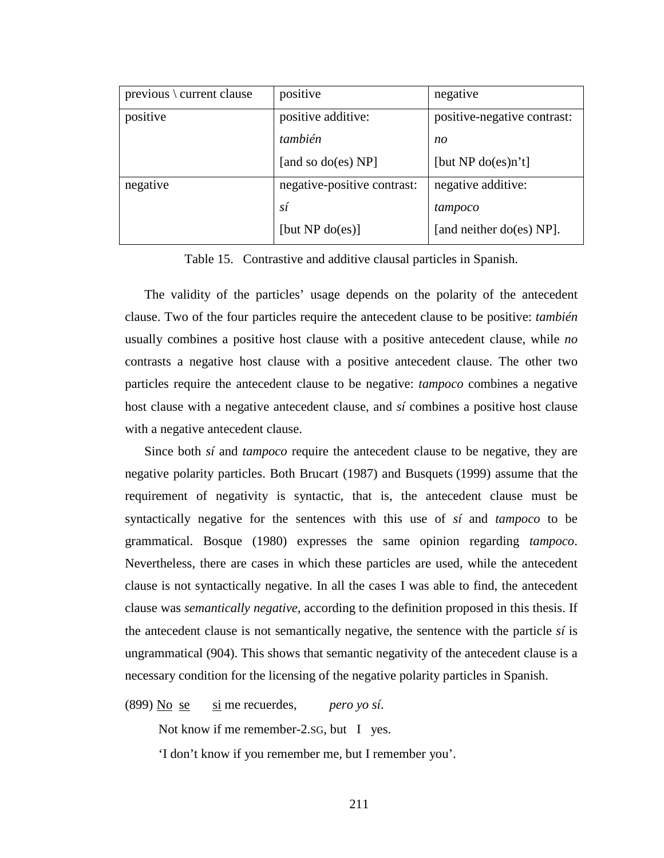| $previous \cdot current \, clause$ | positive                    | negative                    |
|------------------------------------|-----------------------------|-----------------------------|
| positive                           | positive additive:          | positive-negative contrast: |
|                                    | también                     | no                          |
|                                    | [and so do(es) $NP$ ]       | [but NP $do(es) n't$ ]      |
| negative                           | negative-positive contrast: | negative additive:          |
|                                    | sí                          | tampoco                     |
|                                    | [but NP $do(es)$ ]          | [and neither do(es) NP].    |

Table 15. Contrastive and additive clausal particles in Spanish.

The validity of the particles' usage depends on the polarity of the antecedent clause. Two of the four particles require the antecedent clause to be positive: *también* usually combines a positive host clause with a positive antecedent clause, while *no* contrasts a negative host clause with a positive antecedent clause. The other two particles require the antecedent clause to be negative: *tampoco* combines a negative host clause with a negative antecedent clause, and *sí* combines a positive host clause with a negative antecedent clause.

Since both *sí* and *tampoco* require the antecedent clause to be negative, they are negative polarity particles. Both Brucart (1987) and Busquets (1999) assume that the requirement of negativity is syntactic, that is, the antecedent clause must be syntactically negative for the sentences with this use of *sí* and *tampoco* to be grammatical. Bosque (1980) expresses the same opinion regarding *tampoco*. Nevertheless, there are cases in which these particles are used, while the antecedent clause is not syntactically negative. In all the cases I was able to find, the antecedent clause was *semantically negative*, according to the definition proposed in this thesis. If the antecedent clause is not semantically negative, the sentence with the particle *sí* is ungrammatical (904). This shows that semantic negativity of the antecedent clause is a necessary condition for the licensing of the negative polarity particles in Spanish.

(899) No se si me recuerdes, *pero yo sí*.

Not know if me remember-2.sG, but I yes.

'I don't know if you remember me, but I remember you'.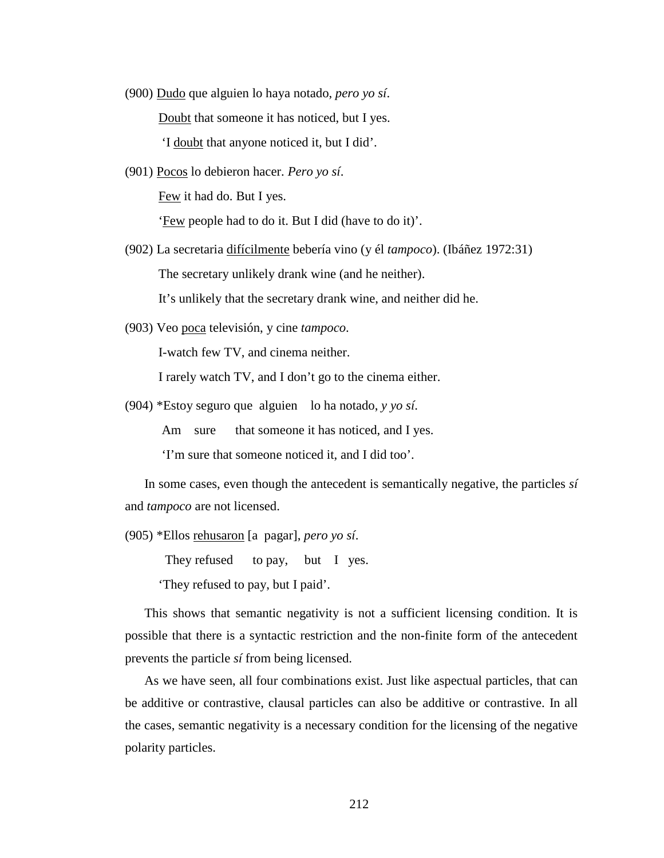- (900) Dudo que alguien lo haya notado, *pero yo sí*. Doubt that someone it has noticed, but I yes. 'I doubt that anyone noticed it, but I did'.
- (901) Pocos lo debieron hacer. *Pero yo sí*. Few it had do. But I yes.

'Few people had to do it. But I did (have to do it)'.

- (902) La secretaria difícilmente bebería vino (y él *tampoco*). (Ibáñez 1972:31) The secretary unlikely drank wine (and he neither). It's unlikely that the secretary drank wine, and neither did he.
- (903) Veo poca televisión, y cine *tampoco*.

I-watch few TV, and cinema neither.

I rarely watch TV, and I don't go to the cinema either.

(904) \*Estoy seguro que alguien lo ha notado, *y yo sí*.

Am sure that someone it has noticed, and I yes.

'I'm sure that someone noticed it, and I did too'.

In some cases, even though the antecedent is semantically negative, the particles *sí* and *tampoco* are not licensed.

(905) \*Ellos rehusaron [a pagar], *pero yo sí*.

They refused to pay, but I yes.

'They refused to pay, but I paid'.

This shows that semantic negativity is not a sufficient licensing condition. It is possible that there is a syntactic restriction and the non-finite form of the antecedent prevents the particle *sí* from being licensed.

As we have seen, all four combinations exist. Just like aspectual particles, that can be additive or contrastive, clausal particles can also be additive or contrastive. In all the cases, semantic negativity is a necessary condition for the licensing of the negative polarity particles.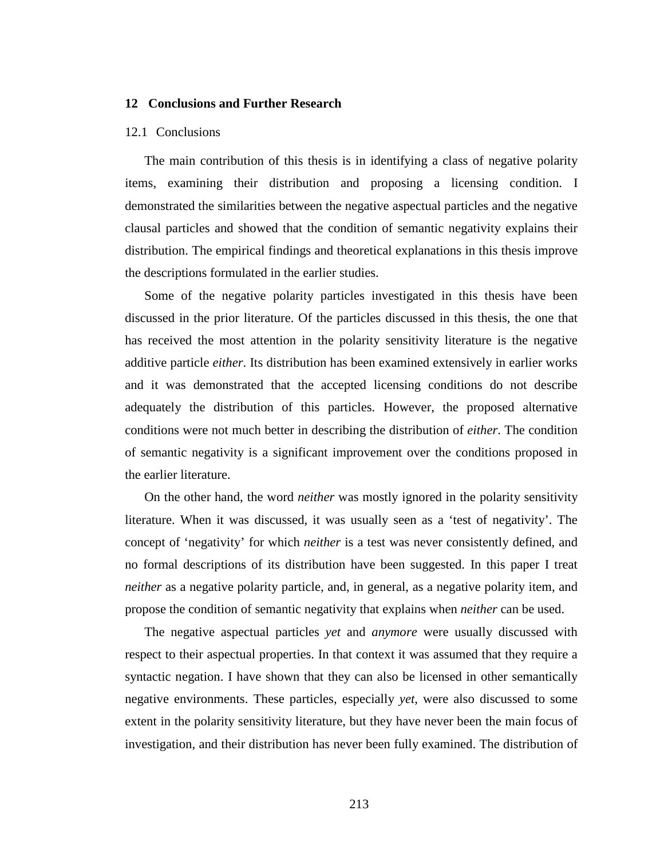## **12 Conclusions and Further Research**

## 12.1 Conclusions

The main contribution of this thesis is in identifying a class of negative polarity items, examining their distribution and proposing a licensing condition. I demonstrated the similarities between the negative aspectual particles and the negative clausal particles and showed that the condition of semantic negativity explains their distribution. The empirical findings and theoretical explanations in this thesis improve the descriptions formulated in the earlier studies.

Some of the negative polarity particles investigated in this thesis have been discussed in the prior literature. Of the particles discussed in this thesis, the one that has received the most attention in the polarity sensitivity literature is the negative additive particle *either*. Its distribution has been examined extensively in earlier works and it was demonstrated that the accepted licensing conditions do not describe adequately the distribution of this particles. However, the proposed alternative conditions were not much better in describing the distribution of *either*. The condition of semantic negativity is a significant improvement over the conditions proposed in the earlier literature.

On the other hand, the word *neither* was mostly ignored in the polarity sensitivity literature. When it was discussed, it was usually seen as a 'test of negativity'. The concept of 'negativity' for which *neither* is a test was never consistently defined, and no formal descriptions of its distribution have been suggested. In this paper I treat *neither* as a negative polarity particle, and, in general, as a negative polarity item, and propose the condition of semantic negativity that explains when *neither* can be used.

The negative aspectual particles *yet* and *anymore* were usually discussed with respect to their aspectual properties. In that context it was assumed that they require a syntactic negation. I have shown that they can also be licensed in other semantically negative environments. These particles, especially *yet*, were also discussed to some extent in the polarity sensitivity literature, but they have never been the main focus of investigation, and their distribution has never been fully examined. The distribution of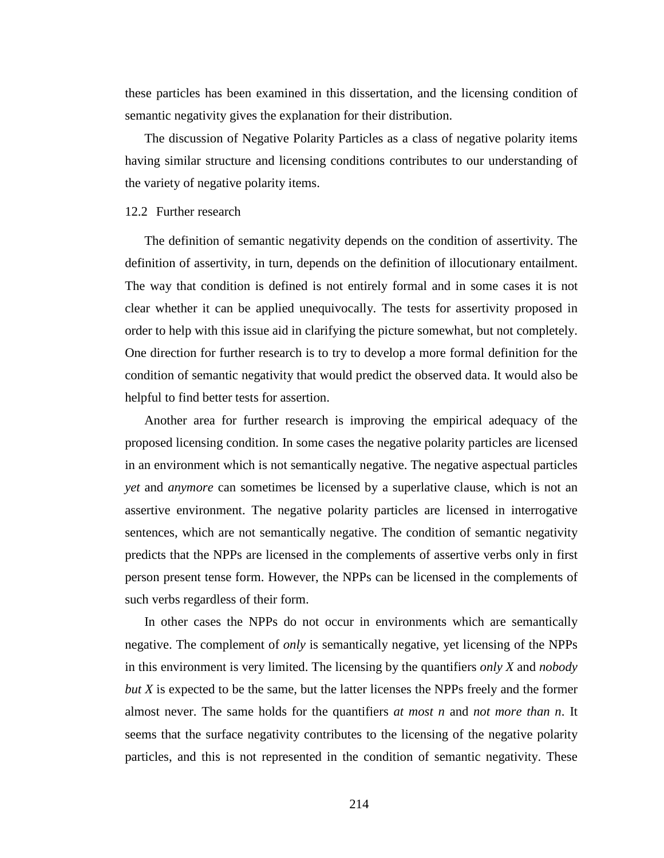these particles has been examined in this dissertation, and the licensing condition of semantic negativity gives the explanation for their distribution.

The discussion of Negative Polarity Particles as a class of negative polarity items having similar structure and licensing conditions contributes to our understanding of the variety of negative polarity items.

## 12.2 Further research

The definition of semantic negativity depends on the condition of assertivity. The definition of assertivity, in turn, depends on the definition of illocutionary entailment. The way that condition is defined is not entirely formal and in some cases it is not clear whether it can be applied unequivocally. The tests for assertivity proposed in order to help with this issue aid in clarifying the picture somewhat, but not completely. One direction for further research is to try to develop a more formal definition for the condition of semantic negativity that would predict the observed data. It would also be helpful to find better tests for assertion.

Another area for further research is improving the empirical adequacy of the proposed licensing condition. In some cases the negative polarity particles are licensed in an environment which is not semantically negative. The negative aspectual particles *yet* and *anymore* can sometimes be licensed by a superlative clause, which is not an assertive environment. The negative polarity particles are licensed in interrogative sentences, which are not semantically negative. The condition of semantic negativity predicts that the NPPs are licensed in the complements of assertive verbs only in first person present tense form. However, the NPPs can be licensed in the complements of such verbs regardless of their form.

In other cases the NPPs do not occur in environments which are semantically negative. The complement of *only* is semantically negative, yet licensing of the NPPs in this environment is very limited. The licensing by the quantifiers *only X* and *nobody but X* is expected to be the same, but the latter licenses the NPPs freely and the former almost never. The same holds for the quantifiers *at most n* and *not more than n*. It seems that the surface negativity contributes to the licensing of the negative polarity particles, and this is not represented in the condition of semantic negativity. These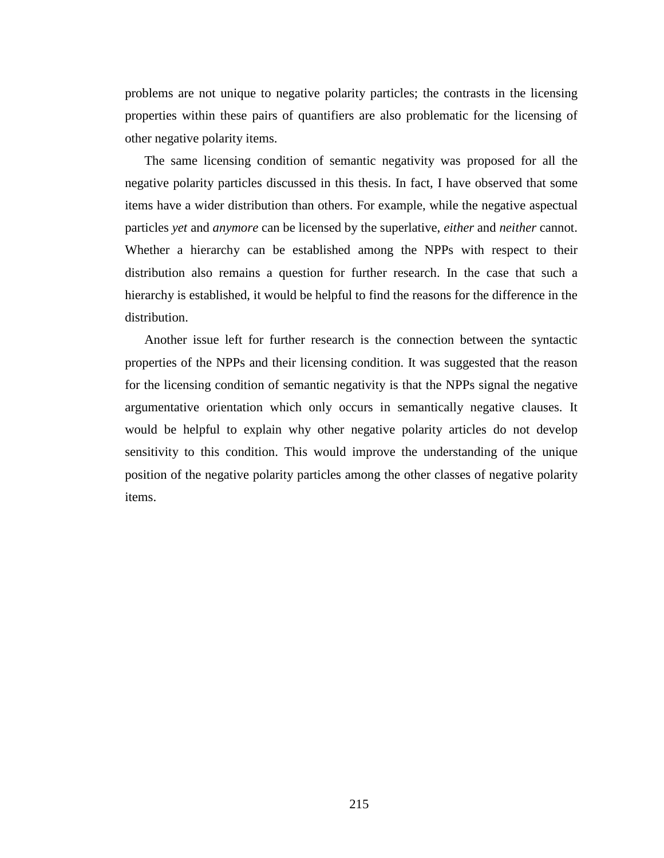problems are not unique to negative polarity particles; the contrasts in the licensing properties within these pairs of quantifiers are also problematic for the licensing of other negative polarity items.

The same licensing condition of semantic negativity was proposed for all the negative polarity particles discussed in this thesis. In fact, I have observed that some items have a wider distribution than others. For example, while the negative aspectual particles *yet* and *anymore* can be licensed by the superlative, *either* and *neither* cannot. Whether a hierarchy can be established among the NPPs with respect to their distribution also remains a question for further research. In the case that such a hierarchy is established, it would be helpful to find the reasons for the difference in the distribution.

Another issue left for further research is the connection between the syntactic properties of the NPPs and their licensing condition. It was suggested that the reason for the licensing condition of semantic negativity is that the NPPs signal the negative argumentative orientation which only occurs in semantically negative clauses. It would be helpful to explain why other negative polarity articles do not develop sensitivity to this condition. This would improve the understanding of the unique position of the negative polarity particles among the other classes of negative polarity items.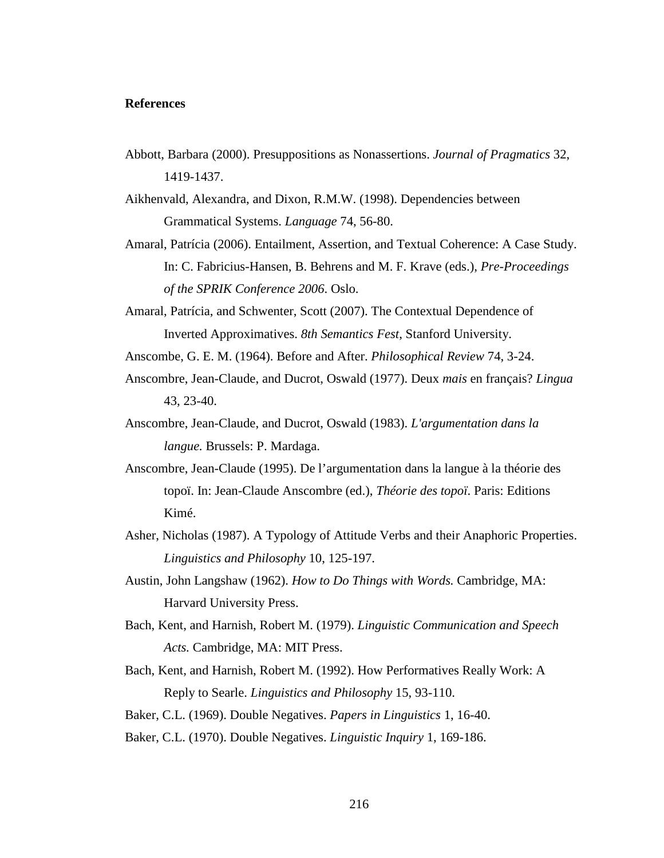## **References**

- Abbott, Barbara (2000). Presuppositions as Nonassertions. *Journal of Pragmatics* 32, 1419-1437.
- Aikhenvald, Alexandra, and Dixon, R.M.W. (1998). Dependencies between Grammatical Systems. *Language* 74, 56-80.
- Amaral, Patrícia (2006). Entailment, Assertion, and Textual Coherence: A Case Study. In: C. Fabricius-Hansen, B. Behrens and M. F. Krave (eds.), *Pre-Proceedings of the SPRIK Conference 2006*. Oslo.
- Amaral, Patrícia, and Schwenter, Scott (2007). The Contextual Dependence of Inverted Approximatives. *8th Semantics Fest*, Stanford University.
- Anscombe, G. E. M. (1964). Before and After. *Philosophical Review* 74, 3-24.
- Anscombre, Jean-Claude, and Ducrot, Oswald (1977). Deux *mais* en français? *Lingua* 43, 23-40.
- Anscombre, Jean-Claude, and Ducrot, Oswald (1983). *L'argumentation dans la langue.* Brussels: P. Mardaga.
- Anscombre, Jean-Claude (1995). De l'argumentation dans la langue à la théorie des topoï. In: Jean-Claude Anscombre (ed.), *Théorie des topoï*. Paris: Editions Kimé.
- Asher, Nicholas (1987). A Typology of Attitude Verbs and their Anaphoric Properties. *Linguistics and Philosophy* 10, 125-197.
- Austin, John Langshaw (1962). *How to Do Things with Words.* Cambridge, MA: Harvard University Press.
- Bach, Kent, and Harnish, Robert M. (1979). *Linguistic Communication and Speech Acts.* Cambridge, MA: MIT Press.
- Bach, Kent, and Harnish, Robert M. (1992). How Performatives Really Work: A Reply to Searle. *Linguistics and Philosophy* 15, 93-110.

Baker, C.L. (1969). Double Negatives. *Papers in Linguistics* 1, 16-40.

Baker, C.L. (1970). Double Negatives. *Linguistic Inquiry* 1, 169-186.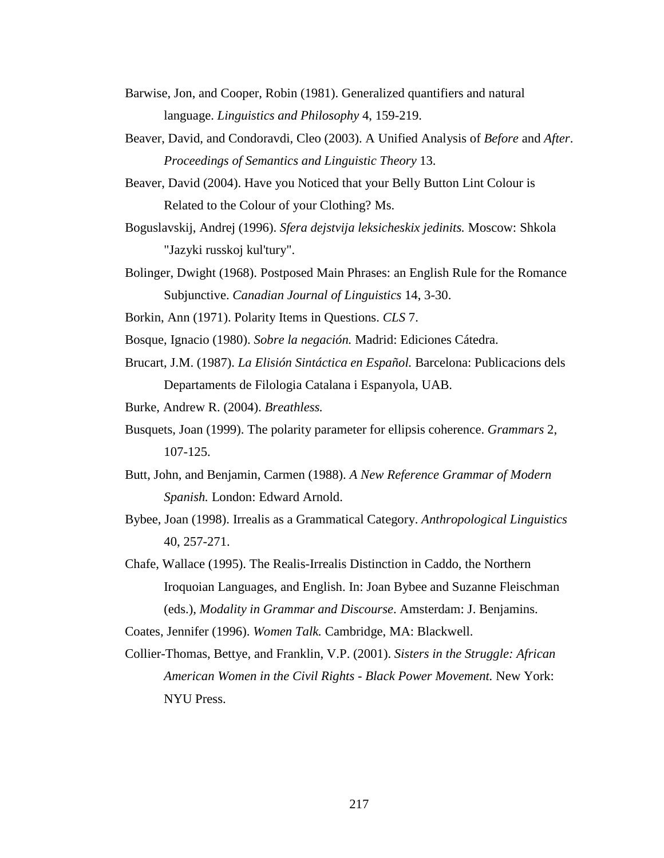- Barwise, Jon, and Cooper, Robin (1981). Generalized quantifiers and natural language. *Linguistics and Philosophy* 4, 159-219.
- Beaver, David, and Condoravdi, Cleo (2003). A Unified Analysis of *Before* and *After*. *Proceedings of Semantics and Linguistic Theory* 13.
- Beaver, David (2004). Have you Noticed that your Belly Button Lint Colour is Related to the Colour of your Clothing? Ms.
- Boguslavskij, Andrej (1996). *Sfera dejstvija leksicheskix jedinits.* Moscow: Shkola "Jazyki russkoj kul'tury".
- Bolinger, Dwight (1968). Postposed Main Phrases: an English Rule for the Romance Subjunctive. *Canadian Journal of Linguistics* 14, 3-30.
- Borkin, Ann (1971). Polarity Items in Questions. *CLS* 7.
- Bosque, Ignacio (1980). *Sobre la negación.* Madrid: Ediciones Cátedra.
- Brucart, J.M. (1987). *La Elisión Sintáctica en Español.* Barcelona: Publicacions dels Departaments de Filologia Catalana i Espanyola, UAB.

Burke, Andrew R. (2004). *Breathless.*

- Busquets, Joan (1999). The polarity parameter for ellipsis coherence. *Grammars* 2, 107-125.
- Butt, John, and Benjamin, Carmen (1988). *A New Reference Grammar of Modern Spanish.* London: Edward Arnold.
- Bybee, Joan (1998). Irrealis as a Grammatical Category. *Anthropological Linguistics* 40, 257-271.
- Chafe, Wallace (1995). The Realis-Irrealis Distinction in Caddo, the Northern Iroquoian Languages, and English. In: Joan Bybee and Suzanne Fleischman (eds.), *Modality in Grammar and Discourse*. Amsterdam: J. Benjamins.

Coates, Jennifer (1996). *Women Talk.* Cambridge, MA: Blackwell.

Collier-Thomas, Bettye, and Franklin, V.P. (2001). *Sisters in the Struggle: African American Women in the Civil Rights - Black Power Movement.* New York: NYU Press.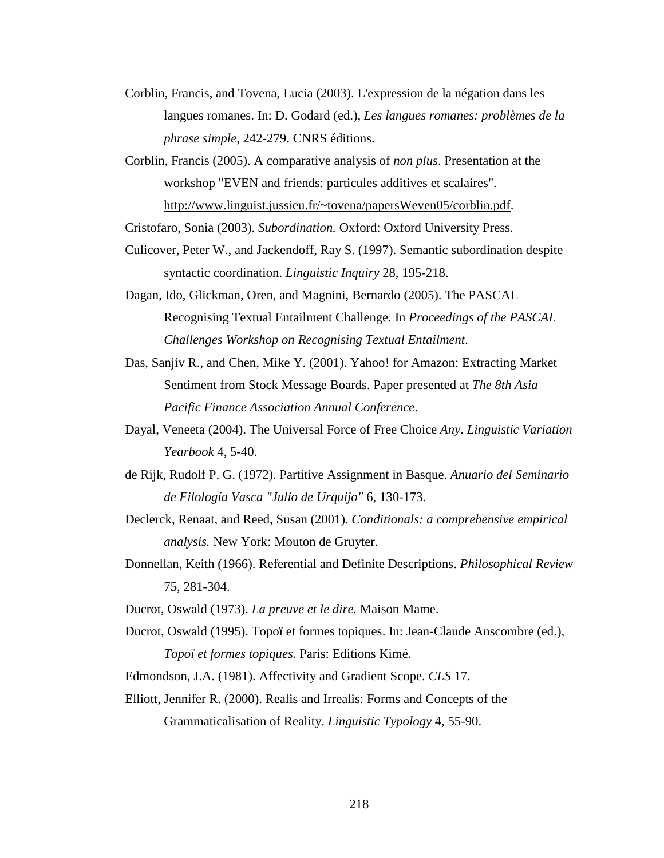- Corblin, Francis, and Tovena, Lucia (2003). L'expression de la négation dans les langues romanes. In: D. Godard (ed.), *Les langues romanes: problèmes de la phrase simple*, 242-279. CNRS éditions.
- Corblin, Francis (2005). A comparative analysis of *non plus*. Presentation at the workshop "EVEN and friends: particules additives et scalaires". http://www.linguist.jussieu.fr/~tovena/papersWeven05/corblin.pdf.

Cristofaro, Sonia (2003). *Subordination.* Oxford: Oxford University Press.

- Culicover, Peter W., and Jackendoff, Ray S. (1997). Semantic subordination despite syntactic coordination. *Linguistic Inquiry* 28, 195-218.
- Dagan, Ido, Glickman, Oren, and Magnini, Bernardo (2005). The PASCAL Recognising Textual Entailment Challenge. In *Proceedings of the PASCAL Challenges Workshop on Recognising Textual Entailment*.
- Das, Sanjiv R., and Chen, Mike Y. (2001). Yahoo! for Amazon: Extracting Market Sentiment from Stock Message Boards. Paper presented at *The 8th Asia Pacific Finance Association Annual Conference*.
- Dayal, Veneeta (2004). The Universal Force of Free Choice *Any*. *Linguistic Variation Yearbook* 4, 5-40.
- de Rijk, Rudolf P. G. (1972). Partitive Assignment in Basque. *Anuario del Seminario de Filología Vasca "Julio de Urquijo"* 6, 130-173.
- Declerck, Renaat, and Reed, Susan (2001). *Conditionals: a comprehensive empirical analysis.* New York: Mouton de Gruyter.
- Donnellan, Keith (1966). Referential and Definite Descriptions. *Philosophical Review* 75, 281-304.
- Ducrot, Oswald (1973). *La preuve et le dire.* Maison Mame.
- Ducrot, Oswald (1995). Topoï et formes topiques. In: Jean-Claude Anscombre (ed.), *Topoï et formes topiques*. Paris: Editions Kimé.
- Edmondson, J.A. (1981). Affectivity and Gradient Scope. *CLS* 17.
- Elliott, Jennifer R. (2000). Realis and Irrealis: Forms and Concepts of the Grammaticalisation of Reality. *Linguistic Typology* 4, 55-90.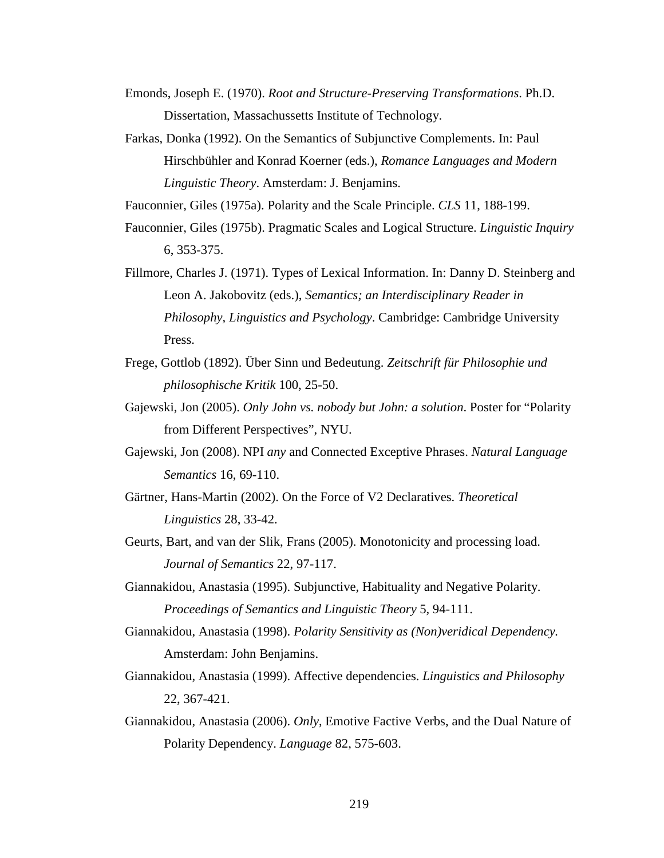- Emonds, Joseph E. (1970). *Root and Structure-Preserving Transformations*. Ph.D. Dissertation, Massachussetts Institute of Technology.
- Farkas, Donka (1992). On the Semantics of Subjunctive Complements. In: Paul Hirschbühler and Konrad Koerner (eds.), *Romance Languages and Modern Linguistic Theory*. Amsterdam: J. Benjamins.

Fauconnier, Giles (1975a). Polarity and the Scale Principle. *CLS* 11, 188-199.

- Fauconnier, Giles (1975b). Pragmatic Scales and Logical Structure. *Linguistic Inquiry* 6, 353-375.
- Fillmore, Charles J. (1971). Types of Lexical Information. In: Danny D. Steinberg and Leon A. Jakobovitz (eds.), *Semantics; an Interdisciplinary Reader in Philosophy, Linguistics and Psychology*. Cambridge: Cambridge University Press.
- Frege, Gottlob (1892). Über Sinn und Bedeutung. *Zeitschrift für Philosophie und philosophische Kritik* 100, 25-50.
- Gajewski, Jon (2005). *Only John vs. nobody but John: a solution*. Poster for "Polarity from Different Perspectives", NYU.
- Gajewski, Jon (2008). NPI *any* and Connected Exceptive Phrases. *Natural Language Semantics* 16, 69-110.
- Gärtner, Hans-Martin (2002). On the Force of V2 Declaratives. *Theoretical Linguistics* 28, 33-42.
- Geurts, Bart, and van der Slik, Frans (2005). Monotonicity and processing load. *Journal of Semantics* 22, 97-117.
- Giannakidou, Anastasia (1995). Subjunctive, Habituality and Negative Polarity. *Proceedings of Semantics and Linguistic Theory* 5, 94-111.
- Giannakidou, Anastasia (1998). *Polarity Sensitivity as (Non)veridical Dependency.* Amsterdam: John Benjamins.
- Giannakidou, Anastasia (1999). Affective dependencies. *Linguistics and Philosophy* 22, 367-421.
- Giannakidou, Anastasia (2006). *Only*, Emotive Factive Verbs, and the Dual Nature of Polarity Dependency. *Language* 82, 575-603.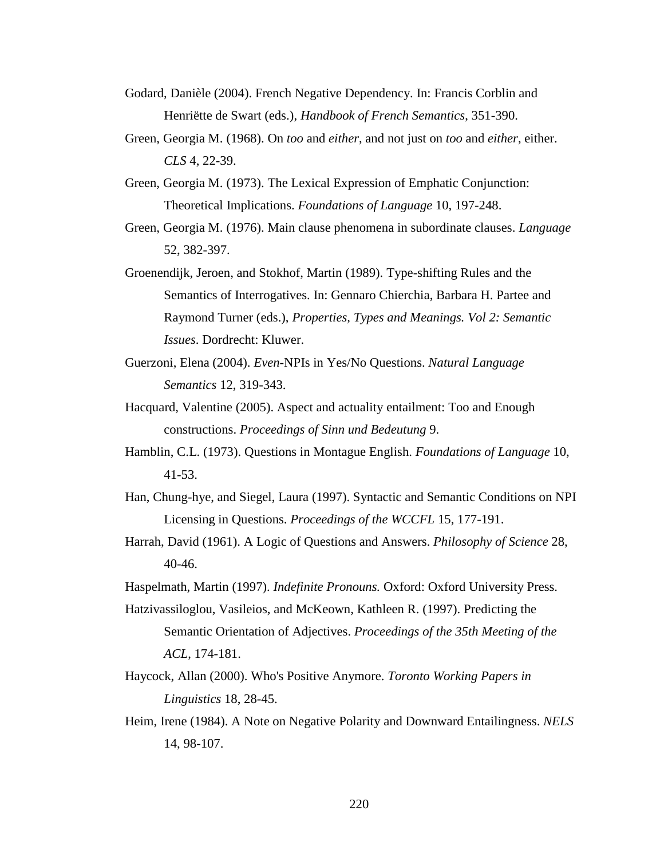- Godard, Danièle (2004). French Negative Dependency. In: Francis Corblin and Henriëtte de Swart (eds.), *Handbook of French Semantics*, 351-390.
- Green, Georgia M. (1968). On *too* and *either*, and not just on *too* and *either*, either. *CLS* 4, 22-39.
- Green, Georgia M. (1973). The Lexical Expression of Emphatic Conjunction: Theoretical Implications. *Foundations of Language* 10, 197-248.
- Green, Georgia M. (1976). Main clause phenomena in subordinate clauses. *Language* 52, 382-397.
- Groenendijk, Jeroen, and Stokhof, Martin (1989). Type-shifting Rules and the Semantics of Interrogatives. In: Gennaro Chierchia, Barbara H. Partee and Raymond Turner (eds.), *Properties, Types and Meanings. Vol 2: Semantic Issues*. Dordrecht: Kluwer.
- Guerzoni, Elena (2004). *Even*-NPIs in Yes/No Questions. *Natural Language Semantics* 12, 319-343.
- Hacquard, Valentine (2005). Aspect and actuality entailment: Too and Enough constructions. *Proceedings of Sinn und Bedeutung* 9.
- Hamblin, C.L. (1973). Questions in Montague English. *Foundations of Language* 10, 41-53.
- Han, Chung-hye, and Siegel, Laura (1997). Syntactic and Semantic Conditions on NPI Licensing in Questions. *Proceedings of the WCCFL* 15, 177-191.
- Harrah, David (1961). A Logic of Questions and Answers. *Philosophy of Science* 28, 40-46.
- Haspelmath, Martin (1997). *Indefinite Pronouns.* Oxford: Oxford University Press.
- Hatzivassiloglou, Vasileios, and McKeown, Kathleen R. (1997). Predicting the Semantic Orientation of Adjectives. *Proceedings of the 35th Meeting of the ACL*, 174-181.
- Haycock, Allan (2000). Who's Positive Anymore. *Toronto Working Papers in Linguistics* 18, 28-45.
- Heim, Irene (1984). A Note on Negative Polarity and Downward Entailingness. *NELS* 14, 98-107.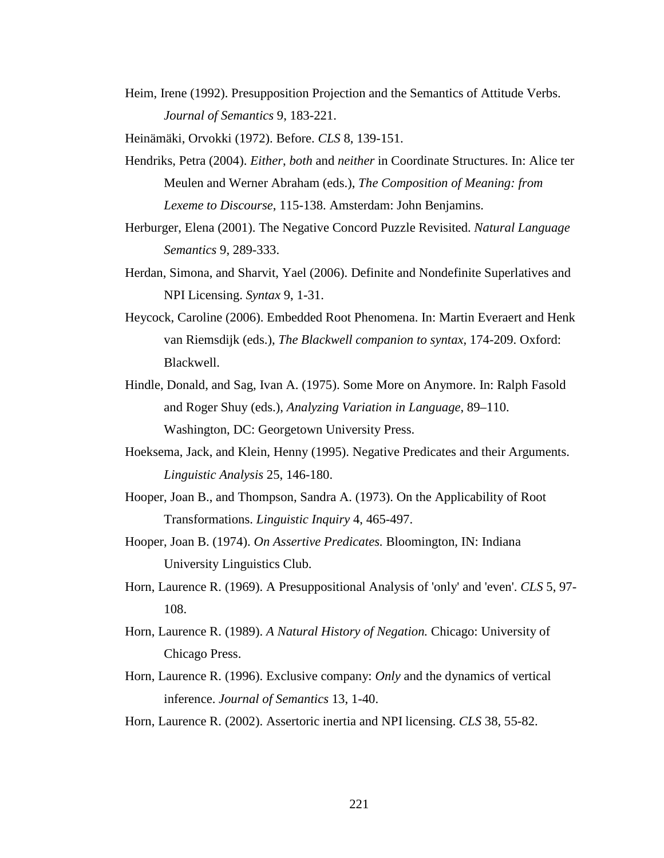Heim, Irene (1992). Presupposition Projection and the Semantics of Attitude Verbs. *Journal of Semantics* 9, 183-221.

Heinämäki, Orvokki (1972). Before. *CLS* 8, 139-151.

- Hendriks, Petra (2004). *Either*, *both* and *neither* in Coordinate Structures. In: Alice ter Meulen and Werner Abraham (eds.), *The Composition of Meaning: from Lexeme to Discourse*, 115-138. Amsterdam: John Benjamins.
- Herburger, Elena (2001). The Negative Concord Puzzle Revisited. *Natural Language Semantics* 9, 289-333.
- Herdan, Simona, and Sharvit, Yael (2006). Definite and Nondefinite Superlatives and NPI Licensing. *Syntax* 9, 1-31.
- Heycock, Caroline (2006). Embedded Root Phenomena. In: Martin Everaert and Henk van Riemsdijk (eds.), *The Blackwell companion to syntax*, 174-209. Oxford: Blackwell.
- Hindle, Donald, and Sag, Ivan A. (1975). Some More on Anymore. In: Ralph Fasold and Roger Shuy (eds.), *Analyzing Variation in Language*, 89–110. Washington, DC: Georgetown University Press.
- Hoeksema, Jack, and Klein, Henny (1995). Negative Predicates and their Arguments. *Linguistic Analysis* 25, 146-180.
- Hooper, Joan B., and Thompson, Sandra A. (1973). On the Applicability of Root Transformations. *Linguistic Inquiry* 4, 465-497.
- Hooper, Joan B. (1974). *On Assertive Predicates.* Bloomington, IN: Indiana University Linguistics Club.
- Horn, Laurence R. (1969). A Presuppositional Analysis of 'only' and 'even'. *CLS* 5, 97- 108.
- Horn, Laurence R. (1989). *A Natural History of Negation.* Chicago: University of Chicago Press.
- Horn, Laurence R. (1996). Exclusive company: *Only* and the dynamics of vertical inference. *Journal of Semantics* 13, 1-40.

Horn, Laurence R. (2002). Assertoric inertia and NPI licensing. *CLS* 38, 55-82.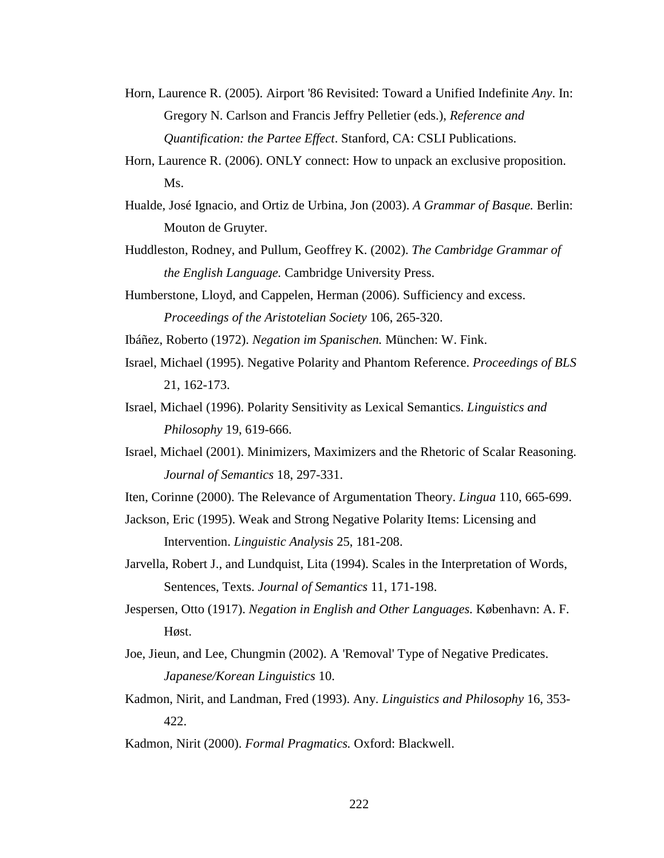- Horn, Laurence R. (2005). Airport '86 Revisited: Toward a Unified Indefinite *Any*. In: Gregory N. Carlson and Francis Jeffry Pelletier (eds.), *Reference and Quantification: the Partee Effect*. Stanford, CA: CSLI Publications.
- Horn, Laurence R. (2006). ONLY connect: How to unpack an exclusive proposition. Ms.
- Hualde, José Ignacio, and Ortiz de Urbina, Jon (2003). *A Grammar of Basque.* Berlin: Mouton de Gruyter.
- Huddleston, Rodney, and Pullum, Geoffrey K. (2002). *The Cambridge Grammar of the English Language.* Cambridge University Press.
- Humberstone, Lloyd, and Cappelen, Herman (2006). Sufficiency and excess. *Proceedings of the Aristotelian Society* 106, 265-320.
- Ibáñez, Roberto (1972). *Negation im Spanischen.* München: W. Fink.
- Israel, Michael (1995). Negative Polarity and Phantom Reference. *Proceedings of BLS* 21, 162-173.
- Israel, Michael (1996). Polarity Sensitivity as Lexical Semantics. *Linguistics and Philosophy* 19, 619-666.
- Israel, Michael (2001). Minimizers, Maximizers and the Rhetoric of Scalar Reasoning. *Journal of Semantics* 18, 297-331.
- Iten, Corinne (2000). The Relevance of Argumentation Theory. *Lingua* 110, 665-699.
- Jackson, Eric (1995). Weak and Strong Negative Polarity Items: Licensing and Intervention. *Linguistic Analysis* 25, 181-208.
- Jarvella, Robert J., and Lundquist, Lita (1994). Scales in the Interpretation of Words, Sentences, Texts. *Journal of Semantics* 11, 171-198.
- Jespersen, Otto (1917). *Negation in English and Other Languages.* København: A. F. Høst.
- Joe, Jieun, and Lee, Chungmin (2002). A 'Removal' Type of Negative Predicates. *Japanese/Korean Linguistics* 10.
- Kadmon, Nirit, and Landman, Fred (1993). Any. *Linguistics and Philosophy* 16, 353- 422.

Kadmon, Nirit (2000). *Formal Pragmatics.* Oxford: Blackwell.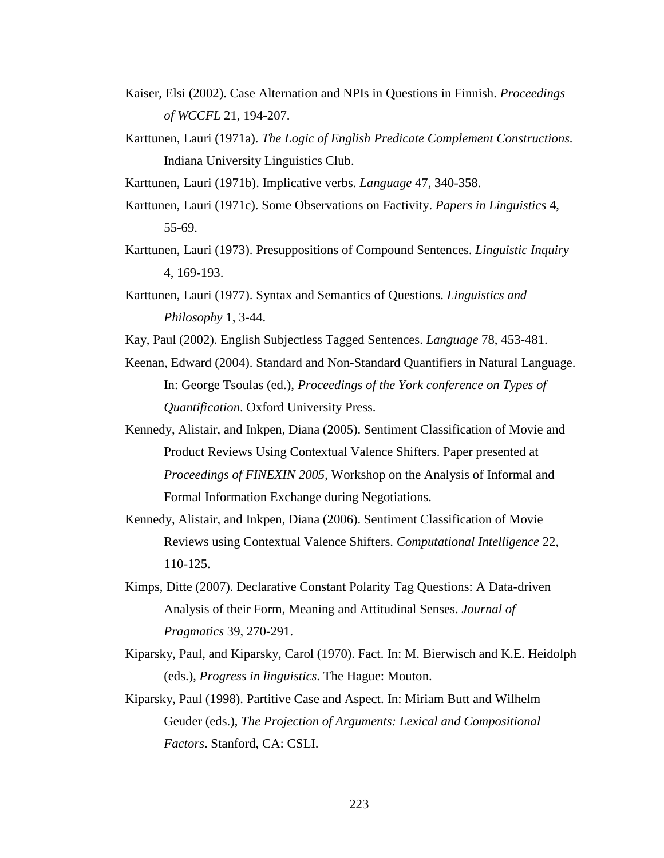- Kaiser, Elsi (2002). Case Alternation and NPIs in Questions in Finnish. *Proceedings of WCCFL* 21, 194-207.
- Karttunen, Lauri (1971a). *The Logic of English Predicate Complement Constructions.* Indiana University Linguistics Club.
- Karttunen, Lauri (1971b). Implicative verbs. *Language* 47, 340-358.
- Karttunen, Lauri (1971c). Some Observations on Factivity. *Papers in Linguistics* 4, 55-69.
- Karttunen, Lauri (1973). Presuppositions of Compound Sentences. *Linguistic Inquiry* 4, 169-193.
- Karttunen, Lauri (1977). Syntax and Semantics of Questions. *Linguistics and Philosophy* 1, 3-44.
- Kay, Paul (2002). English Subjectless Tagged Sentences. *Language* 78, 453-481.
- Keenan, Edward (2004). Standard and Non-Standard Quantifiers in Natural Language. In: George Tsoulas (ed.), *Proceedings of the York conference on Types of Quantification*. Oxford University Press.
- Kennedy, Alistair, and Inkpen, Diana (2005). Sentiment Classification of Movie and Product Reviews Using Contextual Valence Shifters. Paper presented at *Proceedings of FINEXIN 2005*, Workshop on the Analysis of Informal and Formal Information Exchange during Negotiations.
- Kennedy, Alistair, and Inkpen, Diana (2006). Sentiment Classification of Movie Reviews using Contextual Valence Shifters. *Computational Intelligence* 22, 110-125.
- Kimps, Ditte (2007). Declarative Constant Polarity Tag Questions: A Data-driven Analysis of their Form, Meaning and Attitudinal Senses. *Journal of Pragmatics* 39, 270-291.
- Kiparsky, Paul, and Kiparsky, Carol (1970). Fact. In: M. Bierwisch and K.E. Heidolph (eds.), *Progress in linguistics*. The Hague: Mouton.
- Kiparsky, Paul (1998). Partitive Case and Aspect. In: Miriam Butt and Wilhelm Geuder (eds.), *The Projection of Arguments: Lexical and Compositional Factors*. Stanford, CA: CSLI.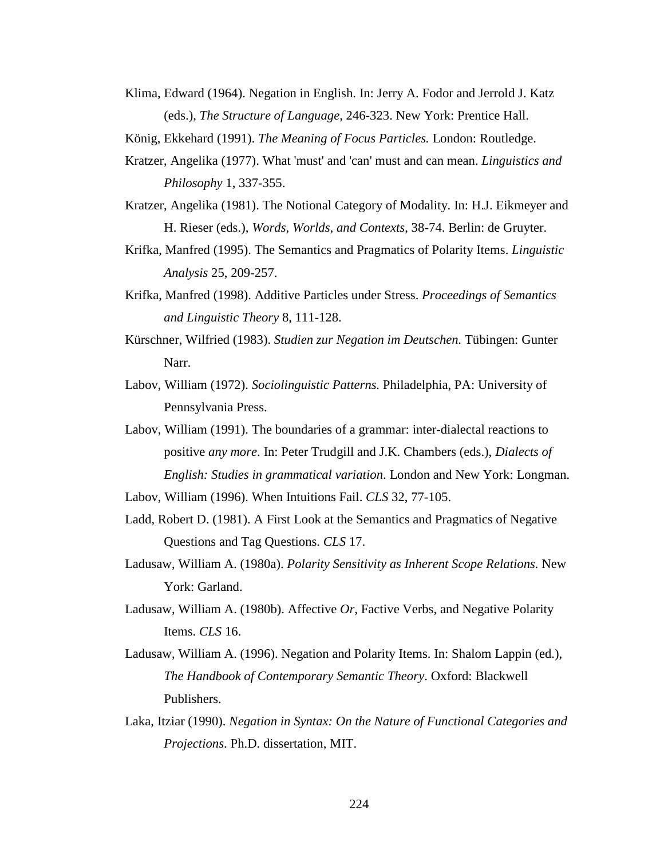Klima, Edward (1964). Negation in English. In: Jerry A. Fodor and Jerrold J. Katz (eds.), *The Structure of Language*, 246-323. New York: Prentice Hall.

König, Ekkehard (1991). *The Meaning of Focus Particles.* London: Routledge.

- Kratzer, Angelika (1977). What 'must' and 'can' must and can mean. *Linguistics and Philosophy* 1, 337-355.
- Kratzer, Angelika (1981). The Notional Category of Modality. In: H.J. Eikmeyer and H. Rieser (eds.), *Words, Worlds, and Contexts*, 38-74. Berlin: de Gruyter.
- Krifka, Manfred (1995). The Semantics and Pragmatics of Polarity Items. *Linguistic Analysis* 25, 209-257.
- Krifka, Manfred (1998). Additive Particles under Stress. *Proceedings of Semantics and Linguistic Theory* 8, 111-128.
- Kürschner, Wilfried (1983). *Studien zur Negation im Deutschen.* Tübingen: Gunter Narr.
- Labov, William (1972). *Sociolinguistic Patterns.* Philadelphia, PA: University of Pennsylvania Press.
- Labov, William (1991). The boundaries of a grammar: inter-dialectal reactions to positive *any more*. In: Peter Trudgill and J.K. Chambers (eds.), *Dialects of English: Studies in grammatical variation*. London and New York: Longman.

Labov, William (1996). When Intuitions Fail. *CLS* 32, 77-105.

- Ladd, Robert D. (1981). A First Look at the Semantics and Pragmatics of Negative Questions and Tag Questions. *CLS* 17.
- Ladusaw, William A. (1980a). *Polarity Sensitivity as Inherent Scope Relations.* New York: Garland.
- Ladusaw, William A. (1980b). Affective *Or*, Factive Verbs, and Negative Polarity Items. *CLS* 16.
- Ladusaw, William A. (1996). Negation and Polarity Items. In: Shalom Lappin (ed.), *The Handbook of Contemporary Semantic Theory*. Oxford: Blackwell Publishers.
- Laka, Itziar (1990). *Negation in Syntax: On the Nature of Functional Categories and Projections*. Ph.D. dissertation, MIT.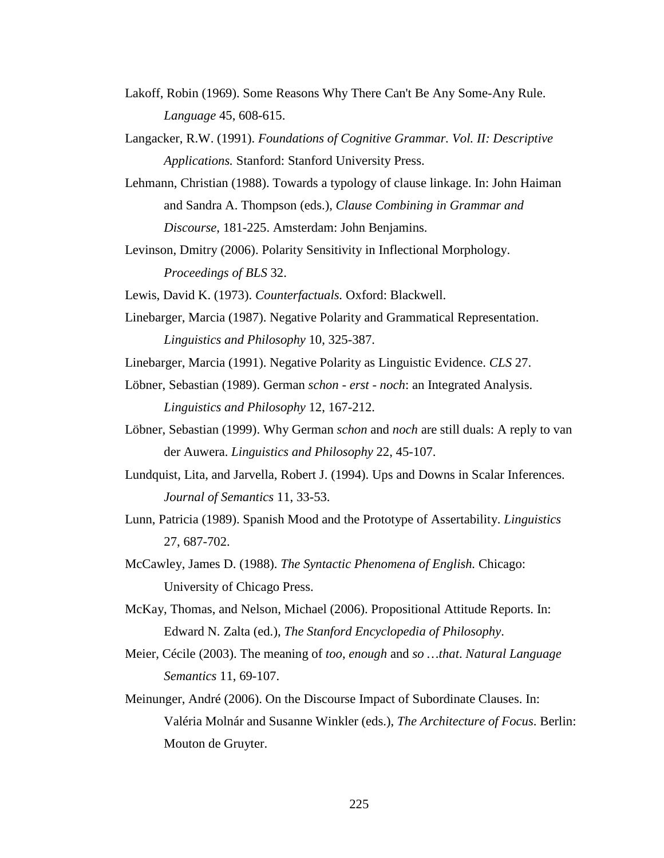- Lakoff, Robin (1969). Some Reasons Why There Can't Be Any Some-Any Rule. *Language* 45, 608-615.
- Langacker, R.W. (1991). *Foundations of Cognitive Grammar. Vol. II: Descriptive Applications.* Stanford: Stanford University Press.
- Lehmann, Christian (1988). Towards a typology of clause linkage. In: John Haiman and Sandra A. Thompson (eds.), *Clause Combining in Grammar and Discourse*, 181-225. Amsterdam: John Benjamins.
- Levinson, Dmitry (2006). Polarity Sensitivity in Inflectional Morphology. *Proceedings of BLS* 32.
- Lewis, David K. (1973). *Counterfactuals.* Oxford: Blackwell.
- Linebarger, Marcia (1987). Negative Polarity and Grammatical Representation. *Linguistics and Philosophy* 10, 325-387.
- Linebarger, Marcia (1991). Negative Polarity as Linguistic Evidence. *CLS* 27.
- Löbner, Sebastian (1989). German *schon erst noch*: an Integrated Analysis. *Linguistics and Philosophy* 12, 167-212.
- Löbner, Sebastian (1999). Why German *schon* and *noch* are still duals: A reply to van der Auwera. *Linguistics and Philosophy* 22, 45-107.
- Lundquist, Lita, and Jarvella, Robert J. (1994). Ups and Downs in Scalar Inferences. *Journal of Semantics* 11, 33-53.
- Lunn, Patricia (1989). Spanish Mood and the Prototype of Assertability. *Linguistics* 27, 687-702.
- McCawley, James D. (1988). *The Syntactic Phenomena of English.* Chicago: University of Chicago Press.
- McKay, Thomas, and Nelson, Michael (2006). Propositional Attitude Reports. In: Edward N. Zalta (ed.), *The Stanford Encyclopedia of Philosophy*.
- Meier, Cécile (2003). The meaning of *too*, *enough* and *so …that*. *Natural Language Semantics* 11, 69-107.
- Meinunger, André (2006). On the Discourse Impact of Subordinate Clauses. In: Valéria Molnár and Susanne Winkler (eds.), *The Architecture of Focus*. Berlin: Mouton de Gruyter.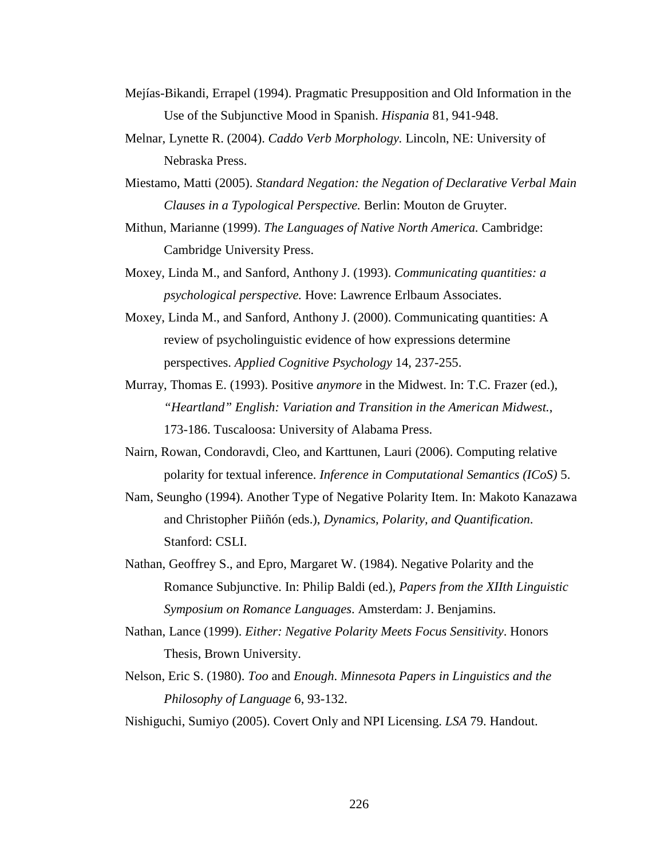- Mejías-Bikandi, Errapel (1994). Pragmatic Presupposition and Old Information in the Use of the Subjunctive Mood in Spanish. *Hispania* 81, 941-948.
- Melnar, Lynette R. (2004). *Caddo Verb Morphology.* Lincoln, NE: University of Nebraska Press.
- Miestamo, Matti (2005). *Standard Negation: the Negation of Declarative Verbal Main Clauses in a Typological Perspective.* Berlin: Mouton de Gruyter.
- Mithun, Marianne (1999). *The Languages of Native North America.* Cambridge: Cambridge University Press.
- Moxey, Linda M., and Sanford, Anthony J. (1993). *Communicating quantities: a psychological perspective.* Hove: Lawrence Erlbaum Associates.
- Moxey, Linda M., and Sanford, Anthony J. (2000). Communicating quantities: A review of psycholinguistic evidence of how expressions determine perspectives. *Applied Cognitive Psychology* 14, 237-255.
- Murray, Thomas E. (1993). Positive *anymore* in the Midwest. In: T.C. Frazer (ed.), *"Heartland" English: Variation and Transition in the American Midwest.*, 173-186. Tuscaloosa: University of Alabama Press.
- Nairn, Rowan, Condoravdi, Cleo, and Karttunen, Lauri (2006). Computing relative polarity for textual inference. *Inference in Computational Semantics (ICoS)* 5.
- Nam, Seungho (1994). Another Type of Negative Polarity Item. In: Makoto Kanazawa and Christopher Piiñón (eds.), *Dynamics, Polarity, and Quantification*. Stanford: CSLI.
- Nathan, Geoffrey S., and Epro, Margaret W. (1984). Negative Polarity and the Romance Subjunctive. In: Philip Baldi (ed.), *Papers from the XIIth Linguistic Symposium on Romance Languages*. Amsterdam: J. Benjamins.
- Nathan, Lance (1999). *Either: Negative Polarity Meets Focus Sensitivity*. Honors Thesis, Brown University.
- Nelson, Eric S. (1980). *Too* and *Enough*. *Minnesota Papers in Linguistics and the Philosophy of Language* 6, 93-132.

Nishiguchi, Sumiyo (2005). Covert Only and NPI Licensing. *LSA* 79. Handout.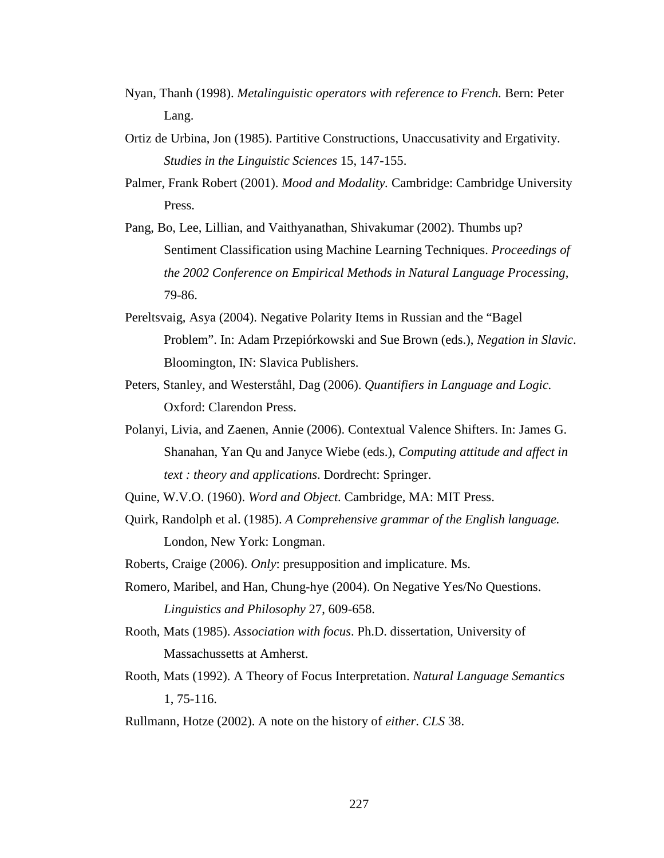- Nyan, Thanh (1998). *Metalinguistic operators with reference to French.* Bern: Peter Lang.
- Ortiz de Urbina, Jon (1985). Partitive Constructions, Unaccusativity and Ergativity. *Studies in the Linguistic Sciences* 15, 147-155.
- Palmer, Frank Robert (2001). *Mood and Modality.* Cambridge: Cambridge University Press.
- Pang, Bo, Lee, Lillian, and Vaithyanathan, Shivakumar (2002). Thumbs up? Sentiment Classification using Machine Learning Techniques. *Proceedings of the 2002 Conference on Empirical Methods in Natural Language Processing*, 79-86.
- Pereltsvaig, Asya (2004). Negative Polarity Items in Russian and the "Bagel Problem". In: Adam Przepiórkowski and Sue Brown (eds.), *Negation in Slavic*. Bloomington, IN: Slavica Publishers.
- Peters, Stanley, and Westerståhl, Dag (2006). *Quantifiers in Language and Logic.* Oxford: Clarendon Press.
- Polanyi, Livia, and Zaenen, Annie (2006). Contextual Valence Shifters. In: James G. Shanahan, Yan Qu and Janyce Wiebe (eds.), *Computing attitude and affect in text : theory and applications*. Dordrecht: Springer.
- Quine, W.V.O. (1960). *Word and Object.* Cambridge, MA: MIT Press.
- Quirk, Randolph et al. (1985). *A Comprehensive grammar of the English language.* London, New York: Longman.
- Roberts, Craige (2006). *Only*: presupposition and implicature. Ms.
- Romero, Maribel, and Han, Chung-hye (2004). On Negative Yes/No Questions. *Linguistics and Philosophy* 27, 609-658.
- Rooth, Mats (1985). *Association with focus*. Ph.D. dissertation, University of Massachussetts at Amherst.
- Rooth, Mats (1992). A Theory of Focus Interpretation. *Natural Language Semantics* 1, 75-116.
- Rullmann, Hotze (2002). A note on the history of *either*. *CLS* 38.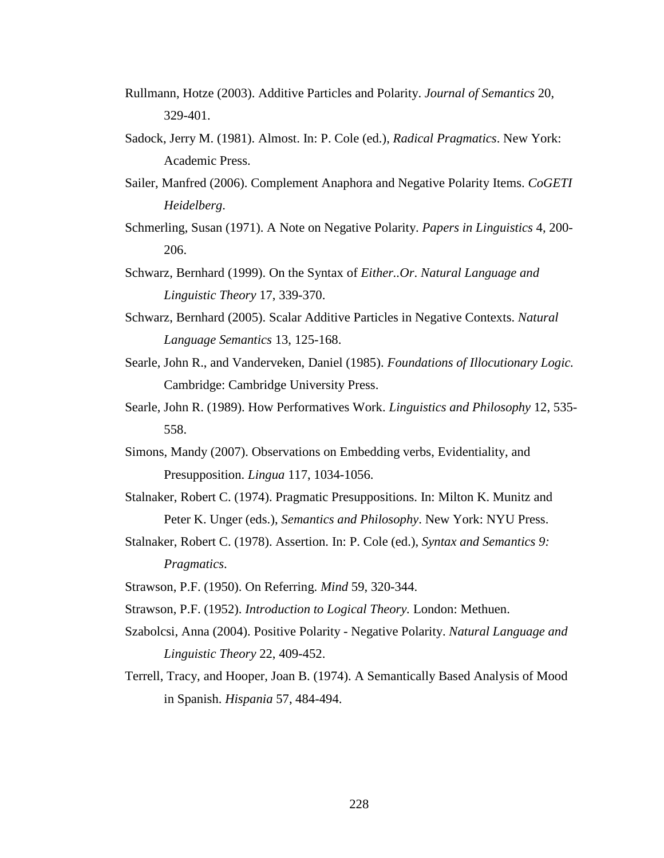- Rullmann, Hotze (2003). Additive Particles and Polarity. *Journal of Semantics* 20, 329-401.
- Sadock, Jerry M. (1981). Almost. In: P. Cole (ed.), *Radical Pragmatics*. New York: Academic Press.
- Sailer, Manfred (2006). Complement Anaphora and Negative Polarity Items. *CoGETI Heidelberg*.
- Schmerling, Susan (1971). A Note on Negative Polarity. *Papers in Linguistics* 4, 200- 206.
- Schwarz, Bernhard (1999). On the Syntax of *Either..Or*. *Natural Language and Linguistic Theory* 17, 339-370.
- Schwarz, Bernhard (2005). Scalar Additive Particles in Negative Contexts. *Natural Language Semantics* 13, 125-168.
- Searle, John R., and Vanderveken, Daniel (1985). *Foundations of Illocutionary Logic.* Cambridge: Cambridge University Press.
- Searle, John R. (1989). How Performatives Work. *Linguistics and Philosophy* 12, 535- 558.
- Simons, Mandy (2007). Observations on Embedding verbs, Evidentiality, and Presupposition. *Lingua* 117, 1034-1056.
- Stalnaker, Robert C. (1974). Pragmatic Presuppositions. In: Milton K. Munitz and Peter K. Unger (eds.), *Semantics and Philosophy*. New York: NYU Press.
- Stalnaker, Robert C. (1978). Assertion. In: P. Cole (ed.), *Syntax and Semantics 9: Pragmatics*.
- Strawson, P.F. (1950). On Referring. *Mind* 59, 320-344.
- Strawson, P.F. (1952). *Introduction to Logical Theory.* London: Methuen.
- Szabolcsi, Anna (2004). Positive Polarity Negative Polarity. *Natural Language and Linguistic Theory* 22, 409-452.
- Terrell, Tracy, and Hooper, Joan B. (1974). A Semantically Based Analysis of Mood in Spanish. *Hispania* 57, 484-494.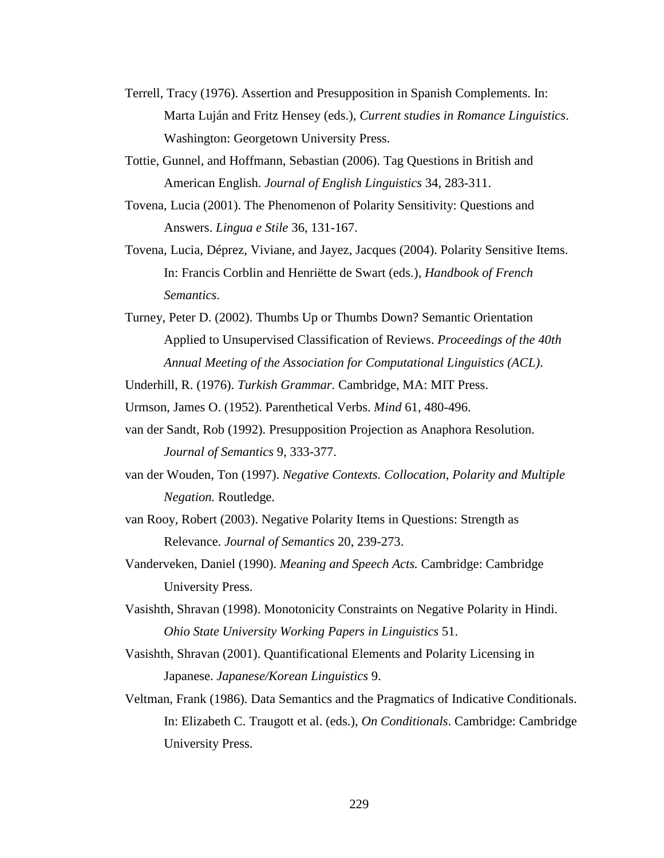- Terrell, Tracy (1976). Assertion and Presupposition in Spanish Complements. In: Marta Luján and Fritz Hensey (eds.), *Current studies in Romance Linguistics*. Washington: Georgetown University Press.
- Tottie, Gunnel, and Hoffmann, Sebastian (2006). Tag Questions in British and American English. *Journal of English Linguistics* 34, 283-311.
- Tovena, Lucia (2001). The Phenomenon of Polarity Sensitivity: Questions and Answers. *Lingua e Stile* 36, 131-167.
- Tovena, Lucia, Déprez, Viviane, and Jayez, Jacques (2004). Polarity Sensitive Items. In: Francis Corblin and Henriëtte de Swart (eds.), *Handbook of French Semantics*.
- Turney, Peter D. (2002). Thumbs Up or Thumbs Down? Semantic Orientation Applied to Unsupervised Classification of Reviews. *Proceedings of the 40th Annual Meeting of the Association for Computational Linguistics (ACL)*.

Underhill, R. (1976). *Turkish Grammar.* Cambridge, MA: MIT Press.

Urmson, James O. (1952). Parenthetical Verbs. *Mind* 61, 480-496.

- van der Sandt, Rob (1992). Presupposition Projection as Anaphora Resolution. *Journal of Semantics* 9, 333-377.
- van der Wouden, Ton (1997). *Negative Contexts. Collocation, Polarity and Multiple Negation.* Routledge.
- van Rooy, Robert (2003). Negative Polarity Items in Questions: Strength as Relevance. *Journal of Semantics* 20, 239-273.
- Vanderveken, Daniel (1990). *Meaning and Speech Acts.* Cambridge: Cambridge University Press.
- Vasishth, Shravan (1998). Monotonicity Constraints on Negative Polarity in Hindi. *Ohio State University Working Papers in Linguistics* 51.
- Vasishth, Shravan (2001). Quantificational Elements and Polarity Licensing in Japanese. *Japanese/Korean Linguistics* 9.
- Veltman, Frank (1986). Data Semantics and the Pragmatics of Indicative Conditionals. In: Elizabeth C. Traugott et al. (eds.), *On Conditionals*. Cambridge: Cambridge University Press.